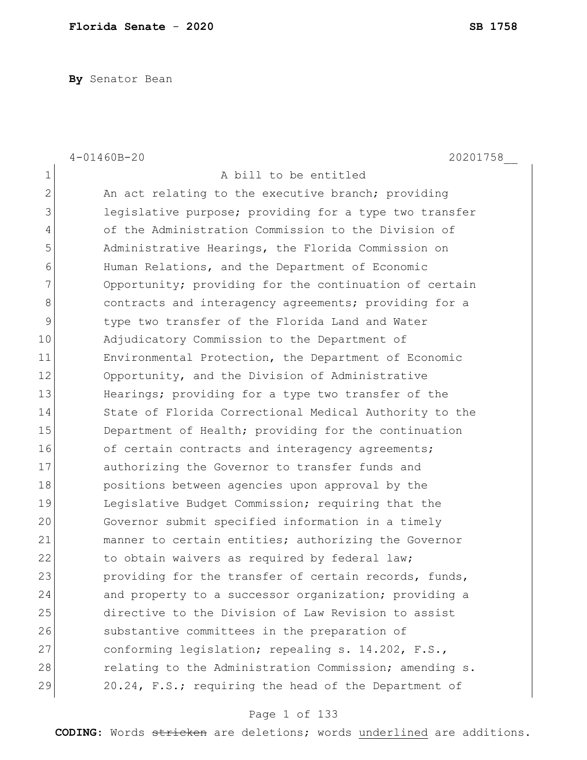**By** Senator Bean

|                | $4 - 01460B - 20$<br>20201758                          |
|----------------|--------------------------------------------------------|
| $\mathbf 1$    | A bill to be entitled                                  |
| $\overline{2}$ | An act relating to the executive branch; providing     |
| 3              | legislative purpose; providing for a type two transfer |
| 4              | of the Administration Commission to the Division of    |
| 5              | Administrative Hearings, the Florida Commission on     |
| 6              | Human Relations, and the Department of Economic        |
| 7              | Opportunity; providing for the continuation of certain |
| 8              | contracts and interagency agreements; providing for a  |
| 9              | type two transfer of the Florida Land and Water        |
| 10             | Adjudicatory Commission to the Department of           |
| 11             | Environmental Protection, the Department of Economic   |
| 12             | Opportunity, and the Division of Administrative        |
| 13             | Hearings; providing for a type two transfer of the     |
| 14             | State of Florida Correctional Medical Authority to the |
| 15             | Department of Health; providing for the continuation   |
| 16             | of certain contracts and interagency agreements;       |
| 17             | authorizing the Governor to transfer funds and         |
| 18             | positions between agencies upon approval by the        |
| 19             | Legislative Budget Commission; requiring that the      |
| 20             | Governor submit specified information in a timely      |
| 21             | manner to certain entities; authorizing the Governor   |
| 22             | to obtain waivers as required by federal law;          |
| 23             | providing for the transfer of certain records, funds,  |
| 24             | and property to a successor organization; providing a  |
| 25             | directive to the Division of Law Revision to assist    |
| 26             | substantive committees in the preparation of           |
| 27             | conforming legislation; repealing s. 14.202, F.S.,     |
| 28             | relating to the Administration Commission; amending s. |
| 29             | 20.24, F.S.; requiring the head of the Department of   |

# Page 1 of 133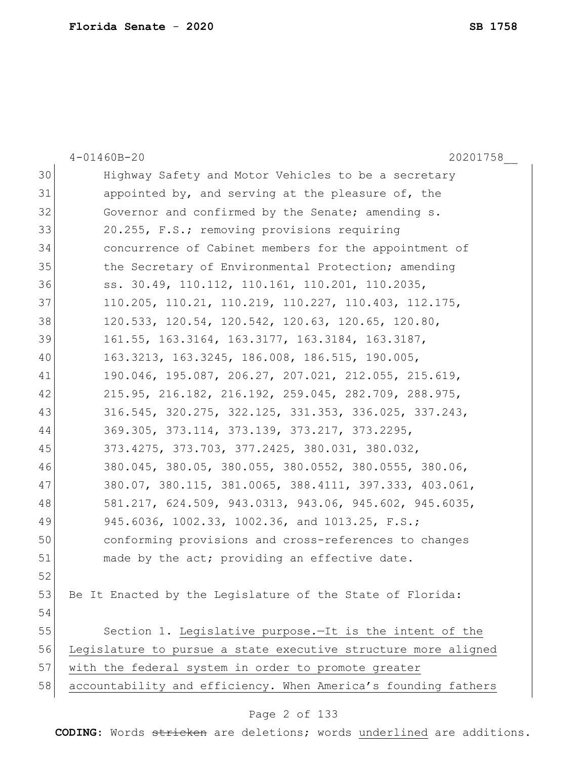|    | 20201758<br>$4 - 01460B - 20$                                  |
|----|----------------------------------------------------------------|
| 30 | Highway Safety and Motor Vehicles to be a secretary            |
| 31 | appointed by, and serving at the pleasure of, the              |
| 32 | Governor and confirmed by the Senate; amending s.              |
| 33 | 20.255, F.S.; removing provisions requiring                    |
| 34 | concurrence of Cabinet members for the appointment of          |
| 35 | the Secretary of Environmental Protection; amending            |
| 36 | ss. 30.49, 110.112, 110.161, 110.201, 110.2035,                |
| 37 | 110.205, 110.21, 110.219, 110.227, 110.403, 112.175,           |
| 38 | 120.533, 120.54, 120.542, 120.63, 120.65, 120.80,              |
| 39 | 161.55, 163.3164, 163.3177, 163.3184, 163.3187,                |
| 40 | 163.3213, 163.3245, 186.008, 186.515, 190.005,                 |
| 41 | 190.046, 195.087, 206.27, 207.021, 212.055, 215.619,           |
| 42 | 215.95, 216.182, 216.192, 259.045, 282.709, 288.975,           |
| 43 | 316.545, 320.275, 322.125, 331.353, 336.025, 337.243,          |
| 44 | 369.305, 373.114, 373.139, 373.217, 373.2295,                  |
| 45 | 373.4275, 373.703, 377.2425, 380.031, 380.032,                 |
| 46 | 380.045, 380.05, 380.055, 380.0552, 380.0555, 380.06,          |
| 47 | 380.07, 380.115, 381.0065, 388.4111, 397.333, 403.061,         |
| 48 | 581.217, 624.509, 943.0313, 943.06, 945.602, 945.6035,         |
| 49 | 945.6036, 1002.33, 1002.36, and 1013.25, F.S.;                 |
| 50 | conforming provisions and cross-references to changes          |
| 51 | made by the act; providing an effective date.                  |
| 52 |                                                                |
| 53 | Be It Enacted by the Legislature of the State of Florida:      |
| 54 |                                                                |
| 55 | Section 1. Legislative purpose. It is the intent of the        |
| 56 | Legislature to pursue a state executive structure more aligned |
| 57 | with the federal system in order to promote greater            |
| 58 | accountability and efficiency. When America's founding fathers |
|    |                                                                |

# Page 2 of 133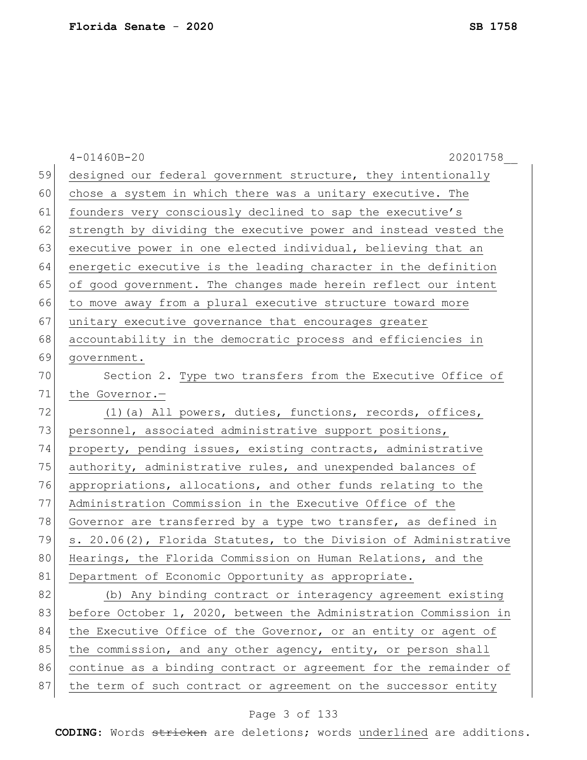| 59<br>designed our federal government structure, they intentionally<br>60<br>chose a system in which there was a unitary executive. The<br>61<br>founders very consciously declined to sap the executive's<br>62<br>strength by dividing the executive power and instead vested the<br>63<br>executive power in one elected individual, believing that an<br>64<br>energetic executive is the leading character in the definition<br>65<br>of good government. The changes made herein reflect our intent<br>66<br>to move away from a plural executive structure toward more<br>67<br>unitary executive governance that encourages greater<br>68<br>accountability in the democratic process and efficiencies in<br>69<br>government.<br>70<br>Section 2. Type two transfers from the Executive Office of<br>71<br>the Governor.-<br>72<br>(1) (a) All powers, duties, functions, records, offices,<br>73<br>personnel, associated administrative support positions,<br>74<br>property, pending issues, existing contracts, administrative<br>75<br>authority, administrative rules, and unexpended balances of<br>76<br>appropriations, allocations, and other funds relating to the<br>77<br>Administration Commission in the Executive Office of the<br>78<br>Governor are transferred by a type two transfer, as defined in<br>79<br>s. 20.06(2), Florida Statutes, to the Division of Administrative<br>80<br>Hearings, the Florida Commission on Human Relations, and the<br>81<br>Department of Economic Opportunity as appropriate.<br>82<br>(b) Any binding contract or interagency agreement existing<br>83<br>before October 1, 2020, between the Administration Commission in<br>84<br>the Executive Office of the Governor, or an entity or agent of<br>85<br>the commission, and any other agency, entity, or person shall<br>86<br>continue as a binding contract or agreement for the remainder of |    | $4 - 01460B - 20$<br>20201758                                  |
|---------------------------------------------------------------------------------------------------------------------------------------------------------------------------------------------------------------------------------------------------------------------------------------------------------------------------------------------------------------------------------------------------------------------------------------------------------------------------------------------------------------------------------------------------------------------------------------------------------------------------------------------------------------------------------------------------------------------------------------------------------------------------------------------------------------------------------------------------------------------------------------------------------------------------------------------------------------------------------------------------------------------------------------------------------------------------------------------------------------------------------------------------------------------------------------------------------------------------------------------------------------------------------------------------------------------------------------------------------------------------------------------------------------------------------------------------------------------------------------------------------------------------------------------------------------------------------------------------------------------------------------------------------------------------------------------------------------------------------------------------------------------------------------------------------------------------------------------------------------------------------------------------------------------|----|----------------------------------------------------------------|
|                                                                                                                                                                                                                                                                                                                                                                                                                                                                                                                                                                                                                                                                                                                                                                                                                                                                                                                                                                                                                                                                                                                                                                                                                                                                                                                                                                                                                                                                                                                                                                                                                                                                                                                                                                                                                                                                                                                     |    |                                                                |
|                                                                                                                                                                                                                                                                                                                                                                                                                                                                                                                                                                                                                                                                                                                                                                                                                                                                                                                                                                                                                                                                                                                                                                                                                                                                                                                                                                                                                                                                                                                                                                                                                                                                                                                                                                                                                                                                                                                     |    |                                                                |
|                                                                                                                                                                                                                                                                                                                                                                                                                                                                                                                                                                                                                                                                                                                                                                                                                                                                                                                                                                                                                                                                                                                                                                                                                                                                                                                                                                                                                                                                                                                                                                                                                                                                                                                                                                                                                                                                                                                     |    |                                                                |
|                                                                                                                                                                                                                                                                                                                                                                                                                                                                                                                                                                                                                                                                                                                                                                                                                                                                                                                                                                                                                                                                                                                                                                                                                                                                                                                                                                                                                                                                                                                                                                                                                                                                                                                                                                                                                                                                                                                     |    |                                                                |
|                                                                                                                                                                                                                                                                                                                                                                                                                                                                                                                                                                                                                                                                                                                                                                                                                                                                                                                                                                                                                                                                                                                                                                                                                                                                                                                                                                                                                                                                                                                                                                                                                                                                                                                                                                                                                                                                                                                     |    |                                                                |
|                                                                                                                                                                                                                                                                                                                                                                                                                                                                                                                                                                                                                                                                                                                                                                                                                                                                                                                                                                                                                                                                                                                                                                                                                                                                                                                                                                                                                                                                                                                                                                                                                                                                                                                                                                                                                                                                                                                     |    |                                                                |
|                                                                                                                                                                                                                                                                                                                                                                                                                                                                                                                                                                                                                                                                                                                                                                                                                                                                                                                                                                                                                                                                                                                                                                                                                                                                                                                                                                                                                                                                                                                                                                                                                                                                                                                                                                                                                                                                                                                     |    |                                                                |
|                                                                                                                                                                                                                                                                                                                                                                                                                                                                                                                                                                                                                                                                                                                                                                                                                                                                                                                                                                                                                                                                                                                                                                                                                                                                                                                                                                                                                                                                                                                                                                                                                                                                                                                                                                                                                                                                                                                     |    |                                                                |
|                                                                                                                                                                                                                                                                                                                                                                                                                                                                                                                                                                                                                                                                                                                                                                                                                                                                                                                                                                                                                                                                                                                                                                                                                                                                                                                                                                                                                                                                                                                                                                                                                                                                                                                                                                                                                                                                                                                     |    |                                                                |
|                                                                                                                                                                                                                                                                                                                                                                                                                                                                                                                                                                                                                                                                                                                                                                                                                                                                                                                                                                                                                                                                                                                                                                                                                                                                                                                                                                                                                                                                                                                                                                                                                                                                                                                                                                                                                                                                                                                     |    |                                                                |
|                                                                                                                                                                                                                                                                                                                                                                                                                                                                                                                                                                                                                                                                                                                                                                                                                                                                                                                                                                                                                                                                                                                                                                                                                                                                                                                                                                                                                                                                                                                                                                                                                                                                                                                                                                                                                                                                                                                     |    |                                                                |
|                                                                                                                                                                                                                                                                                                                                                                                                                                                                                                                                                                                                                                                                                                                                                                                                                                                                                                                                                                                                                                                                                                                                                                                                                                                                                                                                                                                                                                                                                                                                                                                                                                                                                                                                                                                                                                                                                                                     |    |                                                                |
|                                                                                                                                                                                                                                                                                                                                                                                                                                                                                                                                                                                                                                                                                                                                                                                                                                                                                                                                                                                                                                                                                                                                                                                                                                                                                                                                                                                                                                                                                                                                                                                                                                                                                                                                                                                                                                                                                                                     |    |                                                                |
|                                                                                                                                                                                                                                                                                                                                                                                                                                                                                                                                                                                                                                                                                                                                                                                                                                                                                                                                                                                                                                                                                                                                                                                                                                                                                                                                                                                                                                                                                                                                                                                                                                                                                                                                                                                                                                                                                                                     |    |                                                                |
|                                                                                                                                                                                                                                                                                                                                                                                                                                                                                                                                                                                                                                                                                                                                                                                                                                                                                                                                                                                                                                                                                                                                                                                                                                                                                                                                                                                                                                                                                                                                                                                                                                                                                                                                                                                                                                                                                                                     |    |                                                                |
|                                                                                                                                                                                                                                                                                                                                                                                                                                                                                                                                                                                                                                                                                                                                                                                                                                                                                                                                                                                                                                                                                                                                                                                                                                                                                                                                                                                                                                                                                                                                                                                                                                                                                                                                                                                                                                                                                                                     |    |                                                                |
|                                                                                                                                                                                                                                                                                                                                                                                                                                                                                                                                                                                                                                                                                                                                                                                                                                                                                                                                                                                                                                                                                                                                                                                                                                                                                                                                                                                                                                                                                                                                                                                                                                                                                                                                                                                                                                                                                                                     |    |                                                                |
|                                                                                                                                                                                                                                                                                                                                                                                                                                                                                                                                                                                                                                                                                                                                                                                                                                                                                                                                                                                                                                                                                                                                                                                                                                                                                                                                                                                                                                                                                                                                                                                                                                                                                                                                                                                                                                                                                                                     |    |                                                                |
|                                                                                                                                                                                                                                                                                                                                                                                                                                                                                                                                                                                                                                                                                                                                                                                                                                                                                                                                                                                                                                                                                                                                                                                                                                                                                                                                                                                                                                                                                                                                                                                                                                                                                                                                                                                                                                                                                                                     |    |                                                                |
|                                                                                                                                                                                                                                                                                                                                                                                                                                                                                                                                                                                                                                                                                                                                                                                                                                                                                                                                                                                                                                                                                                                                                                                                                                                                                                                                                                                                                                                                                                                                                                                                                                                                                                                                                                                                                                                                                                                     |    |                                                                |
|                                                                                                                                                                                                                                                                                                                                                                                                                                                                                                                                                                                                                                                                                                                                                                                                                                                                                                                                                                                                                                                                                                                                                                                                                                                                                                                                                                                                                                                                                                                                                                                                                                                                                                                                                                                                                                                                                                                     |    |                                                                |
|                                                                                                                                                                                                                                                                                                                                                                                                                                                                                                                                                                                                                                                                                                                                                                                                                                                                                                                                                                                                                                                                                                                                                                                                                                                                                                                                                                                                                                                                                                                                                                                                                                                                                                                                                                                                                                                                                                                     |    |                                                                |
|                                                                                                                                                                                                                                                                                                                                                                                                                                                                                                                                                                                                                                                                                                                                                                                                                                                                                                                                                                                                                                                                                                                                                                                                                                                                                                                                                                                                                                                                                                                                                                                                                                                                                                                                                                                                                                                                                                                     |    |                                                                |
|                                                                                                                                                                                                                                                                                                                                                                                                                                                                                                                                                                                                                                                                                                                                                                                                                                                                                                                                                                                                                                                                                                                                                                                                                                                                                                                                                                                                                                                                                                                                                                                                                                                                                                                                                                                                                                                                                                                     |    |                                                                |
|                                                                                                                                                                                                                                                                                                                                                                                                                                                                                                                                                                                                                                                                                                                                                                                                                                                                                                                                                                                                                                                                                                                                                                                                                                                                                                                                                                                                                                                                                                                                                                                                                                                                                                                                                                                                                                                                                                                     |    |                                                                |
|                                                                                                                                                                                                                                                                                                                                                                                                                                                                                                                                                                                                                                                                                                                                                                                                                                                                                                                                                                                                                                                                                                                                                                                                                                                                                                                                                                                                                                                                                                                                                                                                                                                                                                                                                                                                                                                                                                                     |    |                                                                |
|                                                                                                                                                                                                                                                                                                                                                                                                                                                                                                                                                                                                                                                                                                                                                                                                                                                                                                                                                                                                                                                                                                                                                                                                                                                                                                                                                                                                                                                                                                                                                                                                                                                                                                                                                                                                                                                                                                                     |    |                                                                |
|                                                                                                                                                                                                                                                                                                                                                                                                                                                                                                                                                                                                                                                                                                                                                                                                                                                                                                                                                                                                                                                                                                                                                                                                                                                                                                                                                                                                                                                                                                                                                                                                                                                                                                                                                                                                                                                                                                                     |    |                                                                |
|                                                                                                                                                                                                                                                                                                                                                                                                                                                                                                                                                                                                                                                                                                                                                                                                                                                                                                                                                                                                                                                                                                                                                                                                                                                                                                                                                                                                                                                                                                                                                                                                                                                                                                                                                                                                                                                                                                                     | 87 | the term of such contract or agreement on the successor entity |

# Page 3 of 133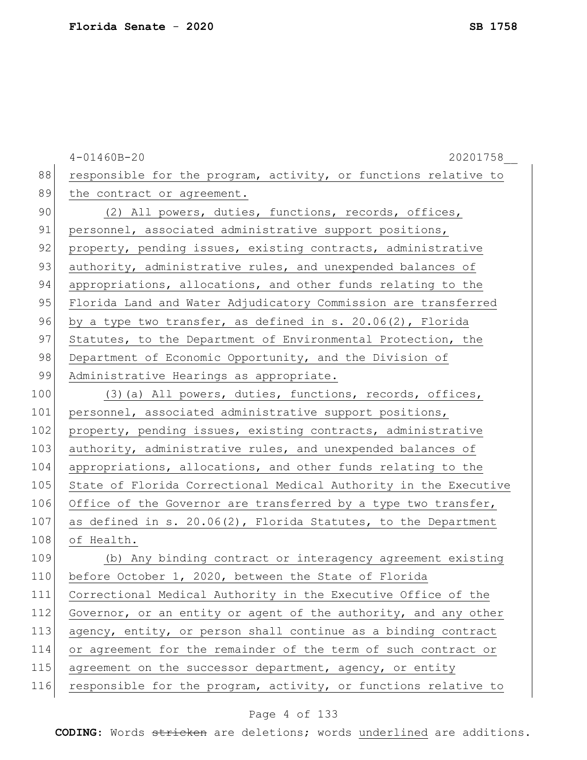|     | $4 - 01460B - 20$<br>20201758                                    |
|-----|------------------------------------------------------------------|
| 88  | responsible for the program, activity, or functions relative to  |
| 89  | the contract or agreement.                                       |
| 90  | (2) All powers, duties, functions, records, offices,             |
| 91  | personnel, associated administrative support positions,          |
| 92  | property, pending issues, existing contracts, administrative     |
| 93  | authority, administrative rules, and unexpended balances of      |
| 94  | appropriations, allocations, and other funds relating to the     |
| 95  | Florida Land and Water Adjudicatory Commission are transferred   |
| 96  | by a type two transfer, as defined in s. 20.06(2), Florida       |
| 97  | Statutes, to the Department of Environmental Protection, the     |
| 98  | Department of Economic Opportunity, and the Division of          |
| 99  | Administrative Hearings as appropriate.                          |
| 100 | (3) (a) All powers, duties, functions, records, offices,         |
| 101 | personnel, associated administrative support positions,          |
| 102 | property, pending issues, existing contracts, administrative     |
| 103 | authority, administrative rules, and unexpended balances of      |
| 104 | appropriations, allocations, and other funds relating to the     |
| 105 | State of Florida Correctional Medical Authority in the Executive |
| 106 | Office of the Governor are transferred by a type two transfer,   |
| 107 | as defined in s. 20.06(2), Florida Statutes, to the Department   |
| 108 | of Health.                                                       |
| 109 | (b) Any binding contract or interagency agreement existing       |
| 110 | before October 1, 2020, between the State of Florida             |
| 111 | Correctional Medical Authority in the Executive Office of the    |
| 112 | Governor, or an entity or agent of the authority, and any other  |
| 113 | agency, entity, or person shall continue as a binding contract   |
| 114 | or agreement for the remainder of the term of such contract or   |
| 115 | agreement on the successor department, agency, or entity         |
| 116 | responsible for the program, activity, or functions relative to  |
|     |                                                                  |

# Page 4 of 133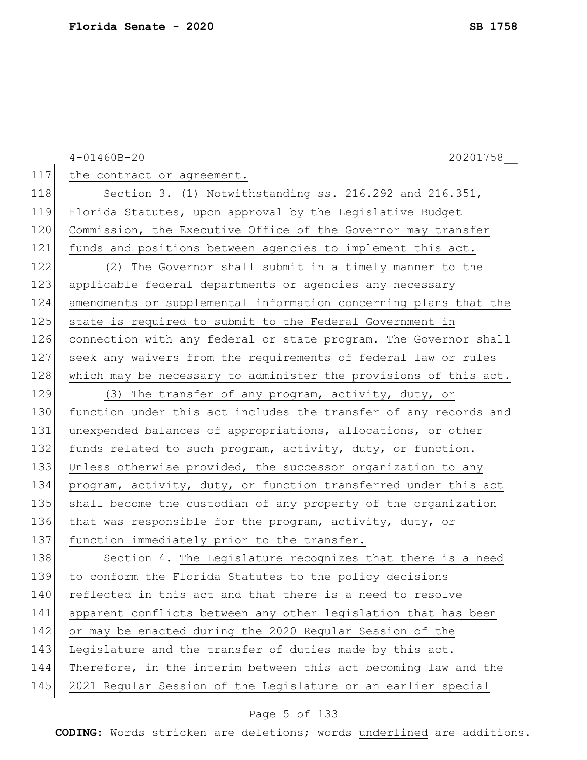4-01460B-20 20201758\_\_ 117 the contract or agreement. 118 Section 3. (1) Notwithstanding ss. 216.292 and 216.351, 119 Florida Statutes, upon approval by the Legislative Budget 120 Commission, the Executive Office of the Governor may transfer 121 funds and positions between agencies to implement this act. 122 (2) The Governor shall submit in a timely manner to the 123 applicable federal departments or agencies any necessary 124 amendments or supplemental information concerning plans that the 125 state is required to submit to the Federal Government in 126 connection with any federal or state program. The Governor shall 127 seek any waivers from the requirements of federal law or rules 128 which may be necessary to administer the provisions of this act. 129 (3) The transfer of any program, activity, duty, or 130 function under this act includes the transfer of any records and 131 unexpended balances of appropriations, allocations, or other 132 funds related to such program, activity, duty, or function. 133 Unless otherwise provided, the successor organization to any 134 program, activity, duty, or function transferred under this act 135 | shall become the custodian of any property of the organization 136 that was responsible for the program, activity, duty, or 137 function immediately prior to the transfer. 138 Section 4. The Legislature recognizes that there is a need 139 to conform the Florida Statutes to the policy decisions 140 reflected in this act and that there is a need to resolve 141 apparent conflicts between any other legislation that has been 142 or may be enacted during the 2020 Regular Session of the 143 Legislature and the transfer of duties made by this act. 144 Therefore, in the interim between this act becoming law and the 145 2021 Regular Session of the Legislature or an earlier special

#### Page 5 of 133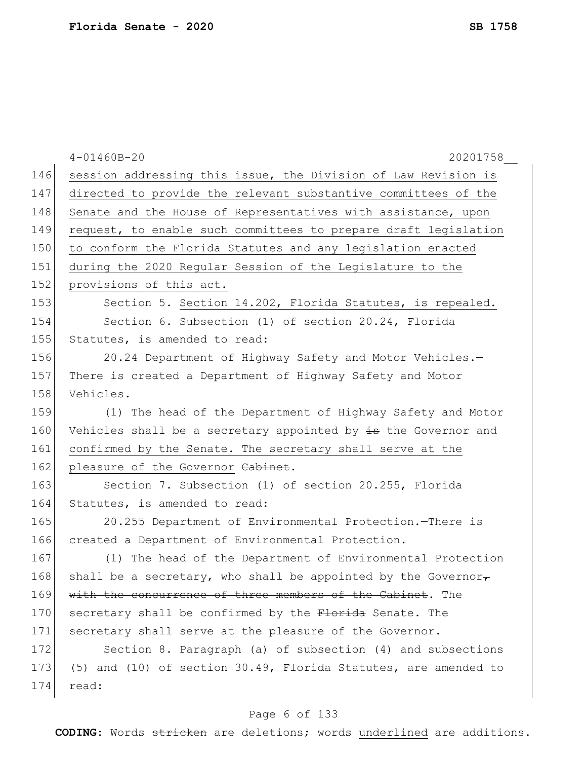|     | $4 - 01460B - 20$<br>20201758                                          |
|-----|------------------------------------------------------------------------|
| 146 | session addressing this issue, the Division of Law Revision is         |
| 147 | directed to provide the relevant substantive committees of the         |
| 148 | Senate and the House of Representatives with assistance, upon          |
| 149 | request, to enable such committees to prepare draft legislation        |
| 150 | to conform the Florida Statutes and any legislation enacted            |
| 151 | during the 2020 Regular Session of the Legislature to the              |
| 152 | provisions of this act.                                                |
| 153 | Section 5. Section 14.202, Florida Statutes, is repealed.              |
| 154 | Section 6. Subsection (1) of section 20.24, Florida                    |
| 155 | Statutes, is amended to read:                                          |
| 156 | 20.24 Department of Highway Safety and Motor Vehicles.-                |
| 157 | There is created a Department of Highway Safety and Motor              |
| 158 | Vehicles.                                                              |
| 159 | (1) The head of the Department of Highway Safety and Motor             |
| 160 | Vehicles shall be a secretary appointed by is the Governor and         |
| 161 | confirmed by the Senate. The secretary shall serve at the              |
| 162 | pleasure of the Governor Cabinet.                                      |
| 163 | Section 7. Subsection (1) of section 20.255, Florida                   |
| 164 | Statutes, is amended to read:                                          |
| 165 | 20.255 Department of Environmental Protection. There is                |
| 166 | created a Department of Environmental Protection.                      |
| 167 | (1) The head of the Department of Environmental Protection             |
| 168 | shall be a secretary, who shall be appointed by the Governor $_{\tau}$ |
| 169 | with the concurrence of three members of the Cabinet. The              |
| 170 | secretary shall be confirmed by the Florida Senate. The                |
| 171 | secretary shall serve at the pleasure of the Governor.                 |
| 172 | Section 8. Paragraph (a) of subsection (4) and subsections             |
| 173 | (5) and (10) of section 30.49, Florida Statutes, are amended to        |
| 174 | read:                                                                  |
|     |                                                                        |

# Page 6 of 133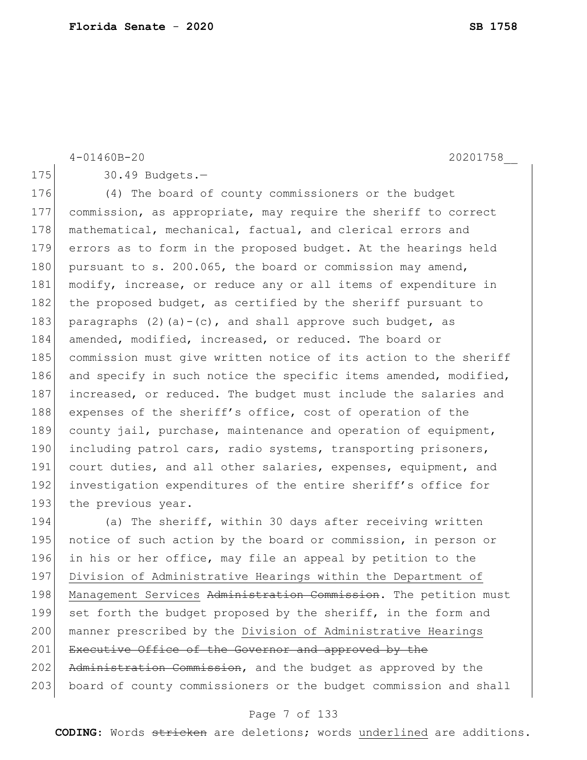```
175 30.49 Budgets.-
176 (4) The board of county commissioners or the budget
177 commission, as appropriate, may require the sheriff to correct 
178 mathematical, mechanical, factual, and clerical errors and
179 errors as to form in the proposed budget. At the hearings held 
180 pursuant to s. 200.065, the board or commission may amend,
181 modify, increase, or reduce any or all items of expenditure in
182 the proposed budget, as certified by the sheriff pursuant to
183 paragraphs (2)(a)-(c), and shall approve such budget, as
184 amended, modified, increased, or reduced. The board or 
185 commission must give written notice of its action to the sheriff
186 and specify in such notice the specific items amended, modified,
187 increased, or reduced. The budget must include the salaries and
188 expenses of the sheriff's office, cost of operation of the
189 county jail, purchase, maintenance and operation of equipment, 
190 including patrol cars, radio systems, transporting prisoners,
191 court duties, and all other salaries, expenses, equipment, and
192 investigation expenditures of the entire sheriff's office for
193 the previous year.
194 (a) The sheriff, within 30 days after receiving written
```
4-01460B-20 20201758\_\_

195 notice of such action by the board or commission, in person or 196 in his or her office, may file an appeal by petition to the 197 Division of Administrative Hearings within the Department of 198 Management Services Administration Commission. The petition must 199 set forth the budget proposed by the sheriff, in the form and 200 | manner prescribed by the Division of Administrative Hearings 201 Executive Office of the Governor and approved by the 202 Administration Commission, and the budget as approved by the 203 board of county commissioners or the budget commission and shall

#### Page 7 of 133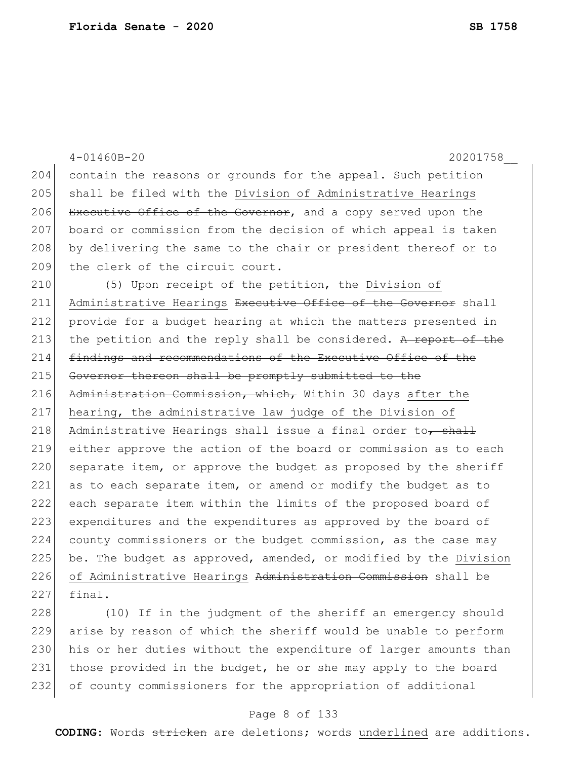|     | $4 - 01460B - 20$<br>20201758                                    |
|-----|------------------------------------------------------------------|
| 204 | contain the reasons or grounds for the appeal. Such petition     |
| 205 | shall be filed with the Division of Administrative Hearings      |
| 206 | Executive Office of the Governor, and a copy served upon the     |
| 207 | board or commission from the decision of which appeal is taken   |
| 208 | by delivering the same to the chair or president thereof or to   |
| 209 | the clerk of the circuit court.                                  |
| 210 | (5) Upon receipt of the petition, the Division of                |
| 211 | Administrative Hearings Executive Office of the Governor shall   |
| 212 | provide for a budget hearing at which the matters presented in   |
| 213 | the petition and the reply shall be considered. A report of the  |
| 214 | findings and recommendations of the Executive Office of the      |
| 215 | Governor thereon shall be promptly submitted to the              |
| 216 | Administration Commission, which, Within 30 days after the       |
| 217 | hearing, the administrative law judge of the Division of         |
| 218 | Administrative Hearings shall issue a final order to, shall      |
| 219 | either approve the action of the board or commission as to each  |
| 220 | separate item, or approve the budget as proposed by the sheriff  |
| 221 | as to each separate item, or amend or modify the budget as to    |
| 222 | each separate item within the limits of the proposed board of    |
| 223 | expenditures and the expenditures as approved by the board of    |
| 224 | county commissioners or the budget commission, as the case may   |
| 225 | be. The budget as approved, amended, or modified by the Division |
| 226 | of Administrative Hearings Administration Commission shall be    |
| 227 | final.                                                           |
| 220 | $(10)$ If in the judement of the abomiff an emergency abould     |

228 (10) If in the judgment of the sheriff an emergency should arise by reason of which the sheriff would be unable to perform 230 his or her duties without the expenditure of larger amounts than 231 those provided in the budget, he or she may apply to the board 232 of county commissioners for the appropriation of additional

# Page 8 of 133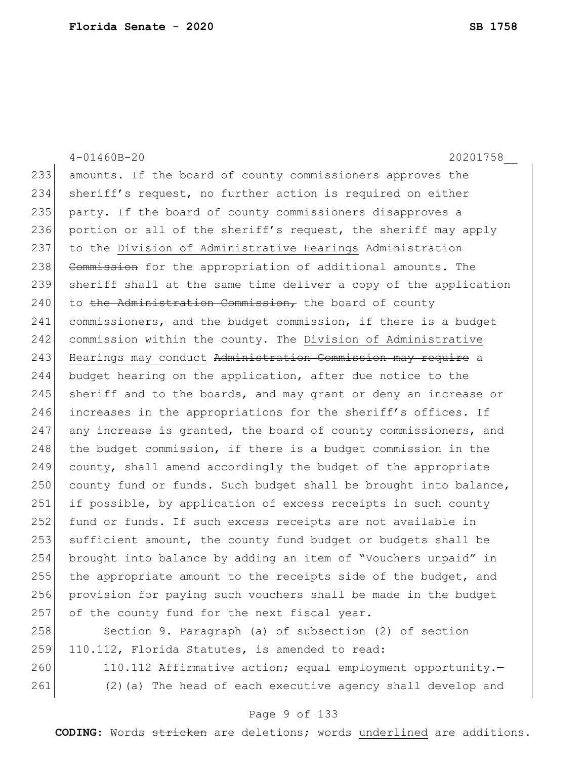4-01460B-20 20201758\_\_ 233 amounts. If the board of county commissioners approves the 234 sheriff's request, no further action is required on either 235 party. If the board of county commissioners disapproves a 236 portion or all of the sheriff's request, the sheriff may apply 237 to the Division of Administrative Hearings Administration 238 Commission for the appropriation of additional amounts. The 239 sheriff shall at the same time deliver a copy of the application  $240$  to the Administration Commission, the board of county 241 commissioners<sub>7</sub> and the budget commission<sub>7</sub> if there is a budget 242 commission within the county. The Division of Administrative 243 Hearings may conduct Administration Commission may require a 244 budget hearing on the application, after due notice to the 245 sheriff and to the boards, and may grant or deny an increase or 246 increases in the appropriations for the sheriff's offices. If 247 any increase is granted, the board of county commissioners, and 248 the budget commission, if there is a budget commission in the 249 county, shall amend accordingly the budget of the appropriate  $250$  county fund or funds. Such budget shall be brought into balance, 251 if possible, by application of excess receipts in such county 252 fund or funds. If such excess receipts are not available in 253 sufficient amount, the county fund budget or budgets shall be 254 brought into balance by adding an item of "Vouchers unpaid" in 255 the appropriate amount to the receipts side of the budget, and 256 provision for paying such vouchers shall be made in the budget 257 of the county fund for the next fiscal year. 258 Section 9. Paragraph (a) of subsection (2) of section 259 110.112, Florida Statutes, is amended to read: 260 110.112 Affirmative action; equal employment opportunity.-

261 (2)(a) The head of each executive agency shall develop and

#### Page 9 of 133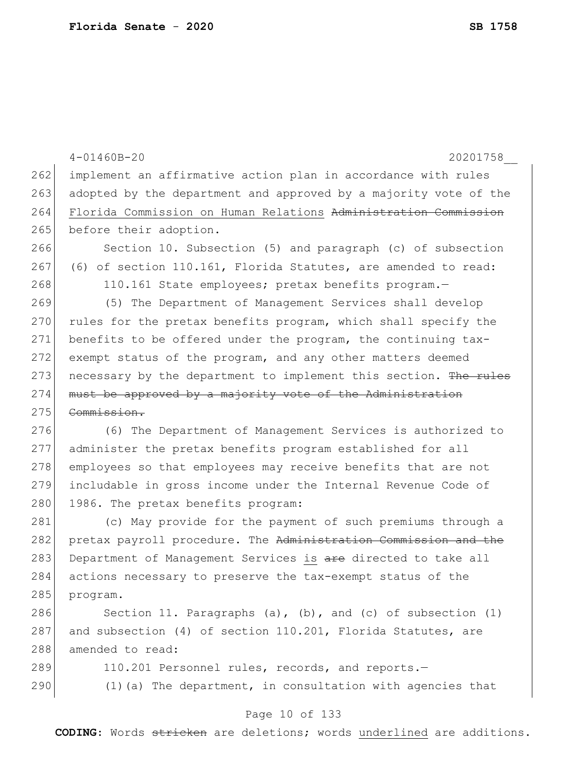|     | 20201758<br>$4 - 01460B - 20$                                    |
|-----|------------------------------------------------------------------|
| 262 | implement an affirmative action plan in accordance with rules    |
| 263 | adopted by the department and approved by a majority vote of the |
| 264 | Florida Commission on Human Relations Administration Commission  |
| 265 | before their adoption.                                           |
| 266 | Section 10. Subsection (5) and paragraph (c) of subsection       |
| 267 | (6) of section 110.161, Florida Statutes, are amended to read:   |
| 268 | 110.161 State employees; pretax benefits program.-               |
| 269 | (5) The Department of Management Services shall develop          |
| 270 | rules for the pretax benefits program, which shall specify the   |
| 271 | benefits to be offered under the program, the continuing tax-    |
| 272 | exempt status of the program, and any other matters deemed       |
| 273 | necessary by the department to implement this section. The rules |
| 274 | must be approved by a majority vote of the Administration        |
| 275 | Commission.                                                      |
| 276 | (6) The Department of Management Services is authorized to       |
| 277 | administer the pretax benefits program established for all       |
| 278 | employees so that employees may receive benefits that are not    |
| 279 | includable in gross income under the Internal Revenue Code of    |
| 280 | 1986. The pretax benefits program:                               |
| 281 | (c) May provide for the payment of such premiums through a       |
| 282 | pretax payroll procedure. The Administration Commission and the  |
| 283 | Department of Management Services is are directed to take all    |
| 284 | actions necessary to preserve the tax-exempt status of the       |
| 285 | program.                                                         |
| 286 | Section 11. Paragraphs (a), (b), and (c) of subsection $(1)$     |
| 287 | and subsection (4) of section 110.201, Florida Statutes, are     |
| 288 | amended to read:                                                 |
| 289 | 110.201 Personnel rules, records, and reports.-                  |
| 290 | $(1)$ (a) The department, in consultation with agencies that     |
|     | Page 10 of 133                                                   |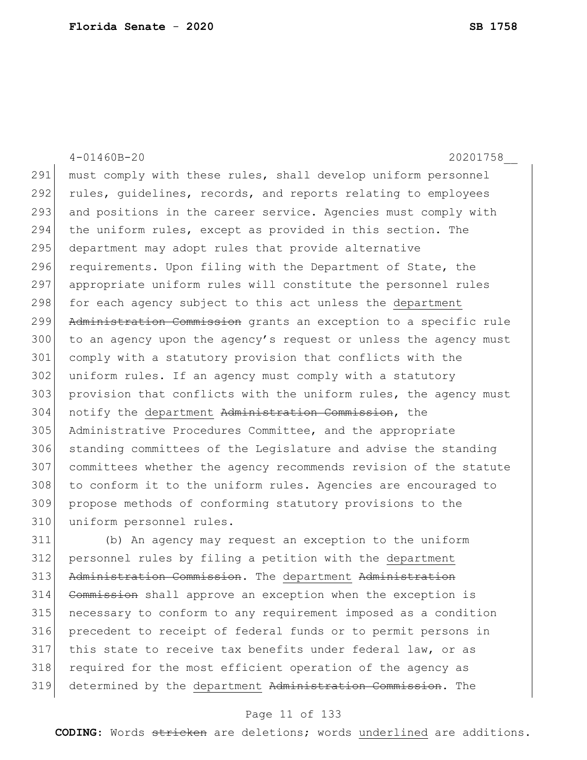4-01460B-20 20201758\_\_ 291 must comply with these rules, shall develop uniform personnel 292 rules, guidelines, records, and reports relating to employees 293 and positions in the career service. Agencies must comply with 294 the uniform rules, except as provided in this section. The 295 department may adopt rules that provide alternative 296 requirements. Upon filing with the Department of State, the 297 appropriate uniform rules will constitute the personnel rules 298 for each agency subject to this act unless the department 299 Administration Commission grants an exception to a specific rule 300 to an agency upon the agency's request or unless the agency must 301 comply with a statutory provision that conflicts with the 302 uniform rules. If an agency must comply with a statutory 303 provision that conflicts with the uniform rules, the agency must 304 notify the department Administration Commission, the 305 Administrative Procedures Committee, and the appropriate 306 standing committees of the Legislature and advise the standing 307 committees whether the agency recommends revision of the statute 308 to conform it to the uniform rules. Agencies are encouraged to 309 propose methods of conforming statutory provisions to the 310 uniform personnel rules. 311 (b) An agency may request an exception to the uniform

312 personnel rules by filing a petition with the department 313 Administration Commission. The department Administration 314 Commission shall approve an exception when the exception is 315 necessary to conform to any requirement imposed as a condition 316 precedent to receipt of federal funds or to permit persons in 317 this state to receive tax benefits under federal law, or as 318 required for the most efficient operation of the agency as 319 determined by the department Administration Commission. The

#### Page 11 of 133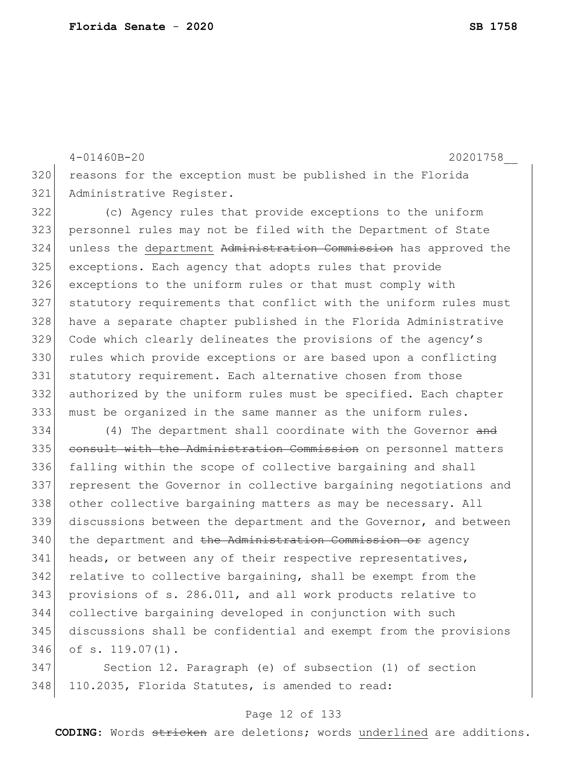4-01460B-20 20201758\_\_ reasons for the exception must be published in the Florida 321 Administrative Register. (c) Agency rules that provide exceptions to the uniform personnel rules may not be filed with the Department of State 324 unless the department Administration Commission has approved the exceptions. Each agency that adopts rules that provide exceptions to the uniform rules or that must comply with statutory requirements that conflict with the uniform rules must have a separate chapter published in the Florida Administrative Code which clearly delineates the provisions of the agency's

330 rules which provide exceptions or are based upon a conflicting statutory requirement. Each alternative chosen from those authorized by the uniform rules must be specified. Each chapter must be organized in the same manner as the uniform rules.

334 (4) The department shall coordinate with the Governor and 335 consult with the Administration Commission on personnel matters falling within the scope of collective bargaining and shall represent the Governor in collective bargaining negotiations and other collective bargaining matters as may be necessary. All 339 discussions between the department and the Governor, and between the department and the Administration Commission or agency 341 heads, or between any of their respective representatives, relative to collective bargaining, shall be exempt from the provisions of s. 286.011, and all work products relative to collective bargaining developed in conjunction with such discussions shall be confidential and exempt from the provisions of s. 119.07(1).

 Section 12. Paragraph (e) of subsection (1) of section 348 110.2035, Florida Statutes, is amended to read:

#### Page 12 of 133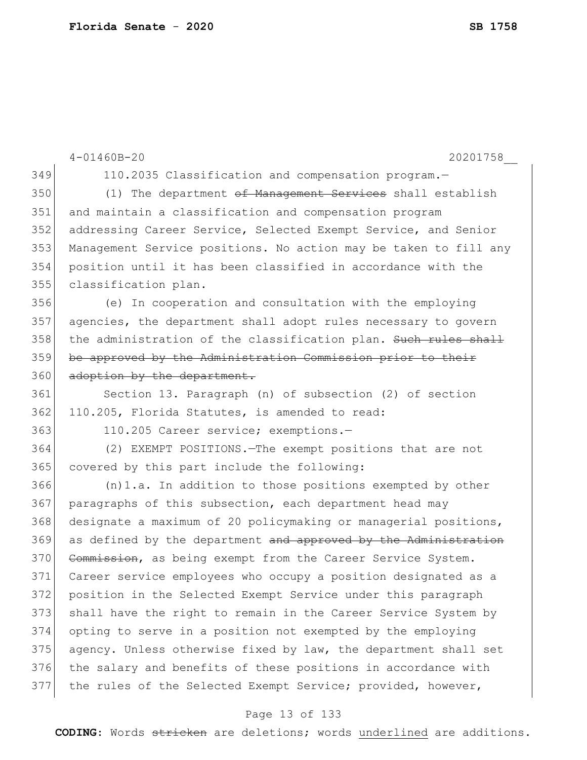|     | $4 - 01460B - 20$<br>20201758                                    |
|-----|------------------------------------------------------------------|
| 349 | 110.2035 Classification and compensation program.-               |
| 350 | (1) The department of Management Services shall establish        |
| 351 | and maintain a classification and compensation program           |
| 352 | addressing Career Service, Selected Exempt Service, and Senior   |
| 353 | Management Service positions. No action may be taken to fill any |
| 354 | position until it has been classified in accordance with the     |
| 355 | classification plan.                                             |
| 356 | (e) In cooperation and consultation with the employing           |
| 357 | agencies, the department shall adopt rules necessary to govern   |
| 358 | the administration of the classification plan. Such rules shall  |
| 359 | be approved by the Administration Commission prior to their      |
| 360 | adoption by the department.                                      |
| 361 | Section 13. Paragraph (n) of subsection (2) of section           |
| 362 | 110.205, Florida Statutes, is amended to read:                   |
| 363 | 110.205 Career service; exemptions.-                             |
| 364 | (2) EXEMPT POSITIONS. The exempt positions that are not          |
| 365 | covered by this part include the following:                      |
| 366 | $(n)$ 1.a. In addition to those positions exempted by other      |
| 367 | paragraphs of this subsection, each department head may          |
| 368 | designate a maximum of 20 policymaking or managerial positions,  |
| 369 | as defined by the department and approved by the Administration  |
| 370 | Commission, as being exempt from the Career Service System.      |
| 371 | Career service employees who occupy a position designated as a   |
| 372 | position in the Selected Exempt Service under this paragraph     |
| 373 | shall have the right to remain in the Career Service System by   |
| 374 | opting to serve in a position not exempted by the employing      |
| 375 | agency. Unless otherwise fixed by law, the department shall set  |
| 376 | the salary and benefits of these positions in accordance with    |
| 377 | the rules of the Selected Exempt Service; provided, however,     |

# Page 13 of 133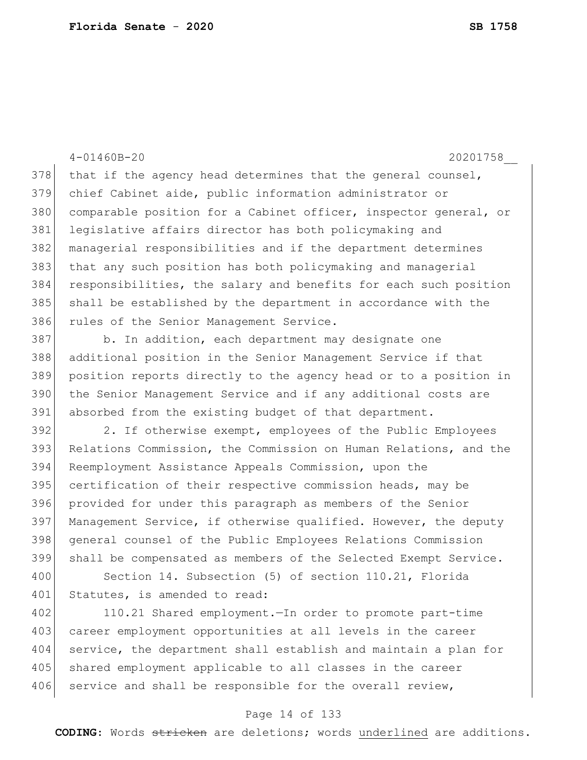4-01460B-20 20201758\_\_ that if the agency head determines that the general counsel, chief Cabinet aide, public information administrator or 380 comparable position for a Cabinet officer, inspector general, or legislative affairs director has both policymaking and managerial responsibilities and if the department determines that any such position has both policymaking and managerial responsibilities, the salary and benefits for each such position shall be established by the department in accordance with the 386 rules of the Senior Management Service. 387 b. In addition, each department may designate one additional position in the Senior Management Service if that position reports directly to the agency head or to a position in the Senior Management Service and if any additional costs are 391 absorbed from the existing budget of that department. 392 2. If otherwise exempt, employees of the Public Employees Relations Commission, the Commission on Human Relations, and the Reemployment Assistance Appeals Commission, upon the 395 certification of their respective commission heads, may be provided for under this paragraph as members of the Senior 397 Management Service, if otherwise qualified. However, the deputy general counsel of the Public Employees Relations Commission shall be compensated as members of the Selected Exempt Service.

400 Section 14. Subsection (5) of section 110.21, Florida 401 Statutes, is amended to read:

402 110.21 Shared employment.—In order to promote part-time 403 career employment opportunities at all levels in the career 404 service, the department shall establish and maintain a plan for 405 shared employment applicable to all classes in the career 406 service and shall be responsible for the overall review,

#### Page 14 of 133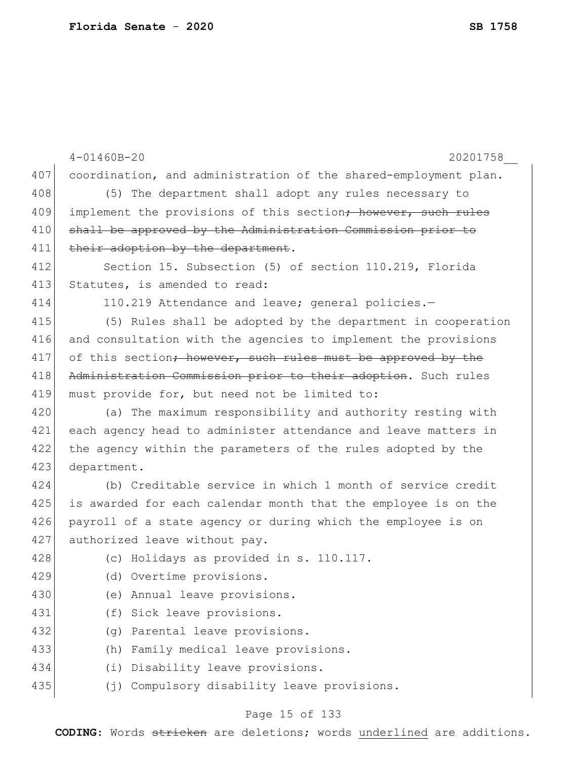|     | $4 - 01460B - 20$<br>20201758                                             |
|-----|---------------------------------------------------------------------------|
| 407 | coordination, and administration of the shared-employment plan.           |
| 408 | (5) The department shall adopt any rules necessary to                     |
| 409 | implement the provisions of this section <del>; however, such rules</del> |
| 410 | shall be approved by the Administration Commission prior to               |
| 411 | their adoption by the department.                                         |
| 412 | Section 15. Subsection (5) of section 110.219, Florida                    |
| 413 | Statutes, is amended to read:                                             |
| 414 | 110.219 Attendance and leave; general policies.-                          |
| 415 | (5) Rules shall be adopted by the department in cooperation               |
| 416 | and consultation with the agencies to implement the provisions            |
| 417 | of this section; however, such rules must be approved by the              |
| 418 | Administration Commission prior to their adoption. Such rules             |
| 419 | must provide for, but need not be limited to:                             |
| 420 | (a) The maximum responsibility and authority resting with                 |
| 421 | each agency head to administer attendance and leave matters in            |
| 422 | the agency within the parameters of the rules adopted by the              |
| 423 | department.                                                               |
| 424 | (b) Creditable service in which 1 month of service credit                 |
| 425 | is awarded for each calendar month that the employee is on the            |
| 426 | payroll of a state agency or during which the employee is on              |
| 427 | authorized leave without pay.                                             |
| 428 | (c) Holidays as provided in s. 110.117.                                   |
| 429 | (d) Overtime provisions.                                                  |
| 430 | (e) Annual leave provisions.                                              |
| 431 | (f) Sick leave provisions.                                                |
| 432 | Parental leave provisions.<br>(q)                                         |
| 433 | Family medical leave provisions.<br>(h)                                   |
| 434 | Disability leave provisions.<br>(i)                                       |
| 435 | Compulsory disability leave provisions.<br>(j)                            |

# Page 15 of 133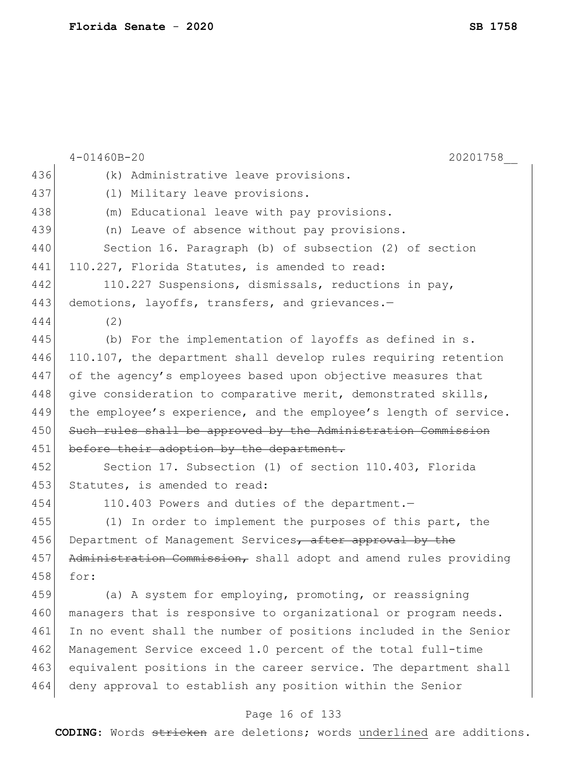|     | $4 - 01460B - 20$<br>20201758                                    |
|-----|------------------------------------------------------------------|
| 436 | (k) Administrative leave provisions.                             |
| 437 | (1) Military leave provisions.                                   |
| 438 | (m) Educational leave with pay provisions.                       |
| 439 | (n) Leave of absence without pay provisions.                     |
| 440 | Section 16. Paragraph (b) of subsection (2) of section           |
| 441 | 110.227, Florida Statutes, is amended to read:                   |
| 442 | 110.227 Suspensions, dismissals, reductions in pay,              |
| 443 | demotions, layoffs, transfers, and grievances.-                  |
| 444 | (2)                                                              |
| 445 | (b) For the implementation of layoffs as defined in s.           |
| 446 | 110.107, the department shall develop rules requiring retention  |
| 447 | of the agency's employees based upon objective measures that     |
| 448 | give consideration to comparative merit, demonstrated skills,    |
| 449 | the employee's experience, and the employee's length of service. |
| 450 | Such rules shall be approved by the Administration Commission    |
| 451 | before their adoption by the department.                         |
| 452 | Section 17. Subsection (1) of section 110.403, Florida           |
| 453 | Statutes, is amended to read:                                    |
| 454 | 110.403 Powers and duties of the department.-                    |
| 455 | (1) In order to implement the purposes of this part, the         |
| 456 | Department of Management Services, after approval by the         |
| 457 | Administration Commission, shall adopt and amend rules providing |
| 458 | for:                                                             |
| 459 | (a) A system for employing, promoting, or reassigning            |
| 460 | managers that is responsive to organizational or program needs.  |
| 461 | In no event shall the number of positions included in the Senior |
| 462 | Management Service exceed 1.0 percent of the total full-time     |
| 463 | equivalent positions in the career service. The department shall |
| 464 | deny approval to establish any position within the Senior        |
|     |                                                                  |

# Page 16 of 133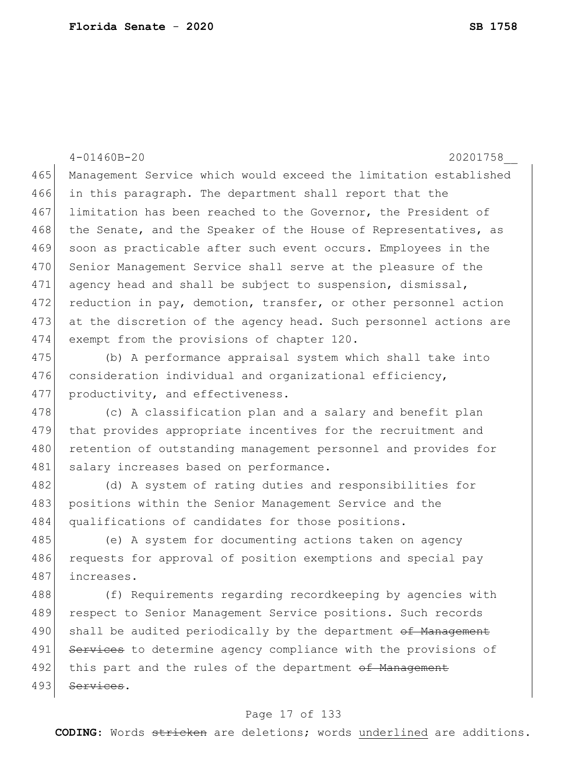4-01460B-20 20201758\_\_ 465 Management Service which would exceed the limitation established 466 in this paragraph. The department shall report that the 467 limitation has been reached to the Governor, the President of 468 the Senate, and the Speaker of the House of Representatives, as 469 soon as practicable after such event occurs. Employees in the 470 Senior Management Service shall serve at the pleasure of the 471 agency head and shall be subject to suspension, dismissal, 472 reduction in pay, demotion, transfer, or other personnel action 473 at the discretion of the agency head. Such personnel actions are 474 exempt from the provisions of chapter 120. 475 (b) A performance appraisal system which shall take into 476 consideration individual and organizational efficiency, 477 productivity, and effectiveness. 478 (c) A classification plan and a salary and benefit plan 479 that provides appropriate incentives for the recruitment and 480 retention of outstanding management personnel and provides for 481 salary increases based on performance. 482 (d) A system of rating duties and responsibilities for 483 positions within the Senior Management Service and the 484 qualifications of candidates for those positions. 485 (e) A system for documenting actions taken on agency 486 requests for approval of position exemptions and special pay 487 increases. 488 (f) Requirements regarding recordkeeping by agencies with 489 respect to Senior Management Service positions. Such records 490 shall be audited periodically by the department of Management 491 Services to determine agency compliance with the provisions of 492 this part and the rules of the department of Management

493 Services.

#### Page 17 of 133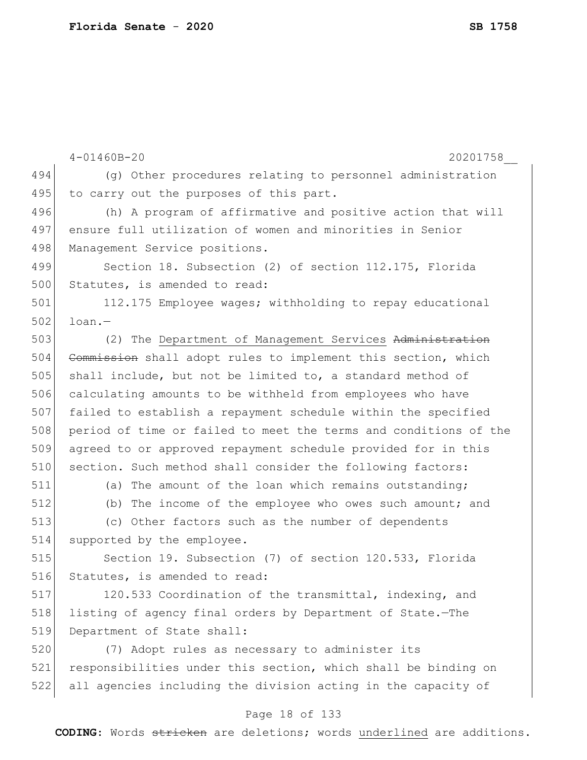|     | $4 - 01460B - 20$<br>20201758                                    |
|-----|------------------------------------------------------------------|
| 494 | (g) Other procedures relating to personnel administration        |
| 495 | to carry out the purposes of this part.                          |
| 496 | (h) A program of affirmative and positive action that will       |
| 497 | ensure full utilization of women and minorities in Senior        |
| 498 | Management Service positions.                                    |
| 499 | Section 18. Subsection (2) of section 112.175, Florida           |
| 500 | Statutes, is amended to read:                                    |
| 501 | 112.175 Employee wages; withholding to repay educational         |
| 502 | $l$ oan. $-$                                                     |
| 503 | (2) The Department of Management Services Administration         |
| 504 | Commission shall adopt rules to implement this section, which    |
| 505 | shall include, but not be limited to, a standard method of       |
| 506 | calculating amounts to be withheld from employees who have       |
| 507 | failed to establish a repayment schedule within the specified    |
| 508 | period of time or failed to meet the terms and conditions of the |
| 509 | agreed to or approved repayment schedule provided for in this    |
| 510 | section. Such method shall consider the following factors:       |
| 511 | (a) The amount of the loan which remains outstanding;            |
| 512 | (b) The income of the employee who owes such amount; and         |
| 513 | (c) Other factors such as the number of dependents               |
| 514 | supported by the employee.                                       |
| 515 | Section 19. Subsection (7) of section 120.533, Florida           |
| 516 | Statutes, is amended to read:                                    |
| 517 | 120.533 Coordination of the transmittal, indexing, and           |
| 518 | listing of agency final orders by Department of State.-The       |
| 519 | Department of State shall:                                       |
| 520 | (7) Adopt rules as necessary to administer its                   |
| 521 | responsibilities under this section, which shall be binding on   |
| 522 | all agencies including the division acting in the capacity of    |

# Page 18 of 133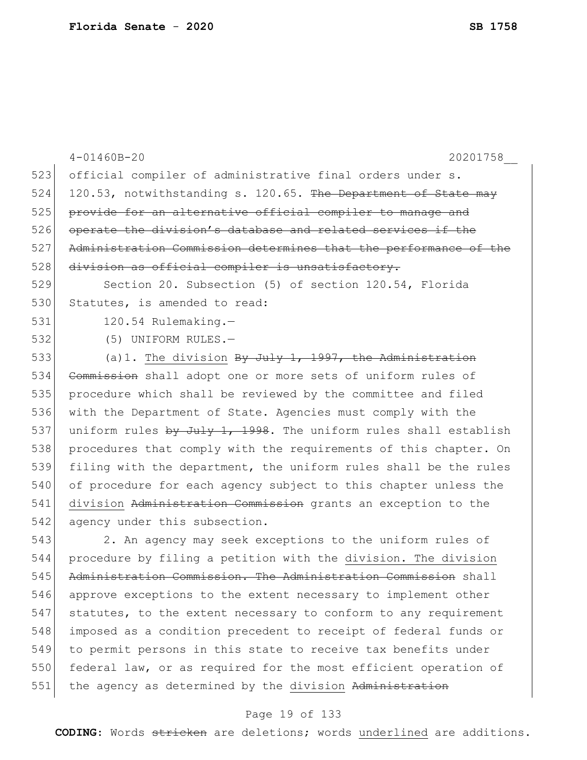|     | $4 - 01460B - 20$<br>20201758                                    |
|-----|------------------------------------------------------------------|
| 523 | official compiler of administrative final orders under s.        |
| 524 | 120.53, notwithstanding s. 120.65. The Department of State may   |
| 525 | provide for an alternative official compiler to manage and       |
| 526 | operate the division's database and related services if the      |
| 527 | Administration Commission determines that the performance of the |
| 528 | division as official compiler is unsatisfactory.                 |
| 529 | Section 20. Subsection (5) of section 120.54, Florida            |
| 530 | Statutes, is amended to read:                                    |
| 531 | 120.54 Rulemaking.-                                              |
| 532 | (5) UNIFORM RULES.-                                              |
| 533 | (a) 1. The division $By$ July 1, 1997, the Administration        |
| 534 | Commission shall adopt one or more sets of uniform rules of      |
| 535 | procedure which shall be reviewed by the committee and filed     |
| 536 | with the Department of State. Agencies must comply with the      |
| 537 | uniform rules by July 1, 1998. The uniform rules shall establish |
| 538 | procedures that comply with the requirements of this chapter. On |
| 539 | filing with the department, the uniform rules shall be the rules |
| 540 | of procedure for each agency subject to this chapter unless the  |
| 541 | division Administration Commission grants an exception to the    |
| 542 | agency under this subsection.                                    |
| 543 | 2. An agency may seek exceptions to the uniform rules of         |
| 544 | procedure by filing a petition with the division. The division   |
| 545 | Administration Commission. The Administration Commission shall   |
| 546 | approve exceptions to the extent necessary to implement other    |
| 517 | $a+1+1+0a$ to the outent percessive to septem to any requirement |

 statutes, to the extent necessary to conform to any requirement imposed as a condition precedent to receipt of federal funds or to permit persons in this state to receive tax benefits under 550 federal law, or as required for the most efficient operation of

551 the agency as determined by the division Administration

# Page 19 of 133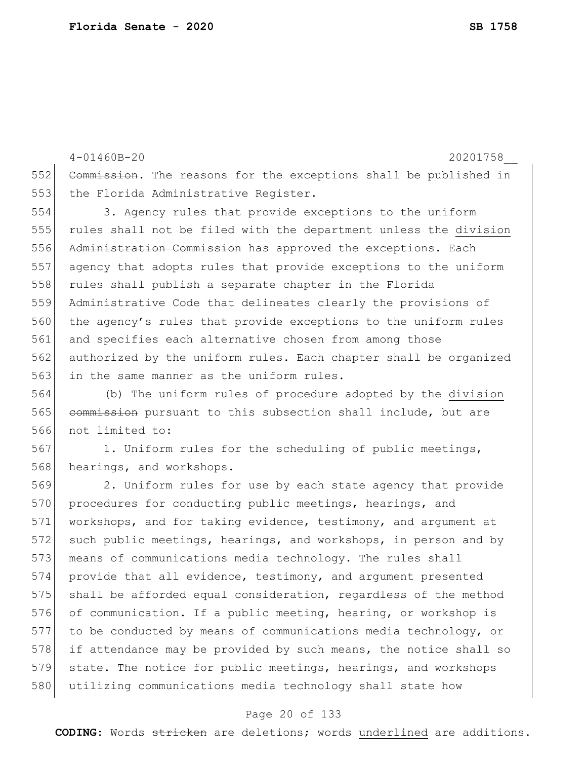4-01460B-20 20201758\_\_ 552 Commission. The reasons for the exceptions shall be published in 553 the Florida Administrative Register. 554 3. Agency rules that provide exceptions to the uniform 555 rules shall not be filed with the department unless the division 556 Administration Commission has approved the exceptions. Each 557 agency that adopts rules that provide exceptions to the uniform 558 rules shall publish a separate chapter in the Florida 559 Administrative Code that delineates clearly the provisions of 560 the agency's rules that provide exceptions to the uniform rules 561 and specifies each alternative chosen from among those 562 authorized by the uniform rules. Each chapter shall be organized 563 in the same manner as the uniform rules.

564 (b) The uniform rules of procedure adopted by the division 565 commission pursuant to this subsection shall include, but are 566 not limited to:

567 1. Uniform rules for the scheduling of public meetings, 568 hearings, and workshops.

569 2. Uniform rules for use by each state agency that provide 570 procedures for conducting public meetings, hearings, and 571 workshops, and for taking evidence, testimony, and argument at 572 such public meetings, hearings, and workshops, in person and by 573 means of communications media technology. The rules shall 574 provide that all evidence, testimony, and argument presented 575 shall be afforded equal consideration, regardless of the method 576 of communication. If a public meeting, hearing, or workshop is 577 to be conducted by means of communications media technology, or 578 if attendance may be provided by such means, the notice shall so 579 state. The notice for public meetings, hearings, and workshops 580 utilizing communications media technology shall state how

#### Page 20 of 133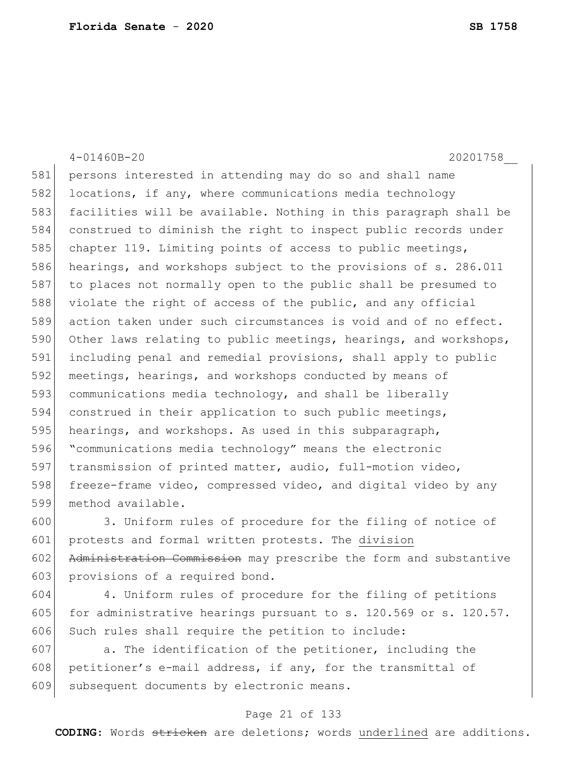|     | $4 - 01460B - 20$<br>20201758                                    |
|-----|------------------------------------------------------------------|
| 581 | persons interested in attending may do so and shall name         |
| 582 | locations, if any, where communications media technology         |
| 583 | facilities will be available. Nothing in this paragraph shall be |
| 584 | construed to diminish the right to inspect public records under  |
| 585 | chapter 119. Limiting points of access to public meetings,       |
| 586 | hearings, and workshops subject to the provisions of s. 286.011  |
| 587 | to places not normally open to the public shall be presumed to   |
| 588 | violate the right of access of the public, and any official      |
| 589 | action taken under such circumstances is void and of no effect.  |
| 590 | Other laws relating to public meetings, hearings, and workshops, |
| 591 | including penal and remedial provisions, shall apply to public   |
| 592 | meetings, hearings, and workshops conducted by means of          |
| 593 | communications media technology, and shall be liberally          |
| 594 | construed in their application to such public meetings,          |
| 595 | hearings, and workshops. As used in this subparagraph,           |
| 596 | "communications media technology" means the electronic           |
| 597 | transmission of printed matter, audio, full-motion video,        |
| 598 | freeze-frame video, compressed video, and digital video by any   |
| 599 | method available.                                                |
| 600 | 3. Uniform rules of procedure for the filing of notice of        |

601 protests and formal written protests. The division 602 Administration Commission may prescribe the form and substantive 603 provisions of a required bond.

 4. Uniform rules of procedure for the filing of petitions 605 for administrative hearings pursuant to s. 120.569 or s. 120.57. 606 Such rules shall require the petition to include:

607  $\vert$  a. The identification of the petitioner, including the 608 petitioner's e-mail address, if any, for the transmittal of 609 subsequent documents by electronic means.

### Page 21 of 133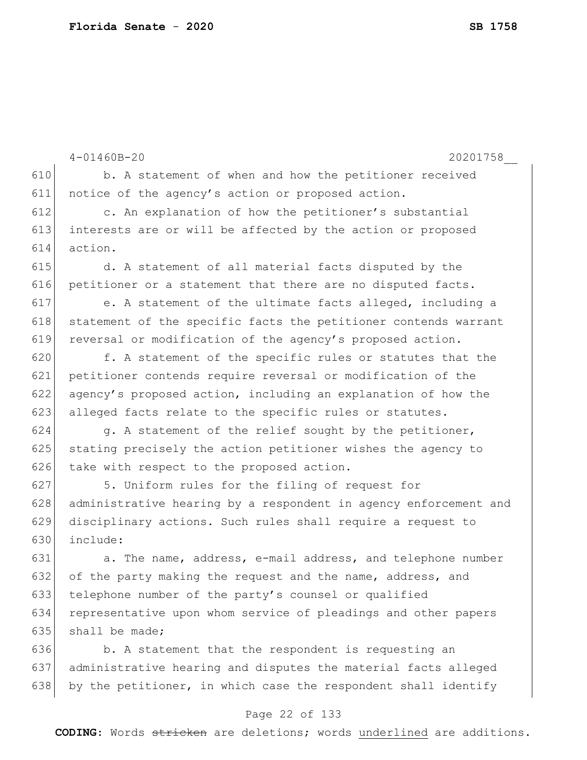|     | $4 - 01460B - 20$<br>20201758                                    |
|-----|------------------------------------------------------------------|
| 610 | b. A statement of when and how the petitioner received           |
| 611 | notice of the agency's action or proposed action.                |
| 612 | c. An explanation of how the petitioner's substantial            |
| 613 | interests are or will be affected by the action or proposed      |
| 614 | action.                                                          |
| 615 | d. A statement of all material facts disputed by the             |
| 616 | petitioner or a statement that there are no disputed facts.      |
| 617 | e. A statement of the ultimate facts alleged, including a        |
| 618 | statement of the specific facts the petitioner contends warrant  |
| 619 | reversal or modification of the agency's proposed action.        |
| 620 | f. A statement of the specific rules or statutes that the        |
| 621 | petitioner contends require reversal or modification of the      |
| 622 | agency's proposed action, including an explanation of how the    |
| 623 | alleged facts relate to the specific rules or statutes.          |
| 624 | g. A statement of the relief sought by the petitioner,           |
| 625 | stating precisely the action petitioner wishes the agency to     |
| 626 | take with respect to the proposed action.                        |
| 627 | 5. Uniform rules for the filing of request for                   |
| 628 | administrative hearing by a respondent in agency enforcement and |
| 629 | disciplinary actions. Such rules shall require a request to      |
| 630 | include:                                                         |
| 631 | a. The name, address, e-mail address, and telephone number       |
| 632 | of the party making the request and the name, address, and       |
| 633 | telephone number of the party's counsel or qualified             |
| 634 | representative upon whom service of pleadings and other papers   |
| 635 | shall be made;                                                   |
| 636 | b. A statement that the respondent is requesting an              |
| 637 | administrative hearing and disputes the material facts alleged   |
| 638 | by the petitioner, in which case the respondent shall identify   |

# Page 22 of 133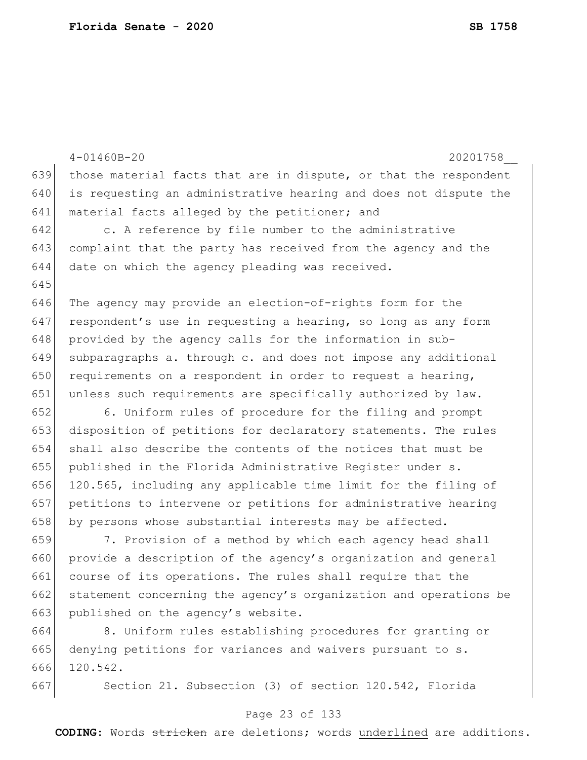|     | $4 - 01460B - 20$<br>20201758                                    |
|-----|------------------------------------------------------------------|
| 639 | those material facts that are in dispute, or that the respondent |
| 640 | is requesting an administrative hearing and does not dispute the |
| 641 | material facts alleged by the petitioner; and                    |
| 642 | c. A reference by file number to the administrative              |
| 643 | complaint that the party has received from the agency and the    |
| 644 | date on which the agency pleading was received.                  |
| 645 |                                                                  |
| 646 | The agency may provide an election-of-rights form for the        |
| 647 | respondent's use in requesting a hearing, so long as any form    |
| 648 | provided by the agency calls for the information in sub-         |
| 649 | subparagraphs a. through c. and does not impose any additional   |
| 650 | requirements on a respondent in order to request a hearing,      |
| 651 | unless such requirements are specifically authorized by law.     |
| 652 | 6. Uniform rules of procedure for the filing and prompt          |
| 653 | disposition of petitions for declaratory statements. The rules   |
| 654 | shall also describe the contents of the notices that must be     |
| 655 | published in the Florida Administrative Register under s.        |
| 656 | 120.565, including any applicable time limit for the filing of   |
| 657 | petitions to intervene or petitions for administrative hearing   |
| 658 | by persons whose substantial interests may be affected.          |
| 659 | 7. Provision of a method by which each agency head shall         |
| 660 | provide a description of the agency's organization and general   |
| 661 | course of its operations. The rules shall require that the       |
| 662 | statement concerning the agency's organization and operations be |
| 663 | published on the agency's website.                               |
| 664 | 8. Uniform rules establishing procedures for granting or         |
| 665 | denying petitions for variances and waivers pursuant to s.       |
| 666 | 120.542.                                                         |
| 667 | Section 21. Subsection (3) of section 120.542, Florida           |

# Page 23 of 133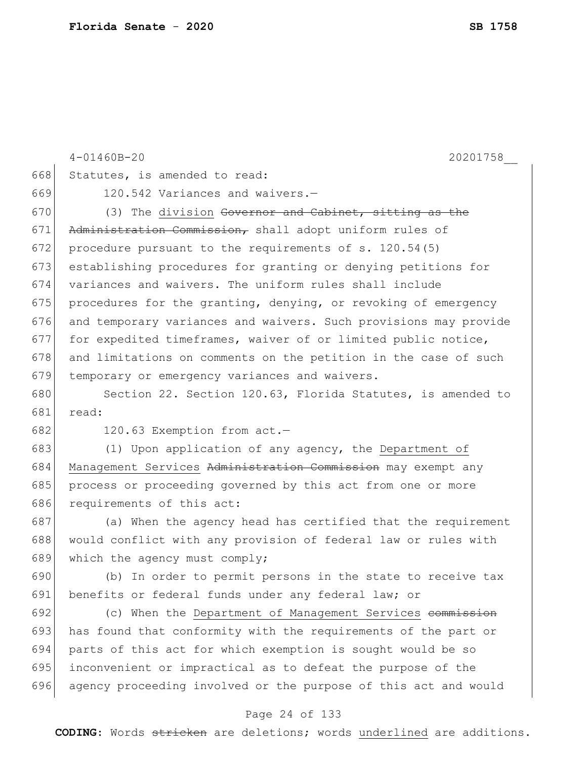|     | $4 - 01460B - 20$<br>20201758                                    |
|-----|------------------------------------------------------------------|
| 668 | Statutes, is amended to read:                                    |
| 669 | 120.542 Variances and waivers.-                                  |
| 670 | (3) The division Governor and Cabinet, sitting as the            |
| 671 | Administration Commission, shall adopt uniform rules of          |
| 672 | procedure pursuant to the requirements of s. 120.54(5)           |
| 673 | establishing procedures for granting or denying petitions for    |
| 674 | variances and waivers. The uniform rules shall include           |
| 675 | procedures for the granting, denying, or revoking of emergency   |
| 676 | and temporary variances and waivers. Such provisions may provide |
| 677 | for expedited timeframes, waiver of or limited public notice,    |
| 678 | and limitations on comments on the petition in the case of such  |
| 679 | temporary or emergency variances and waivers.                    |
| 680 | Section 22. Section 120.63, Florida Statutes, is amended to      |
| 681 | read:                                                            |
| 682 | 120.63 Exemption from act.-                                      |
| 683 | (1) Upon application of any agency, the Department of            |
| 684 | Management Services Administration Commission may exempt any     |
| 685 | process or proceeding governed by this act from one or more      |
| 686 | requirements of this act:                                        |
| 687 | (a) When the agency head has certified that the requirement      |
| 688 | would conflict with any provision of federal law or rules with   |
| 689 | which the agency must comply;                                    |
| 690 | (b) In order to permit persons in the state to receive tax       |
| 691 | benefits or federal funds under any federal law; or              |
| 692 | (c) When the Department of Management Services commission        |
| 693 | has found that conformity with the requirements of the part or   |
| 694 | parts of this act for which exemption is sought would be so      |
| 695 | inconvenient or impractical as to defeat the purpose of the      |
| 696 | agency proceeding involved or the purpose of this act and would  |
|     |                                                                  |

### Page 24 of 133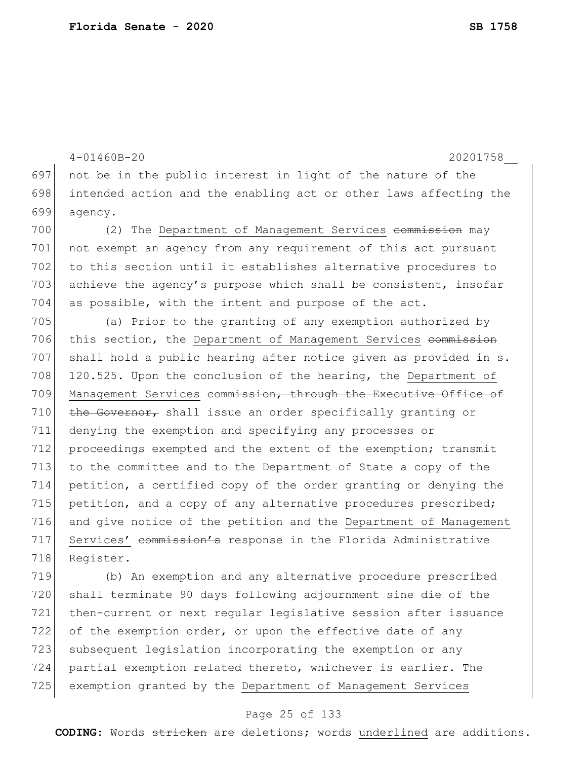4-01460B-20 20201758\_\_ 697 not be in the public interest in light of the nature of the 698 intended action and the enabling act or other laws affecting the 699 agency. 700 (2) The Department of Management Services commission may 701 not exempt an agency from any requirement of this act pursuant 702 to this section until it establishes alternative procedures to 703 achieve the agency's purpose which shall be consistent, insofar 704 as possible, with the intent and purpose of the act. 705 (a) Prior to the granting of any exemption authorized by 706 this section, the Department of Management Services commission 707 shall hold a public hearing after notice given as provided in s. 708 120.525. Upon the conclusion of the hearing, the Department of 709 Management Services commission, through the Executive Office of 710 the Governor, shall issue an order specifically granting or 711 denying the exemption and specifying any processes or 712 proceedings exempted and the extent of the exemption; transmit 713 to the committee and to the Department of State a copy of the 714 petition, a certified copy of the order granting or denying the 715 petition, and a copy of any alternative procedures prescribed; 716 and give notice of the petition and the Department of Management 717 Services' commission's response in the Florida Administrative 718 Register. 719 (b) An exemption and any alternative procedure prescribed 720 shall terminate 90 days following adjournment sine die of the 721 then-current or next regular legislative session after issuance

722 of the exemption order, or upon the effective date of any 723 subsequent legislation incorporating the exemption or any 724 partial exemption related thereto, whichever is earlier. The 725 exemption granted by the Department of Management Services

#### Page 25 of 133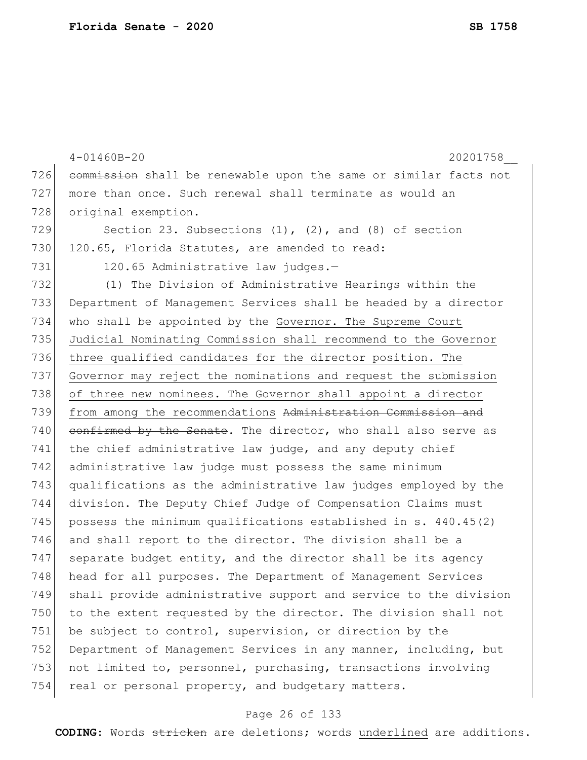|     | $4 - 01460B - 20$<br>20201758                                    |
|-----|------------------------------------------------------------------|
| 726 | commission shall be renewable upon the same or similar facts not |
| 727 | more than once. Such renewal shall terminate as would an         |
| 728 | original exemption.                                              |
| 729 | Section 23. Subsections $(1)$ , $(2)$ , and $(8)$ of section     |
| 730 | 120.65, Florida Statutes, are amended to read:                   |
| 731 | 120.65 Administrative law judges.-                               |
| 732 | (1) The Division of Administrative Hearings within the           |
| 733 | Department of Management Services shall be headed by a director  |
| 734 | who shall be appointed by the Governor. The Supreme Court        |
| 735 | Judicial Nominating Commission shall recommend to the Governor   |
| 736 | three qualified candidates for the director position. The        |
| 737 | Governor may reject the nominations and request the submission   |
| 738 | of three new nominees. The Governor shall appoint a director     |
| 739 | from among the recommendations Administration Commission and     |
| 740 | confirmed by the Senate. The director, who shall also serve as   |
| 741 | the chief administrative law judge, and any deputy chief         |
| 742 | administrative law judge must possess the same minimum           |
| 743 | qualifications as the administrative law judges employed by the  |
| 744 | division. The Deputy Chief Judge of Compensation Claims must     |
| 745 | possess the minimum qualifications established in s. 440.45(2)   |
| 746 | and shall report to the director. The division shall be a        |
| 747 | separate budget entity, and the director shall be its agency     |
| 748 | head for all purposes. The Department of Management Services     |
| 749 | shall provide administrative support and service to the division |
| 750 | to the extent requested by the director. The division shall not  |
| 751 | be subject to control, supervision, or direction by the          |
| 752 | Department of Management Services in any manner, including, but  |
| 753 | not limited to, personnel, purchasing, transactions involving    |
| 754 | real or personal property, and budgetary matters.                |

# Page 26 of 133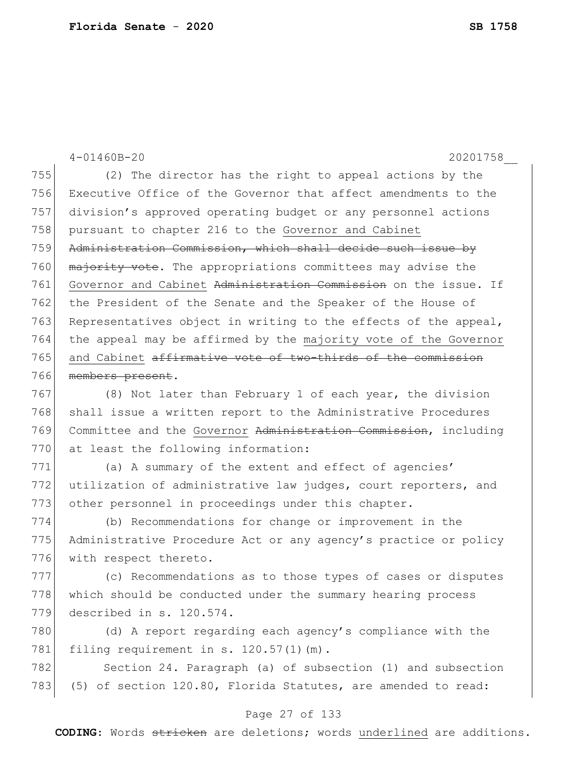|     | $4 - 01460B - 20$<br>20201758                                   |
|-----|-----------------------------------------------------------------|
| 755 | (2) The director has the right to appeal actions by the         |
| 756 | Executive Office of the Governor that affect amendments to the  |
| 757 | division's approved operating budget or any personnel actions   |
| 758 | pursuant to chapter 216 to the Governor and Cabinet             |
| 759 | Administration Commission, which shall decide such issue by     |
| 760 | majority vote. The appropriations committees may advise the     |
| 761 | Governor and Cabinet Administration Commission on the issue. If |
| 762 | the President of the Senate and the Speaker of the House of     |
| 763 | Representatives object in writing to the effects of the appeal, |
| 764 | the appeal may be affirmed by the majority vote of the Governor |
| 765 | and Cabinet affirmative vote of two-thirds of the commission    |
| 766 | members present.                                                |
| 767 | (8) Not later than February 1 of each year, the division        |
| 768 | shall issue a written report to the Administrative Procedures   |
| 769 | Committee and the Governor Administration Commission, including |
| 770 | at least the following information:                             |
| 771 | (a) A summary of the extent and effect of agencies'             |
| 772 | utilization of administrative law judges, court reporters, and  |
| 773 | other personnel in proceedings under this chapter.              |
| 774 | (b) Recommendations for change or improvement in the            |
| 775 | Administrative Procedure Act or any agency's practice or policy |
| 776 | with respect thereto.                                           |
| 777 | (c) Recommendations as to those types of cases or disputes      |
| 778 | which should be conducted under the summary hearing process     |
| 779 | described in s. 120.574.                                        |
| 780 | (d) A report regarding each agency's compliance with the        |
| 781 | filing requirement in s. 120.57(1)(m).                          |
| 782 | Section 24. Paragraph (a) of subsection (1) and subsection      |

### Page 27 of 133

783 (5) of section 120.80, Florida Statutes, are amended to read: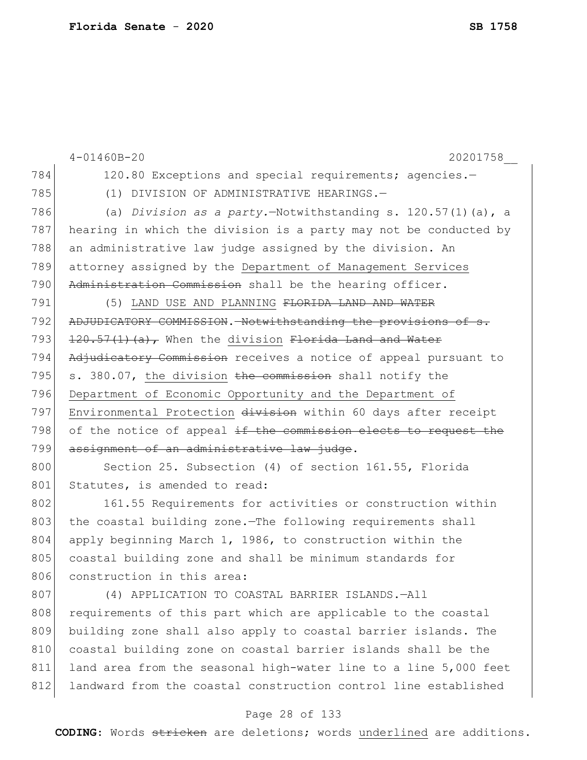|     | $4 - 01460B - 20$<br>20201758                                     |
|-----|-------------------------------------------------------------------|
| 784 | 120.80 Exceptions and special requirements; agencies.-            |
| 785 | (1) DIVISION OF ADMINISTRATIVE HEARINGS.-                         |
| 786 | (a) Division as a party. - Notwithstanding s. $120.57(1)$ (a), a  |
| 787 | hearing in which the division is a party may not be conducted by  |
| 788 | an administrative law judge assigned by the division. An          |
| 789 | attorney assigned by the Department of Management Services        |
| 790 | Administration Commission shall be the hearing officer.           |
| 791 | (5) LAND USE AND PLANNING FLORIDA LAND AND WATER                  |
| 792 | ADJUDICATORY COMMISSION. Notwithstanding the provisions of s.     |
| 793 | $\frac{120.57(1)(a)}{r}$ When the division Florida Land and Water |
| 794 | Adjudicatory Commission receives a notice of appeal pursuant to   |
| 795 | s. 380.07, the division the commission shall notify the           |
| 796 | Department of Economic Opportunity and the Department of          |
| 797 | Environmental Protection division within 60 days after receipt    |
| 798 | of the notice of appeal if the commission elects to request the   |
| 799 | assignment of an administrative law judge.                        |
| 800 | Section 25. Subsection (4) of section 161.55, Florida             |
| 801 | Statutes, is amended to read:                                     |
| 802 | 161.55 Requirements for activities or construction within         |
| 803 | the coastal building zone. The following requirements shall       |
| 804 | apply beginning March 1, 1986, to construction within the         |
| 805 | coastal building zone and shall be minimum standards for          |
| 806 | construction in this area:                                        |
| 807 | (4) APPLICATION TO COASTAL BARRIER ISLANDS.-All                   |
| 808 | requirements of this part which are applicable to the coastal     |
| 809 | building zone shall also apply to coastal barrier islands. The    |
| 810 | coastal building zone on coastal barrier islands shall be the     |
| 811 | land area from the seasonal high-water line to a line 5,000 feet  |
| 812 | landward from the coastal construction control line established   |

# Page 28 of 133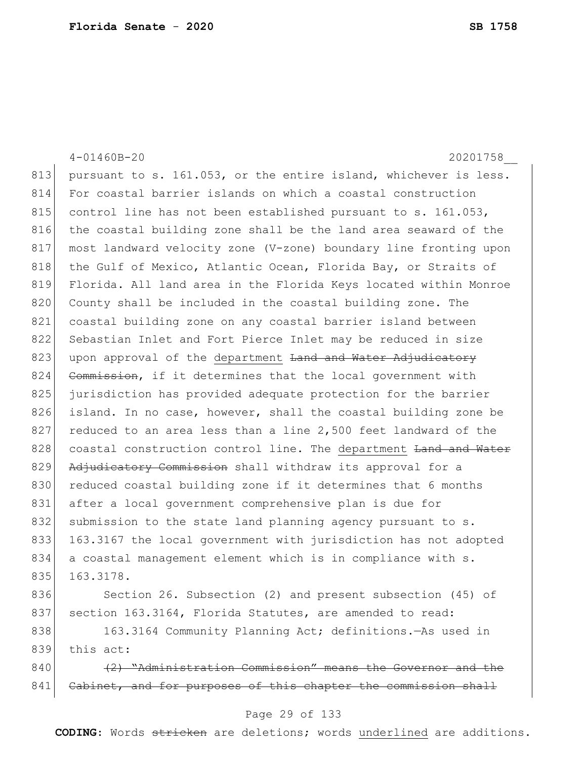4-01460B-20 20201758\_\_ 813 pursuant to s. 161.053, or the entire island, whichever is less. 814 For coastal barrier islands on which a coastal construction 815 control line has not been established pursuant to s.  $161.053$ , 816 the coastal building zone shall be the land area seaward of the 817 most landward velocity zone (V-zone) boundary line fronting upon 818 the Gulf of Mexico, Atlantic Ocean, Florida Bay, or Straits of 819 Florida. All land area in the Florida Keys located within Monroe 820 County shall be included in the coastal building zone. The 821 coastal building zone on any coastal barrier island between 822 Sebastian Inlet and Fort Pierce Inlet may be reduced in size 823 upon approval of the department <del>Land and Water Adjudicatory</del> 824 Commission, if it determines that the local government with 825 jurisdiction has provided adequate protection for the barrier 826 island. In no case, however, shall the coastal building zone be 827 reduced to an area less than a line 2,500 feet landward of the 828 coastal construction control line. The department Land and Water 829 Adjudicatory Commission shall withdraw its approval for a 830 reduced coastal building zone if it determines that 6 months 831 after a local government comprehensive plan is due for 832 submission to the state land planning agency pursuant to s. 833 163.3167 the local government with jurisdiction has not adopted 834 a coastal management element which is in compliance with s. 835 163.3178. 836 Section 26. Subsection (2) and present subsection (45) of 837 section 163.3164, Florida Statutes, are amended to read: 838 163.3164 Community Planning Act; definitions.—As used in 839 this act: 840 (2) "Administration Commission" means the Governor and the 841 Cabinet, and for purposes of this chapter the commission shall

#### Page 29 of 133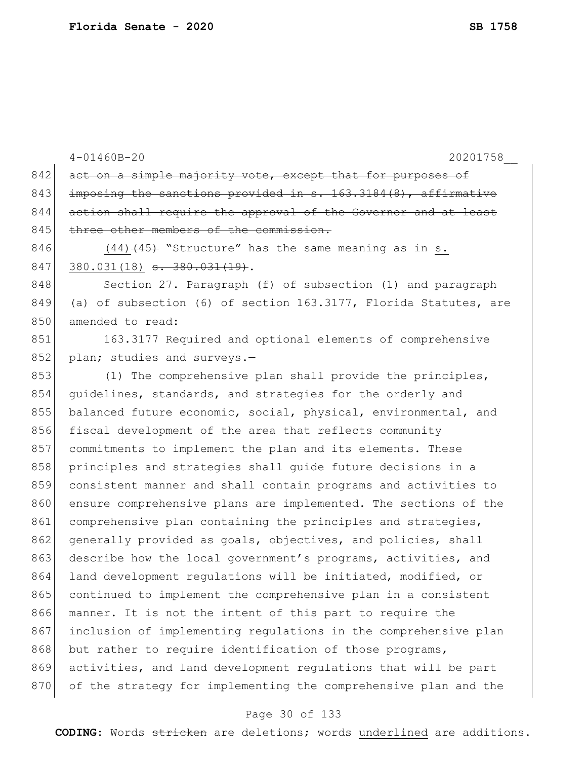4-01460B-20 20201758\_\_ 842 act on a simple majority vote, except that for purposes of 843 imposing the sanctions provided in  $s. 163.3184(8)$ , affirmative 844 action shall require the approval of the Governor and at least 845 three other members of the commission. 846  $(44)$   $(45)$  "Structure" has the same meaning as in s.  $847$  380.031(18) <del>s. 380.031(19)</del>. 848 Section 27. Paragraph (f) of subsection (1) and paragraph 849 (a) of subsection (6) of section 163.3177, Florida Statutes, are 850 amended to read: 851 163.3177 Required and optional elements of comprehensive 852 plan; studies and surveys.- $853$  (1) The comprehensive plan shall provide the principles, 854 guidelines, standards, and strategies for the orderly and 855 balanced future economic, social, physical, environmental, and 856 fiscal development of the area that reflects community 857 commitments to implement the plan and its elements. These 858 principles and strategies shall guide future decisions in a 859 consistent manner and shall contain programs and activities to 860 ensure comprehensive plans are implemented. The sections of the 861 comprehensive plan containing the principles and strategies, 862 generally provided as goals, objectives, and policies, shall 863 describe how the local government's programs, activities, and 864 land development regulations will be initiated, modified, or 865 continued to implement the comprehensive plan in a consistent 866 manner. It is not the intent of this part to require the 867 inclusion of implementing regulations in the comprehensive plan 868 but rather to require identification of those programs, 869 activities, and land development regulations that will be part 870 of the strategy for implementing the comprehensive plan and the

#### Page 30 of 133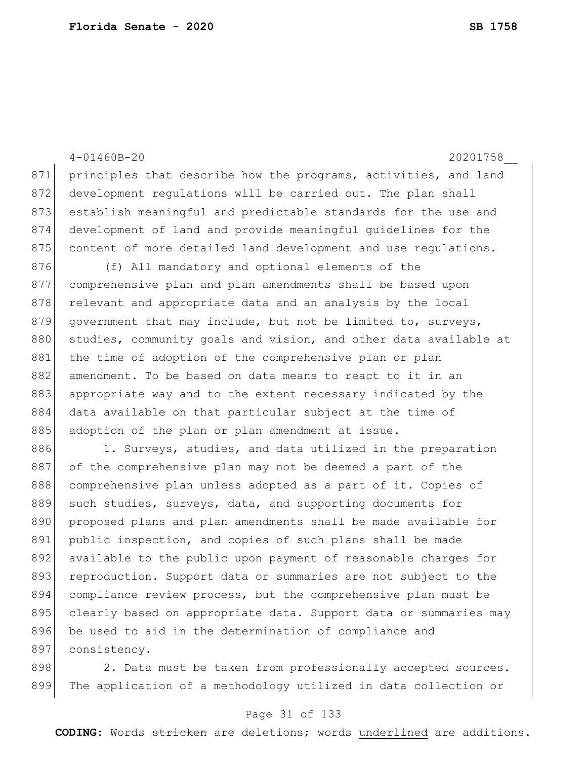4-01460B-20 20201758\_\_ 871 principles that describe how the programs, activities, and land 872 development regulations will be carried out. The plan shall 873 establish meaningful and predictable standards for the use and 874 development of land and provide meaningful guidelines for the 875 content of more detailed land development and use regulations. 876 (f) All mandatory and optional elements of the 877 comprehensive plan and plan amendments shall be based upon 878 relevant and appropriate data and an analysis by the local 879 government that may include, but not be limited to, surveys, 880 studies, community goals and vision, and other data available at 881 the time of adoption of the comprehensive plan or plan 882 amendment. To be based on data means to react to it in an 883 appropriate way and to the extent necessary indicated by the 884 data available on that particular subject at the time of 885 adoption of the plan or plan amendment at issue. 886 1. Surveys, studies, and data utilized in the preparation 887 of the comprehensive plan may not be deemed a part of the 888 comprehensive plan unless adopted as a part of it. Copies of 889 such studies, surveys, data, and supporting documents for 890 proposed plans and plan amendments shall be made available for 891 public inspection, and copies of such plans shall be made 892 available to the public upon payment of reasonable charges for 893 reproduction. Support data or summaries are not subject to the 894 compliance review process, but the comprehensive plan must be 895 clearly based on appropriate data. Support data or summaries may 896 be used to aid in the determination of compliance and 897 consistency.

898 2. Data must be taken from professionally accepted sources. 899 The application of a methodology utilized in data collection or

#### Page 31 of 133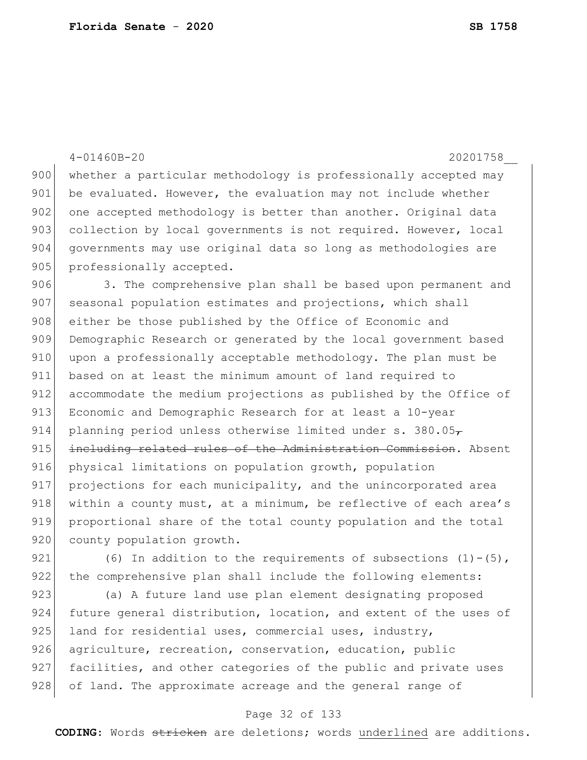|     | $4 - 01460B - 20$<br>20201758                                    |
|-----|------------------------------------------------------------------|
| 900 | whether a particular methodology is professionally accepted may  |
| 901 | be evaluated. However, the evaluation may not include whether    |
| 902 | one accepted methodology is better than another. Original data   |
| 903 | collection by local governments is not required. However, local  |
| 904 | governments may use original data so long as methodologies are   |
| 905 | professionally accepted.                                         |
| 906 | 3. The comprehensive plan shall be based upon permanent and      |
| 907 | seasonal population estimates and projections, which shall       |
| 908 | either be those published by the Office of Economic and          |
| 909 | Demographic Research or generated by the local government based  |
| 910 | upon a professionally acceptable methodology. The plan must be   |
| 911 | based on at least the minimum amount of land required to         |
| 912 | accommodate the medium projections as published by the Office of |
| 913 | Economic and Demographic Research for at least a 10-year         |
| 914 | planning period unless otherwise limited under s. 380.05 $7$     |
| 915 | including related rules of the Administration Commission. Absent |
| 916 | physical limitations on population growth, population            |
| 917 | projections for each municipality, and the unincorporated area   |
| 918 | within a county must, at a minimum, be reflective of each area's |
| 919 | proportional share of the total county population and the total  |
| 920 | county population growth.                                        |
| 921 | (6) In addition to the requirements of subsections $(1) - (5)$ , |
| 922 | the comprehensive plan shall include the following elements:     |

923 (a) A future land use plan element designating proposed 924 future general distribution, location, and extent of the uses of 925 land for residential uses, commercial uses, industry, 926 agriculture, recreation, conservation, education, public 927 facilities, and other categories of the public and private uses 928 of land. The approximate acreage and the general range of

### Page 32 of 133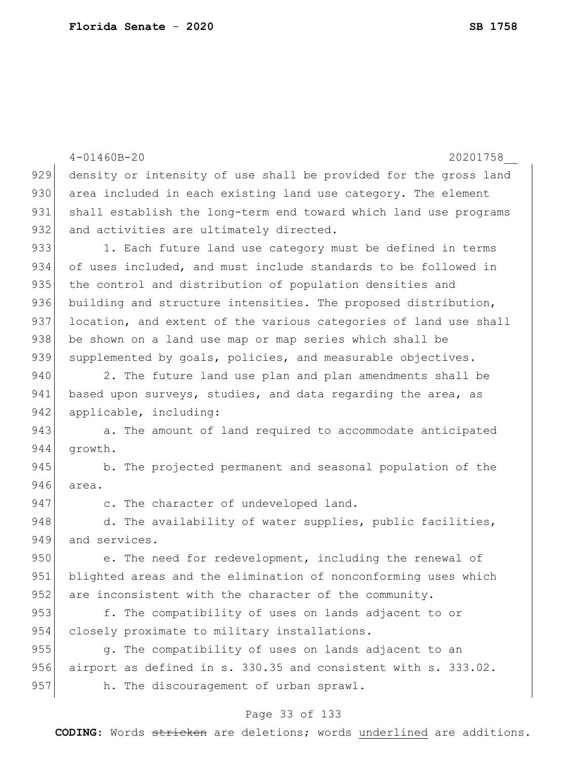|     | $4 - 01460B - 20$<br>20201758                                    |
|-----|------------------------------------------------------------------|
| 929 | density or intensity of use shall be provided for the gross land |
| 930 | area included in each existing land use category. The element    |
| 931 | shall establish the long-term end toward which land use programs |
| 932 | and activities are ultimately directed.                          |
| 933 | 1. Each future land use category must be defined in terms        |
| 934 | of uses included, and must include standards to be followed in   |
| 935 | the control and distribution of population densities and         |
| 936 | building and structure intensities. The proposed distribution,   |
| 937 | location, and extent of the various categories of land use shall |
| 938 | be shown on a land use map or map series which shall be          |
| 939 | supplemented by goals, policies, and measurable objectives.      |
| 940 | 2. The future land use plan and plan amendments shall be         |
| 941 | based upon surveys, studies, and data regarding the area, as     |
| 942 | applicable, including:                                           |
| 943 | a. The amount of land required to accommodate anticipated        |
| 944 | growth.                                                          |
| 945 | b. The projected permanent and seasonal population of the        |
| 946 | area.                                                            |
| 947 | c. The character of undeveloped land.                            |
| 948 | d. The availability of water supplies, public facilities,        |
| 949 | and services.                                                    |
| 950 | e. The need for redevelopment, including the renewal of          |
| 951 | blighted areas and the elimination of nonconforming uses which   |
| 952 | are inconsistent with the character of the community.            |
| 953 | f. The compatibility of uses on lands adjacent to or             |
| 954 | closely proximate to military installations.                     |
| 955 | q. The compatibility of uses on lands adjacent to an             |
| 956 | airport as defined in s. 330.35 and consistent with s. 333.02.   |
| 957 | h. The discouragement of urban sprawl.                           |
|     |                                                                  |

# Page 33 of 133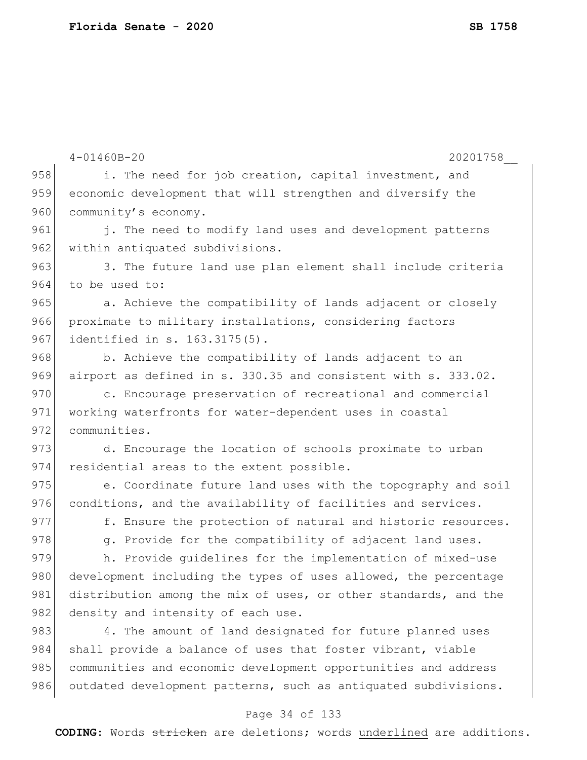|     | $4 - 01460B - 20$<br>20201758                                   |
|-----|-----------------------------------------------------------------|
| 958 | i. The need for job creation, capital investment, and           |
| 959 | economic development that will strengthen and diversify the     |
| 960 | community's economy.                                            |
| 961 | j. The need to modify land uses and development patterns        |
| 962 | within antiquated subdivisions.                                 |
| 963 | 3. The future land use plan element shall include criteria      |
| 964 | to be used to:                                                  |
| 965 | a. Achieve the compatibility of lands adjacent or closely       |
| 966 | proximate to military installations, considering factors        |
| 967 | identified in s. 163.3175(5).                                   |
| 968 | b. Achieve the compatibility of lands adjacent to an            |
| 969 | airport as defined in s. 330.35 and consistent with s. 333.02.  |
| 970 | c. Encourage preservation of recreational and commercial        |
| 971 | working waterfronts for water-dependent uses in coastal         |
| 972 | communities.                                                    |
| 973 | d. Encourage the location of schools proximate to urban         |
| 974 | residential areas to the extent possible.                       |
| 975 | e. Coordinate future land uses with the topography and soil     |
| 976 | conditions, and the availability of facilities and services.    |
| 977 | f. Ensure the protection of natural and historic resources.     |
| 978 | g. Provide for the compatibility of adjacent land uses.         |
| 979 | h. Provide quidelines for the implementation of mixed-use       |
| 980 | development including the types of uses allowed, the percentage |
| 981 | distribution among the mix of uses, or other standards, and the |
| 982 | density and intensity of each use.                              |
| 983 | 4. The amount of land designated for future planned uses        |
| 984 | shall provide a balance of uses that foster vibrant, viable     |
| 985 | communities and economic development opportunities and address  |
| 986 | outdated development patterns, such as antiquated subdivisions. |

# Page 34 of 133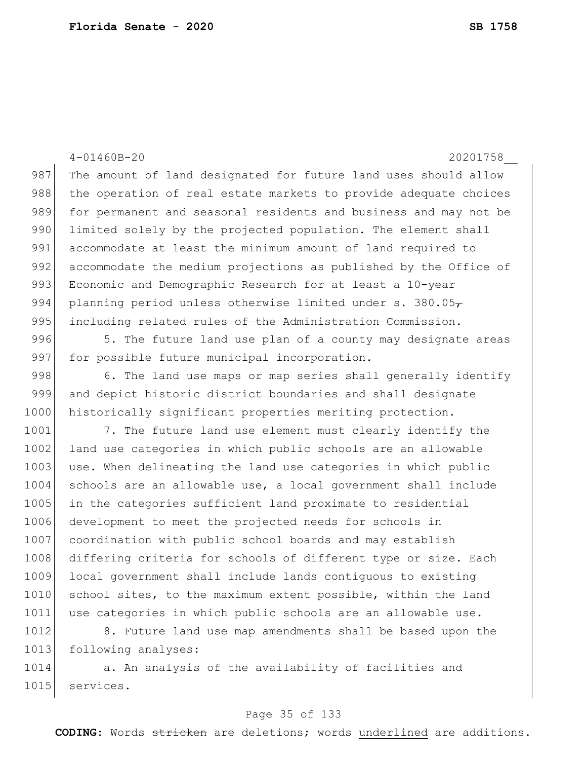4-01460B-20 20201758\_\_ 987 The amount of land designated for future land uses should allow 988 | the operation of real estate markets to provide adequate choices 989 for permanent and seasonal residents and business and may not be 990 limited solely by the projected population. The element shall 991 accommodate at least the minimum amount of land required to 992 accommodate the medium projections as published by the Office of 993 Economic and Demographic Research for at least a 10-year 994 planning period unless otherwise limited under s. 380.05 $<sub>7</sub>$ </sub> 995 including related rules of the Administration Commission. 996 5. The future land use plan of a county may designate areas 997 for possible future municipal incorporation. 998 6. The land use maps or map series shall generally identify 999 and depict historic district boundaries and shall designate 1000 historically significant properties meriting protection. 1001 7. The future land use element must clearly identify the 1002 land use categories in which public schools are an allowable 1003 use. When delineating the land use categories in which public 1004 schools are an allowable use, a local government shall include 1005 in the categories sufficient land proximate to residential 1006 development to meet the projected needs for schools in 1007 coordination with public school boards and may establish

1008 differing criteria for schools of different type or size. Each 1009 local government shall include lands contiguous to existing 1010 school sites, to the maximum extent possible, within the land 1011 use categories in which public schools are an allowable use.

1012 8. Future land use map amendments shall be based upon the 1013 following analyses:

1014 a. An analysis of the availability of facilities and 1015 services.

#### Page 35 of 133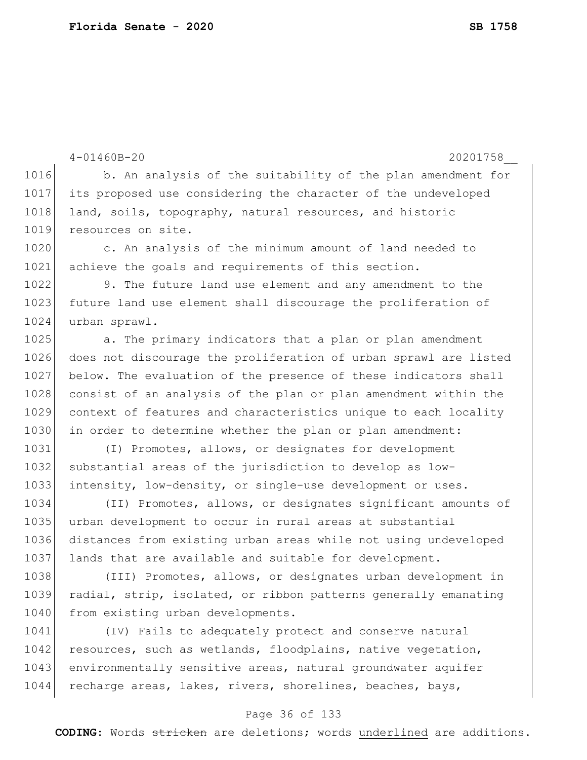|      | $4 - 01460B - 20$<br>20201758                                    |
|------|------------------------------------------------------------------|
| 1016 | b. An analysis of the suitability of the plan amendment for      |
| 1017 | its proposed use considering the character of the undeveloped    |
| 1018 | land, soils, topography, natural resources, and historic         |
| 1019 | resources on site.                                               |
| 1020 | c. An analysis of the minimum amount of land needed to           |
| 1021 | achieve the goals and requirements of this section.              |
| 1022 | 9. The future land use element and any amendment to the          |
| 1023 | future land use element shall discourage the proliferation of    |
| 1024 | urban sprawl.                                                    |
| 1025 | a. The primary indicators that a plan or plan amendment          |
| 1026 | does not discourage the proliferation of urban sprawl are listed |
| 1027 | below. The evaluation of the presence of these indicators shall  |
| 1028 | consist of an analysis of the plan or plan amendment within the  |
| 1029 | context of features and characteristics unique to each locality  |
| 1030 | in order to determine whether the plan or plan amendment:        |
| 1031 | (I) Promotes, allows, or designates for development              |
| 1032 | substantial areas of the jurisdiction to develop as low-         |
| 1033 | intensity, low-density, or single-use development or uses.       |
| 1034 | (II) Promotes, allows, or designates significant amounts of      |
| 1035 | urban development to occur in rural areas at substantial         |
| 1036 | distances from existing urban areas while not using undeveloped  |
| 1037 | lands that are available and suitable for development.           |
| 1038 | (III) Promotes, allows, or designates urban development in       |
| 1039 | radial, strip, isolated, or ribbon patterns generally emanating  |
| 1040 | from existing urban developments.                                |
| 1041 | (IV) Fails to adequately protect and conserve natural            |

1042 resources, such as wetlands, floodplains, native vegetation, 1043 environmentally sensitive areas, natural groundwater aquifer 1044 recharge areas, lakes, rivers, shorelines, beaches, bays,

### Page 36 of 133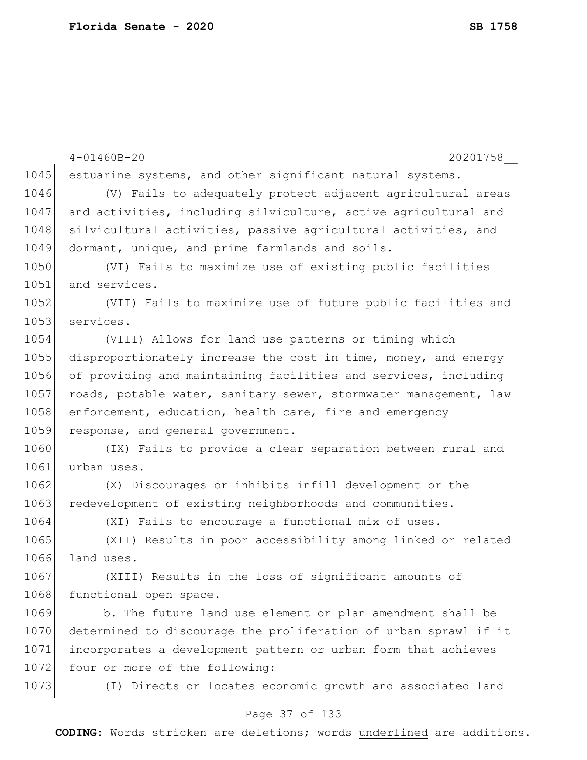|      | $4 - 01460B - 20$<br>20201758                                    |
|------|------------------------------------------------------------------|
| 1045 | estuarine systems, and other significant natural systems.        |
| 1046 | (V) Fails to adequately protect adjacent agricultural areas      |
| 1047 | and activities, including silviculture, active agricultural and  |
| 1048 | silvicultural activities, passive agricultural activities, and   |
| 1049 | dormant, unique, and prime farmlands and soils.                  |
| 1050 | (VI) Fails to maximize use of existing public facilities         |
| 1051 | and services.                                                    |
| 1052 | (VII) Fails to maximize use of future public facilities and      |
| 1053 | services.                                                        |
| 1054 | (VIII) Allows for land use patterns or timing which              |
| 1055 | disproportionately increase the cost in time, money, and energy  |
| 1056 | of providing and maintaining facilities and services, including  |
| 1057 | roads, potable water, sanitary sewer, stormwater management, law |
| 1058 | enforcement, education, health care, fire and emergency          |
| 1059 | response, and general government.                                |
| 1060 | (IX) Fails to provide a clear separation between rural and       |
| 1061 | urban uses.                                                      |
| 1062 | (X) Discourages or inhibits infill development or the            |
| 1063 | redevelopment of existing neighborhoods and communities.         |
| 1064 | (XI) Fails to encourage a functional mix of uses.                |
| 1065 | (XII) Results in poor accessibility among linked or related      |
| 1066 | land uses.                                                       |
| 1067 | (XIII) Results in the loss of significant amounts of             |
| 1068 | functional open space.                                           |
| 1069 | b. The future land use element or plan amendment shall be        |
| 1070 | determined to discourage the proliferation of urban sprawl if it |
| 1071 | incorporates a development pattern or urban form that achieves   |
| 1072 | four or more of the following:                                   |
| 1073 | (I) Directs or locates economic growth and associated land       |
|      |                                                                  |

Page 37 of 133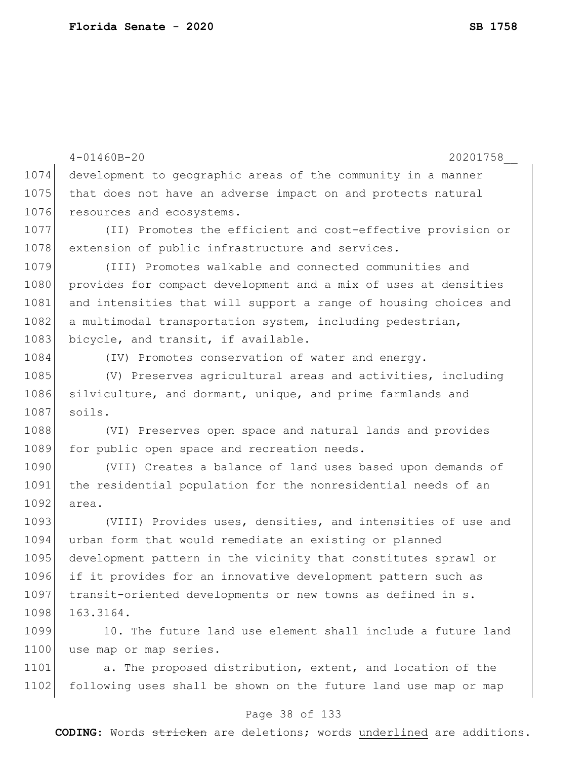```
4-01460B-20 20201758__
1074 development to geographic areas of the community in a manner 
1075 that does not have an adverse impact on and protects natural
1076 resources and ecosystems.
1077 (II) Promotes the efficient and cost-effective provision or 
1078 extension of public infrastructure and services.
1079 (III) Promotes walkable and connected communities and
1080 provides for compact development and a mix of uses at densities
1081 and intensities that will support a range of housing choices and
1082 a multimodal transportation system, including pedestrian,
1083 bicycle, and transit, if available.
1084 (IV) Promotes conservation of water and energy.
1085 (V) Preserves agricultural areas and activities, including
1086 silviculture, and dormant, unique, and prime farmlands and
1087 soils.
1088 (VI) Preserves open space and natural lands and provides 
1089 for public open space and recreation needs.
1090 (VII) Creates a balance of land uses based upon demands of
1091 the residential population for the nonresidential needs of an 
1092 area.
1093 (VIII) Provides uses, densities, and intensities of use and
1094 urban form that would remediate an existing or planned 
1095 development pattern in the vicinity that constitutes sprawl or 
1096 if it provides for an innovative development pattern such as 
1097 transit-oriented developments or new towns as defined in s.
1098 163.3164.
1099 10. The future land use element shall include a future land
1100 use map or map series.
```
1101 a. The proposed distribution, extent, and location of the 1102 following uses shall be shown on the future land use map or map

#### Page 38 of 133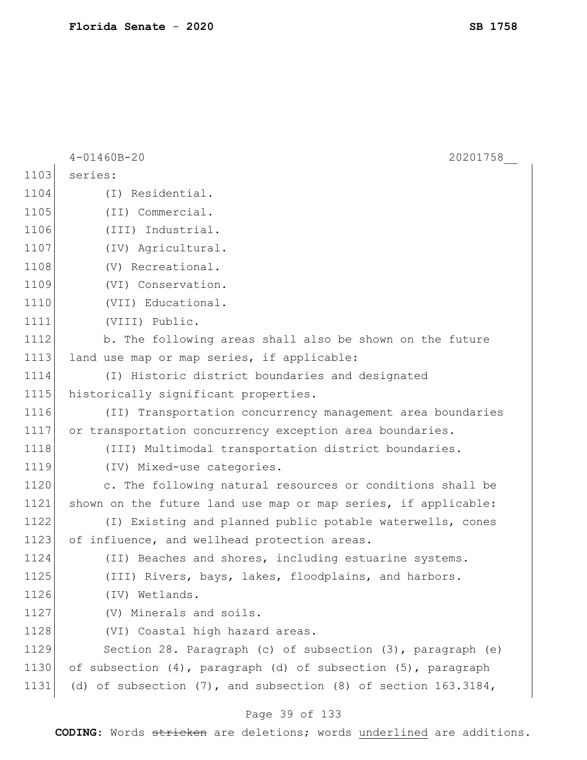|      | $4 - 01460B - 20$<br>20201758                                          |
|------|------------------------------------------------------------------------|
| 1103 | series:                                                                |
| 1104 | (I) Residential.                                                       |
| 1105 | (II) Commercial.                                                       |
| 1106 | (III) Industrial.                                                      |
| 1107 | (IV) Agricultural.                                                     |
| 1108 | (V) Recreational.                                                      |
| 1109 | (VI) Conservation.                                                     |
| 1110 | (VII) Educational.                                                     |
| 1111 | (VIII) Public.                                                         |
| 1112 | b. The following areas shall also be shown on the future               |
| 1113 | land use map or map series, if applicable:                             |
| 1114 | (I) Historic district boundaries and designated                        |
| 1115 | historically significant properties.                                   |
| 1116 | (II) Transportation concurrency management area boundaries             |
| 1117 | or transportation concurrency exception area boundaries.               |
| 1118 | (III) Multimodal transportation district boundaries.                   |
| 1119 | (IV) Mixed-use categories.                                             |
| 1120 | c. The following natural resources or conditions shall be              |
| 1121 | shown on the future land use map or map series, if applicable:         |
| 1122 | (I) Existing and planned public potable waterwells, cones              |
| 1123 | of influence, and wellhead protection areas.                           |
| 1124 | (II) Beaches and shores, including estuarine systems.                  |
| 1125 | (III) Rivers, bays, lakes, floodplains, and harbors.                   |
| 1126 | (IV) Wetlands.                                                         |
| 1127 | (V) Minerals and soils.                                                |
| 1128 | (VI) Coastal high hazard areas.                                        |
| 1129 | Section 28. Paragraph (c) of subsection (3), paragraph (e)             |
| 1130 | of subsection (4), paragraph (d) of subsection (5), paragraph          |
| 1131 | (d) of subsection $(7)$ , and subsection $(8)$ of section $163.3184$ , |
|      | Page 39 of 133                                                         |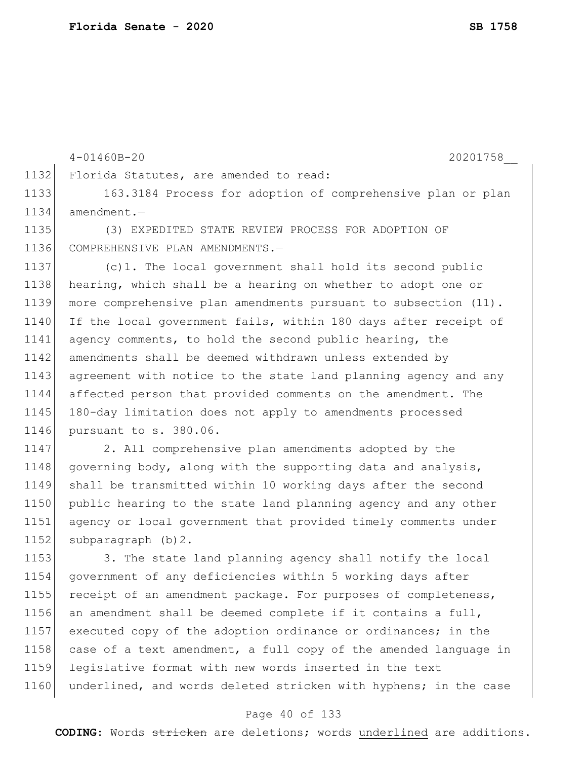1152 subparagraph (b) 2.

4-01460B-20 20201758\_\_ 1132 Florida Statutes, are amended to read: 1133 163.3184 Process for adoption of comprehensive plan or plan 1134 amendment.— 1135 (3) EXPEDITED STATE REVIEW PROCESS FOR ADOPTION OF 1136 COMPREHENSIVE PLAN AMENDMENTS.— 1137 (c)1. The local government shall hold its second public 1138 hearing, which shall be a hearing on whether to adopt one or 1139 more comprehensive plan amendments pursuant to subsection (11). 1140 If the local government fails, within 180 days after receipt of 1141 agency comments, to hold the second public hearing, the 1142 amendments shall be deemed withdrawn unless extended by 1143 agreement with notice to the state land planning agency and any 1144 affected person that provided comments on the amendment. The 1145 180-day limitation does not apply to amendments processed 1146 pursuant to s. 380.06. 1147 2. All comprehensive plan amendments adopted by the 1148 governing body, along with the supporting data and analysis, 1149 shall be transmitted within 10 working days after the second 1150 public hearing to the state land planning agency and any other

1153 3. The state land planning agency shall notify the local 1154 government of any deficiencies within 5 working days after 1155 receipt of an amendment package. For purposes of completeness, 1156 an amendment shall be deemed complete if it contains a full, 1157 executed copy of the adoption ordinance or ordinances; in the 1158 case of a text amendment, a full copy of the amended language in 1159 legislative format with new words inserted in the text 1160 underlined, and words deleted stricken with hyphens; in the case

1151 agency or local government that provided timely comments under

#### Page 40 of 133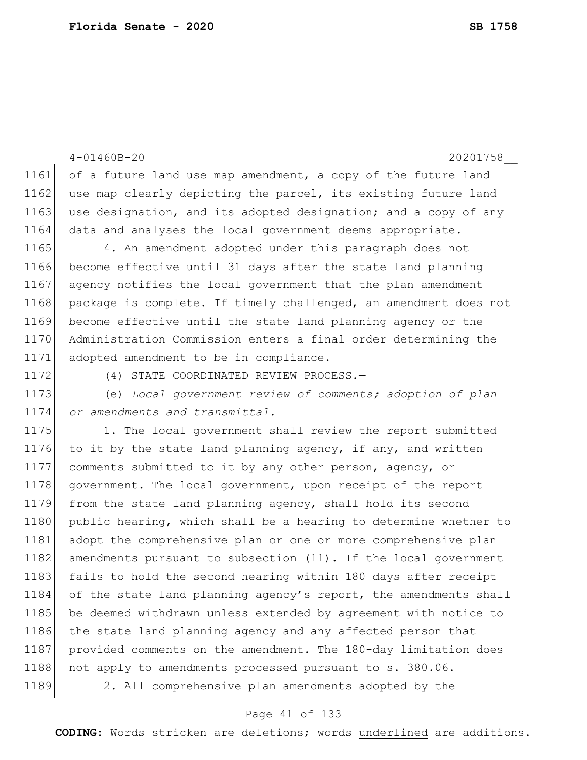```
1162 use map clearly depicting the parcel, its existing future land
1163 use designation, and its adopted designation; and a copy of any
1164 data and analyses the local government deems appropriate.
1165 4. An amendment adopted under this paragraph does not
1166 become effective until 31 days after the state land planning 
1167 agency notifies the local government that the plan amendment 
1168 package is complete. If timely challenged, an amendment does not
1169 become effective until the state land planning agency \theta the
1170 Administration Commission enters a final order determining the
1171 adopted amendment to be in compliance.
1172 (4) STATE COORDINATED REVIEW PROCESS.
1173 (e) Local government review of comments; adoption of plan 
1174 or amendments and transmittal.—
1175 1. The local government shall review the report submitted
1176 to it by the state land planning agency, if any, and written
1177 comments submitted to it by any other person, agency, or 
1178 government. The local government, upon receipt of the report
1179 from the state land planning agency, shall hold its second 
1180 public hearing, which shall be a hearing to determine whether to
1181 adopt the comprehensive plan or one or more comprehensive plan 
1182 amendments pursuant to subsection (11). If the local government
1183 fails to hold the second hearing within 180 days after receipt
1184 of the state land planning agency's report, the amendments shall
1185 be deemed withdrawn unless extended by agreement with notice to
1186 the state land planning agency and any affected person that
1187 provided comments on the amendment. The 180-day limitation does
1188 not apply to amendments processed pursuant to s. 380.06.
```
4-01460B-20 20201758\_\_

1161 of a future land use map amendment, a copy of the future land

1189 2. All comprehensive plan amendments adopted by the

#### Page 41 of 133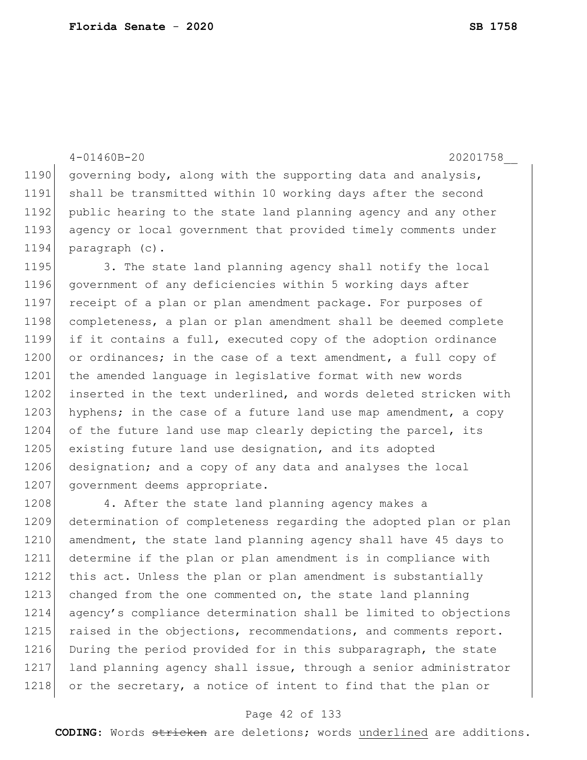4-01460B-20 20201758\_\_ 1190 governing body, along with the supporting data and analysis, 1191 shall be transmitted within 10 working days after the second 1192 public hearing to the state land planning agency and any other 1193| agency or local government that provided timely comments under 1194 paragraph (c). 1195 3. The state land planning agency shall notify the local 1196 government of any deficiencies within 5 working days after 1197 receipt of a plan or plan amendment package. For purposes of 1198 completeness, a plan or plan amendment shall be deemed complete 1199 if it contains a full, executed copy of the adoption ordinance 1200 or ordinances; in the case of a text amendment, a full copy of 1201 the amended language in legislative format with new words 1202 inserted in the text underlined, and words deleted stricken with 1203 hyphens; in the case of a future land use map amendment, a copy 1204 of the future land use map clearly depicting the parcel, its 1205 existing future land use designation, and its adopted 1206 designation; and a copy of any data and analyses the local 1207 government deems appropriate. 1208 4. After the state land planning agency makes a 1209 determination of completeness regarding the adopted plan or plan 1210 amendment, the state land planning agency shall have 45 days to 1211 determine if the plan or plan amendment is in compliance with 1212 this act. Unless the plan or plan amendment is substantially

1213 changed from the one commented on, the state land planning 1214 agency's compliance determination shall be limited to objections 1215 raised in the objections, recommendations, and comments report. 1216 During the period provided for in this subparagraph, the state 1217 land planning agency shall issue, through a senior administrator 1218 or the secretary, a notice of intent to find that the plan or

#### Page 42 of 133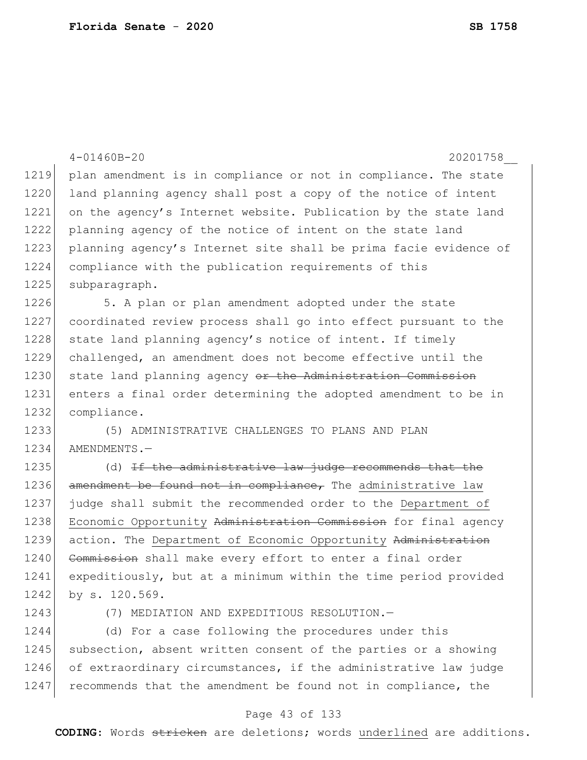|      | $4 - 01460B - 20$<br>20201758                                    |
|------|------------------------------------------------------------------|
| 1219 | plan amendment is in compliance or not in compliance. The state  |
| 1220 | land planning agency shall post a copy of the notice of intent   |
| 1221 | on the agency's Internet website. Publication by the state land  |
| 1222 | planning agency of the notice of intent on the state land        |
| 1223 | planning agency's Internet site shall be prima facie evidence of |
| 1224 | compliance with the publication requirements of this             |
| 1225 | subparagraph.                                                    |
| 1226 | 5. A plan or plan amendment adopted under the state              |
| 1227 | coordinated review process shall go into effect pursuant to the  |
| 1228 | state land planning agency's notice of intent. If timely         |
| 1229 | challenged, an amendment does not become effective until the     |
| 1230 | state land planning agency or the Administration Commission      |
| 1231 | enters a final order determining the adopted amendment to be in  |
| 1232 | compliance.                                                      |
| 1233 | (5) ADMINISTRATIVE CHALLENGES TO PLANS AND PLAN                  |
| 1234 | AMENDMENTS.-                                                     |
| 1235 | (d) If the administrative law judge recommends that the          |
| 1236 | amendment be found not in compliance, The administrative law     |
| 1237 | judge shall submit the recommended order to the Department of    |
| 1238 | Economic Opportunity Administration Commission for final agency  |
| 1239 | action. The Department of Economic Opportunity Administration    |
| 1240 | Commission shall make every effort to enter a final order        |
| 1241 | expeditiously, but at a minimum within the time period provided  |
| 1242 | by s. 120.569.                                                   |
| 1243 | MEDIATION AND EXPEDITIOUS RESOLUTION.-<br>(7)                    |
| 1244 | (d) For a case following the procedures under this               |
| 1245 | subsection, absent written consent of the parties or a showing   |
| 1246 | of extraordinary circumstances, if the administrative law judge  |
| 1247 | recommends that the amendment be found not in compliance, the    |

# Page 43 of 133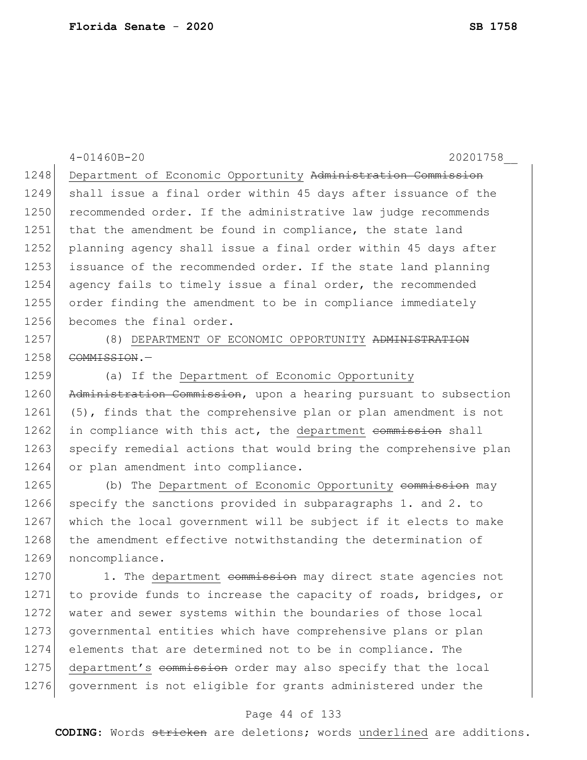4-01460B-20 20201758\_\_ 1248 Department of Economic Opportunity Administration Commission 1249 shall issue a final order within 45 days after issuance of the 1250 recommended order. If the administrative law judge recommends 1251 that the amendment be found in compliance, the state land 1252 planning agency shall issue a final order within 45 days after 1253 issuance of the recommended order. If the state land planning 1254 agency fails to timely issue a final order, the recommended 1255 order finding the amendment to be in compliance immediately 1256 becomes the final order. 1257 (8) DEPARTMENT OF ECONOMIC OPPORTUNITY ADMINISTRATION 1258 COMMISSION. 1259 (a) If the Department of Economic Opportunity 1260 Administration Commission, upon a hearing pursuant to subsection 1261 (5), finds that the comprehensive plan or plan amendment is not 1262 in compliance with this act, the department commission shall 1263 | specify remedial actions that would bring the comprehensive plan 1264 or plan amendment into compliance. 1265 (b) The Department of Economic Opportunity commission may 1266 specify the sanctions provided in subparagraphs 1. and 2. to 1267 which the local government will be subject if it elects to make 1268 the amendment effective notwithstanding the determination of 1269 noncompliance. 1270 1. The department commission may direct state agencies not 1271 to provide funds to increase the capacity of roads, bridges, or 1272 water and sewer systems within the boundaries of those local 1273 governmental entities which have comprehensive plans or plan 1274 elements that are determined not to be in compliance. The 1275 department's commission order may also specify that the local

#### Page 44 of 133

1276 government is not eligible for grants administered under the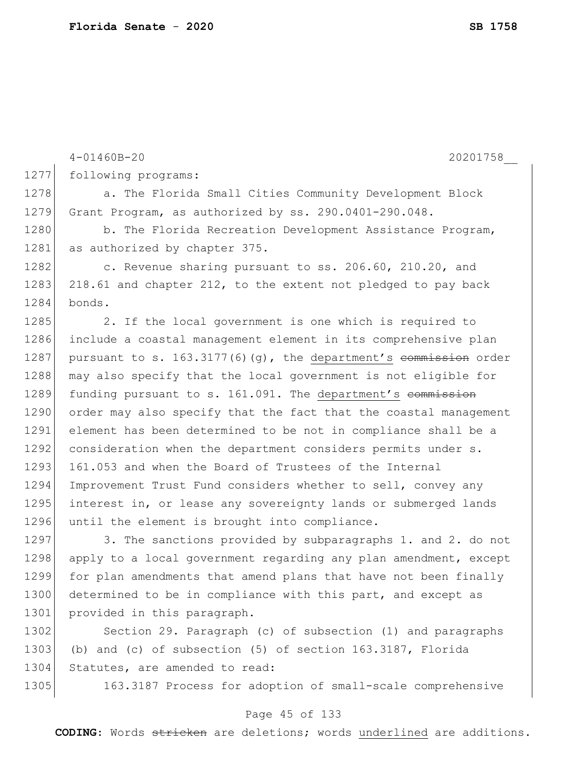|      | $4 - 01460B - 20$<br>20201758                                       |
|------|---------------------------------------------------------------------|
| 1277 | following programs:                                                 |
| 1278 | a. The Florida Small Cities Community Development Block             |
| 1279 | Grant Program, as authorized by ss. 290.0401-290.048.               |
| 1280 | b. The Florida Recreation Development Assistance Program,           |
| 1281 | as authorized by chapter 375.                                       |
| 1282 | c. Revenue sharing pursuant to ss. 206.60, 210.20, and              |
| 1283 | 218.61 and chapter 212, to the extent not pledged to pay back       |
| 1284 | bonds.                                                              |
| 1285 | 2. If the local government is one which is required to              |
| 1286 | include a coastal management element in its comprehensive plan      |
| 1287 | pursuant to s. $163.3177(6)(q)$ , the department's commission order |
| 1288 | may also specify that the local government is not eligible for      |
| 1289 | funding pursuant to s. 161.091. The department's commission         |
| 1290 | order may also specify that the fact that the coastal management    |
| 1291 | element has been determined to be not in compliance shall be a      |
| 1292 | consideration when the department considers permits under s.        |
| 1293 | 161.053 and when the Board of Trustees of the Internal              |
| 1294 | Improvement Trust Fund considers whether to sell, convey any        |
| 1295 | interest in, or lease any sovereignty lands or submerged lands      |
| 1296 | until the element is brought into compliance.                       |
| 1297 | 3. The sanctions provided by subparagraphs 1. and 2. do not         |
| 1298 | apply to a local government regarding any plan amendment, except    |
| 1299 | for plan amendments that amend plans that have not been finally     |
| 1300 | determined to be in compliance with this part, and except as        |
| 1301 | provided in this paragraph.                                         |
| 1302 | Section 29. Paragraph (c) of subsection (1) and paragraphs          |
| 1303 | (b) and (c) of subsection (5) of section 163.3187, Florida          |

1304 Statutes, are amended to read:

1305 163.3187 Process for adoption of small-scale comprehensive

### Page 45 of 133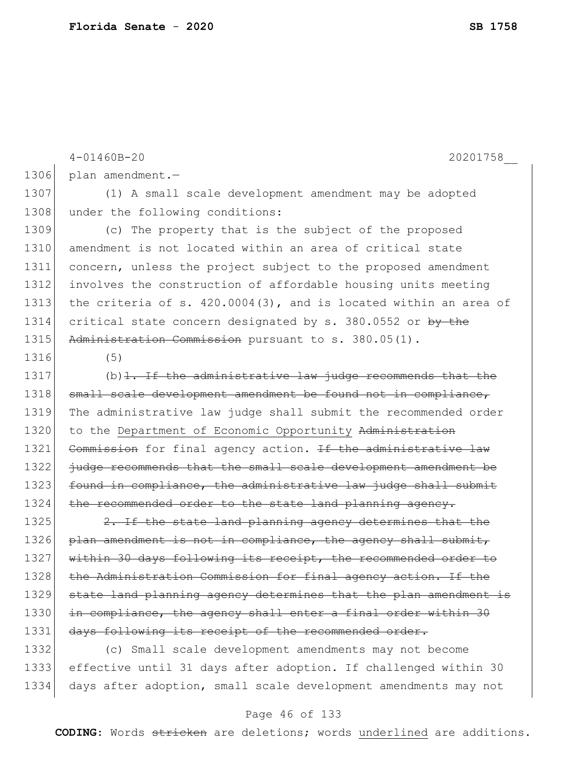4-01460B-20 20201758\_\_ 1306 plan amendment.-1307 (1) A small scale development amendment may be adopted 1308 under the following conditions: 1309 (c) The property that is the subject of the proposed 1310 amendment is not located within an area of critical state 1311 concern, unless the project subject to the proposed amendment 1312 involves the construction of affordable housing units meeting 1313 the criteria of s. 420.0004(3), and is located within an area of 1314 critical state concern designated by s. 380.0552 or by the 1315 Administration Commission pursuant to s. 380.05(1). 1316 (5) 1317  $(b)$ 1. If the administrative law judge recommends that the 1318 small scale development amendment be found not in compliance, 1319 The administrative law judge shall submit the recommended order 1320 to the Department of Economic Opportunity Administration 1321 Commission for final agency action. If the administrative law 1322 judge recommends that the small scale development amendment be 1323 found in compliance, the administrative law judge shall submit 1324 the recommended order to the state land planning agency. 1325 2. If the state land planning agency determines that the 1326 plan amendment is not in compliance, the agency shall submit, 1327 within 30 days following its receipt, the recommended order to 1328 the Administration Commission for final agency action. If the 1329 state land planning agency determines that the plan amendment is 1330 in compliance, the agency shall enter a final order within 30 1331 days following its receipt of the recommended order.

1332 (c) Small scale development amendments may not become 1333 effective until 31 days after adoption. If challenged within 30 1334 days after adoption, small scale development amendments may not

#### Page 46 of 133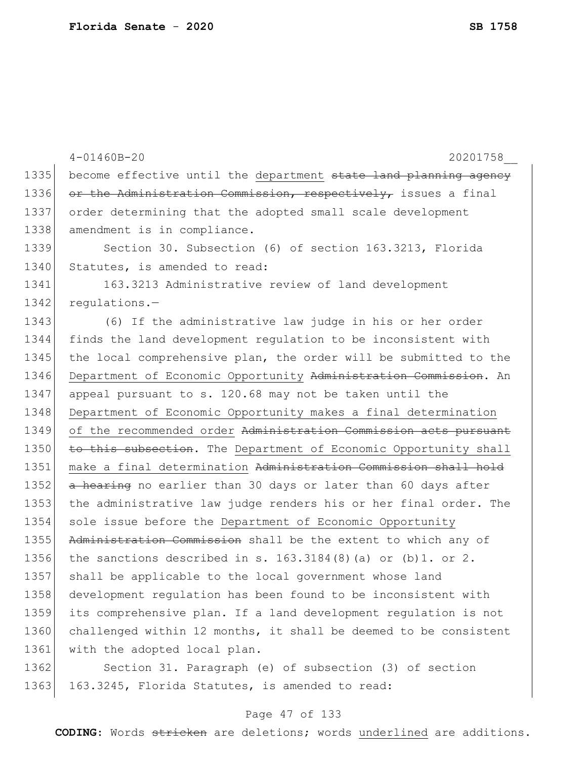|      | $4 - 01460B - 20$<br>20201758                                    |
|------|------------------------------------------------------------------|
| 1335 | become effective until the department state land planning agency |
| 1336 | or the Administration Commission, respectively, issues a final   |
| 1337 | order determining that the adopted small scale development       |
| 1338 | amendment is in compliance.                                      |
| 1339 | Section 30. Subsection (6) of section 163.3213, Florida          |
| 1340 | Statutes, is amended to read:                                    |
| 1341 | 163.3213 Administrative review of land development               |
| 1342 | $requletions.$ -                                                 |
| 1343 | (6) If the administrative law judge in his or her order          |
| 1344 | finds the land development regulation to be inconsistent with    |
| 1345 | the local comprehensive plan, the order will be submitted to the |
| 1346 | Department of Economic Opportunity Administration Commission. An |
| 1347 | appeal pursuant to s. 120.68 may not be taken until the          |
| 1348 | Department of Economic Opportunity makes a final determination   |
| 1349 | of the recommended order Administration Commission acts pursuant |
| 1350 | to this subsection. The Department of Economic Opportunity shall |
| 1351 | make a final determination Administration Commission shall hold  |
| 1352 | a hearing no earlier than 30 days or later than 60 days after    |
| 1353 | the administrative law judge renders his or her final order. The |
| 1354 | sole issue before the Department of Economic Opportunity         |
| 1355 | Administration Commission shall be the extent to which any of    |
| 1356 | the sanctions described in s. $163.3184(8)$ (a) or (b) 1. or 2.  |
| 1357 | shall be applicable to the local government whose land           |
| 1358 | development requlation has been found to be inconsistent with    |
| 1359 | its comprehensive plan. If a land development regulation is not  |
| 1360 | challenged within 12 months, it shall be deemed to be consistent |
| 1361 | with the adopted local plan.                                     |
| 1362 | Section 31. Paragraph (e) of subsection (3) of section           |
| 1363 | 163.3245, Florida Statutes, is amended to read:                  |

# Page 47 of 133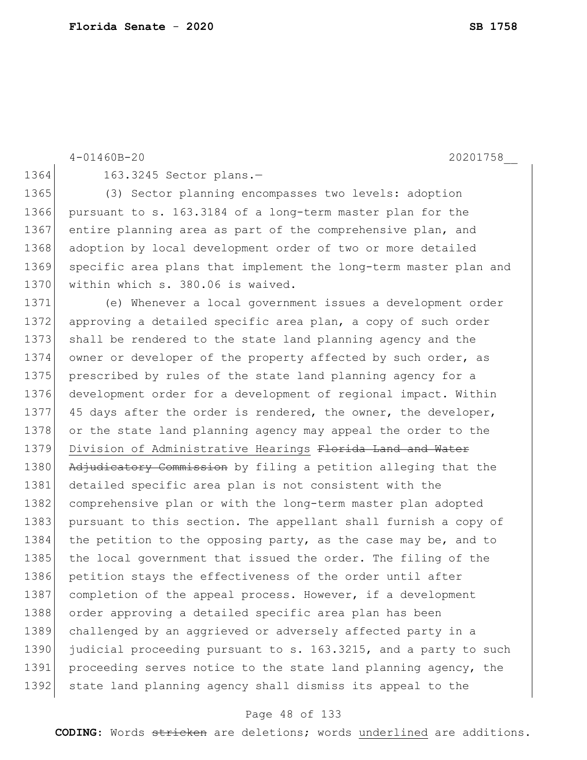|      | $4 - 01460B - 20$<br>20201758                                    |
|------|------------------------------------------------------------------|
| 1364 | 163.3245 Sector plans.-                                          |
| 1365 | (3) Sector planning encompasses two levels: adoption             |
| 1366 | pursuant to s. 163.3184 of a long-term master plan for the       |
| 1367 | entire planning area as part of the comprehensive plan, and      |
| 1368 | adoption by local development order of two or more detailed      |
| 1369 | specific area plans that implement the long-term master plan and |
| 1370 | within which s. 380.06 is waived.                                |
| 1371 | (e) Whenever a local government issues a development order       |
| 1372 | approving a detailed specific area plan, a copy of such order    |
| 1373 | shall be rendered to the state land planning agency and the      |
| 1374 | owner or developer of the property affected by such order, as    |
| 1375 | prescribed by rules of the state land planning agency for a      |
| 1376 | development order for a development of regional impact. Within   |
| 1377 | 45 days after the order is rendered, the owner, the developer,   |
| 1378 | or the state land planning agency may appeal the order to the    |
| 1379 | Division of Administrative Hearings Florida Land and Water       |
| 1380 | Adjudicatory Commission by filing a petition alleging that the   |
| 1381 | detailed specific area plan is not consistent with the           |
| 1382 | comprehensive plan or with the long-term master plan adopted     |
| 1383 | pursuant to this section. The appellant shall furnish a copy of  |
| 1384 | the petition to the opposing party, as the case may be, and to   |
| 1385 | the local government that issued the order. The filing of the    |
| 1386 | petition stays the effectiveness of the order until after        |
| 1387 | completion of the appeal process. However, if a development      |
| 1388 | order approving a detailed specific area plan has been           |
| 1389 | challenged by an aggrieved or adversely affected party in a      |
| 1390 | judicial proceeding pursuant to s. 163.3215, and a party to such |
| 1391 | proceeding serves notice to the state land planning agency, the  |
| 1392 | state land planning agency shall dismiss its appeal to the       |
|      |                                                                  |

# Page 48 of 133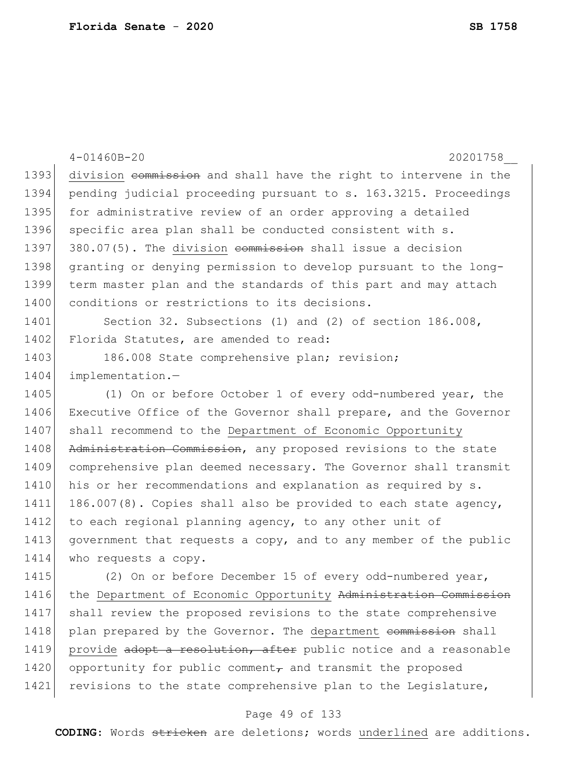|      | $4 - 01460B - 20$<br>20201758                                    |
|------|------------------------------------------------------------------|
| 1393 | division commission and shall have the right to intervene in the |
| 1394 | pending judicial proceeding pursuant to s. 163.3215. Proceedings |
| 1395 | for administrative review of an order approving a detailed       |
| 1396 | specific area plan shall be conducted consistent with s.         |
| 1397 | 380.07(5). The division commission shall issue a decision        |
| 1398 | granting or denying permission to develop pursuant to the long-  |
| 1399 | term master plan and the standards of this part and may attach   |
| 1400 | conditions or restrictions to its decisions.                     |
| 1401 | Section 32. Subsections (1) and (2) of section 186.008,          |
| 1402 | Florida Statutes, are amended to read:                           |
| 1403 | 186.008 State comprehensive plan; revision;                      |
| 1404 | implementation.-                                                 |
| 1405 | (1) On or before October 1 of every odd-numbered year, the       |
| 1406 | Executive Office of the Governor shall prepare, and the Governor |
| 1407 | shall recommend to the Department of Economic Opportunity        |
| 1408 | Administration Commission, any proposed revisions to the state   |
| 1409 | comprehensive plan deemed necessary. The Governor shall transmit |
| 1410 | his or her recommendations and explanation as required by s.     |
| 1411 | 186.007(8). Copies shall also be provided to each state agency,  |
| 1412 | to each regional planning agency, to any other unit of           |
| 1413 | government that requests a copy, and to any member of the public |
| 1414 | who requests a copy.                                             |
| 1415 | (2) On or before December 15 of every odd-numbered year,         |
| 1416 | the Department of Economic Opportunity Administration Commission |
| 1417 | shall review the proposed revisions to the state comprehensive   |
| 1418 | plan prepared by the Governor. The department commission shall   |
| 1419 | provide adopt a resolution, after public notice and a reasonable |
| 1420 | opportunity for public comment, and transmit the proposed        |
| 1421 | revisions to the state comprehensive plan to the Legislature,    |

# Page 49 of 133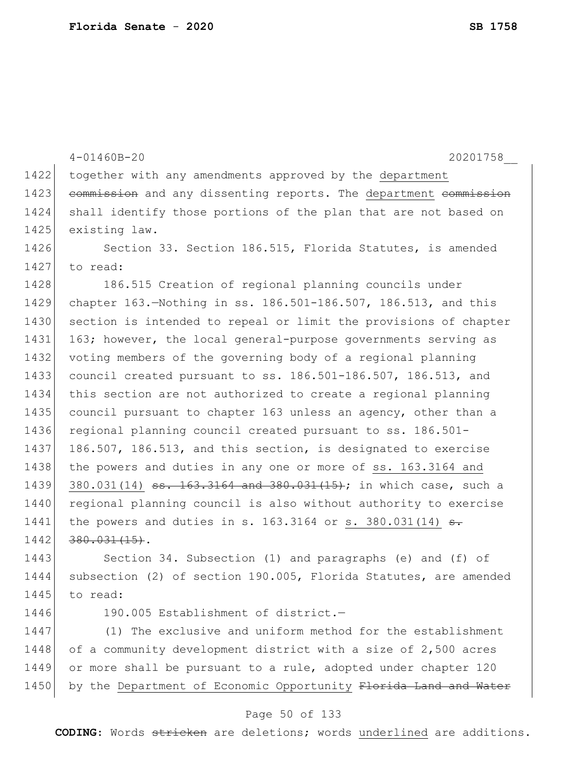|      | 20201758<br>$4 - 01460B - 20$                                               |
|------|-----------------------------------------------------------------------------|
| 1422 | together with any amendments approved by the department                     |
| 1423 | commission and any dissenting reports. The department commission            |
| 1424 | shall identify those portions of the plan that are not based on             |
| 1425 | existing law.                                                               |
| 1426 | Section 33. Section 186.515, Florida Statutes, is amended                   |
| 1427 | to read:                                                                    |
| 1428 | 186.515 Creation of regional planning councils under                        |
| 1429 | chapter 163. Nothing in ss. 186.501-186.507, 186.513, and this              |
| 1430 | section is intended to repeal or limit the provisions of chapter            |
| 1431 | 163; however, the local general-purpose governments serving as              |
| 1432 | voting members of the governing body of a regional planning                 |
| 1433 | council created pursuant to ss. 186.501-186.507, 186.513, and               |
| 1434 | this section are not authorized to create a regional planning               |
| 1435 | council pursuant to chapter 163 unless an agency, other than a              |
| 1436 | regional planning council created pursuant to ss. 186.501-                  |
| 1437 | 186.507, 186.513, and this section, is designated to exercise               |
| 1438 | the powers and duties in any one or more of ss. 163.3164 and                |
| 1439 | 380.031(14) <del>ss. 163.3164 and 380.031(15)</del> ; in which case, such a |
| 1440 | regional planning council is also without authority to exercise             |
| 1441 | the powers and duties in s. 163.3164 or s. 380.031(14) $\frac{1}{12}$       |
| 1442 | $380.031(15)$ .                                                             |
| 1443 | Section 34. Subsection (1) and paragraphs (e) and (f) of                    |
| 1444 | subsection (2) of section 190.005, Florida Statutes, are amended            |
| 1445 | to read:                                                                    |
| 1446 | 190.005 Establishment of district.-                                         |
| 1447 | (1) The exclusive and uniform method for the establishment                  |
| 1448 | of a community development district with a size of 2,500 acres              |
| 1449 | or more shall be pursuant to a rule, adopted under chapter 120              |
| 1450 | by the Department of Economic Opportunity Florida Land and Water            |
|      |                                                                             |

### Page 50 of 133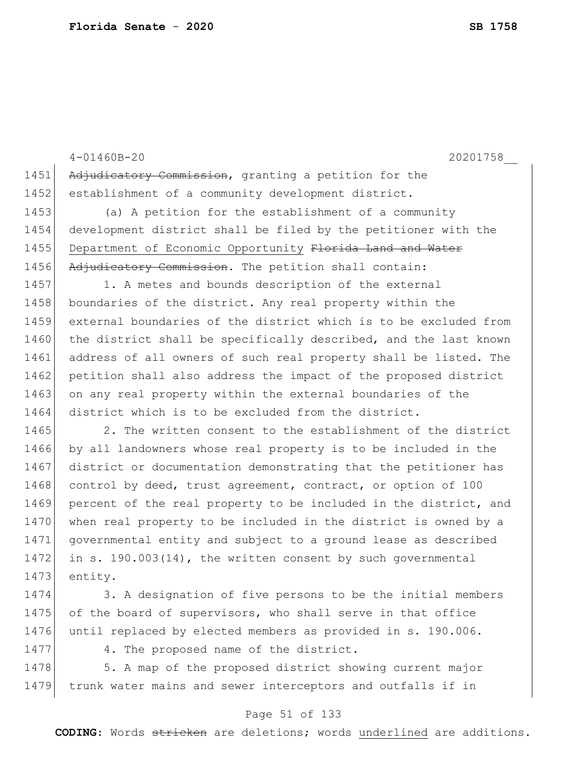|      | $4 - 01460B - 20$<br>20201758                                    |
|------|------------------------------------------------------------------|
| 1451 | Adjudicatory Commission, granting a petition for the             |
| 1452 | establishment of a community development district.               |
| 1453 | (a) A petition for the establishment of a community              |
| 1454 | development district shall be filed by the petitioner with the   |
| 1455 | Department of Economic Opportunity Florida Land and Water        |
| 1456 | Adjudicatory Commission. The petition shall contain:             |
| 1457 | 1. A metes and bounds description of the external                |
| 1458 | boundaries of the district. Any real property within the         |
| 1459 | external boundaries of the district which is to be excluded from |
| 1460 | the district shall be specifically described, and the last known |
| 1461 | address of all owners of such real property shall be listed. The |
| 1462 | petition shall also address the impact of the proposed district  |
| 1463 | on any real property within the external boundaries of the       |
| 1464 | district which is to be excluded from the district.              |
| 1465 | 2. The written consent to the establishment of the district      |
| 1466 | by all landowners whose real property is to be included in the   |
| 1467 | district or documentation demonstrating that the petitioner has  |
| 1468 | control by deed, trust agreement, contract, or option of 100     |
| 1469 | percent of the real property to be included in the district, and |
| 1470 | when real property to be included in the district is owned by a  |
| 1471 | governmental entity and subject to a ground lease as described   |
| 1472 | in s. 190.003(14), the written consent by such governmental      |
| 1473 | entity.                                                          |
| 1474 | 3. A designation of five persons to be the initial members       |
| 1475 | of the board of supervisors, who shall serve in that office      |
| 1476 | until replaced by elected members as provided in s. 190.006.     |

1477 4. The proposed name of the district.

1478 5. A map of the proposed district showing current major 1479 trunk water mains and sewer interceptors and outfalls if in

### Page 51 of 133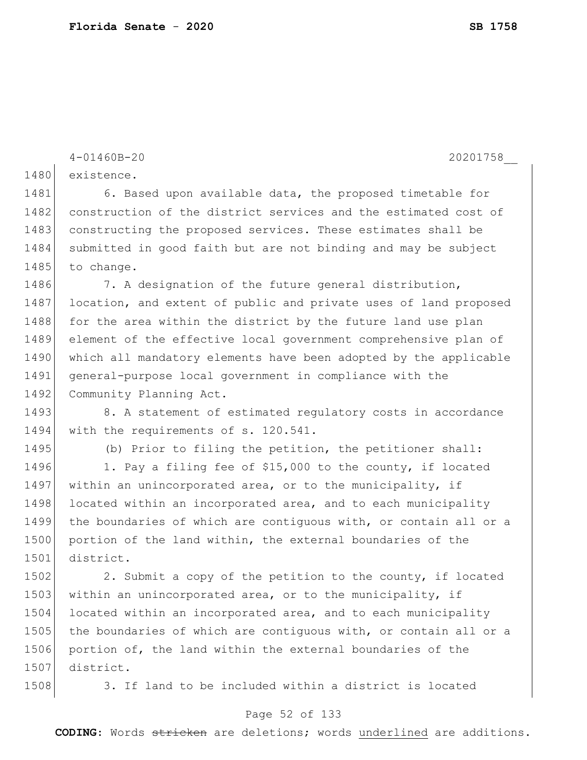```
4-01460B-20 20201758__
1480 existence.
1481 6. Based upon available data, the proposed timetable for
1482 construction of the district services and the estimated cost of
1483 constructing the proposed services. These estimates shall be
1484 submitted in good faith but are not binding and may be subject
1485 to change.
1486 7. A designation of the future general distribution,
1487 location, and extent of public and private uses of land proposed
1488 for the area within the district by the future land use plan
1489 element of the effective local government comprehensive plan of 
1490 which all mandatory elements have been adopted by the applicable
1491 general-purpose local government in compliance with the 
1492 Community Planning Act.
1493 8. A statement of estimated requlatory costs in accordance
1494 with the requirements of s. 120.541.
1495 (b) Prior to filing the petition, the petitioner shall:
1496 1. Pay a filing fee of $15,000 to the county, if located
1497 within an unincorporated area, or to the municipality, if
1498 located within an incorporated area, and to each municipality
1499 the boundaries of which are contiguous with, or contain all or a 
1500 portion of the land within, the external boundaries of the
1501 district.
1502 2. Submit a copy of the petition to the county, if located
1503 within an unincorporated area, or to the municipality, if
1504 located within an incorporated area, and to each municipality
1505 the boundaries of which are contiguous with, or contain all or a
1506 portion of, the land within the external boundaries of the 
1507 district.
1508 3. If land to be included within a district is located
```
### Page 52 of 133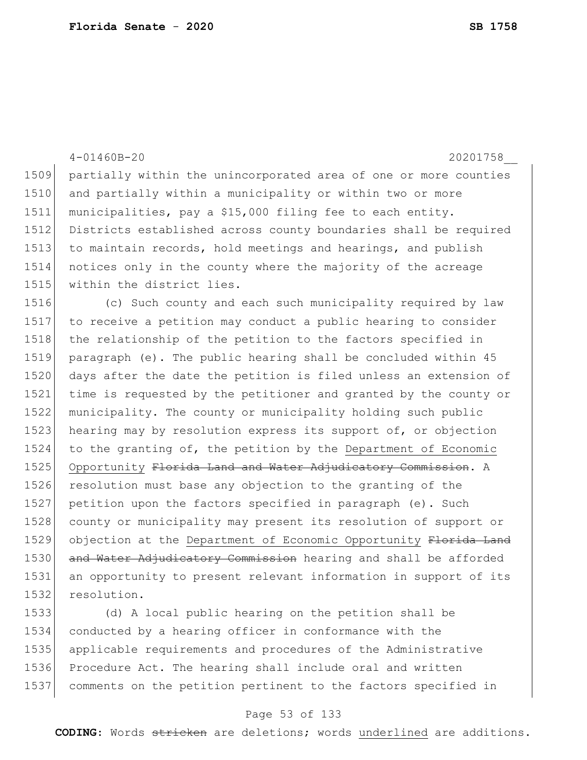|      | $4 - 01460B - 20$<br>20201758                                            |
|------|--------------------------------------------------------------------------|
| 1509 | partially within the unincorporated area of one or more counties         |
| 1510 | and partially within a municipality or within two or more                |
| 1511 | municipalities, pay a \$15,000 filing fee to each entity.                |
| 1512 | Districts established across county boundaries shall be required         |
| 1513 | to maintain records, hold meetings and hearings, and publish             |
| 1514 | notices only in the county where the majority of the acreage             |
| 1515 | within the district lies.                                                |
| 1516 | (c) Such county and each such municipality required by law               |
| 1517 | to receive a petition may conduct a public hearing to consider           |
| 1518 | the relationship of the petition to the factors specified in             |
| 1519 | paragraph (e). The public hearing shall be concluded within 45           |
| 1520 | days after the date the petition is filed unless an extension of         |
| 1521 | time is requested by the petitioner and granted by the county or         |
| 1522 | municipality. The county or municipality holding such public             |
| 1523 | hearing may by resolution express its support of, or objection           |
| 1524 | to the granting of, the petition by the Department of Economic           |
| 1525 | Opportunity Florida Land and Water Adjudicatory Commission. A            |
| 1526 | resolution must base any objection to the granting of the                |
| 1527 | petition upon the factors specified in paragraph (e). Such               |
| 1528 | county or municipality may present its resolution of support or          |
| 1529 | objection at the Department of Economic Opportunity Florida Land         |
| 1530 | and Water Adjudicatory Commission hearing and shall be afforded          |
| 1531 | an opportunity to present relevant information in support of its         |
| 1532 | resolution.                                                              |
| 1533 | (d) A local public hearing on the petition shall be                      |
| 1E21 | $\alpha$ andusted by a beaming officer in confermance $\ddot{x}$ the the |

 conducted by a hearing officer in conformance with the applicable requirements and procedures of the Administrative Procedure Act. The hearing shall include oral and written comments on the petition pertinent to the factors specified in

### Page 53 of 133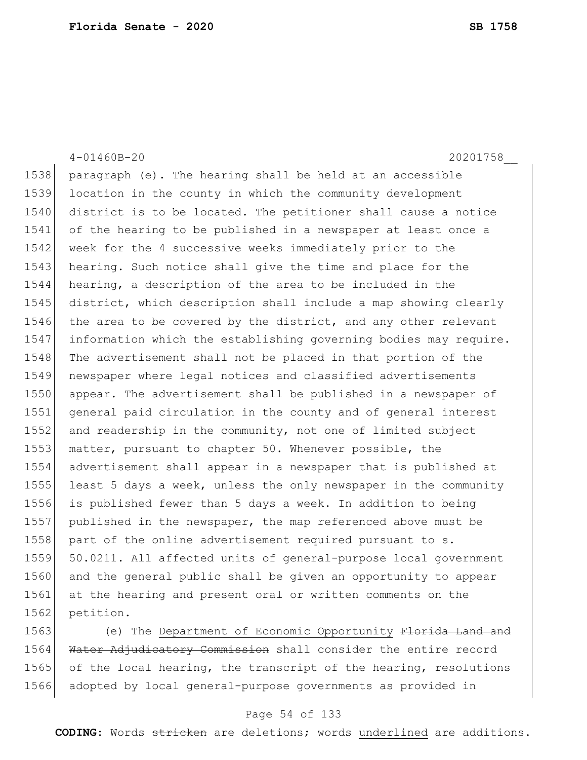4-01460B-20 20201758\_\_ paragraph (e). The hearing shall be held at an accessible location in the county in which the community development district is to be located. The petitioner shall cause a notice of the hearing to be published in a newspaper at least once a 1542 week for the 4 successive weeks immediately prior to the 1543 hearing. Such notice shall give the time and place for the hearing, a description of the area to be included in the district, which description shall include a map showing clearly 1546 the area to be covered by the district, and any other relevant information which the establishing governing bodies may require. 1548 The advertisement shall not be placed in that portion of the newspaper where legal notices and classified advertisements appear. The advertisement shall be published in a newspaper of general paid circulation in the county and of general interest and readership in the community, not one of limited subject 1553 matter, pursuant to chapter 50. Whenever possible, the advertisement shall appear in a newspaper that is published at 1555 least 5 days a week, unless the only newspaper in the community is published fewer than 5 days a week. In addition to being published in the newspaper, the map referenced above must be 1558 part of the online advertisement required pursuant to s. 50.0211. All affected units of general-purpose local government 1560 and the general public shall be given an opportunity to appear at the hearing and present oral or written comments on the 1562 petition.

1563 (e) The Department of Economic Opportunity Florida Land and 1564 Water Adjudicatory Commission shall consider the entire record 1565 of the local hearing, the transcript of the hearing, resolutions 1566 adopted by local general-purpose governments as provided in

#### Page 54 of 133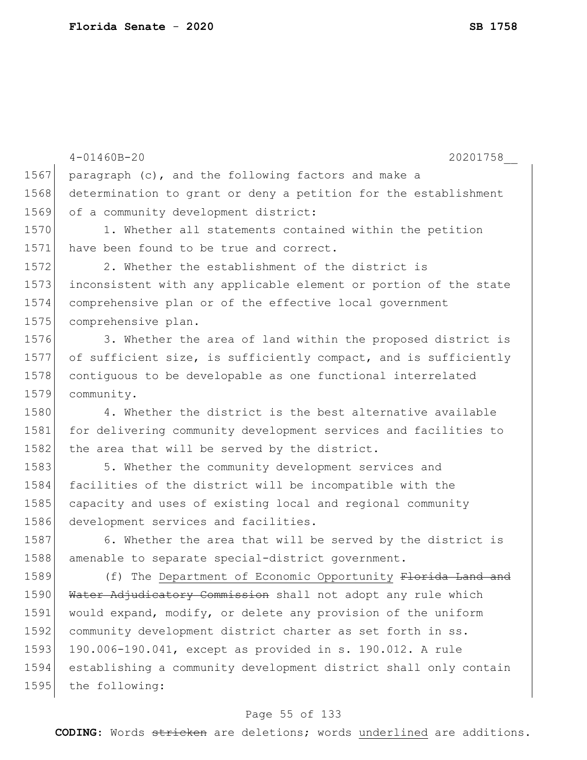|      | $4 - 01460B - 20$<br>20201758                                    |
|------|------------------------------------------------------------------|
| 1567 | paragraph (c), and the following factors and make a              |
| 1568 | determination to grant or deny a petition for the establishment  |
| 1569 | of a community development district:                             |
| 1570 | 1. Whether all statements contained within the petition          |
| 1571 | have been found to be true and correct.                          |
| 1572 | 2. Whether the establishment of the district is                  |
| 1573 | inconsistent with any applicable element or portion of the state |
| 1574 | comprehensive plan or of the effective local government          |
| 1575 | comprehensive plan.                                              |
| 1576 | 3. Whether the area of land within the proposed district is      |
| 1577 | of sufficient size, is sufficiently compact, and is sufficiently |
| 1578 | contiguous to be developable as one functional interrelated      |
| 1579 | community.                                                       |
| 1580 | 4. Whether the district is the best alternative available        |
| 1581 | for delivering community development services and facilities to  |
| 1582 | the area that will be served by the district.                    |
| 1583 | 5. Whether the community development services and                |
| 1584 | facilities of the district will be incompatible with the         |
| 1585 | capacity and uses of existing local and regional community       |
| 1586 | development services and facilities.                             |
| 1587 | 6. Whether the area that will be served by the district is       |
| 1588 | amenable to separate special-district government.                |
| 1589 | (f) The Department of Economic Opportunity Florida Land          |
| 1590 | Water Adjudicatory Commission shall not adopt any rule which     |
| 1591 | would expand, modify, or delete any provision of the uniform     |
| 1592 | community development district charter as set forth in ss.       |
| 1593 | 190.006-190.041, except as provided in s. 190.012. A rule        |
| 1594 | establishing a community development district shall only contain |
| 1595 | the following:                                                   |
|      |                                                                  |

# Page 55 of 133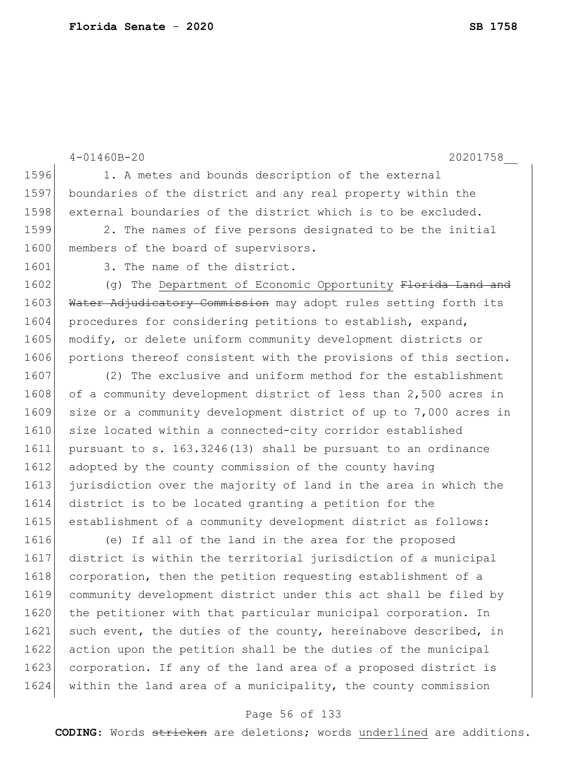```
4-01460B-20 20201758__
1596 1. A metes and bounds description of the external
1597 boundaries of the district and any real property within the 
1598 external boundaries of the district which is to be excluded.
1599 2. The names of five persons designated to be the initial 
1600 members of the board of supervisors.
1601 3. The name of the district.
1602 (g) The Department of Economic Opportunity Florida Land and
1603 Water Adjudicatory Commission may adopt rules setting forth its
1604 procedures for considering petitions to establish, expand,
1605 modify, or delete uniform community development districts or
1606 portions thereof consistent with the provisions of this section.
1607 (2) The exclusive and uniform method for the establishment
1608 of a community development district of less than 2,500 acres in
1609 size or a community development district of up to 7,000 acres in 
1610 size located within a connected-city corridor established
1611 pursuant to s. 163.3246(13) shall be pursuant to an ordinance 
1612 adopted by the county commission of the county having
1613 jurisdiction over the majority of land in the area in which the 
1614 district is to be located granting a petition for the 
1615 establishment of a community development district as follows:
1616 (e) If all of the land in the area for the proposed 
1617 district is within the territorial jurisdiction of a municipal 
1618 corporation, then the petition requesting establishment of a 
1619 community development district under this act shall be filed by 
1620 the petitioner with that particular municipal corporation. In
1621 such event, the duties of the county, hereinabove described, in
1622 action upon the petition shall be the duties of the municipal 
1623 corporation. If any of the land area of a proposed district is
1624 within the land area of a municipality, the county commission
```
#### Page 56 of 133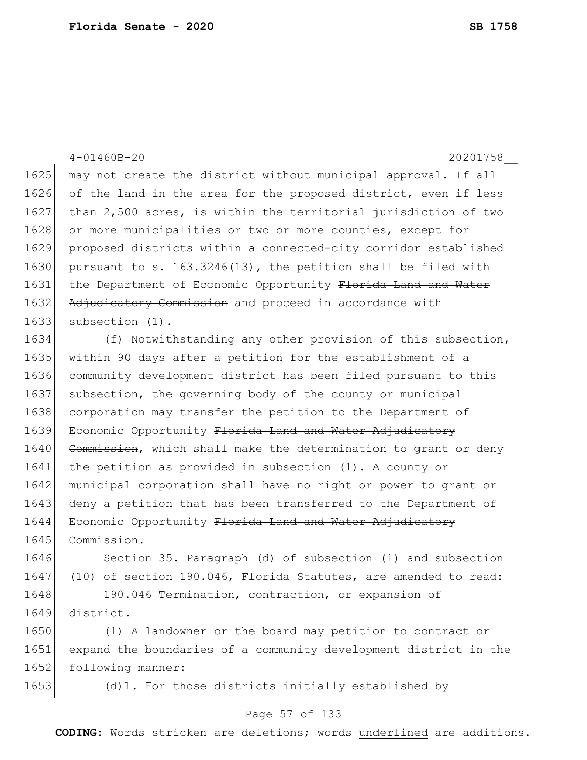|      | $4 - 01460B - 20$<br>20201758                                    |
|------|------------------------------------------------------------------|
| 1625 | may not create the district without municipal approval. If all   |
| 1626 | of the land in the area for the proposed district, even if less  |
| 1627 | than 2,500 acres, is within the territorial jurisdiction of two  |
| 1628 | or more municipalities or two or more counties, except for       |
| 1629 | proposed districts within a connected-city corridor established  |
| 1630 | pursuant to s. 163.3246(13), the petition shall be filed with    |
| 1631 | the Department of Economic Opportunity Florida Land and Water    |
| 1632 | Adjudicatory Commission and proceed in accordance with           |
| 1633 | subsection (1).                                                  |
| 1634 | (f) Notwithstanding any other provision of this subsection,      |
| 1635 | within 90 days after a petition for the establishment of a       |
| 1636 | community development district has been filed pursuant to this   |
| 1637 | subsection, the governing body of the county or municipal        |
| 1638 | corporation may transfer the petition to the Department of       |
| 1639 | Economic Opportunity Florida Land and Water Adjudicatory         |
| 1640 | Commission, which shall make the determination to grant or deny  |
| 1641 | the petition as provided in subsection $(1)$ . A county or       |
| 1642 | municipal corporation shall have no right or power to grant or   |
| 1643 | deny a petition that has been transferred to the Department of   |
| 1644 | Economic Opportunity Florida Land and Water Adjudicatory         |
| 1645 | Commission.                                                      |
| 1646 | Section 35. Paragraph (d) of subsection (1) and subsection       |
| 1647 | (10) of section 190.046, Florida Statutes, are amended to read:  |
| 1648 | 190.046 Termination, contraction, or expansion of                |
| 1649 | district.-                                                       |
| 1650 | (1) A landowner or the board may petition to contract or         |
| 1651 | expand the boundaries of a community development district in the |
| 1652 | following manner:                                                |
| 1653 | (d) 1. For those districts initially established by              |
|      | Page 57 of 133                                                   |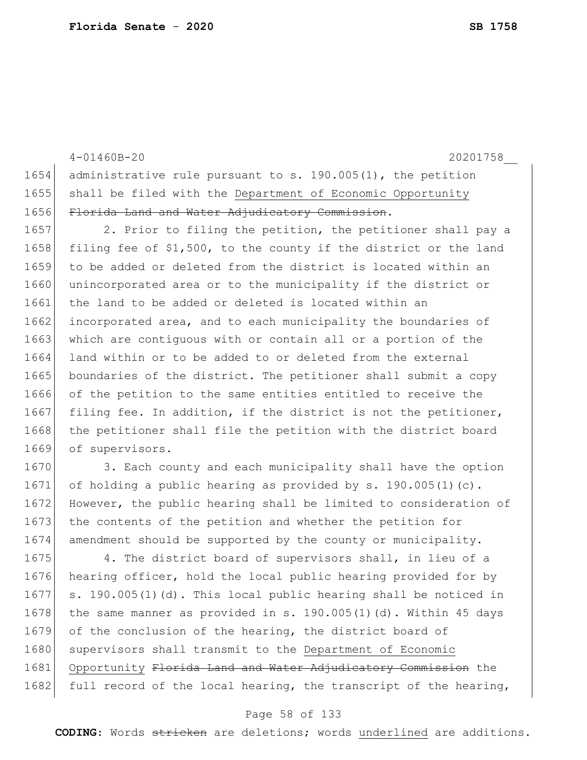4-01460B-20 20201758\_\_ 1654 administrative rule pursuant to s. 190.005(1), the petition 1655 shall be filed with the Department of Economic Opportunity 1656 Florida Land and Water Adjudicatory Commission. 1657 2. Prior to filing the petition, the petitioner shall pay a 1658 filing fee of \$1,500, to the county if the district or the land 1659 to be added or deleted from the district is located within an 1660 unincorporated area or to the municipality if the district or 1661 the land to be added or deleted is located within an 1662 incorporated area, and to each municipality the boundaries of 1663 which are contiguous with or contain all or a portion of the 1664 land within or to be added to or deleted from the external 1665 boundaries of the district. The petitioner shall submit a copy 1666 of the petition to the same entities entitled to receive the 1667 filing fee. In addition, if the district is not the petitioner, 1668 the petitioner shall file the petition with the district board 1669 of supervisors. 1670 3. Each county and each municipality shall have the option 1671 of holding a public hearing as provided by  $s. 190.005(1)(c)$ . 1672 However, the public hearing shall be limited to consideration of 1673 the contents of the petition and whether the petition for 1674 amendment should be supported by the county or municipality.

1675 4. The district board of supervisors shall, in lieu of a 1676 hearing officer, hold the local public hearing provided for by 1677 s. 190.005(1)(d). This local public hearing shall be noticed in 1678 the same manner as provided in s. 190.005(1)(d). Within 45 days 1679 of the conclusion of the hearing, the district board of 1680 supervisors shall transmit to the Department of Economic 1681 Opportunity Florida Land and Water Adjudicatory Commission the 1682 full record of the local hearing, the transcript of the hearing,

#### Page 58 of 133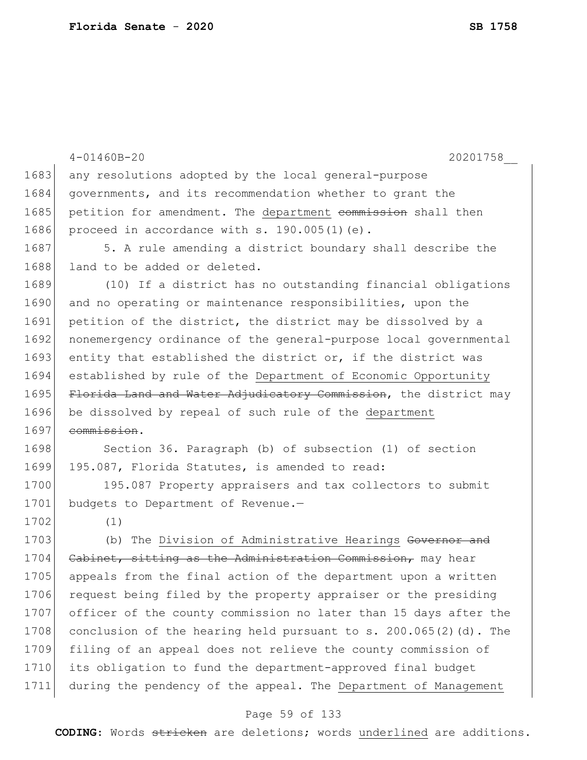|      | $4 - 01460B - 20$<br>20201758                                       |
|------|---------------------------------------------------------------------|
| 1683 | any resolutions adopted by the local general-purpose                |
| 1684 | governments, and its recommendation whether to grant the            |
| 1685 | petition for amendment. The department commission shall then        |
| 1686 | proceed in accordance with s. 190.005(1)(e).                        |
| 1687 | 5. A rule amending a district boundary shall describe the           |
| 1688 | land to be added or deleted.                                        |
| 1689 | (10) If a district has no outstanding financial obligations         |
| 1690 | and no operating or maintenance responsibilities, upon the          |
| 1691 | petition of the district, the district may be dissolved by a        |
| 1692 | nonemergency ordinance of the general-purpose local governmental    |
| 1693 | entity that established the district or, if the district was        |
| 1694 | established by rule of the Department of Economic Opportunity       |
| 1695 | Florida Land and Water Adjudicatory Commission, the district may    |
| 1696 | be dissolved by repeal of such rule of the department               |
| 1697 | commission.                                                         |
| 1698 | Section 36. Paragraph (b) of subsection (1) of section              |
| 1699 | 195.087, Florida Statutes, is amended to read:                      |
| 1700 | 195.087 Property appraisers and tax collectors to submit            |
| 1701 | budgets to Department of Revenue.-                                  |
| 1702 | (1)                                                                 |
| 1703 | (b) The Division of Administrative Hearings Governor and            |
| 1704 | Cabinet, sitting as the Administration Commission, may hear         |
| 1705 | appeals from the final action of the department upon a written      |
| 1706 | request being filed by the property appraiser or the presiding      |
| 1707 | officer of the county commission no later than 15 days after the    |
| 1708 | conclusion of the hearing held pursuant to s. $200.065(2)$ (d). The |
| 1709 | filing of an appeal does not relieve the county commission of       |
| 1710 | its obligation to fund the department-approved final budget         |
| 1711 | during the pendency of the appeal. The Department of Management     |
|      | Page 59 of 133                                                      |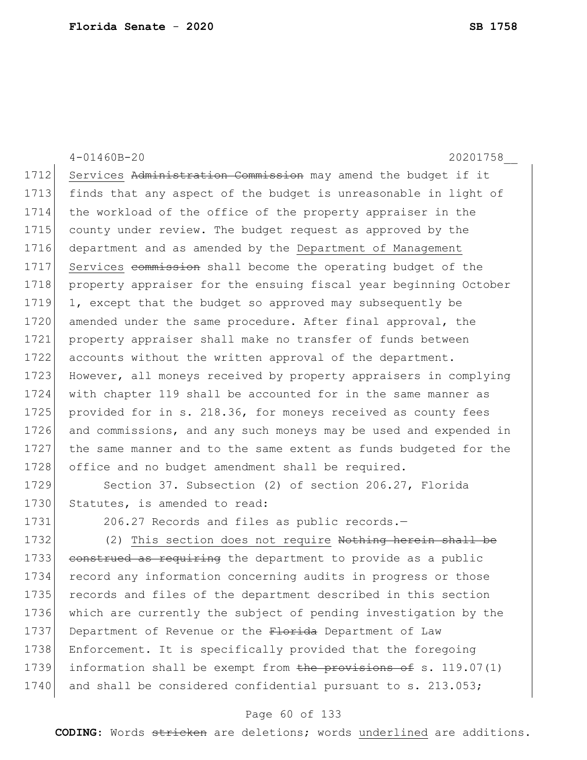4-01460B-20 20201758\_\_ 1712 Services Administration Commission may amend the budget if it 1713 finds that any aspect of the budget is unreasonable in light of 1714 the workload of the office of the property appraiser in the 1715 county under review. The budget request as approved by the 1716 department and as amended by the Department of Management 1717 Services commission shall become the operating budget of the 1718 property appraiser for the ensuing fiscal year beginning October 1719 1, except that the budget so approved may subsequently be 1720 amended under the same procedure. After final approval, the 1721 property appraiser shall make no transfer of funds between 1722 accounts without the written approval of the department. 1723 However, all moneys received by property appraisers in complying 1724 with chapter 119 shall be accounted for in the same manner as 1725 provided for in s. 218.36, for moneys received as county fees 1726 and commissions, and any such moneys may be used and expended in 1727 the same manner and to the same extent as funds budgeted for the 1728 office and no budget amendment shall be required. 1729 Section 37. Subsection (2) of section 206.27, Florida

1730 Statutes, is amended to read:

1731 206.27 Records and files as public records.

1732 (2) This section does not require Nothing herein shall be 1733 construed as requiring the department to provide as a public 1734 record any information concerning audits in progress or those 1735 records and files of the department described in this section 1736 which are currently the subject of pending investigation by the 1737 Department of Revenue or the Florida Department of Law 1738 Enforcement. It is specifically provided that the foregoing 1739 information shall be exempt from the provisions of s. 119.07(1) 1740 and shall be considered confidential pursuant to s. 213.053;

#### Page 60 of 133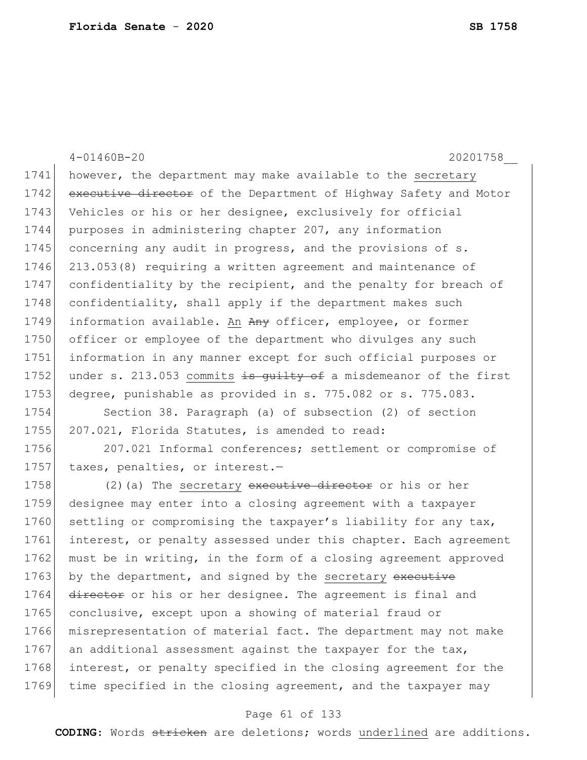4-01460B-20 20201758\_\_ 1741 however, the department may make available to the secretary 1742 executive director of the Department of Highway Safety and Motor 1743 Vehicles or his or her designee, exclusively for official 1744 purposes in administering chapter 207, any information 1745 concerning any audit in progress, and the provisions of s. 1746 213.053(8) requiring a written agreement and maintenance of 1747 confidentiality by the recipient, and the penalty for breach of 1748 confidentiality, shall apply if the department makes such 1749 information available. An Any officer, employee, or former 1750 officer or employee of the department who divulges any such 1751 information in any manner except for such official purposes or 1752 under s. 213.053 commits is quilty of a misdemeanor of the first 1753 degree, punishable as provided in s. 775.082 or s. 775.083. 1754 Section 38. Paragraph (a) of subsection (2) of section 1755 207.021, Florida Statutes, is amended to read: 1756 207.021 Informal conferences; settlement or compromise of 1757 taxes, penalties, or interest.-1758 (2)(a) The secretary executive director or his or her 1759 designee may enter into a closing agreement with a taxpayer 1760 settling or compromising the taxpayer's liability for any tax, 1761 interest, or penalty assessed under this chapter. Each agreement 1762 must be in writing, in the form of a closing agreement approved 1763 by the department, and signed by the secretary executive 1764 director or his or her designee. The agreement is final and 1765 conclusive, except upon a showing of material fraud or 1766 misrepresentation of material fact. The department may not make 1767 an additional assessment against the taxpayer for the tax, 1768 interest, or penalty specified in the closing agreement for the 1769 time specified in the closing agreement, and the taxpayer may

#### Page 61 of 133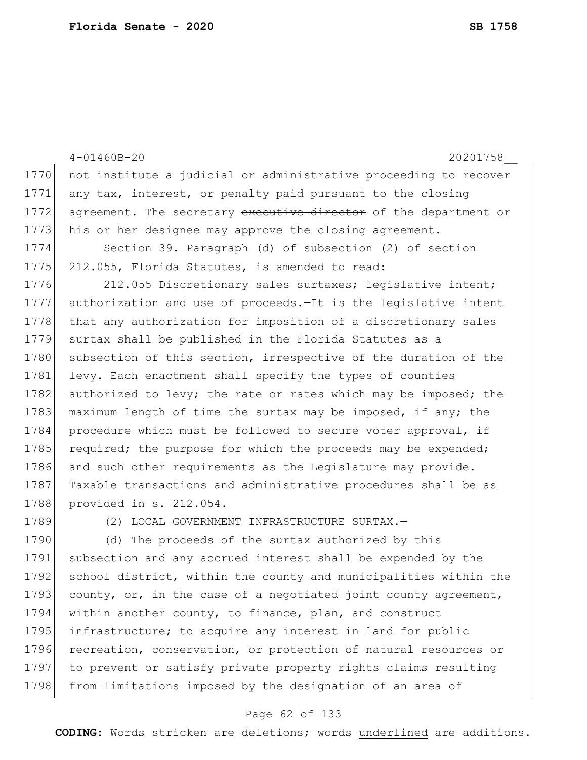|      | $4 - 01460B - 20$<br>20201758                                    |
|------|------------------------------------------------------------------|
| 1770 | not institute a judicial or administrative proceeding to recover |
| 1771 | any tax, interest, or penalty paid pursuant to the closing       |
| 1772 | agreement. The secretary executive director of the department or |
| 1773 | his or her designee may approve the closing agreement.           |
| 1774 | Section 39. Paragraph (d) of subsection (2) of section           |
| 1775 | 212.055, Florida Statutes, is amended to read:                   |
| 1776 | 212.055 Discretionary sales surtaxes; legislative intent;        |
| 1777 | authorization and use of proceeds.-It is the legislative intent  |
| 1778 | that any authorization for imposition of a discretionary sales   |
| 1779 | surtax shall be published in the Florida Statutes as a           |
| 1780 | subsection of this section, irrespective of the duration of the  |
| 1781 | levy. Each enactment shall specify the types of counties         |
| 1782 | authorized to levy; the rate or rates which may be imposed; the  |
| 1783 | maximum length of time the surtax may be imposed, if any; the    |
| 1784 | procedure which must be followed to secure voter approval, if    |
| 1785 | required; the purpose for which the proceeds may be expended;    |
| 1786 | and such other requirements as the Legislature may provide.      |
| 1787 | Taxable transactions and administrative procedures shall be as   |
| 1788 | provided in s. 212.054.                                          |
| 1789 | (2) LOCAL GOVERNMENT INFRASTRUCTURE SURTAX.-                     |
| 1790 | (d) The proceeds of the surtax authorized by this                |
| 1791 | subsection and any accrued interest shall be expended by the     |
| 1792 | school district, within the county and municipalities within the |
| 1793 | county, or, in the case of a negotiated joint county agreement,  |

 within another county, to finance, plan, and construct 1795 infrastructure; to acquire any interest in land for public 1796 recreation, conservation, or protection of natural resources or to prevent or satisfy private property rights claims resulting 1798 from limitations imposed by the designation of an area of

### Page 62 of 133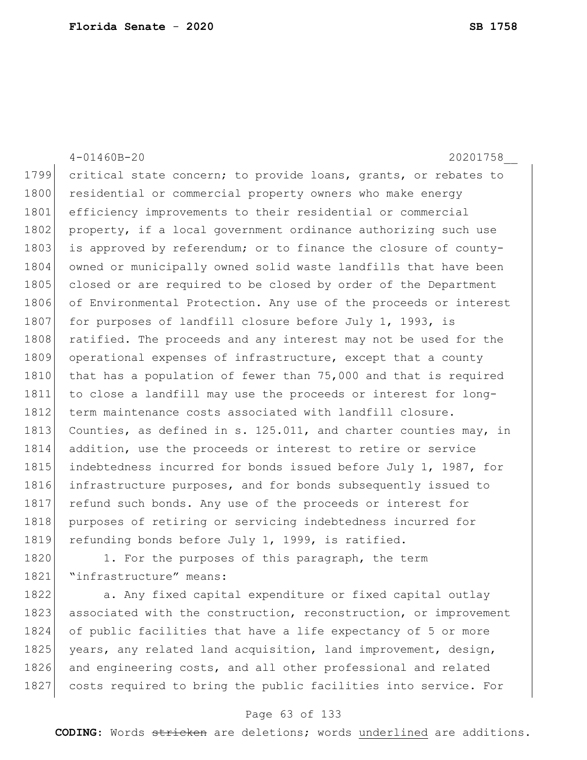|      | $4 - 01460B - 20$<br>20201758                                    |
|------|------------------------------------------------------------------|
| 1799 | critical state concern; to provide loans, grants, or rebates to  |
| 1800 | residential or commercial property owners who make energy        |
| 1801 | efficiency improvements to their residential or commercial       |
| 1802 | property, if a local government ordinance authorizing such use   |
| 1803 | is approved by referendum; or to finance the closure of county-  |
| 1804 | owned or municipally owned solid waste landfills that have been  |
| 1805 | closed or are required to be closed by order of the Department   |
| 1806 | of Environmental Protection. Any use of the proceeds or interest |
| 1807 | for purposes of landfill closure before July 1, 1993, is         |
| 1808 | ratified. The proceeds and any interest may not be used for the  |
| 1809 | operational expenses of infrastructure, except that a county     |
| 1810 | that has a population of fewer than 75,000 and that is required  |
| 1811 | to close a landfill may use the proceeds or interest for long-   |
| 1812 | term maintenance costs associated with landfill closure.         |
| 1813 | Counties, as defined in s. 125.011, and charter counties may, in |
| 1814 | addition, use the proceeds or interest to retire or service      |
| 1815 | indebtedness incurred for bonds issued before July 1, 1987, for  |
| 1816 | infrastructure purposes, and for bonds subsequently issued to    |
| 1817 | refund such bonds. Any use of the proceeds or interest for       |
| 1818 | purposes of retiring or servicing indebtedness incurred for      |
| 1819 | refunding bonds before July 1, 1999, is ratified.                |
| 1820 | 1. For the purposes of this paragraph, the term                  |
| 1821 | "infrastructure" means:                                          |

1822 a. Any fixed capital expenditure or fixed capital outlay 1823 associated with the construction, reconstruction, or improvement of public facilities that have a life expectancy of 5 or more 1825 years, any related land acquisition, land improvement, design, 1826 and engineering costs, and all other professional and related 1827 costs required to bring the public facilities into service. For

### Page 63 of 133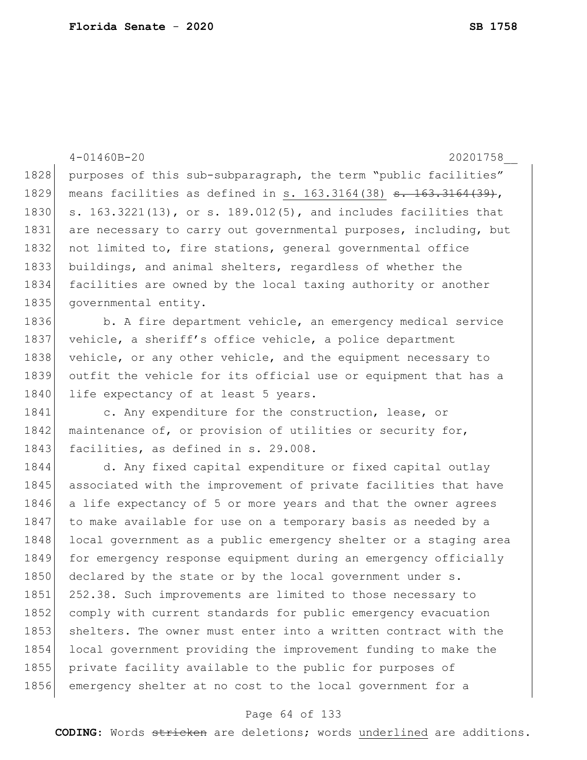|      | $4 - 01460B - 20$<br>20201758                                               |
|------|-----------------------------------------------------------------------------|
| 1828 | purposes of this sub-subparagraph, the term "public facilities"             |
| 1829 | means facilities as defined in s. 163.3164(38) <del>s. 163.3164(39)</del> , |
| 1830 | s. $163.3221(13)$ , or s. $189.012(5)$ , and includes facilities that       |
| 1831 | are necessary to carry out governmental purposes, including, but            |
| 1832 | not limited to, fire stations, general governmental office                  |
| 1833 | buildings, and animal shelters, regardless of whether the                   |
| 1834 | facilities are owned by the local taxing authority or another               |
| 1835 | governmental entity.                                                        |
| 1836 | b. A fire department vehicle, an emergency medical service                  |
| 1837 | vehicle, a sheriff's office vehicle, a police department                    |
| 1838 | vehicle, or any other vehicle, and the equipment necessary to               |
| 1839 | outfit the vehicle for its official use or equipment that has a             |
| 1840 | life expectancy of at least 5 years.                                        |
| 1841 | c. Any expenditure for the construction, lease, or                          |
| 1842 | maintenance of, or provision of utilities or security for,                  |
| 1843 | facilities, as defined in s. 29.008.                                        |
| 1844 | d. Any fixed capital expenditure or fixed capital outlay                    |
| 1845 | associated with the improvement of private facilities that have             |
| 1846 | a life expectancy of 5 or more years and that the owner agrees              |
| 1847 | to make available for use on a temporary basis as needed by a               |
| 1848 | local government as a public emergency shelter or a staging area            |
| 1849 | for emergency response equipment during an emergency officially             |
| 1850 | declared by the state or by the local government under s.                   |
| 1851 | 252.38. Such improvements are limited to those necessary to                 |
| 1852 | comply with current standards for public emergency evacuation               |
| 1853 | shelters. The owner must enter into a written contract with the             |
| 1854 | local government providing the improvement funding to make the              |
| 1855 | private facility available to the public for purposes of                    |
| 1856 | emergency shelter at no cost to the local government for a                  |

# Page 64 of 133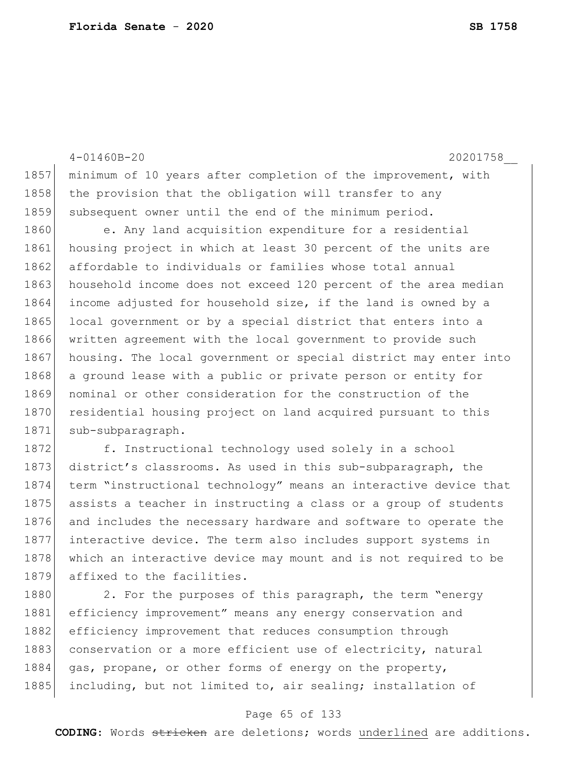4-01460B-20 20201758\_\_ 1857 minimum of 10 years after completion of the improvement, with 1858 the provision that the obligation will transfer to any 1859 subsequent owner until the end of the minimum period. 1860 e. Any land acquisition expenditure for a residential 1861 housing project in which at least 30 percent of the units are 1862 affordable to individuals or families whose total annual 1863 household income does not exceed 120 percent of the area median 1864 income adjusted for household size, if the land is owned by a 1865 local government or by a special district that enters into a 1866 written agreement with the local government to provide such 1867 housing. The local government or special district may enter into 1868 a ground lease with a public or private person or entity for 1869 nominal or other consideration for the construction of the 1870 residential housing project on land acquired pursuant to this 1871 sub-subparagraph. 1872 f. Instructional technology used solely in a school 1873 district's classrooms. As used in this sub-subparagraph, the

1874 term "instructional technology" means an interactive device that 1875 assists a teacher in instructing a class or a group of students 1876 and includes the necessary hardware and software to operate the 1877 interactive device. The term also includes support systems in 1878 which an interactive device may mount and is not required to be 1879 affixed to the facilities.

1880 2. For the purposes of this paragraph, the term "energy 1881 efficiency improvement" means any energy conservation and 1882 efficiency improvement that reduces consumption through 1883 conservation or a more efficient use of electricity, natural 1884 gas, propane, or other forms of energy on the property, 1885 including, but not limited to, air sealing; installation of

#### Page 65 of 133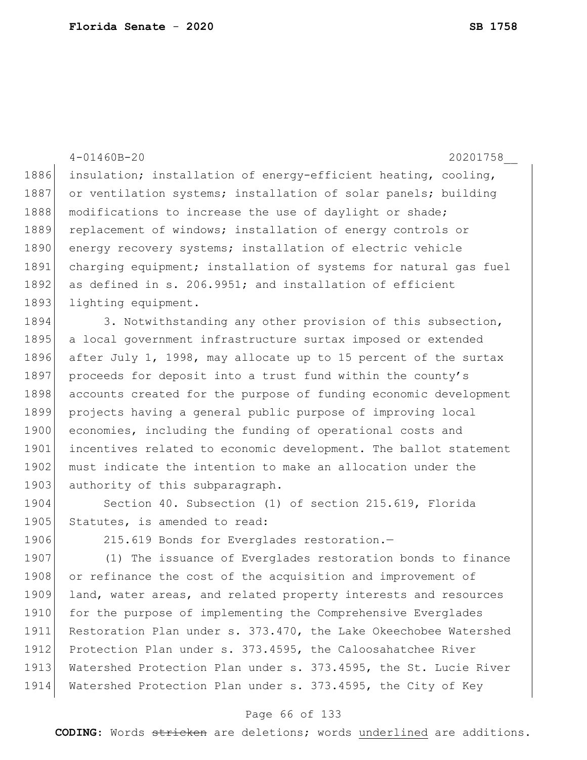|      | $4 - 01460B - 20$<br>20201758                                    |
|------|------------------------------------------------------------------|
| 1886 | insulation; installation of energy-efficient heating, cooling,   |
| 1887 | or ventilation systems; installation of solar panels; building   |
| 1888 | modifications to increase the use of daylight or shade;          |
| 1889 | replacement of windows; installation of energy controls or       |
| 1890 | energy recovery systems; installation of electric vehicle        |
| 1891 | charging equipment; installation of systems for natural gas fuel |
| 1892 | as defined in s. 206.9951; and installation of efficient         |
| 1893 | lighting equipment.                                              |
| 1894 | 3. Notwithstanding any other provision of this subsection,       |
| 1895 | a local government infrastructure surtax imposed or extended     |
| 1896 | after July 1, 1998, may allocate up to 15 percent of the surtax  |
| 1897 | proceeds for deposit into a trust fund within the county's       |
| 1898 | accounts created for the purpose of funding economic development |
| 1899 | projects having a general public purpose of improving local      |
| 1900 | economies, including the funding of operational costs and        |
| 1901 | incentives related to economic development. The ballot statement |
| 1902 | must indicate the intention to make an allocation under the      |
| 1903 | authority of this subparagraph.                                  |
| 1904 | Section 40. Subsection (1) of section 215.619, Florida           |
| 1905 | Statutes, is amended to read:                                    |
| 1906 | 215.619 Bonds for Everglades restoration.-                       |
| 1907 | (1) The issuance of Everglades restoration bonds to finance      |
| 1908 | or refinance the cost of the acquisition and improvement of      |
| 1909 | land, water areas, and related property interests and resources  |
| 1910 | for the purpose of implementing the Comprehensive Everglades     |
| 1911 | Restoration Plan under s. 373.470, the Lake Okeechobee Watershed |
| 1912 | Protection Plan under s. 373.4595, the Caloosahatchee River      |
| 1913 | Watershed Protection Plan under s. 373.4595, the St. Lucie River |
| 1914 | Watershed Protection Plan under s. 373.4595, the City of Key     |

### Page 66 of 133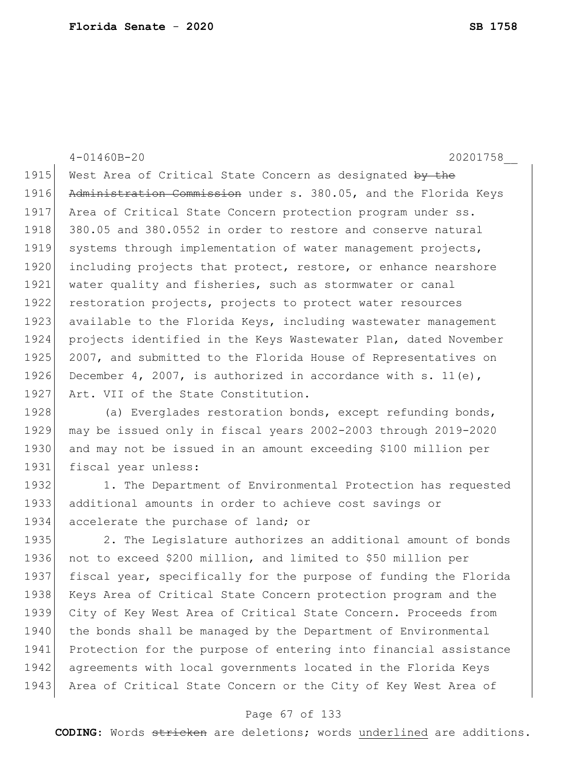4-01460B-20 20201758\_\_ 1915 West Area of Critical State Concern as designated by the 1916 Administration Commission under s. 380.05, and the Florida Keys 1917 Area of Critical State Concern protection program under ss. 1918 380.05 and 380.0552 in order to restore and conserve natural 1919 systems through implementation of water management projects, 1920 including projects that protect, restore, or enhance nearshore 1921 | water quality and fisheries, such as stormwater or canal 1922 restoration projects, projects to protect water resources 1923 available to the Florida Keys, including wastewater management 1924 projects identified in the Keys Wastewater Plan, dated November 1925 2007, and submitted to the Florida House of Representatives on 1926 December 4, 2007, is authorized in accordance with s. 11(e), 1927 Art. VII of the State Constitution. 1928 (a) Everglades restoration bonds, except refunding bonds, 1929 may be issued only in fiscal years 2002-2003 through 2019-2020 1930 and may not be issued in an amount exceeding \$100 million per 1931 fiscal year unless: 1932 1. The Department of Environmental Protection has requested 1933 additional amounts in order to achieve cost savings or 1934 accelerate the purchase of land; or 1935 2. The Legislature authorizes an additional amount of bonds 1936 not to exceed \$200 million, and limited to \$50 million per 1937 fiscal year, specifically for the purpose of funding the Florida 1938 Keys Area of Critical State Concern protection program and the 1939 City of Key West Area of Critical State Concern. Proceeds from

1940 the bonds shall be managed by the Department of Environmental 1941 Protection for the purpose of entering into financial assistance 1942 agreements with local governments located in the Florida Keys 1943 Area of Critical State Concern or the City of Key West Area of

#### Page 67 of 133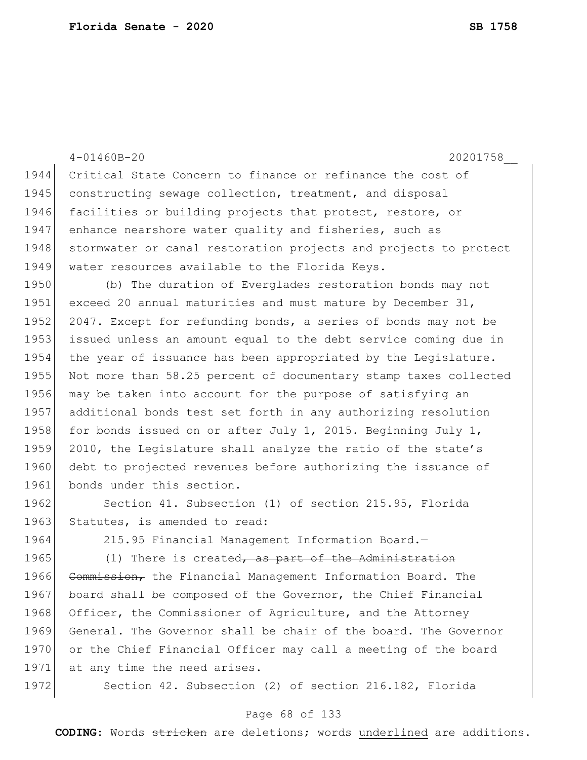|      | $4 - 01460B - 20$<br>20201758                                    |
|------|------------------------------------------------------------------|
| 1944 | Critical State Concern to finance or refinance the cost of       |
| 1945 | constructing sewage collection, treatment, and disposal          |
| 1946 | facilities or building projects that protect, restore, or        |
| 1947 | enhance nearshore water quality and fisheries, such as           |
| 1948 | stormwater or canal restoration projects and projects to protect |
| 1949 | water resources available to the Florida Keys.                   |
| 1950 | (b) The duration of Everglades restoration bonds may not         |
| 1951 | exceed 20 annual maturities and must mature by December $31$ ,   |
| 1952 | 2047. Except for refunding bonds, a series of bonds may not be   |
| 1953 | issued unless an amount equal to the debt service coming due in  |
| 1954 | the year of issuance has been appropriated by the Legislature.   |
| 1955 | Not more than 58.25 percent of documentary stamp taxes collected |
| 1956 | may be taken into account for the purpose of satisfying an       |
| 1957 | additional bonds test set forth in any authorizing resolution    |
| 1958 | for bonds issued on or after July 1, 2015. Beginning July 1,     |
| 1959 | 2010, the Legislature shall analyze the ratio of the state's     |
| 1960 | debt to projected revenues before authorizing the issuance of    |
| 1961 | bonds under this section.                                        |
| 1962 | Section 41. Subsection (1) of section 215.95, Florida            |
| 1963 | Statutes, is amended to read:                                    |
| 1964 | 215.95 Financial Management Information Board.-                  |
| 1965 | (1) There is created, as part of the Administ                    |
| 1966 | Commission, the Financial Management Information Board. The      |
| 1967 | board shall be composed of the Governor, the Chief Financial     |
| 1968 | Officer, the Commissioner of Agriculture, and the Attorney       |
| 1969 | General. The Governor shall be chair of the board. The Governor  |
| 1970 | or the Chief Financial Officer may call a meeting of the board   |

1971 at any time the need arises.

1972 Section 42. Subsection (2) of section 216.182, Florida

### Page 68 of 133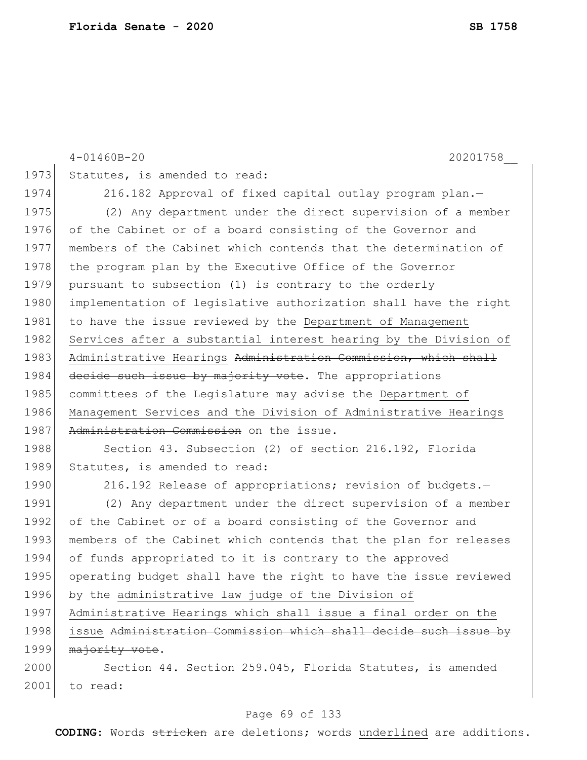|      | $4 - 01460B - 20$<br>20201758                                    |
|------|------------------------------------------------------------------|
| 1973 | Statutes, is amended to read:                                    |
| 1974 | 216.182 Approval of fixed capital outlay program plan.-          |
| 1975 | (2) Any department under the direct supervision of a member      |
| 1976 | of the Cabinet or of a board consisting of the Governor and      |
| 1977 | members of the Cabinet which contends that the determination of  |
| 1978 | the program plan by the Executive Office of the Governor         |
| 1979 | pursuant to subsection (1) is contrary to the orderly            |
| 1980 | implementation of legislative authorization shall have the right |
| 1981 | to have the issue reviewed by the Department of Management       |
| 1982 | Services after a substantial interest hearing by the Division of |
| 1983 | Administrative Hearings Administration Commission, which shall   |
| 1984 | decide such issue by majority vote. The appropriations           |
| 1985 | committees of the Legislature may advise the Department of       |
| 1986 | Management Services and the Division of Administrative Hearings  |
| 1987 | Administration Commission on the issue.                          |
| 1988 | Section 43. Subsection (2) of section 216.192, Florida           |
| 1989 | Statutes, is amended to read:                                    |
| 1990 | 216.192 Release of appropriations; revision of budgets.-         |
| 1991 | (2) Any department under the direct supervision of a member      |
| 1992 | of the Cabinet or of a board consisting of the Governor and      |
| 1993 | members of the Cabinet which contends that the plan for releases |
| 1994 | of funds appropriated to it is contrary to the approved          |
| 1995 | operating budget shall have the right to have the issue reviewed |
| 1996 | by the administrative law judge of the Division of               |
| 1997 | Administrative Hearings which shall issue a final order on the   |
| 1998 | issue Administration Commission which shall decide such issue by |
| 1999 | majority vote.                                                   |
| 2000 | Section 44. Section 259.045, Florida Statutes, is amended        |
| 2001 | to read:                                                         |

# Page 69 of 133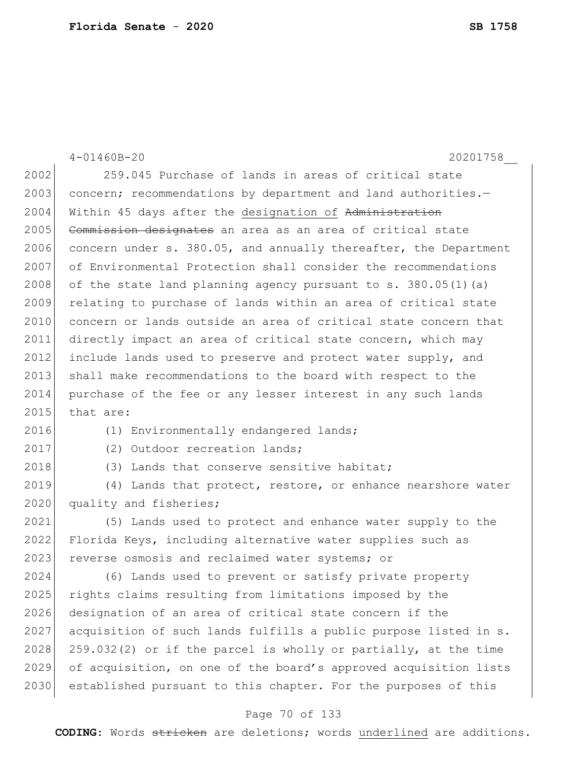4-01460B-20 20201758\_\_ 2002 259.045 Purchase of lands in areas of critical state 2003 concern; recommendations by department and land authorities.-2004 Within 45 days after the designation of Administration 2005 Commission designates an area as an area of critical state 2006 concern under s. 380.05, and annually thereafter, the Department 2007 of Environmental Protection shall consider the recommendations 2008 of the state land planning agency pursuant to  $s. 380.05(1)(a)$ 2009 relating to purchase of lands within an area of critical state 2010 concern or lands outside an area of critical state concern that 2011 directly impact an area of critical state concern, which may 2012 include lands used to preserve and protect water supply, and 2013 shall make recommendations to the board with respect to the 2014 purchase of the fee or any lesser interest in any such lands  $2015$  that are: 2016 (1) Environmentally endangered lands; 2017 (2) Outdoor recreation lands; 2018 (3) Lands that conserve sensitive habitat; 2019 (4) Lands that protect, restore, or enhance nearshore water 2020 quality and fisheries; 2021 (5) Lands used to protect and enhance water supply to the 2022 Florida Keys, including alternative water supplies such as 2023 reverse osmosis and reclaimed water systems; or 2024 (6) Lands used to prevent or satisfy private property 2025 rights claims resulting from limitations imposed by the 2026 designation of an area of critical state concern if the 2027 acquisition of such lands fulfills a public purpose listed in s.  $2028$  259.032(2) or if the parcel is wholly or partially, at the time 2029 of acquisition, on one of the board's approved acquisition lists 2030 established pursuant to this chapter. For the purposes of this

### Page 70 of 133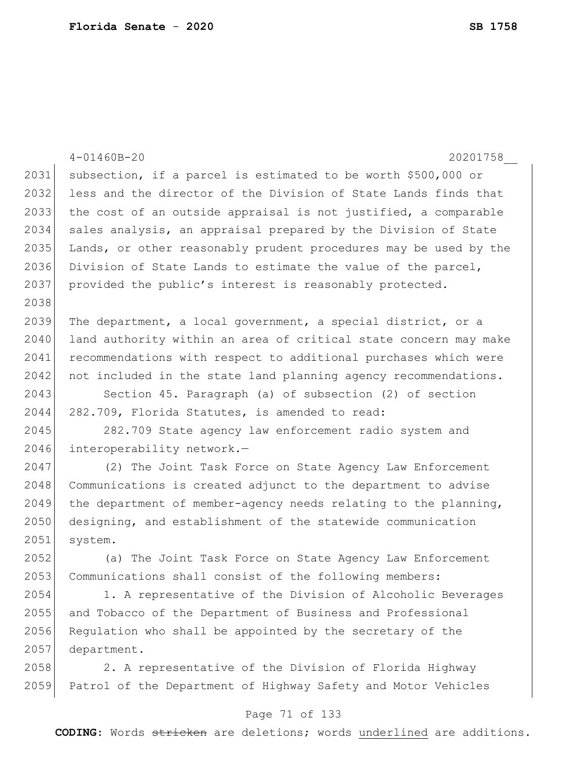|      | $4 - 01460B - 20$<br>20201758                                    |
|------|------------------------------------------------------------------|
| 2031 | subsection, if a parcel is estimated to be worth \$500,000 or    |
| 2032 | less and the director of the Division of State Lands finds that  |
| 2033 | the cost of an outside appraisal is not justified, a comparable  |
| 2034 | sales analysis, an appraisal prepared by the Division of State   |
| 2035 | Lands, or other reasonably prudent procedures may be used by the |
| 2036 | Division of State Lands to estimate the value of the parcel,     |
| 2037 | provided the public's interest is reasonably protected.          |
| 2038 |                                                                  |
| 2039 | The department, a local government, a special district, or a     |
| 2040 | land authority within an area of critical state concern may make |
| 2041 | recommendations with respect to additional purchases which were  |
| 2042 | not included in the state land planning agency recommendations.  |
| 2043 | Section 45. Paragraph (a) of subsection (2) of section           |
| 2044 | 282.709, Florida Statutes, is amended to read:                   |
| 2045 | 282.709 State agency law enforcement radio system and            |
| 2046 | interoperability network.-                                       |
| 2047 | (2) The Joint Task Force on State Agency Law Enforcement         |
| 2048 | Communications is created adjunct to the department to advise    |
| 2049 | the department of member-agency needs relating to the planning,  |
| 2050 | designing, and establishment of the statewide communication      |
| 2051 | system.                                                          |
| 2052 | (a) The Joint Task Force on State Agency Law Enforcement         |
| 2053 | Communications shall consist of the following members:           |
| 2054 | 1. A representative of the Division of Alcoholic Beverages       |
| 2055 | and Tobacco of the Department of Business and Professional       |
| 2056 | Regulation who shall be appointed by the secretary of the        |
| 2057 | department.                                                      |
| 2058 | 2. A representative of the Division of Florida Highway           |

Patrol of the Department of Highway Safety and Motor Vehicles

### Page 71 of 133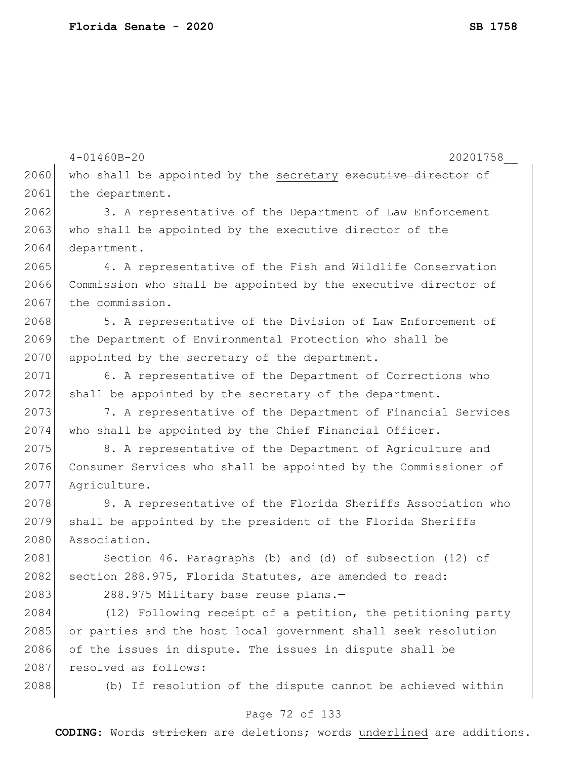|      | $4 - 01460B - 20$<br>20201758                                   |
|------|-----------------------------------------------------------------|
| 2060 | who shall be appointed by the secretary executive director of   |
| 2061 | the department.                                                 |
| 2062 | 3. A representative of the Department of Law Enforcement        |
| 2063 | who shall be appointed by the executive director of the         |
| 2064 | department.                                                     |
| 2065 | 4. A representative of the Fish and Wildlife Conservation       |
| 2066 | Commission who shall be appointed by the executive director of  |
| 2067 | the commission.                                                 |
| 2068 | 5. A representative of the Division of Law Enforcement of       |
| 2069 | the Department of Environmental Protection who shall be         |
| 2070 | appointed by the secretary of the department.                   |
| 2071 | 6. A representative of the Department of Corrections who        |
| 2072 | shall be appointed by the secretary of the department.          |
| 2073 | 7. A representative of the Department of Financial Services     |
| 2074 | who shall be appointed by the Chief Financial Officer.          |
| 2075 | 8. A representative of the Department of Agriculture and        |
| 2076 | Consumer Services who shall be appointed by the Commissioner of |
| 2077 | Agriculture.                                                    |
| 2078 | 9. A representative of the Florida Sheriffs Association who     |
| 2079 | shall be appointed by the president of the Florida Sheriffs     |
| 2080 | Association.                                                    |
| 2081 | Section 46. Paragraphs (b) and (d) of subsection (12) of        |
| 2082 | section 288.975, Florida Statutes, are amended to read:         |
| 2083 | 288.975 Military base reuse plans.-                             |
| 2084 | (12) Following receipt of a petition, the petitioning party     |
| 2085 | or parties and the host local government shall seek resolution  |
| 2086 | of the issues in dispute. The issues in dispute shall be        |
| 2087 | resolved as follows:                                            |
| 2088 | (b) If resolution of the dispute cannot be achieved within      |
|      |                                                                 |

# Page 72 of 133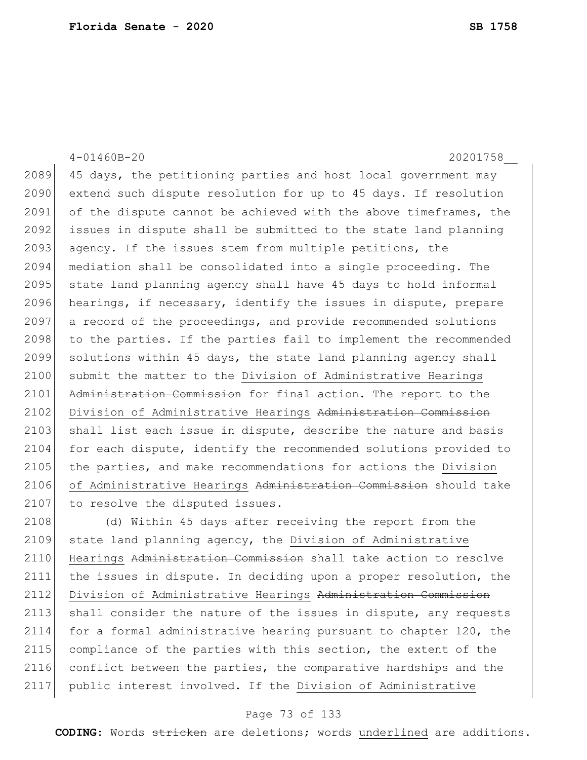4-01460B-20 20201758\_\_ 2089 45 days, the petitioning parties and host local government may 2090 extend such dispute resolution for up to 45 days. If resolution 2091 of the dispute cannot be achieved with the above timeframes, the 2092 issues in dispute shall be submitted to the state land planning 2093 agency. If the issues stem from multiple petitions, the 2094 mediation shall be consolidated into a single proceeding. The 2095 state land planning agency shall have 45 days to hold informal 2096 hearings, if necessary, identify the issues in dispute, prepare 2097 a record of the proceedings, and provide recommended solutions 2098 to the parties. If the parties fail to implement the recommended 2099 solutions within 45 days, the state land planning agency shall 2100 submit the matter to the Division of Administrative Hearings 2101 Administration Commission for final action. The report to the 2102 Division of Administrative Hearings Administration Commission 2103 shall list each issue in dispute, describe the nature and basis 2104 for each dispute, identify the recommended solutions provided to 2105 the parties, and make recommendations for actions the Division 2106 of Administrative Hearings Administration Commission should take 2107 to resolve the disputed issues. 2108 (d) Within 45 days after receiving the report from the 2109 state land planning agency, the Division of Administrative

2110 Hearings Administration Commission shall take action to resolve 2111 the issues in dispute. In deciding upon a proper resolution, the 2112 Division of Administrative Hearings Administration Commission 2113 shall consider the nature of the issues in dispute, any requests 2114 for a formal administrative hearing pursuant to chapter 120, the 2115 compliance of the parties with this section, the extent of the 2116 conflict between the parties, the comparative hardships and the 2117 public interest involved. If the Division of Administrative

### Page 73 of 133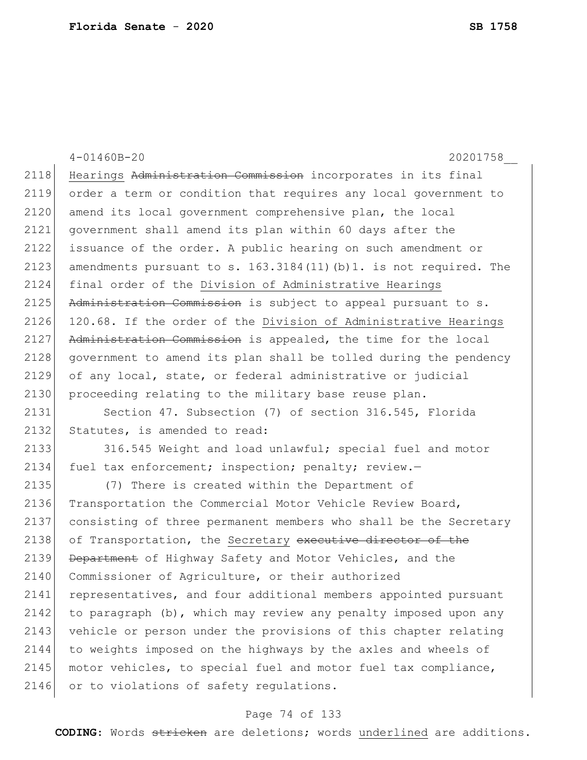4-01460B-20 20201758\_\_ 2118 Hearings Administration Commission incorporates in its final 2119 order a term or condition that requires any local government to 2120 amend its local government comprehensive plan, the local 2121 government shall amend its plan within 60 days after the 2122 issuance of the order. A public hearing on such amendment or 2123 amendments pursuant to s.  $163.3184(11)(b)1$ . is not required. The 2124 final order of the Division of Administrative Hearings  $2125$  Administration Commission is subject to appeal pursuant to s. 2126 120.68. If the order of the Division of Administrative Hearings 2127 Administration Commission is appealed, the time for the local 2128 government to amend its plan shall be tolled during the pendency 2129 of any local, state, or federal administrative or judicial 2130 proceeding relating to the military base reuse plan. 2131 Section 47. Subsection (7) of section 316.545, Florida 2132 Statutes, is amended to read: 2133 316.545 Weight and load unlawful; special fuel and motor 2134 fuel tax enforcement; inspection; penalty; review.-2135 (7) There is created within the Department of 2136 Transportation the Commercial Motor Vehicle Review Board, 2137 consisting of three permanent members who shall be the Secretary 2138 of Transportation, the Secretary executive director of the 2139 Department of Highway Safety and Motor Vehicles, and the 2140 Commissioner of Agriculture, or their authorized 2141 representatives, and four additional members appointed pursuant 2142 to paragraph (b), which may review any penalty imposed upon any 2143 vehicle or person under the provisions of this chapter relating 2144 to weights imposed on the highways by the axles and wheels of 2145 motor vehicles, to special fuel and motor fuel tax compliance, 2146 or to violations of safety requlations.

### Page 74 of 133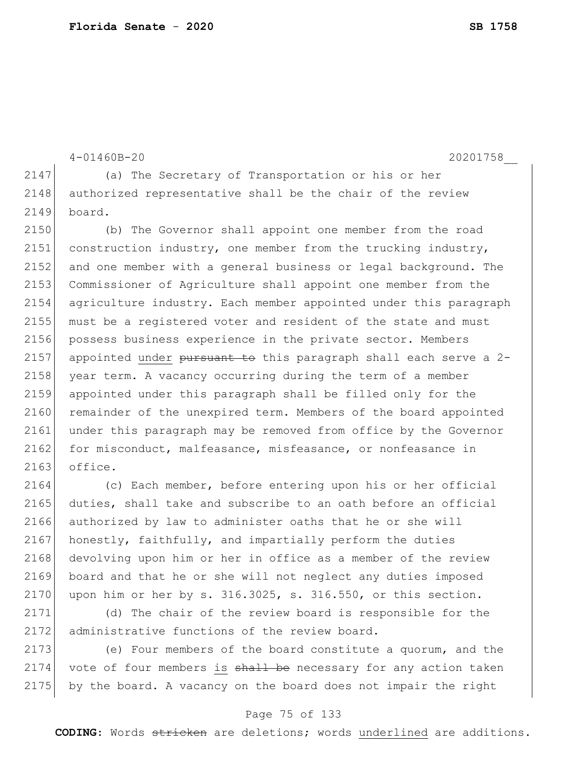```
4-01460B-20 20201758__
2147 (a) The Secretary of Transportation or his or her
2148 authorized representative shall be the chair of the review
2149 board.
2150 (b) The Governor shall appoint one member from the road 
2151 construction industry, one member from the trucking industry, 
2152 and one member with a general business or legal background. The
2153 Commissioner of Agriculture shall appoint one member from the 
2154 agriculture industry. Each member appointed under this paragraph 
2155 must be a registered voter and resident of the state and must 
2156 possess business experience in the private sector. Members
2157 appointed under pursuant to this paragraph shall each serve a 2-
2158 year term. A vacancy occurring during the term of a member
2159 appointed under this paragraph shall be filled only for the 
2160 remainder of the unexpired term. Members of the board appointed
2161 under this paragraph may be removed from office by the Governor
2162 for misconduct, malfeasance, misfeasance, or nonfeasance in
2163 office.
2164 (c) Each member, before entering upon his or her official
```
2165 duties, shall take and subscribe to an oath before an official 2166 authorized by law to administer oaths that he or she will  $2167$  honestly, faithfully, and impartially perform the duties 2168 devolving upon him or her in office as a member of the review 2169 board and that he or she will not neglect any duties imposed 2170 upon him or her by s.  $316.3025$ , s.  $316.550$ , or this section.

2171 (d) The chair of the review board is responsible for the 2172 administrative functions of the review board.

2173 (e) Four members of the board constitute a quorum, and the  $2174$  vote of four members is  $\frac{117}{100}$  be necessary for any action taken 2175 by the board. A vacancy on the board does not impair the right

### Page 75 of 133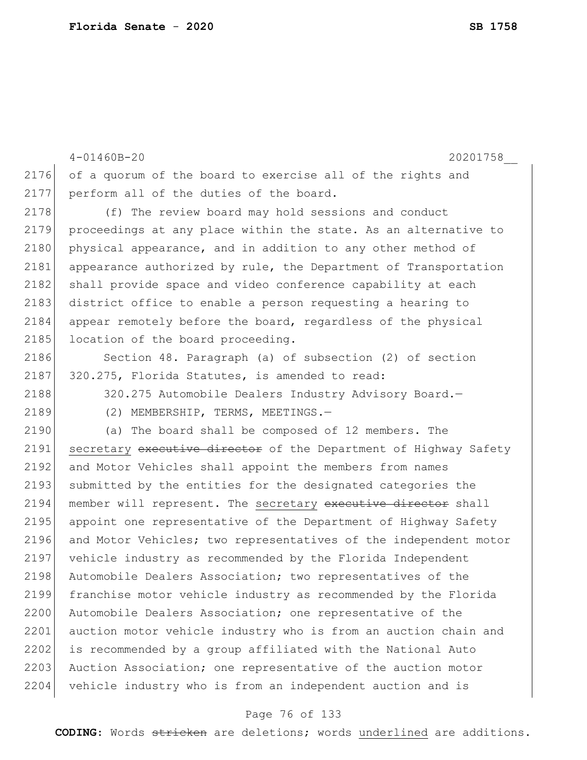```
4-01460B-20 20201758__
2176 of a quorum of the board to exercise all of the rights and
2177 perform all of the duties of the board.
2178 (f) The review board may hold sessions and conduct
2179 proceedings at any place within the state. As an alternative to 
2180 physical appearance, and in addition to any other method of
2181 appearance authorized by rule, the Department of Transportation
2182 shall provide space and video conference capability at each
2183 district office to enable a person requesting a hearing to
2184 appear remotely before the board, regardless of the physical 
2185 location of the board proceeding.
2186 Section 48. Paragraph (a) of subsection (2) of section
2187 320.275, Florida Statutes, is amended to read:
2188 320.275 Automobile Dealers Industry Advisory Board.
2189 (2) MEMBERSHIP, TERMS, MEETINGS.-
2190 (a) The board shall be composed of 12 members. The 
2191 secretary executive director of the Department of Highway Safety
2192 and Motor Vehicles shall appoint the members from names
2193 submitted by the entities for the designated categories the
2194 member will represent. The secretary executive director shall
2195 appoint one representative of the Department of Highway Safety 
2196 and Motor Vehicles; two representatives of the independent motor 
2197 vehicle industry as recommended by the Florida Independent 
2198 Automobile Dealers Association; two representatives of the
2199 franchise motor vehicle industry as recommended by the Florida 
2200 Automobile Dealers Association; one representative of the
2201 auction motor vehicle industry who is from an auction chain and
2202 is recommended by a group affiliated with the National Auto 
2203 Auction Association; one representative of the auction motor
2204 vehicle industry who is from an independent auction and is
```
#### Page 76 of 133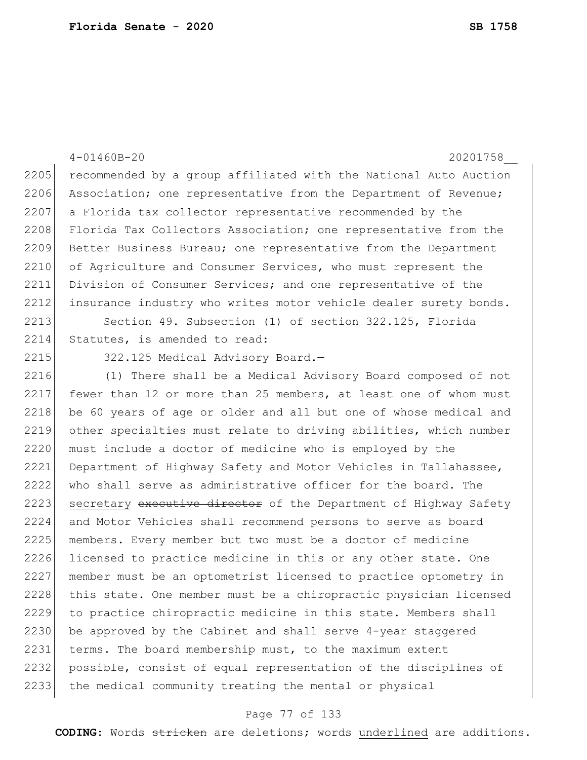|      | $4 - 01460B - 20$<br>20201758                                    |
|------|------------------------------------------------------------------|
| 2205 | recommended by a group affiliated with the National Auto Auction |
| 2206 | Association; one representative from the Department of Revenue;  |
| 2207 | a Florida tax collector representative recommended by the        |
| 2208 | Florida Tax Collectors Association; one representative from the  |
| 2209 | Better Business Bureau; one representative from the Department   |
| 2210 | of Agriculture and Consumer Services, who must represent the     |
| 2211 | Division of Consumer Services; and one representative of the     |
| 2212 | insurance industry who writes motor vehicle dealer surety bonds. |
| 2213 | Section 49. Subsection (1) of section 322.125, Florida           |
| 2214 | Statutes, is amended to read:                                    |
| 2215 | 322.125 Medical Advisory Board.-                                 |
| 2216 | (1) There shall be a Medical Advisory Board composed of not      |
| 2217 | fewer than 12 or more than 25 members, at least one of whom must |
| 2218 | be 60 years of age or older and all but one of whose medical and |
| 2219 | other specialties must relate to driving abilities, which number |
| 2220 | must include a doctor of medicine who is employed by the         |
| 2221 | Department of Highway Safety and Motor Vehicles in Tallahassee,  |
| 2222 | who shall serve as administrative officer for the board. The     |
| 2223 | secretary executive director of the Department of Highway Safety |
| 2224 | and Motor Vehicles shall recommend persons to serve as board     |
| 2225 | members. Every member but two must be a doctor of medicine       |
| 2226 | licensed to practice medicine in this or any other state. One    |
| 2227 | member must be an optometrist licensed to practice optometry in  |
| 2228 | this state. One member must be a chiropractic physician licensed |
| 2229 | to practice chiropractic medicine in this state. Members shall   |
| 2230 | be approved by the Cabinet and shall serve 4-year staggered      |
| 2231 | terms. The board membership must, to the maximum extent          |
| 2232 | possible, consist of equal representation of the disciplines of  |
| 2233 | the medical community treating the mental or physical            |
|      |                                                                  |

# Page 77 of 133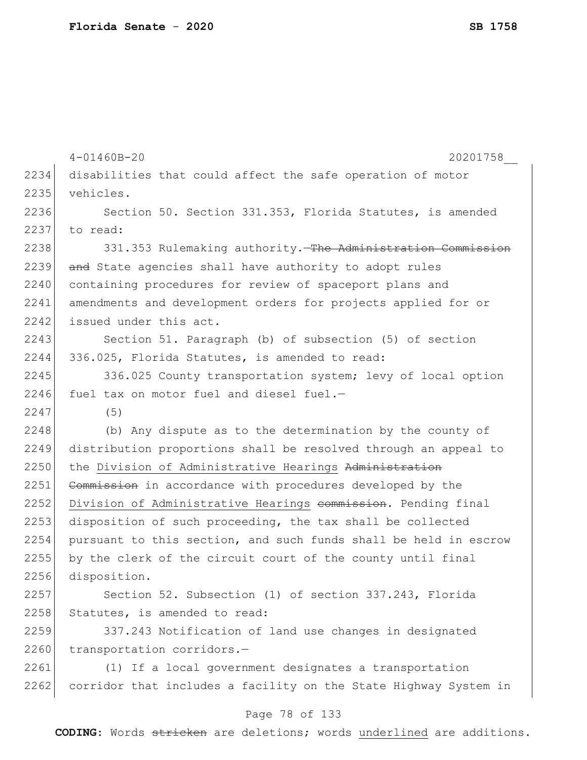|      | $4 - 01460B - 20$<br>20201758                                    |
|------|------------------------------------------------------------------|
| 2234 | disabilities that could affect the safe operation of motor       |
| 2235 | vehicles.                                                        |
| 2236 | Section 50. Section 331.353, Florida Statutes, is amended        |
| 2237 | to read:                                                         |
| 2238 | 331.353 Rulemaking authority. The Administration Commission      |
| 2239 | and State agencies shall have authority to adopt rules           |
| 2240 | containing procedures for review of spaceport plans and          |
| 2241 | amendments and development orders for projects applied for or    |
| 2242 | issued under this act.                                           |
| 2243 | Section 51. Paragraph (b) of subsection (5) of section           |
| 2244 | 336.025, Florida Statutes, is amended to read:                   |
| 2245 | 336.025 County transportation system; levy of local option       |
| 2246 | fuel tax on motor fuel and diesel fuel.-                         |
| 2247 | (5)                                                              |
| 2248 | (b) Any dispute as to the determination by the county of         |
| 2249 | distribution proportions shall be resolved through an appeal to  |
| 2250 | the Division of Administrative Hearings Administration           |
| 2251 | Commission in accordance with procedures developed by the        |
| 2252 | Division of Administrative Hearings commission. Pending final    |
| 2253 | disposition of such proceeding, the tax shall be collected       |
| 2254 | pursuant to this section, and such funds shall be held in escrow |
| 2255 | by the clerk of the circuit court of the county until final      |
| 2256 | disposition.                                                     |
| 2257 | Section 52. Subsection (1) of section 337.243, Florida           |
| 2258 | Statutes, is amended to read:                                    |
| 2259 | 337.243 Notification of land use changes in designated           |
| 2260 | transportation corridors.-                                       |
| 2261 | (1) If a local government designates a transportation            |
| 2262 | corridor that includes a facility on the State Highway System in |
|      |                                                                  |

# Page 78 of 133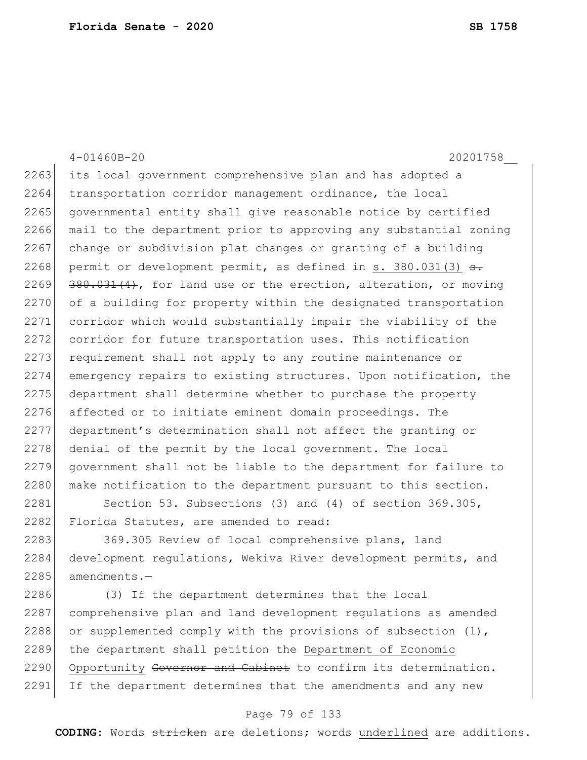|      | 20201758<br>$4 - 01460B - 20$                                             |
|------|---------------------------------------------------------------------------|
| 2263 | its local government comprehensive plan and has adopted a                 |
| 2264 | transportation corridor management ordinance, the local                   |
| 2265 | governmental entity shall give reasonable notice by certified             |
| 2266 | mail to the department prior to approving any substantial zoning          |
| 2267 | change or subdivision plat changes or granting of a building              |
| 2268 | permit or development permit, as defined in s. $380.031(3)$ <del>s.</del> |
| 2269 | 380.031(4), for land use or the erection, alteration, or moving           |
| 2270 | of a building for property within the designated transportation           |
| 2271 | corridor which would substantially impair the viability of the            |
| 2272 | corridor for future transportation uses. This notification                |
| 2273 | requirement shall not apply to any routine maintenance or                 |
| 2274 | emergency repairs to existing structures. Upon notification, the          |
| 2275 | department shall determine whether to purchase the property               |
| 2276 | affected or to initiate eminent domain proceedings. The                   |
| 2277 | department's determination shall not affect the granting or               |
| 2278 | denial of the permit by the local government. The local                   |
| 2279 | government shall not be liable to the department for failure to           |
| 2280 | make notification to the department pursuant to this section.             |
| 2281 | Section 53. Subsections $(3)$ and $(4)$ of section 369.305,               |
| 2282 | Florida Statutes, are amended to read:                                    |
| 2283 | 369.305 Review of local comprehensive plans, land                         |
| 2284 | development requilations. Wekiva River development permits, and           |

| development regulations, Wekiva River development permits, and 2285 amendments.-

2286 (3) If the department determines that the local comprehensive plan and land development regulations as amended 2288 or supplemented comply with the provisions of subsection (1), 2289 the department shall petition the Department of Economic 2290 Opportunity Governor and Cabinet to confirm its determination. 2291 If the department determines that the amendments and any new

### Page 79 of 133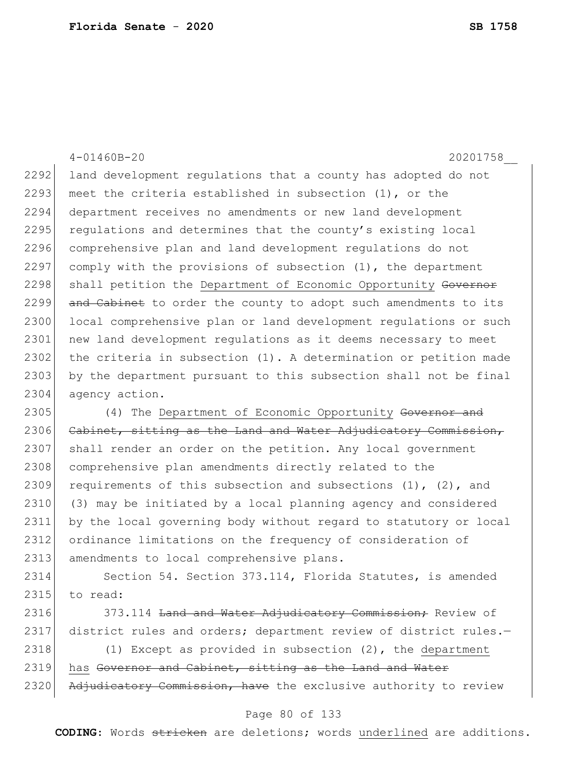4-01460B-20 20201758\_\_ 2292 land development regulations that a county has adopted do not 2293 meet the criteria established in subsection  $(1)$ , or the 2294 department receives no amendments or new land development 2295 regulations and determines that the county's existing local 2296 comprehensive plan and land development regulations do not 2297 comply with the provisions of subsection  $(1)$ , the department 2298 shall petition the Department of Economic Opportunity Governor 2299 and Cabinet to order the county to adopt such amendments to its 2300 local comprehensive plan or land development requiations or such 2301 new land development regulations as it deems necessary to meet 2302 the criteria in subsection (1). A determination or petition made 2303 by the department pursuant to this subsection shall not be final 2304 agency action. 2305 (4) The Department of Economic Opportunity Governor and 2306 Cabinet, sitting as the Land and Water Adjudicatory Commission, 2307 shall render an order on the petition. Any local government 2308 comprehensive plan amendments directly related to the 2309 requirements of this subsection and subsections  $(1)$ ,  $(2)$ , and 2310 (3) may be initiated by a local planning agency and considered 2311 by the local governing body without regard to statutory or local 2312 ordinance limitations on the frequency of consideration of 2313 amendments to local comprehensive plans. 2314 Section 54. Section 373.114, Florida Statutes, is amended  $2315$  to read:

2316 373.114 Land and Water Adjudicatory Commission; Review of 2317 district rules and orders; department review of district rules.-

2318 (1) Except as provided in subsection (2), the department 2319 has Governor and Cabinet, sitting as the Land and Water 2320 Adjudicatory Commission, have the exclusive authority to review

### Page 80 of 133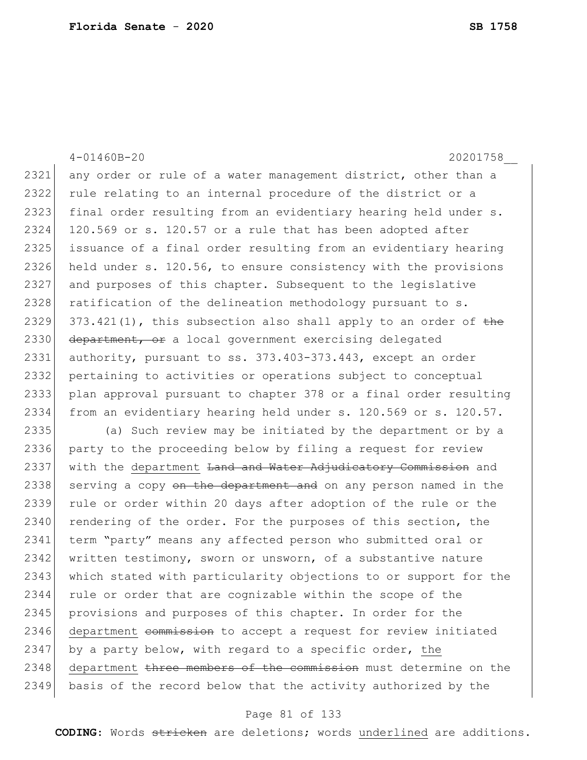4-01460B-20 20201758\_\_ 2321 any order or rule of a water management district, other than a 2322 rule relating to an internal procedure of the district or a 2323 final order resulting from an evidentiary hearing held under s. 2324 120.569 or s. 120.57 or a rule that has been adopted after 2325 issuance of a final order resulting from an evidentiary hearing 2326 held under s. 120.56, to ensure consistency with the provisions 2327 and purposes of this chapter. Subsequent to the legislative 2328 ratification of the delineation methodology pursuant to s. 2329 373.421(1), this subsection also shall apply to an order of the 2330 department, or a local government exercising delegated 2331 authority, pursuant to ss. 373.403-373.443, except an order 2332 pertaining to activities or operations subject to conceptual 2333 plan approval pursuant to chapter 378 or a final order resulting 2334 from an evidentiary hearing held under s. 120.569 or s. 120.57. 2335 (a) Such review may be initiated by the department or by a 2336 party to the proceeding below by filing a request for review 2337 with the department Land and Water Adjudicatory Commission and 2338 serving a copy on the department and on any person named in the 2339 rule or order within 20 days after adoption of the rule or the 2340 rendering of the order. For the purposes of this section, the 2341 term "party" means any affected person who submitted oral or 2342 written testimony, sworn or unsworn, of a substantive nature 2343 which stated with particularity objections to or support for the 2344 rule or order that are cognizable within the scope of the 2345 provisions and purposes of this chapter. In order for the 2346 department commission to accept a request for review initiated 2347 by a party below, with regard to a specific order, the 2348 department three members of the commission must determine on the 2349 basis of the record below that the activity authorized by the

#### Page 81 of 133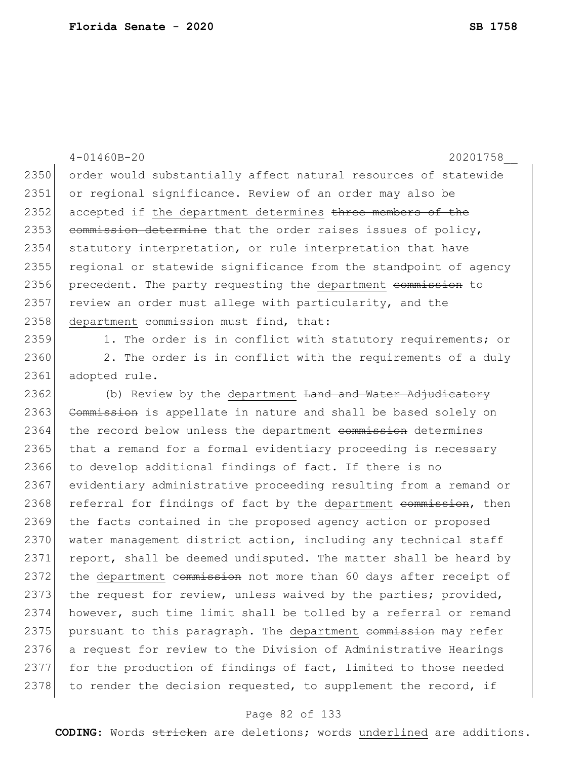4-01460B-20 20201758\_\_ 2350 order would substantially affect natural resources of statewide 2351 or regional significance. Review of an order may also be 2352 accepted if the department determines three members of the 2353 commission determine that the order raises issues of policy, 2354 statutory interpretation, or rule interpretation that have 2355 regional or statewide significance from the standpoint of agency 2356 precedent. The party requesting the department commission to 2357 review an order must allege with particularity, and the 2358 department commission must find, that: 2359 1. The order is in conflict with statutory requirements; or

2360 2. The order is in conflict with the requirements of a duly 2361 adopted rule.

2362 (b) Review by the department <del>Land and Water Adjudicatory</del> 2363 Commission is appellate in nature and shall be based solely on 2364 the record below unless the department commission determines 2365 that a remand for a formal evidentiary proceeding is necessary 2366 to develop additional findings of fact. If there is no 2367 evidentiary administrative proceeding resulting from a remand or 2368 referral for findings of fact by the department commission, then 2369 the facts contained in the proposed agency action or proposed 2370 water management district action, including any technical staff 2371 report, shall be deemed undisputed. The matter shall be heard by 2372 the department commission not more than 60 days after receipt of 2373 the request for review, unless waived by the parties; provided, 2374 however, such time limit shall be tolled by a referral or remand 2375 pursuant to this paragraph. The department commission may refer 2376 a request for review to the Division of Administrative Hearings 2377 for the production of findings of fact, limited to those needed 2378 to render the decision requested, to supplement the record, if

### Page 82 of 133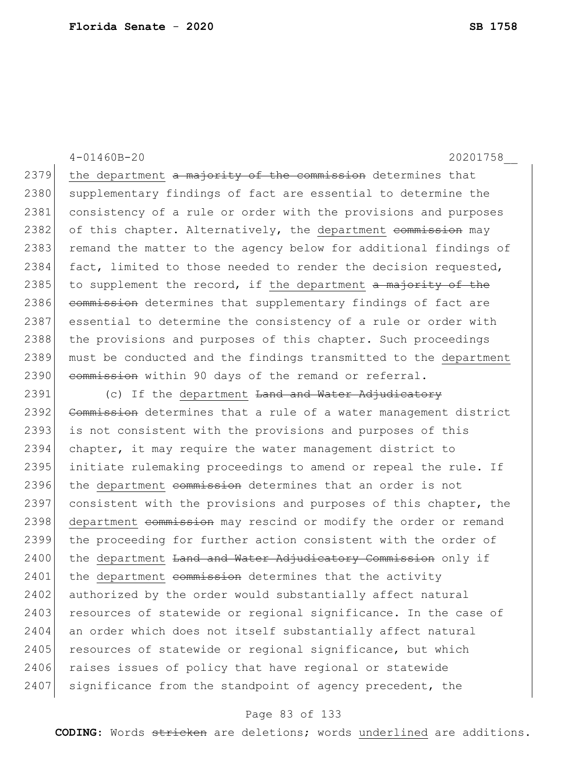4-01460B-20 20201758\_\_

 $2379$  the department a majority of the commission determines that 2380 supplementary findings of fact are essential to determine the 2381 consistency of a rule or order with the provisions and purposes 2382 of this chapter. Alternatively, the department <del>commission</del> may 2383 remand the matter to the agency below for additional findings of 2384 fact, limited to those needed to render the decision requested, 2385 to supplement the record, if the department  $a$  majority of the 2386 commission determines that supplementary findings of fact are 2387 essential to determine the consistency of a rule or order with 2388 the provisions and purposes of this chapter. Such proceedings 2389 must be conducted and the findings transmitted to the department 2390 commission within 90 days of the remand or referral.

2391 (c) If the department <del>Land and Water Adjudicatory</del> 2392 Commission determines that a rule of a water management district 2393 is not consistent with the provisions and purposes of this 2394 chapter, it may require the water management district to 2395 initiate rulemaking proceedings to amend or repeal the rule. If 2396 the department commission determines that an order is not 2397 consistent with the provisions and purposes of this chapter, the 2398 department commission may rescind or modify the order or remand 2399 the proceeding for further action consistent with the order of 2400 the department <del>Land and Water Adjudicatory Commission</del> only if  $2401$  the department commission determines that the activity 2402 authorized by the order would substantially affect natural 2403 resources of statewide or regional significance. In the case of 2404 an order which does not itself substantially affect natural 2405 resources of statewide or regional significance, but which 2406 raises issues of policy that have regional or statewide  $2407$  significance from the standpoint of agency precedent, the

### Page 83 of 133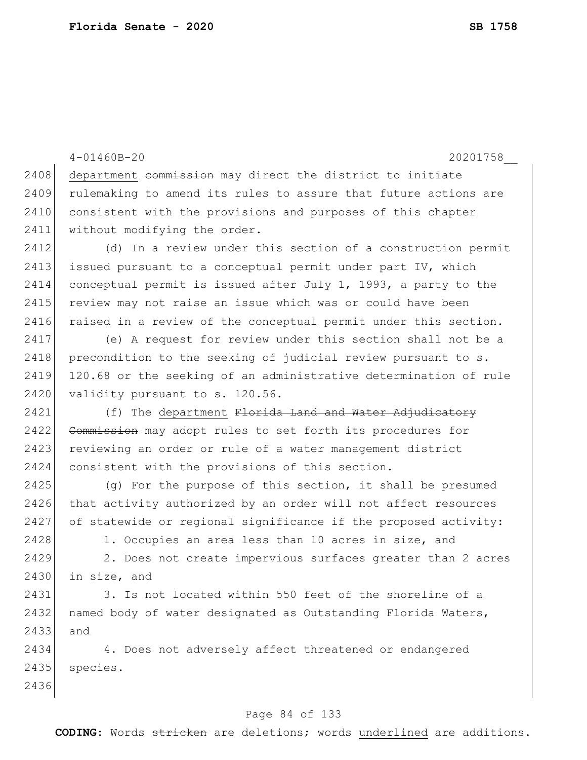4-01460B-20 20201758\_\_ 2408 department commission may direct the district to initiate 2409 rulemaking to amend its rules to assure that future actions are 2410 consistent with the provisions and purposes of this chapter 2411 without modifying the order. 2412 (d) In a review under this section of a construction permit 2413 issued pursuant to a conceptual permit under part IV, which 2414 conceptual permit is issued after July 1, 1993, a party to the 2415 review may not raise an issue which was or could have been 2416 raised in a review of the conceptual permit under this section. 2417 (e) A request for review under this section shall not be a 2418 precondition to the seeking of judicial review pursuant to s. 2419 120.68 or the seeking of an administrative determination of rule 2420 validity pursuant to s. 120.56. 2421 (f) The department Florida Land and Water Adjudicatory 2422 Commission may adopt rules to set forth its procedures for 2423 reviewing an order or rule of a water management district 2424 consistent with the provisions of this section. 2425 (q) For the purpose of this section, it shall be presumed 2426 that activity authorized by an order will not affect resources 2427 of statewide or regional significance if the proposed activity: 2428 1. Occupies an area less than 10 acres in size, and 2429 2. Does not create impervious surfaces greater than 2 acres 2430 in size, and 2431 3. Is not located within 550 feet of the shoreline of a 2432 named body of water designated as Outstanding Florida Waters, 2433 and 2434 4. Does not adversely affect threatened or endangered 2435 species. 2436

### Page 84 of 133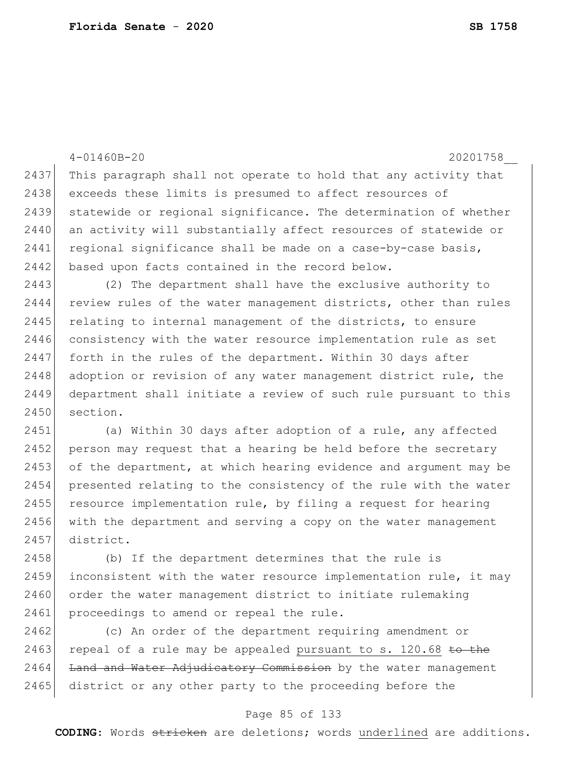|      | $4 - 01460B - 20$<br>20201758                                    |
|------|------------------------------------------------------------------|
| 2437 | This paragraph shall not operate to hold that any activity that  |
| 2438 | exceeds these limits is presumed to affect resources of          |
| 2439 | statewide or regional significance. The determination of whether |
| 2440 | an activity will substantially affect resources of statewide or  |
| 2441 | regional significance shall be made on a case-by-case basis,     |
| 2442 | based upon facts contained in the record below.                  |
| 2443 | (2) The department shall have the exclusive authority to         |
| 2444 | review rules of the water management districts, other than rules |
| 2445 | relating to internal management of the districts, to ensure      |
| 2446 | consistency with the water resource implementation rule as set   |
| 2447 | forth in the rules of the department. Within 30 days after       |
| 2448 | adoption or revision of any water management district rule, the  |
| 2449 | department shall initiate a review of such rule pursuant to this |
| 2450 | section.                                                         |
| 2451 | (a) Within 30 days after adoption of a rule, any affected        |
| 2452 | person may request that a hearing be held before the secretary   |
| 2453 | of the department, at which hearing evidence and argument may be |
| 2454 | presented relating to the consistency of the rule with the water |
| 2455 | resource implementation rule, by filing a request for hearing    |
| 2456 | with the department and serving a copy on the water management   |
| 2457 | district.                                                        |
| 2458 | (b) If the department determines that the rule is                |
| 2459 | inconsistent with the water resource implementation rule, it may |
| 2460 | order the water management district to initiate rulemaking       |
| 2461 | proceedings to amend or repeal the rule.                         |
| 2462 | (c) An order of the department requiring amendment or            |
| 2463 | repeal of a rule may be appealed pursuant to s. 120.68 to the    |
| 2464 | Land and Water Adjudicatory Commission by the water management   |
| 2465 | district or any other party to the proceeding before the         |

## Page 85 of 133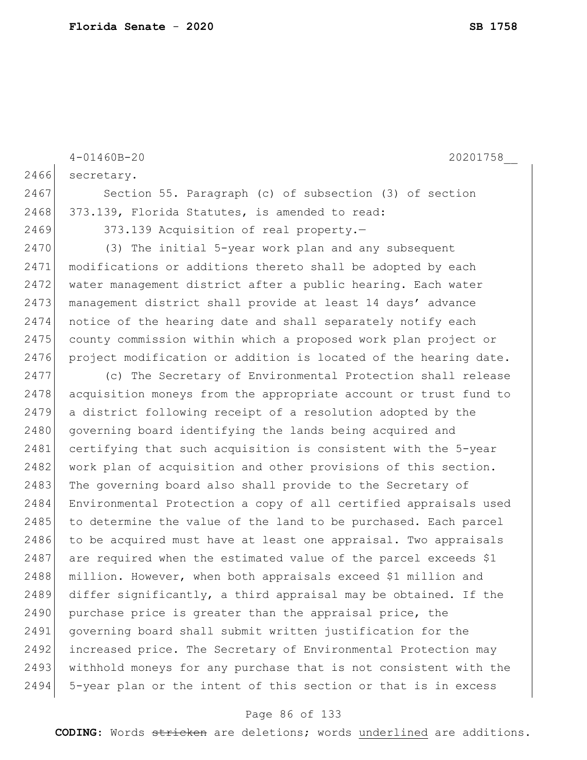|      | $4 - 01460B - 20$<br>20201758                                    |
|------|------------------------------------------------------------------|
| 2466 | secretary.                                                       |
| 2467 | Section 55. Paragraph (c) of subsection (3) of section           |
| 2468 | 373.139, Florida Statutes, is amended to read:                   |
| 2469 | 373.139 Acquisition of real property.-                           |
| 2470 | (3) The initial 5-year work plan and any subsequent              |
| 2471 | modifications or additions thereto shall be adopted by each      |
| 2472 | water management district after a public hearing. Each water     |
| 2473 | management district shall provide at least 14 days' advance      |
| 2474 | notice of the hearing date and shall separately notify each      |
| 2475 | county commission within which a proposed work plan project or   |
| 2476 | project modification or addition is located of the hearing date. |
| 2477 | (c) The Secretary of Environmental Protection shall release      |
| 2478 | acquisition moneys from the appropriate account or trust fund to |
| 2479 | a district following receipt of a resolution adopted by the      |
| 2480 | governing board identifying the lands being acquired and         |
| 2481 | certifying that such acquisition is consistent with the 5-year   |
| 2482 | work plan of acquisition and other provisions of this section.   |
| 2483 | The governing board also shall provide to the Secretary of       |
| 2484 | Environmental Protection a copy of all certified appraisals used |
| 2485 | to determine the value of the land to be purchased. Each parcel  |
| 2486 | to be acquired must have at least one appraisal. Two appraisals  |
| 2487 | are required when the estimated value of the parcel exceeds \$1  |
| 2488 | million. However, when both appraisals exceed \$1 million and    |
| 2489 | differ significantly, a third appraisal may be obtained. If the  |
| 2490 | purchase price is greater than the appraisal price, the          |
| 2491 | governing board shall submit written justification for the       |
| 2492 | increased price. The Secretary of Environmental Protection may   |
| 2493 | withhold moneys for any purchase that is not consistent with the |
| 2494 | 5-year plan or the intent of this section or that is in excess   |

# Page 86 of 133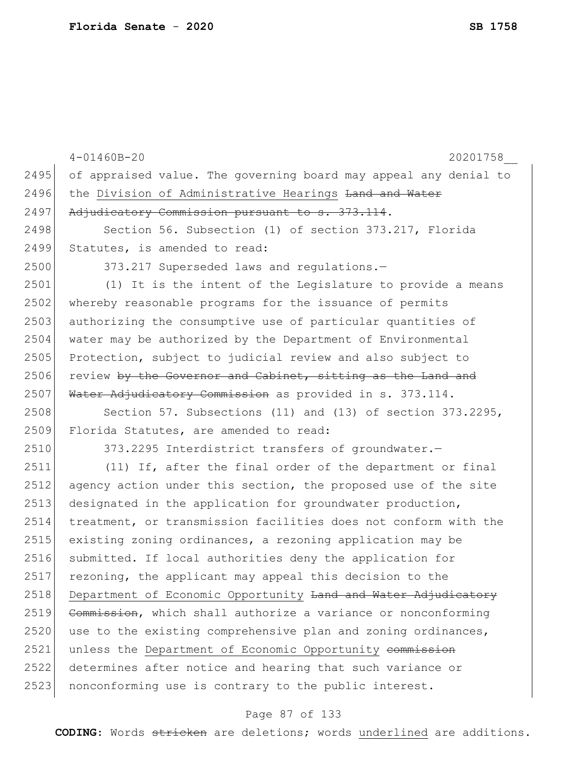|      | $4 - 01460B - 20$<br>20201758                                    |
|------|------------------------------------------------------------------|
| 2495 | of appraised value. The governing board may appeal any denial to |
| 2496 | the Division of Administrative Hearings Land and Water           |
| 2497 | Adjudicatory Commission pursuant to s. 373.114.                  |
| 2498 | Section 56. Subsection (1) of section 373.217, Florida           |
| 2499 | Statutes, is amended to read:                                    |
| 2500 | 373.217 Superseded laws and regulations.-                        |
| 2501 | (1) It is the intent of the Legislature to provide a means       |
| 2502 | whereby reasonable programs for the issuance of permits          |
| 2503 | authorizing the consumptive use of particular quantities of      |
| 2504 | water may be authorized by the Department of Environmental       |
| 2505 | Protection, subject to judicial review and also subject to       |
| 2506 | review by the Governor and Cabinet, sitting as the Land and      |
| 2507 | Water Adjudicatory Commission as provided in s. 373.114.         |
| 2508 | Section 57. Subsections (11) and (13) of section 373.2295,       |
| 2509 | Florida Statutes, are amended to read:                           |
| 2510 | 373.2295 Interdistrict transfers of groundwater.-                |
| 2511 | (11) If, after the final order of the department or final        |
| 2512 | agency action under this section, the proposed use of the site   |
| 2513 | designated in the application for groundwater production,        |
| 2514 | treatment, or transmission facilities does not conform with the  |
| 2515 | existing zoning ordinances, a rezoning application may be        |
| 2516 | submitted. If local authorities deny the application for         |
| 2517 | rezoning, the applicant may appeal this decision to the          |
| 2518 | Department of Economic Opportunity Land and Water Adjudicatory   |
| 2519 | Commission, which shall authorize a variance or nonconforming    |
| 2520 | use to the existing comprehensive plan and zoning ordinances,    |
| 2521 | unless the Department of Economic Opportunity commission         |
| 2522 | determines after notice and hearing that such variance or        |
| 2523 | nonconforming use is contrary to the public interest.            |

# Page 87 of 133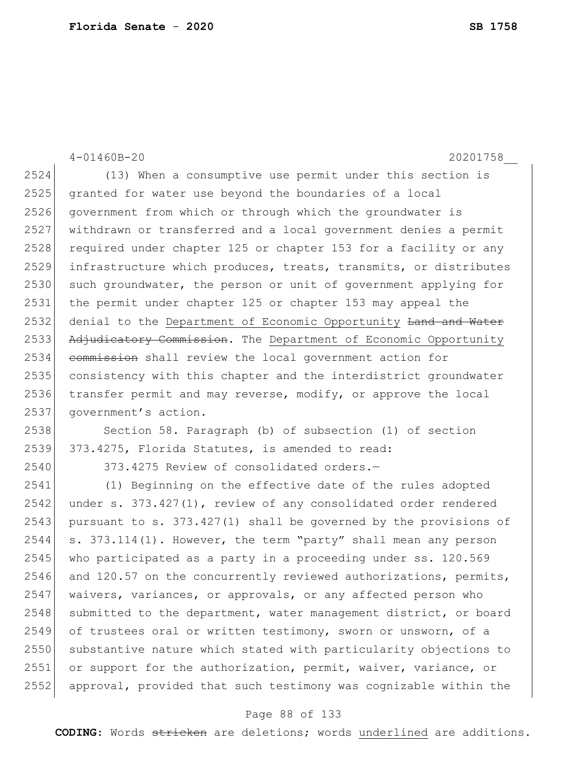4-01460B-20 20201758\_\_ 2524 (13) When a consumptive use permit under this section is 2525 granted for water use beyond the boundaries of a local 2526 government from which or through which the groundwater is 2527 withdrawn or transferred and a local government denies a permit 2528 required under chapter 125 or chapter 153 for a facility or any 2529 infrastructure which produces, treats, transmits, or distributes 2530 such groundwater, the person or unit of government applying for 2531 the permit under chapter 125 or chapter 153 may appeal the 2532 denial to the Department of Economic Opportunity Land and Water 2533 Adjudicatory Commission. The Department of Economic Opportunity 2534 commission shall review the local government action for 2535 consistency with this chapter and the interdistrict groundwater 2536 transfer permit and may reverse, modify, or approve the local 2537 government's action. 2538 Section 58. Paragraph (b) of subsection (1) of section 2539 373.4275, Florida Statutes, is amended to read: 2540 373.4275 Review of consolidated orders.— 2541 (1) Beginning on the effective date of the rules adopted

 $2542$  under s.  $373.427(1)$ , review of any consolidated order rendered 2543 pursuant to s. 373.427(1) shall be governed by the provisions of  $2544$  s. 373.114(1). However, the term "party" shall mean any person 2545 who participated as a party in a proceeding under ss. 120.569  $2546$  and 120.57 on the concurrently reviewed authorizations, permits, 2547 waivers, variances, or approvals, or any affected person who 2548 submitted to the department, water management district, or board 2549 of trustees oral or written testimony, sworn or unsworn, of a 2550 substantive nature which stated with particularity objections to 2551 or support for the authorization, permit, waiver, variance, or 2552 approval, provided that such testimony was cognizable within the

### Page 88 of 133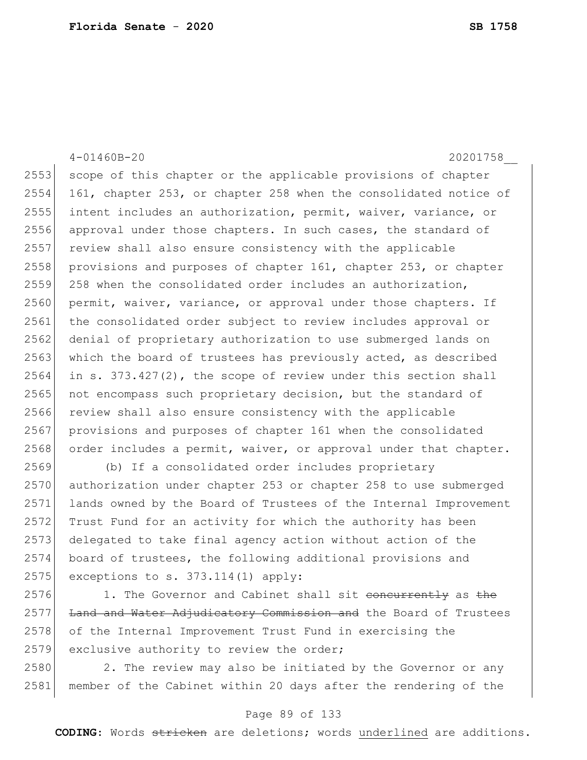4-01460B-20 20201758\_\_ 2553 scope of this chapter or the applicable provisions of chapter 2554 161, chapter 253, or chapter 258 when the consolidated notice of 2555 intent includes an authorization, permit, waiver, variance, or 2556 approval under those chapters. In such cases, the standard of 2557 review shall also ensure consistency with the applicable 2558 provisions and purposes of chapter 161, chapter 253, or chapter 2559 258 when the consolidated order includes an authorization, 2560 permit, waiver, variance, or approval under those chapters. If 2561 the consolidated order subject to review includes approval or 2562 denial of proprietary authorization to use submerged lands on 2563 which the board of trustees has previously acted, as described  $2564$  in s. 373.427(2), the scope of review under this section shall 2565 not encompass such proprietary decision, but the standard of 2566 review shall also ensure consistency with the applicable 2567 provisions and purposes of chapter 161 when the consolidated 2568 order includes a permit, waiver, or approval under that chapter. 2569 (b) If a consolidated order includes proprietary 2570 authorization under chapter 253 or chapter 258 to use submerged 2571 lands owned by the Board of Trustees of the Internal Improvement

2572 Trust Fund for an activity for which the authority has been 2573 delegated to take final agency action without action of the 2574 board of trustees, the following additional provisions and 2575 exceptions to s.  $373.114(1)$  apply:

2576 1. The Governor and Cabinet shall sit concurrently as the 2577 Land and Water Adjudicatory Commission and the Board of Trustees 2578 of the Internal Improvement Trust Fund in exercising the 2579 exclusive authority to review the order;

2580 2. The review may also be initiated by the Governor or any 2581 member of the Cabinet within 20 days after the rendering of the

### Page 89 of 133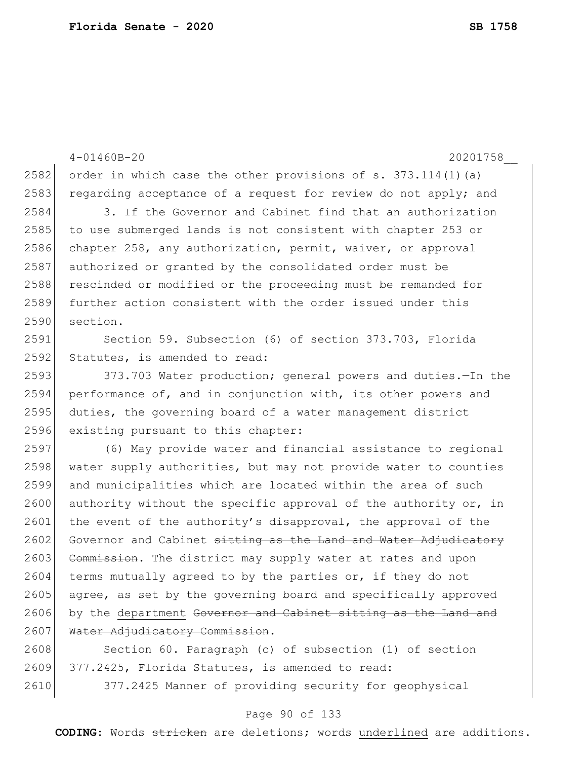4-01460B-20 20201758\_\_ 2582 order in which case the other provisions of s. 373.114(1)(a) 2583 regarding acceptance of a request for review do not apply; and 2584 3. If the Governor and Cabinet find that an authorization 2585 to use submerged lands is not consistent with chapter 253 or 2586 chapter 258, any authorization, permit, waiver, or approval 2587 authorized or granted by the consolidated order must be 2588 rescinded or modified or the proceeding must be remanded for 2589 further action consistent with the order issued under this 2590 section. 2591 Section 59. Subsection (6) of section 373.703, Florida 2592 Statutes, is amended to read: 2593 373.703 Water production; general powers and duties. - In the 2594 performance of, and in conjunction with, its other powers and 2595 duties, the governing board of a water management district 2596 existing pursuant to this chapter: 2597 (6) May provide water and financial assistance to regional 2598 water supply authorities, but may not provide water to counties 2599 and municipalities which are located within the area of such 2600 authority without the specific approval of the authority or, in 2601 the event of the authority's disapproval, the approval of the 2602 Governor and Cabinet sitting as the Land and Water Adjudicatory 2603 Commission. The district may supply water at rates and upon 2604 terms mutually agreed to by the parties or, if they do not 2605 agree, as set by the governing board and specifically approved 2606 by the department Governor and Cabinet sitting as the Land and 2607 Water Adjudicatory Commission. 2608 Section 60. Paragraph (c) of subsection (1) of section 2609 377.2425, Florida Statutes, is amended to read:

2610 377.2425 Manner of providing security for geophysical

### Page 90 of 133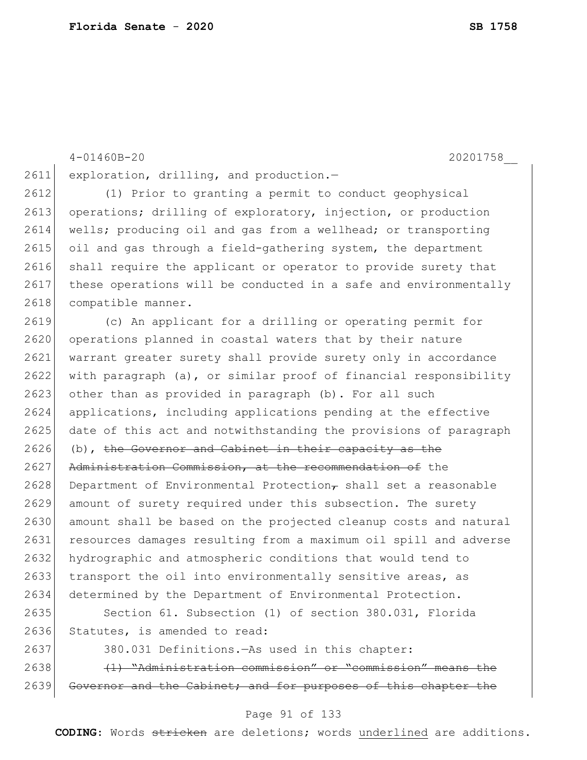4-01460B-20 20201758\_\_ 2611 exploration, drilling, and production.-2612 (1) Prior to granting a permit to conduct geophysical 2613 operations; drilling of exploratory, injection, or production 2614 wells; producing oil and gas from a wellhead; or transporting 2615 oil and gas through a field-gathering system, the department 2616 shall require the applicant or operator to provide surety that 2617 these operations will be conducted in a safe and environmentally 2618 compatible manner. 2619 (c) An applicant for a drilling or operating permit for 2620 operations planned in coastal waters that by their nature 2621 warrant greater surety shall provide surety only in accordance 2622 with paragraph (a), or similar proof of financial responsibility 2623 other than as provided in paragraph (b). For all such 2624 applications, including applications pending at the effective 2625 date of this act and notwithstanding the provisions of paragraph  $2626$  (b), the Governor and Cabinet in their capacity as the 2627 Administration Commission, at the recommendation of the 2628 Department of Environmental Protection $\tau$  shall set a reasonable 2629 amount of surety required under this subsection. The surety 2630 amount shall be based on the projected cleanup costs and natural 2631 resources damages resulting from a maximum oil spill and adverse 2632 hydrographic and atmospheric conditions that would tend to 2633 transport the oil into environmentally sensitive areas, as 2634 determined by the Department of Environmental Protection. 2635 Section 61. Subsection (1) of section 380.031, Florida 2636 Statutes, is amended to read: 2637 380.031 Definitions.—As used in this chapter: 2638 (1) "Administration commission" or "commission" means the 2639 Governor and the Cabinet; and for purposes of this chapter the

#### Page 91 of 133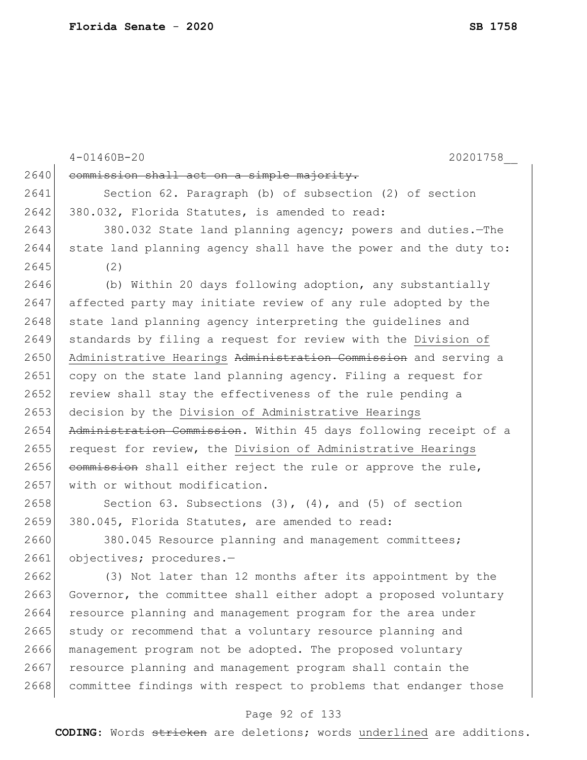|      | $4 - 01460B - 20$<br>20201758                                    |
|------|------------------------------------------------------------------|
| 2640 | commission shall act on a simple majority.                       |
| 2641 | Section 62. Paragraph (b) of subsection (2) of section           |
| 2642 | 380.032, Florida Statutes, is amended to read:                   |
| 2643 | 380.032 State land planning agency; powers and duties.-The       |
| 2644 | state land planning agency shall have the power and the duty to: |
| 2645 | (2)                                                              |
| 2646 | (b) Within 20 days following adoption, any substantially         |
| 2647 | affected party may initiate review of any rule adopted by the    |
| 2648 | state land planning agency interpreting the guidelines and       |
| 2649 | standards by filing a request for review with the Division of    |
| 2650 | Administrative Hearings Administration Commission and serving a  |
| 2651 | copy on the state land planning agency. Filing a request for     |
| 2652 | review shall stay the effectiveness of the rule pending a        |
| 2653 | decision by the Division of Administrative Hearings              |
| 2654 | Administration Commission. Within 45 days following receipt of a |
| 2655 | request for review, the Division of Administrative Hearings      |
| 2656 | commission shall either reject the rule or approve the rule,     |
| 2657 | with or without modification.                                    |
| 2658 | Section 63. Subsections $(3)$ , $(4)$ , and $(5)$ of section     |
| 2659 | 380.045, Florida Statutes, are amended to read:                  |
| 2660 | 380.045 Resource planning and management committees;             |
| 2661 | objectives; procedures.-                                         |
| 2662 | (3) Not later than 12 months after its appointment by the        |
| 2663 | Governor, the committee shall either adopt a proposed voluntary  |
| 2664 | resource planning and management program for the area under      |
| 2665 | study or recommend that a voluntary resource planning and        |
| 2666 | management program not be adopted. The proposed voluntary        |
| 2667 | resource planning and management program shall contain the       |
| 2668 | committee findings with respect to problems that endanger those  |
|      |                                                                  |

# Page 92 of 133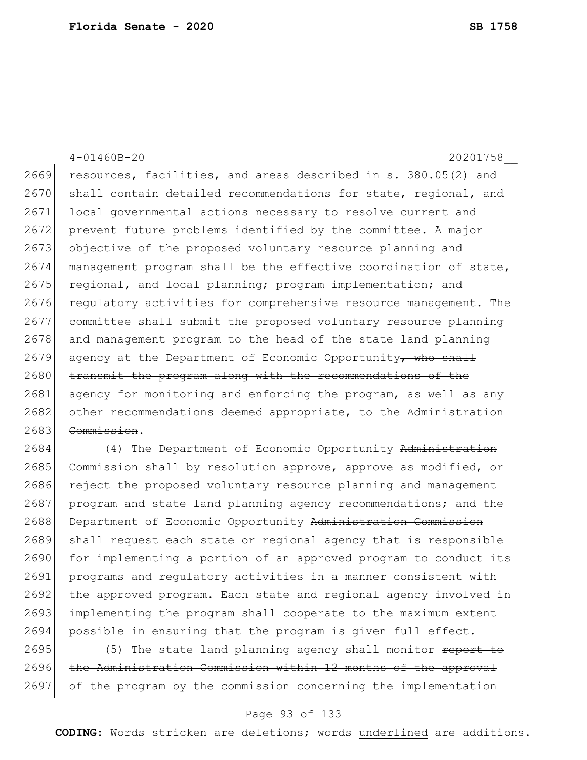|      | $4 - 01460B - 20$<br>20201758                                    |
|------|------------------------------------------------------------------|
| 2669 | resources, facilities, and areas described in s. 380.05(2) and   |
| 2670 | shall contain detailed recommendations for state, regional, and  |
| 2671 | local governmental actions necessary to resolve current and      |
| 2672 | prevent future problems identified by the committee. A major     |
| 2673 | objective of the proposed voluntary resource planning and        |
| 2674 | management program shall be the effective coordination of state, |
| 2675 | regional, and local planning; program implementation; and        |
| 2676 | regulatory activities for comprehensive resource management. The |
| 2677 | committee shall submit the proposed voluntary resource planning  |
| 2678 | and management program to the head of the state land planning    |
| 2679 | agency at the Department of Economic Opportunity, who shall      |
| 2680 | transmit the program along with the recommendations of the       |
| 2681 | agency for monitoring and enforcing the program, as well as any  |
| 2682 | other recommendations deemed appropriate, to the Administration  |
| 2683 | Commission.                                                      |
| 2684 | (4) The Department of Economic Opportunity Administrati          |

2685 Commission shall by resolution approve, approve as modified, or 2686 reject the proposed voluntary resource planning and management 2687 program and state land planning agency recommendations; and the 2688 Department of Economic Opportunity Administration Commission 2689 shall request each state or regional agency that is responsible 2690 for implementing a portion of an approved program to conduct its 2691 programs and regulatory activities in a manner consistent with 2692 the approved program. Each state and regional agency involved in 2693 implementing the program shall cooperate to the maximum extent 2694 possible in ensuring that the program is given full effect.

2695  $(5)$  The state land planning agency shall monitor report to 2696 the Administration Commission within 12 months of the approval 2697 of the program by the commission concerning the implementation

### Page 93 of 133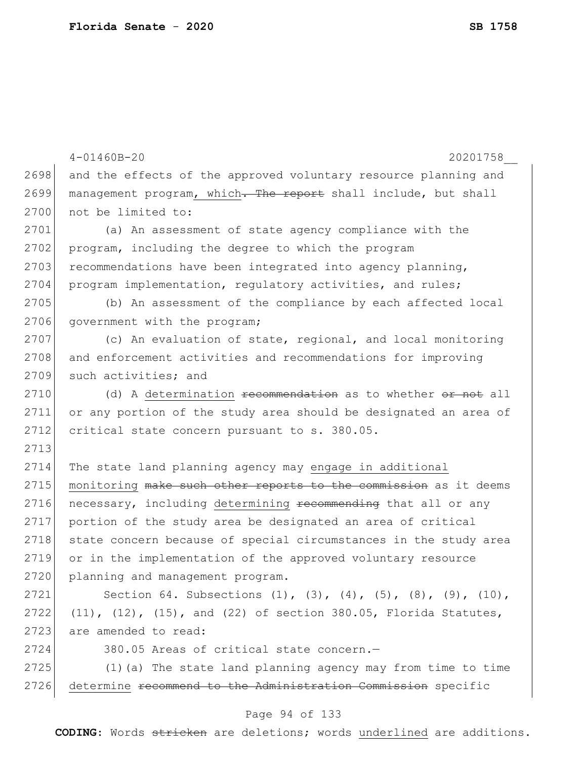|      | $4 - 01460B - 20$<br>20201758                                                    |
|------|----------------------------------------------------------------------------------|
| 2698 | and the effects of the approved voluntary resource planning and                  |
| 2699 | management program, which. The report shall include, but shall                   |
| 2700 | not be limited to:                                                               |
| 2701 | (a) An assessment of state agency compliance with the                            |
| 2702 | program, including the degree to which the program                               |
| 2703 | recommendations have been integrated into agency planning,                       |
| 2704 | program implementation, regulatory activities, and rules;                        |
| 2705 | (b) An assessment of the compliance by each affected local                       |
| 2706 | government with the program;                                                     |
| 2707 | (c) An evaluation of state, regional, and local monitoring                       |
| 2708 | and enforcement activities and recommendations for improving                     |
| 2709 | such activities; and                                                             |
| 2710 | (d) A determination recommendation as to whether or not all                      |
| 2711 | or any portion of the study area should be designated an area of                 |
| 2712 | critical state concern pursuant to s. 380.05.                                    |
| 2713 |                                                                                  |
| 2714 | The state land planning agency may engage in additional                          |
| 2715 | monitoring make such other reports to the commission as it deems                 |
| 2716 | necessary, including determining recommending that all or any                    |
| 2717 | portion of the study area be designated an area of critical                      |
| 2718 | state concern because of special circumstances in the study area                 |
| 2719 | or in the implementation of the approved voluntary resource                      |
| 2720 | planning and management program.                                                 |
| 2721 | Section 64. Subsections $(1)$ , $(3)$ , $(4)$ , $(5)$ , $(8)$ , $(9)$ , $(10)$ , |
| 2722 | (11), (12), (15), and (22) of section 380.05, Florida Statutes,                  |
| 2723 | are amended to read:                                                             |
| 2724 | 380.05 Areas of critical state concern.-                                         |
| 2725 | (1) (a) The state land planning agency may from time to time                     |
| 2726 | determine recommend to the Administration Commission specific                    |
|      |                                                                                  |

# Page 94 of 133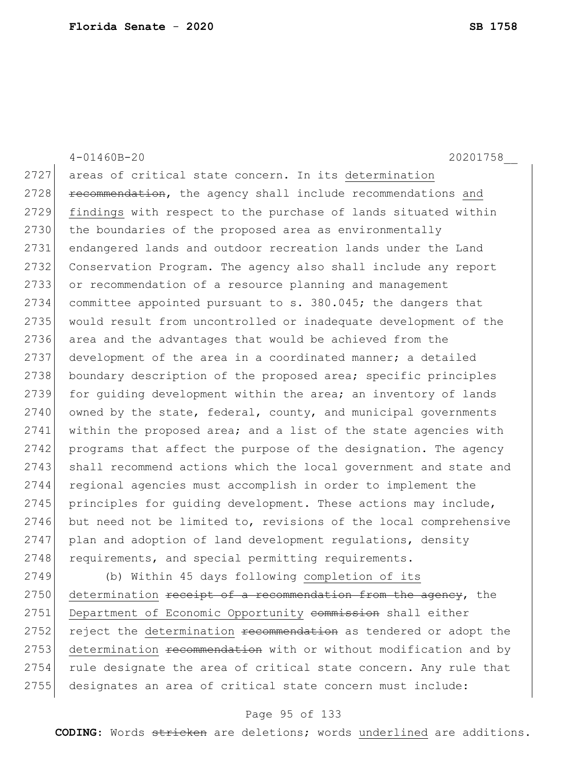|      | $4 - 01460B - 20$<br>20201758                                    |
|------|------------------------------------------------------------------|
| 2727 | areas of critical state concern. In its determination            |
| 2728 | recommendation, the agency shall include recommendations and     |
| 2729 | findings with respect to the purchase of lands situated within   |
| 2730 | the boundaries of the proposed area as environmentally           |
| 2731 | endangered lands and outdoor recreation lands under the Land     |
| 2732 | Conservation Program. The agency also shall include any report   |
| 2733 | or recommendation of a resource planning and management          |
| 2734 | committee appointed pursuant to s. 380.045; the dangers that     |
| 2735 | would result from uncontrolled or inadequate development of the  |
| 2736 | area and the advantages that would be achieved from the          |
| 2737 | development of the area in a coordinated manner; a detailed      |
| 2738 | boundary description of the proposed area; specific principles   |
| 2739 | for quiding development within the area; an inventory of lands   |
| 2740 | owned by the state, federal, county, and municipal governments   |
| 2741 | within the proposed area; and a list of the state agencies with  |
| 2742 | programs that affect the purpose of the designation. The agency  |
| 2743 | shall recommend actions which the local government and state and |
| 2744 | regional agencies must accomplish in order to implement the      |
| 2745 | principles for quiding development. These actions may include,   |
| 2746 | but need not be limited to, revisions of the local comprehensive |
| 2747 | plan and adoption of land development regulations, density       |
| 2748 | requirements, and special permitting requirements.               |
| 2749 | (b) Within 45 days following completion of its                   |
| 2750 | determination receipt of a recommendation from the agency, the   |
| 2751 | Department of Economic Opportunity commission shall either       |

2752 reject the determination recommendation as tendered or adopt the 2753 determination recommendation with or without modification and by rule designate the area of critical state concern. Any rule that 2755 designates an area of critical state concern must include:

### Page 95 of 133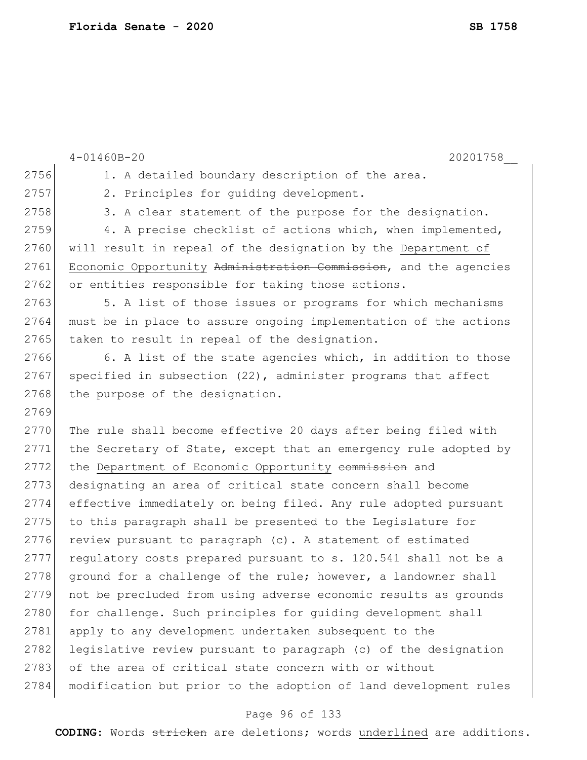|      | $4 - 01460B - 20$<br>20201758                                    |
|------|------------------------------------------------------------------|
| 2756 | 1. A detailed boundary description of the area.                  |
| 2757 | 2. Principles for quiding development.                           |
| 2758 | 3. A clear statement of the purpose for the designation.         |
| 2759 | 4. A precise checklist of actions which, when implemented,       |
| 2760 | will result in repeal of the designation by the Department of    |
| 2761 | Economic Opportunity Administration Commission, and the agencies |
| 2762 | or entities responsible for taking those actions.                |
| 2763 | 5. A list of those issues or programs for which mechanisms       |
| 2764 | must be in place to assure ongoing implementation of the actions |
| 2765 | taken to result in repeal of the designation.                    |
| 2766 | 6. A list of the state agencies which, in addition to those      |
| 2767 | specified in subsection $(22)$ , administer programs that affect |
| 2768 | the purpose of the designation.                                  |
| 2769 |                                                                  |
| 2770 | The rule shall become effective 20 days after being filed with   |
| 2771 | the Secretary of State, except that an emergency rule adopted by |
| 2772 | the Department of Economic Opportunity eommission and            |
| 2773 | designating an area of critical state concern shall become       |
| 2774 | effective immediately on being filed. Any rule adopted pursuant  |
| 2775 | to this paragraph shall be presented to the Legislature for      |
| 2776 | review pursuant to paragraph (c). A statement of estimated       |
| 2777 | regulatory costs prepared pursuant to s. 120.541 shall not be a  |
| 2778 | ground for a challenge of the rule; however, a landowner shall   |
| 2779 | not be precluded from using adverse economic results as grounds  |
| 2780 | for challenge. Such principles for quiding development shall     |
| 2781 | apply to any development undertaken subsequent to the            |
| 2782 | legislative review pursuant to paragraph (c) of the designation  |
| 2783 | of the area of critical state concern with or without            |
| 2784 | modification but prior to the adoption of land development rules |
|      |                                                                  |

# Page 96 of 133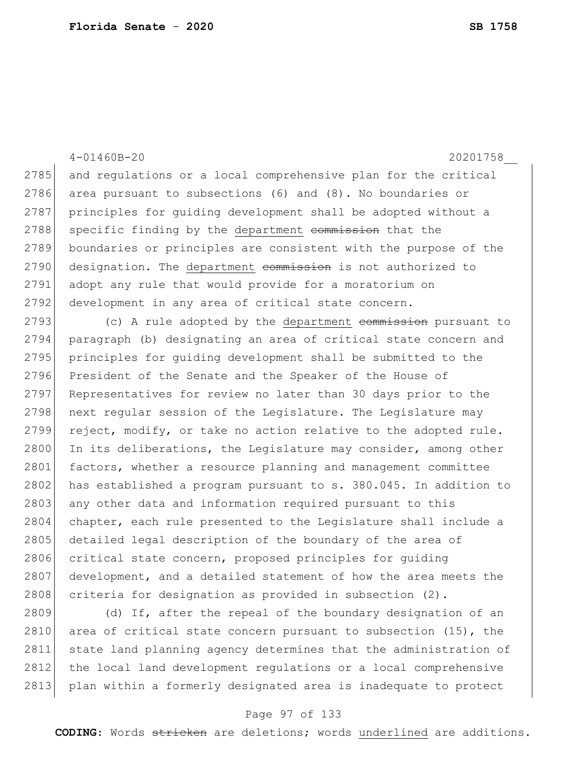4-01460B-20 20201758\_\_ 2785 and regulations or a local comprehensive plan for the critical 2786 area pursuant to subsections (6) and (8). No boundaries or 2787 principles for quiding development shall be adopted without a 2788 specific finding by the department commission that the 2789 boundaries or principles are consistent with the purpose of the 2790 designation. The department commission is not authorized to 2791 adopt any rule that would provide for a moratorium on 2792 development in any area of critical state concern. 2793 (c) A rule adopted by the department commission pursuant to 2794 paragraph (b) designating an area of critical state concern and 2795 principles for quiding development shall be submitted to the 2796 President of the Senate and the Speaker of the House of 2797 Representatives for review no later than 30 days prior to the 2798 next regular session of the Legislature. The Legislature may 2799 reject, modify, or take no action relative to the adopted rule. 2800 In its deliberations, the Legislature may consider, among other 2801 factors, whether a resource planning and management committee 2802 has established a program pursuant to s. 380.045. In addition to 2803 any other data and information required pursuant to this 2804 chapter, each rule presented to the Legislature shall include a 2805 detailed legal description of the boundary of the area of 2806 critical state concern, proposed principles for guiding 2807 development, and a detailed statement of how the area meets the 2808 criteria for designation as provided in subsection  $(2)$ .

2809 (d) If, after the repeal of the boundary designation of an 2810 area of critical state concern pursuant to subsection  $(15)$ , the 2811 state land planning agency determines that the administration of 2812 the local land development regulations or a local comprehensive 2813 plan within a formerly designated area is inadequate to protect

### Page 97 of 133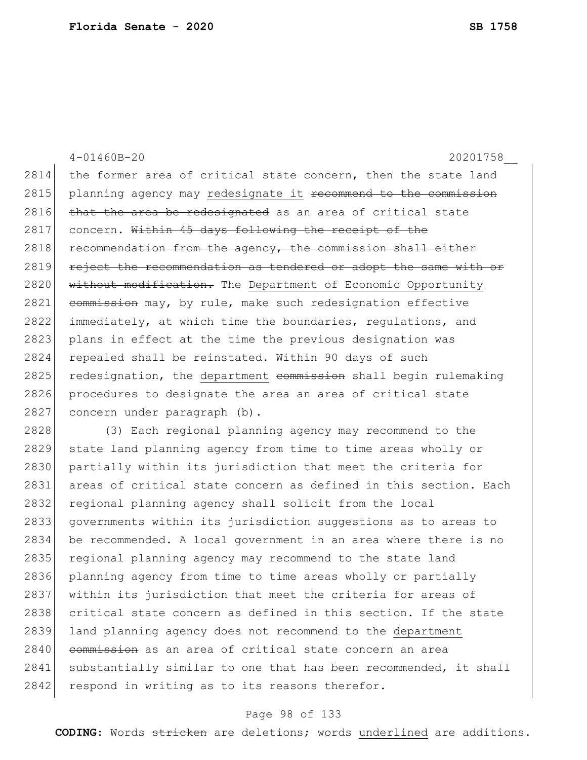4-01460B-20 20201758\_\_ 2814 the former area of critical state concern, then the state land 2815 planning agency may redesignate it recommend to the commission 2816 that the area be redesignated as an area of critical state 2817 concern. Within 45 days following the receipt of the  $2818$  recommendation from the agency, the commission shall either 2819 reject the recommendation as tendered or adopt the same with or 2820 without modification. The Department of Economic Opportunity 2821 commission may, by rule, make such redesignation effective 2822 immediately, at which time the boundaries, regulations, and 2823 plans in effect at the time the previous designation was 2824 repealed shall be reinstated. Within 90 days of such  $2825$  redesignation, the department commission shall begin rulemaking 2826 procedures to designate the area an area of critical state 2827 concern under paragraph (b). 2828 (3) Each regional planning agency may recommend to the 2829 state land planning agency from time to time areas wholly or 2830 partially within its jurisdiction that meet the criteria for 2831 areas of critical state concern as defined in this section. Each

2832 regional planning agency shall solicit from the local 2833 governments within its jurisdiction suggestions as to areas to 2834 be recommended. A local government in an area where there is no 2835 regional planning agency may recommend to the state land 2836 planning agency from time to time areas wholly or partially 2837 within its jurisdiction that meet the criteria for areas of 2838 critical state concern as defined in this section. If the state 2839 land planning agency does not recommend to the department 2840 commission as an area of critical state concern an area 2841 substantially similar to one that has been recommended, it shall 2842 respond in writing as to its reasons therefor.

### Page 98 of 133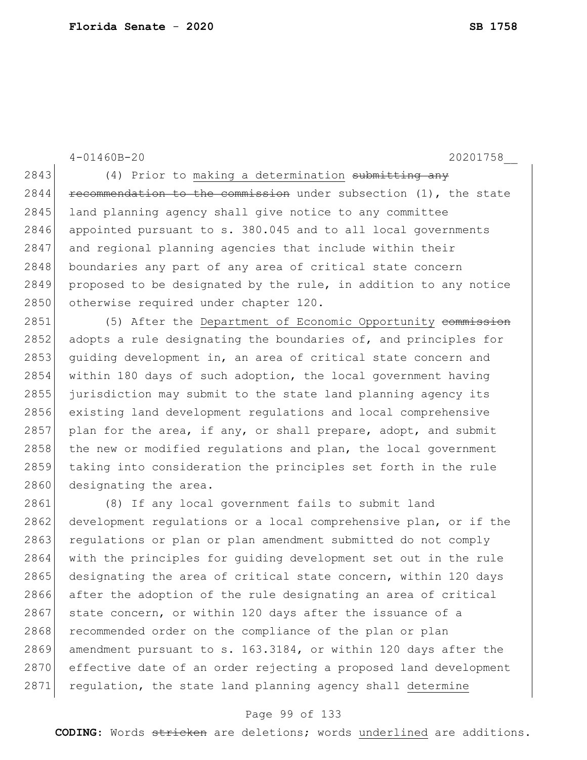4-01460B-20 20201758\_\_ 2843 (4) Prior to making a determination submitting any  $2844$  recommendation to the commission under subsection (1), the state 2845 land planning agency shall give notice to any committee 2846 appointed pursuant to s. 380.045 and to all local governments 2847 and regional planning agencies that include within their 2848 boundaries any part of any area of critical state concern 2849 proposed to be designated by the rule, in addition to any notice 2850 otherwise required under chapter 120. 2851 (5) After the Department of Economic Opportunity commission 2852 adopts a rule designating the boundaries of, and principles for 2853 guiding development in, an area of critical state concern and 2854 within 180 days of such adoption, the local government having 2855 jurisdiction may submit to the state land planning agency its 2856 existing land development regulations and local comprehensive  $2857$  plan for the area, if any, or shall prepare, adopt, and submit 2858 the new or modified requlations and plan, the local government 2859 taking into consideration the principles set forth in the rule 2860 designating the area. 2861 (8) If any local government fails to submit land 2862 development regulations or a local comprehensive plan, or if the 2863 requiations or plan or plan amendment submitted do not comply 2864 with the principles for guiding development set out in the rule 2865 designating the area of critical state concern, within 120 days 2866 after the adoption of the rule designating an area of critical  $2867$  state concern, or within 120 days after the issuance of a 2868 recommended order on the compliance of the plan or plan 2869 amendment pursuant to s. 163.3184, or within 120 days after the 2870 effective date of an order rejecting a proposed land development 2871 regulation, the state land planning agency shall determine

### Page 99 of 133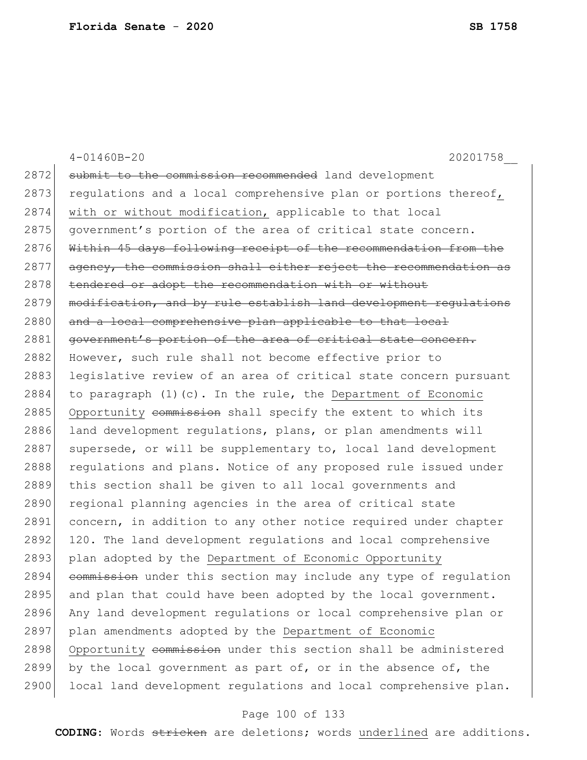|      | $4 - 01460B - 20$<br>20201758                                      |
|------|--------------------------------------------------------------------|
| 2872 | submit to the commission recommended land development              |
| 2873 | regulations and a local comprehensive plan or portions thereof,    |
| 2874 | with or without modification, applicable to that local             |
| 2875 | government's portion of the area of critical state concern.        |
| 2876 | Within 45 days following receipt of the recommendation from the    |
| 2877 | agency, the commission shall either reject the recommendation as   |
| 2878 | tendered or adopt the recommendation with or without               |
| 2879 | modification, and by rule establish land development requlations   |
| 2880 | and a local comprehensive plan applicable to that local            |
| 2881 | government's portion of the area of critical state concern.        |
| 2882 | However, such rule shall not become effective prior to             |
| 2883 | legislative review of an area of critical state concern pursuant   |
| 2884 | to paragraph $(1)$ $(c)$ . In the rule, the Department of Economic |
| 2885 | Opportunity commission shall specify the extent to which its       |
| 2886 | land development regulations, plans, or plan amendments will       |
| 2887 | supersede, or will be supplementary to, local land development     |
| 2888 | regulations and plans. Notice of any proposed rule issued under    |
| 2889 | this section shall be given to all local governments and           |
| 2890 | regional planning agencies in the area of critical state           |
| 2891 | concern, in addition to any other notice required under chapter    |
| 2892 | 120. The land development regulations and local comprehensive      |
| 2893 | plan adopted by the Department of Economic Opportunity             |
| 2894 | commission under this section may include any type of regulation   |
| 2895 | and plan that could have been adopted by the local government.     |
| 2896 | Any land development regulations or local comprehensive plan or    |
| 2897 | plan amendments adopted by the Department of Economic              |
| 2898 | Opportunity commission under this section shall be administered    |
| 2899 | by the local government as part of, or in the absence of, the      |
| 2900 | local land development regulations and local comprehensive plan.   |

# Page 100 of 133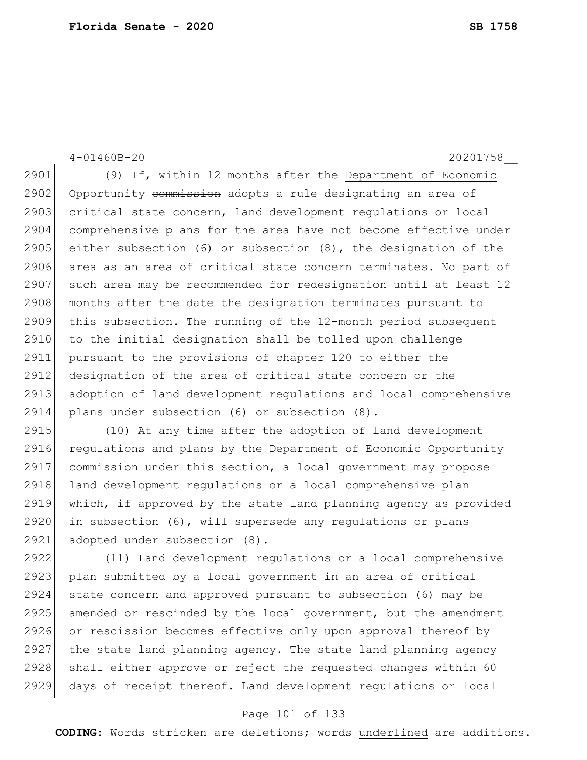4-01460B-20 20201758\_\_ 2901 (9) If, within 12 months after the Department of Economic 2902 Opportunity commission adopts a rule designating an area of 2903 critical state concern, land development regulations or local 2904 comprehensive plans for the area have not become effective under 2905 either subsection  $(6)$  or subsection  $(8)$ , the designation of the 2906 area as an area of critical state concern terminates. No part of 2907 such area may be recommended for redesignation until at least 12 2908 months after the date the designation terminates pursuant to 2909 this subsection. The running of the 12-month period subsequent 2910 to the initial designation shall be tolled upon challenge 2911 pursuant to the provisions of chapter 120 to either the 2912 designation of the area of critical state concern or the 2913 adoption of land development regulations and local comprehensive 2914 plans under subsection (6) or subsection (8). 2915 (10) At any time after the adoption of land development 2916 regulations and plans by the Department of Economic Opportunity  $2917$  commission under this section, a local government may propose 2918 land development regulations or a local comprehensive plan 2919 which, if approved by the state land planning agency as provided 2920 in subsection  $(6)$ , will supersede any regulations or plans 2921 adopted under subsection (8). 2922 (11) Land development regulations or a local comprehensive 2923 plan submitted by a local government in an area of critical 2924 state concern and approved pursuant to subsection (6) may be 2925 amended or rescinded by the local government, but the amendment 2926 or rescission becomes effective only upon approval thereof by

2927 the state land planning agency. The state land planning agency 2928 shall either approve or reject the requested changes within 60 2929 days of receipt thereof. Land development regulations or local

### Page 101 of 133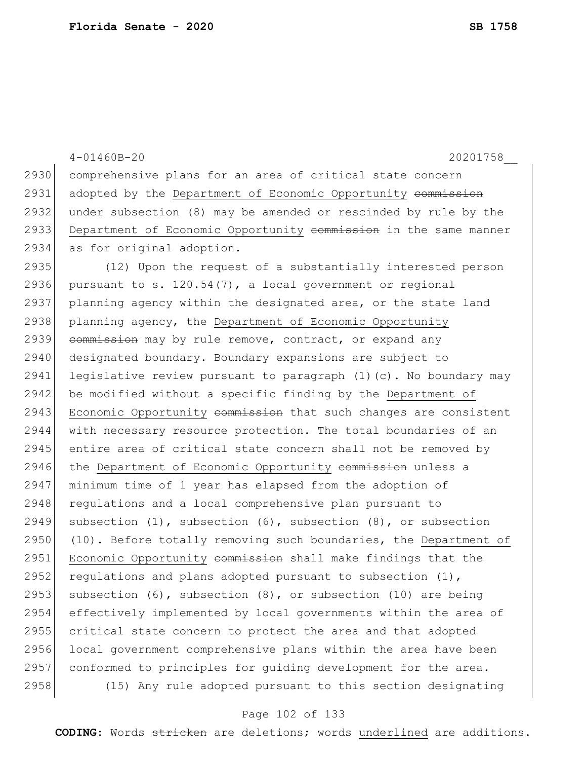4-01460B-20 20201758\_\_ 2930 comprehensive plans for an area of critical state concern 2931 adopted by the Department of Economic Opportunity commission 2932 under subsection (8) may be amended or rescinded by rule by the 2933 Department of Economic Opportunity commission in the same manner 2934 as for original adoption. 2935 (12) Upon the request of a substantially interested person 2936 pursuant to s.  $120.54(7)$ , a local government or regional 2937 planning agency within the designated area, or the state land 2938 planning agency, the Department of Economic Opportunity 2939 commission may by rule remove, contract, or expand any 2940 designated boundary. Boundary expansions are subject to 2941 legislative review pursuant to paragraph  $(1)(c)$ . No boundary may 2942 be modified without a specific finding by the Department of 2943 Economic Opportunity commission that such changes are consistent 2944 with necessary resource protection. The total boundaries of an 2945 entire area of critical state concern shall not be removed by 2946 the Department of Economic Opportunity commission unless a 2947 minimum time of 1 year has elapsed from the adoption of 2948 requiations and a local comprehensive plan pursuant to 2949 subsection  $(1)$ , subsection  $(6)$ , subsection  $(8)$ , or subsection 2950 (10). Before totally removing such boundaries, the Department of 2951 Economic Opportunity commission shall make findings that the 2952 regulations and plans adopted pursuant to subsection  $(1)$ , 2953 subsection  $(6)$ , subsection  $(8)$ , or subsection  $(10)$  are being 2954 effectively implemented by local governments within the area of 2955 critical state concern to protect the area and that adopted 2956 local government comprehensive plans within the area have been 2957 conformed to principles for guiding development for the area. 2958 (15) Any rule adopted pursuant to this section designating

### Page 102 of 133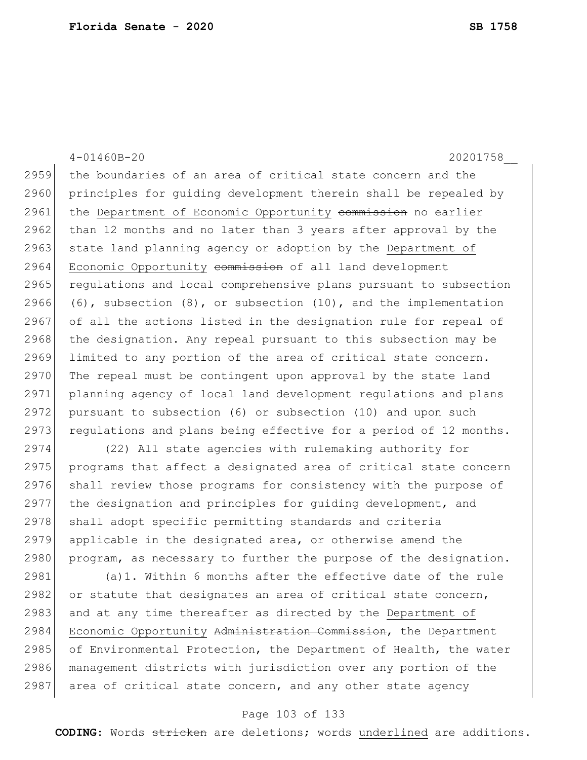4-01460B-20 20201758\_\_ 2959 the boundaries of an area of critical state concern and the 2960 principles for quiding development therein shall be repealed by 2961 the Department of Economic Opportunity commission no earlier 2962 than 12 months and no later than 3 years after approval by the 2963 state land planning agency or adoption by the Department of 2964 Economic Opportunity commission of all land development 2965 regulations and local comprehensive plans pursuant to subsection 2966 (6), subsection  $(8)$ , or subsection  $(10)$ , and the implementation 2967 of all the actions listed in the designation rule for repeal of 2968 the designation. Any repeal pursuant to this subsection may be 2969 limited to any portion of the area of critical state concern.  $2970$  The repeal must be contingent upon approval by the state land 2971 planning agency of local land development regulations and plans 2972 pursuant to subsection  $(6)$  or subsection  $(10)$  and upon such 2973 requiations and plans being effective for a period of 12 months. 2974 (22) All state agencies with rulemaking authority for 2975 programs that affect a designated area of critical state concern 2976 shall review those programs for consistency with the purpose of 2977 the designation and principles for guiding development, and 2978 shall adopt specific permitting standards and criteria 2979 applicable in the designated area, or otherwise amend the 2980 program, as necessary to further the purpose of the designation. 2981 (a)1. Within 6 months after the effective date of the rule

2982 or statute that designates an area of critical state concern, 2983 and at any time thereafter as directed by the Department of 2984 Economic Opportunity Administration Commission, the Department 2985 of Environmental Protection, the Department of Health, the water 2986 management districts with jurisdiction over any portion of the 2987 area of critical state concern, and any other state agency

### Page 103 of 133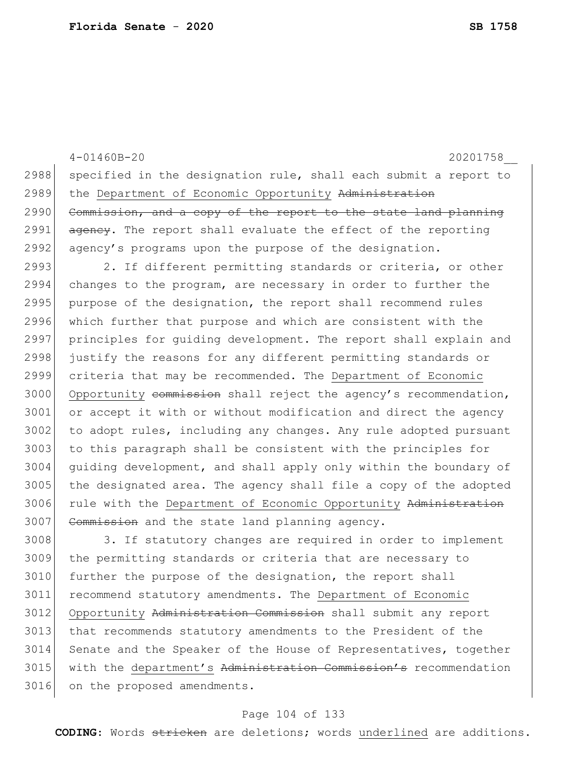3016 on the proposed amendments.

4-01460B-20 20201758\_\_ 2988 specified in the designation rule, shall each submit a report to 2989 the Department of Economic Opportunity Administration 2990 Commission, and a copy of the report to the state land planning 2991 agency. The report shall evaluate the effect of the reporting 2992 agency's programs upon the purpose of the designation. 2993 2. If different permitting standards or criteria, or other 2994 changes to the program, are necessary in order to further the 2995 purpose of the designation, the report shall recommend rules 2996 which further that purpose and which are consistent with the 2997 principles for guiding development. The report shall explain and 2998 justify the reasons for any different permitting standards or 2999 criteria that may be recommended. The Department of Economic 3000 Opportunity commission shall reject the agency's recommendation, 3001 or accept it with or without modification and direct the agency 3002 to adopt rules, including any changes. Any rule adopted pursuant  $3003$  to this paragraph shall be consistent with the principles for 3004 guiding development, and shall apply only within the boundary of 3005 the designated area. The agency shall file a copy of the adopted 3006 rule with the Department of Economic Opportunity Administration 3007 Commission and the state land planning agency. 3008 3. If statutory changes are required in order to implement 3009 the permitting standards or criteria that are necessary to 3010 further the purpose of the designation, the report shall 3011 recommend statutory amendments. The Department of Economic 3012 Opportunity Administration Commission shall submit any report 3013 that recommends statutory amendments to the President of the 3014 Senate and the Speaker of the House of Representatives, together 3015 with the department's Administration Commission's recommendation

### Page 104 of 133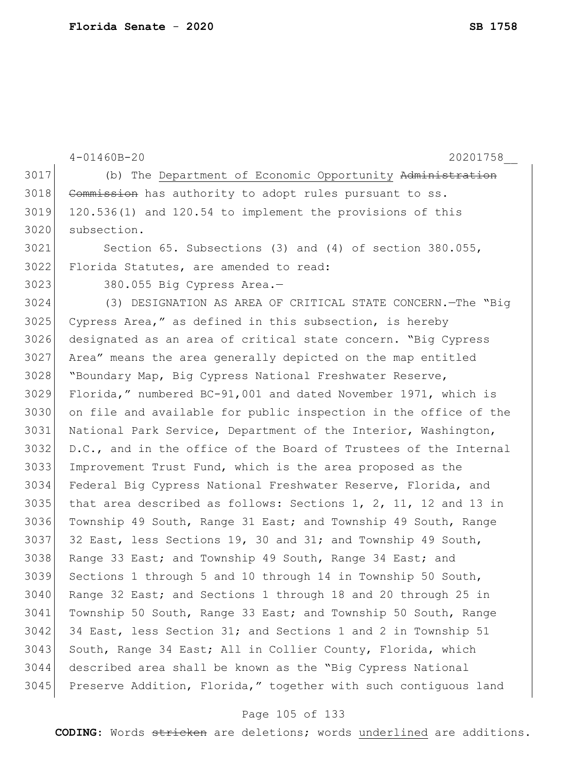```
4-01460B-20 20201758__
3017 (b) The Department of Economic Opportunity Administration
3018 Commission has authority to adopt rules pursuant to ss.
3019 120.536(1) and 120.54 to implement the provisions of this
3020 subsection.
3021 Section 65. Subsections (3) and (4) of section 380.055, 
3022 Florida Statutes, are amended to read:
3023 380.055 Big Cypress Area.—
3024 (3) DESIGNATION AS AREA OF CRITICAL STATE CONCERN.—The "Big 
3025 Cypress Area," as defined in this subsection, is hereby 
3026 designated as an area of critical state concern. "Big Cypress 
3027 Area" means the area generally depicted on the map entitled 
3028 "Boundary Map, Big Cypress National Freshwater Reserve, 
3029 Florida," numbered BC-91,001 and dated November 1971, which is 
3030 on file and available for public inspection in the office of the 
3031 National Park Service, Department of the Interior, Washington, 
3032 D.C., and in the office of the Board of Trustees of the Internal 
3033 Improvement Trust Fund, which is the area proposed as the 
3034 Federal Big Cypress National Freshwater Reserve, Florida, and 
3035 that area described as follows: Sections 1, 2, 11, 12 and 13 in
3036 Township 49 South, Range 31 East; and Township 49 South, Range 
3037 32 East, less Sections 19, 30 and 31; and Township 49 South,
3038 Range 33 East; and Township 49 South, Range 34 East; and
3039 Sections 1 through 5 and 10 through 14 in Township 50 South, 
3040 Range 32 East; and Sections 1 through 18 and 20 through 25 in 
3041 Township 50 South, Range 33 East; and Township 50 South, Range 
3042 34 East, less Section 31; and Sections 1 and 2 in Township 51 
3043 South, Range 34 East; All in Collier County, Florida, which
3044 described area shall be known as the "Big Cypress National 
3045 Preserve Addition, Florida," together with such contiguous land
```
### Page 105 of 133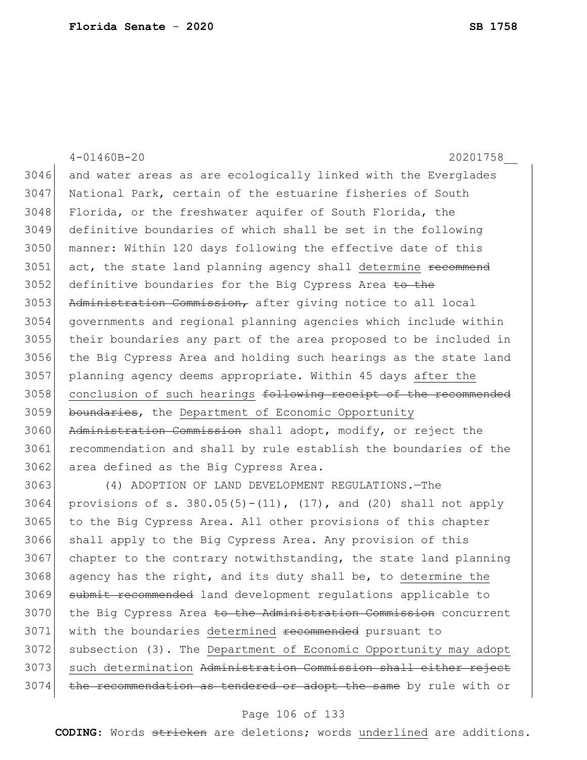|      | $4 - 01460B - 20$<br>20201758                                             |
|------|---------------------------------------------------------------------------|
| 3046 | and water areas as are ecologically linked with the Everglades            |
| 3047 | National Park, certain of the estuarine fisheries of South                |
| 3048 | Florida, or the freshwater aquifer of South Florida, the                  |
| 3049 | definitive boundaries of which shall be set in the following              |
| 3050 | manner: Within 120 days following the effective date of this              |
| 3051 | act, the state land planning agency shall determine recommend             |
| 3052 | definitive boundaries for the Big Cypress Area <del>to the</del>          |
| 3053 | Administration Commission, after giving notice to all local               |
| 3054 | governments and regional planning agencies which include within           |
| 3055 | their boundaries any part of the area proposed to be included in          |
| 3056 | the Big Cypress Area and holding such hearings as the state land          |
| 3057 | planning agency deems appropriate. Within 45 days after the               |
| 3058 | conclusion of such hearings following receipt of the recommended          |
| 3059 | boundaries, the Department of Economic Opportunity                        |
| 3060 | Administration Commission shall adopt, modify, or reject the              |
| 3061 | recommendation and shall by rule establish the boundaries of the          |
| 3062 | area defined as the Big Cypress Area.                                     |
| 3063 | (4) ADOPTION OF LAND DEVELOPMENT REGULATIONS. - The                       |
| 3064 | provisions of s. $380.05(5) - (11)$ , $(17)$ , and $(20)$ shall not apply |
| 3065 | to the Big Cypress Area. All other provisions of this chapter             |
| 3066 | shall apply to the Big Cypress Area. Any provision of this                |
| 3067 | chapter to the contrary notwithstanding, the state land planning          |
| 3068 | agency has the right, and its duty shall be, to determine the             |
| 3069 | submit recommended land development regulations applicable to             |
| 3070 | the Big Cypress Area to the Administration Commission concurrent          |
| 3071 | with the boundaries determined recommended pursuant to                    |
| 3072 | subsection (3). The Department of Economic Opportunity may adopt          |

3073 such determination Administration Commission shall either reject 3074 the recommendation as tendered or adopt the same by rule with or

### Page 106 of 133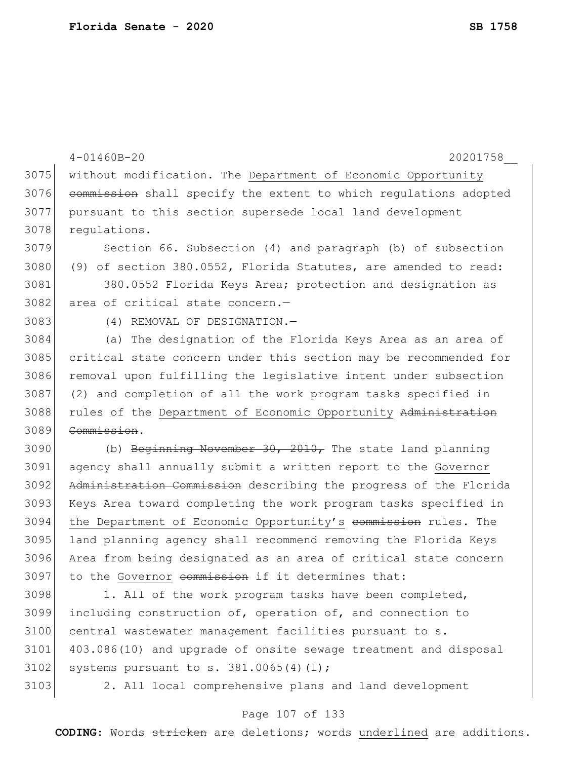|      | $4 - 01460B - 20$<br>20201758                                    |
|------|------------------------------------------------------------------|
| 3075 | without modification. The Department of Economic Opportunity     |
| 3076 | commission shall specify the extent to which regulations adopted |
| 3077 | pursuant to this section supersede local land development        |
| 3078 | requlations.                                                     |
| 3079 | Section 66. Subsection (4) and paragraph (b) of subsection       |
| 3080 | (9) of section 380.0552, Florida Statutes, are amended to read:  |
| 3081 | 380.0552 Florida Keys Area; protection and designation as        |
| 3082 | area of critical state concern.-                                 |
| 3083 | (4) REMOVAL OF DESIGNATION.-                                     |
| 3084 | (a) The designation of the Florida Keys Area as an area of       |
| 3085 | critical state concern under this section may be recommended for |
| 3086 | removal upon fulfilling the legislative intent under subsection  |
| 3087 | (2) and completion of all the work program tasks specified in    |
| 3088 | rules of the Department of Economic Opportunity Administration   |
| 3089 | Commission.                                                      |
| 3090 | (b) Beginning November 30, 2010, The state land planning         |
| 3091 | agency shall annually submit a written report to the Governor    |
| 3092 | Administration Commission describing the progress of the Florida |
| 3093 | Keys Area toward completing the work program tasks specified in  |
| 3094 | the Department of Economic Opportunity's commission rules. The   |
| 3095 | land planning agency shall recommend removing the Florida Keys   |
| 3096 | Area from being designated as an area of critical state concern  |
| 3097 | to the Governor commission if it determines that:                |
| 3098 | 1. All of the work program tasks have been completed,            |
| 3099 | including construction of, operation of, and connection to       |
| 3100 | central wastewater management facilities pursuant to s.          |
| 3101 | 403.086(10) and upgrade of onsite sewage treatment and disposal  |
| 3102 | systems pursuant to s. $381.0065(4)(1)$ ;                        |

3103 2. All local comprehensive plans and land development

### Page 107 of 133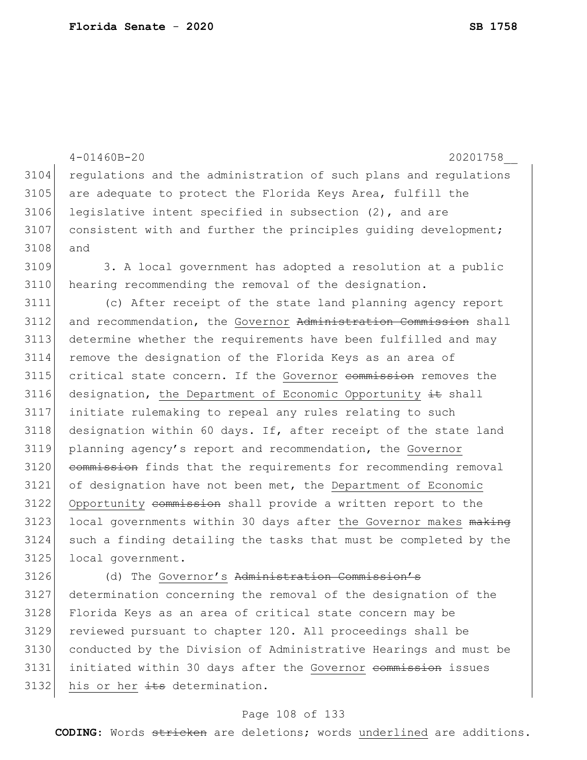|      | $4 - 01460B - 20$<br>20201758                                    |
|------|------------------------------------------------------------------|
| 3104 | regulations and the administration of such plans and regulations |
| 3105 | are adequate to protect the Florida Keys Area, fulfill the       |
| 3106 | legislative intent specified in subsection $(2)$ , and are       |
| 3107 | consistent with and further the principles quiding development;  |
| 3108 | and                                                              |
| 3109 | 3. A local government has adopted a resolution at a public       |
| 3110 | hearing recommending the removal of the designation.             |
| 3111 | (c) After receipt of the state land planning agency report       |
| 3112 | and recommendation, the Governor Administration Commission shall |
| 3113 | determine whether the requirements have been fulfilled and may   |
| 3114 | remove the designation of the Florida Keys as an area of         |
| 3115 | critical state concern. If the Governor commission removes the   |
| 3116 | designation, the Department of Economic Opportunity it shall     |
| 3117 | initiate rulemaking to repeal any rules relating to such         |
| 3118 | designation within 60 days. If, after receipt of the state land  |
| 3119 | planning agency's report and recommendation, the Governor        |
| 3120 | commission finds that the requirements for recommending removal  |
| 3121 | of designation have not been met, the Department of Economic     |
| 3122 | Opportunity commission shall provide a written report to the     |
| 3123 | local governments within 30 days after the Governor makes making |
| 3124 | such a finding detailing the tasks that must be completed by the |
| 3125 | local government.                                                |
| 3126 | (d) The Governor's Administration Commission's                   |
| 3127 | determination concerning the removal of the designation of the   |
| 3128 | Florida Keys as an area of critical state concern may be         |
| 3129 | reviewed pursuant to chapter 120. All proceedings shall be       |

3130 conducted by the Division of Administrative Hearings and must be 3131 initiated within 30 days after the Governor commission issues 3132 his or her  $\pm t$ s determination.

## Page 108 of 133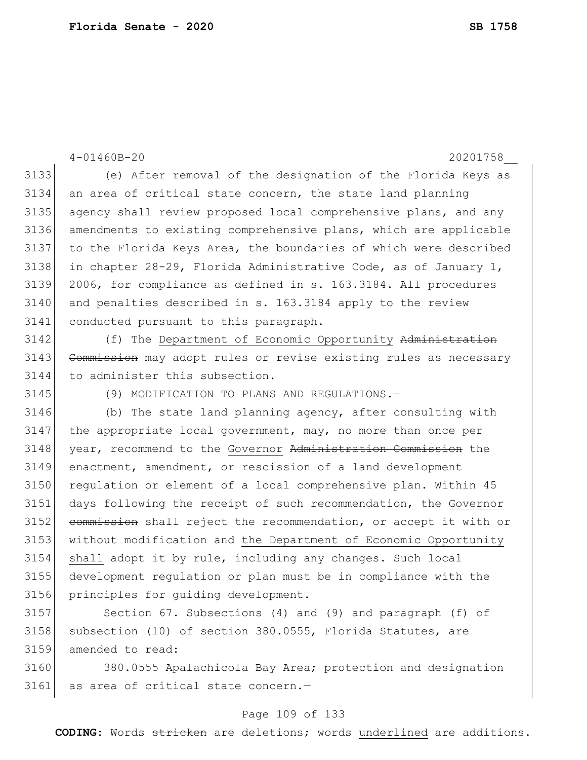4-01460B-20 20201758\_\_ (e) After removal of the designation of the Florida Keys as an area of critical state concern, the state land planning agency shall review proposed local comprehensive plans, and any amendments to existing comprehensive plans, which are applicable to the Florida Keys Area, the boundaries of which were described 3138 in chapter 28-29, Florida Administrative Code, as of January 1, 2006, for compliance as defined in s. 163.3184. All procedures and penalties described in s. 163.3184 apply to the review conducted pursuant to this paragraph. 3142 (f) The Department of Economic Opportunity Administration 3143 Commission may adopt rules or revise existing rules as necessary to administer this subsection. (9) MODIFICATION TO PLANS AND REGULATIONS.— (b) The state land planning agency, after consulting with the appropriate local government, may, no more than once per 3148 year, recommend to the Governor Administration Commission the enactment, amendment, or rescission of a land development regulation or element of a local comprehensive plan. Within 45 days following the receipt of such recommendation, the Governor 3152 commission shall reject the recommendation, or accept it with or without modification and the Department of Economic Opportunity shall adopt it by rule, including any changes. Such local development regulation or plan must be in compliance with the principles for guiding development. Section 67. Subsections (4) and (9) and paragraph (f) of

3158 subsection (10) of section 380.0555, Florida Statutes, are amended to read:

 380.0555 Apalachicola Bay Area; protection and designation 3161 as area of critical state concern.-

### Page 109 of 133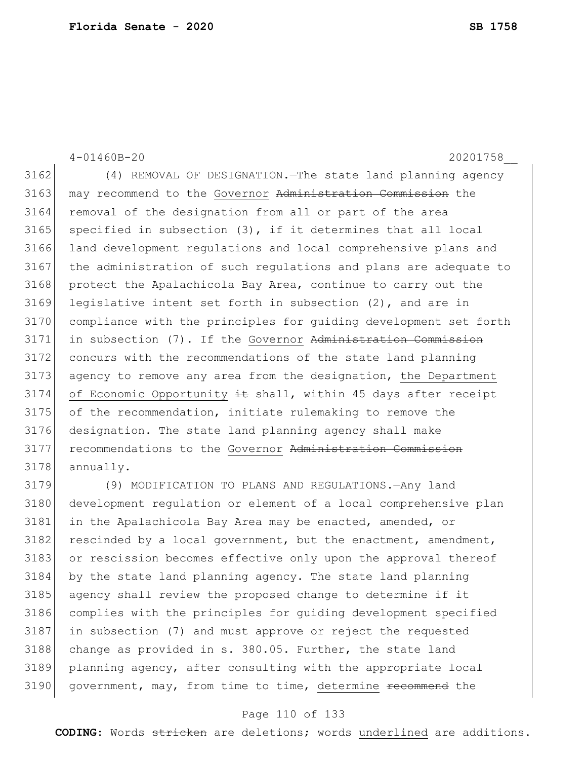4-01460B-20 20201758\_\_ 3162 (4) REMOVAL OF DESIGNATION. The state land planning agency 3163 may recommend to the Governor Administration Commission the 3164 removal of the designation from all or part of the area  $3165$  specified in subsection  $(3)$ , if it determines that all local 3166 land development regulations and local comprehensive plans and 3167 the administration of such regulations and plans are adequate to 3168 protect the Apalachicola Bay Area, continue to carry out the  $3169$  legislative intent set forth in subsection  $(2)$ , and are in 3170 compliance with the principles for guiding development set forth 3171 in subsection (7). If the Governor Administration Commission 3172 concurs with the recommendations of the state land planning 3173 agency to remove any area from the designation, the Department 3174 of Economic Opportunity  $\pm$ t shall, within 45 days after receipt 3175 of the recommendation, initiate rulemaking to remove the 3176 designation. The state land planning agency shall make 3177 recommendations to the Governor Administration Commission 3178 annually.

 (9) MODIFICATION TO PLANS AND REGULATIONS.—Any land 3180 development regulation or element of a local comprehensive plan in the Apalachicola Bay Area may be enacted, amended, or rescinded by a local government, but the enactment, amendment, 3183 or rescission becomes effective only upon the approval thereof by the state land planning agency. The state land planning agency shall review the proposed change to determine if it complies with the principles for guiding development specified in subsection (7) and must approve or reject the requested 3188 change as provided in s. 380.05. Further, the state land planning agency, after consulting with the appropriate local 3190 government, may, from time to time, determine recommend the

### Page 110 of 133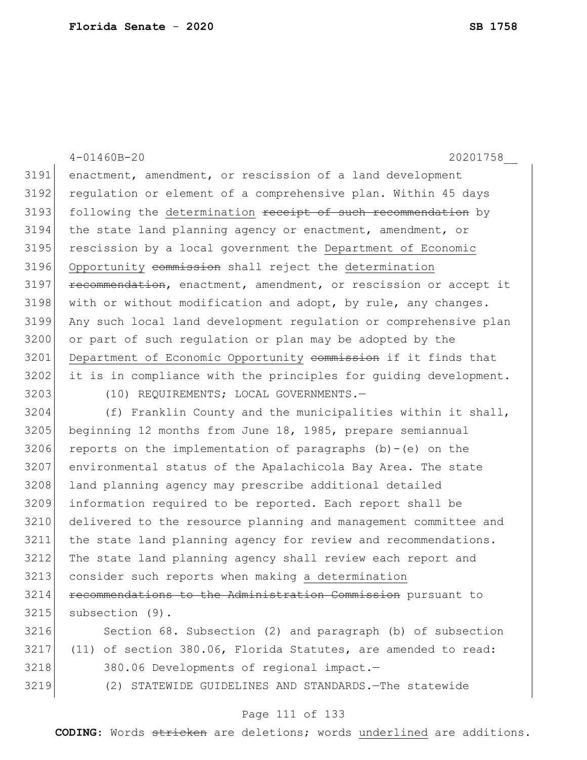| 3191<br>enactment, amendment, or rescission of a land development<br>3192<br>regulation or element of a comprehensive plan. Within 45 days<br>3193<br>following the determination receipt of such recommendation by<br>3194<br>the state land planning agency or enactment, amendment, or<br>3195<br>rescission by a local government the Department of Economic<br>3196<br>Opportunity commission shall reject the determination<br>3197<br>recommendation, enactment, amendment, or rescission or accept it<br>3198<br>with or without modification and adopt, by rule, any changes.<br>3199<br>Any such local land development regulation or comprehensive plan<br>3200<br>or part of such regulation or plan may be adopted by the<br>3201<br>Department of Economic Opportunity commission if it finds that<br>3202<br>it is in compliance with the principles for quiding development.<br>3203<br>(10) REQUIREMENTS; LOCAL GOVERNMENTS.-<br>3204<br>(f) Franklin County and the municipalities within it shall,<br>3205<br>beginning 12 months from June 18, 1985, prepare semiannual<br>3206<br>reports on the implementation of paragraphs (b)-(e) on the<br>3207<br>environmental status of the Apalachicola Bay Area. The state<br>3208<br>land planning agency may prescribe additional detailed<br>3209<br>information required to be reported. Each report shall be<br>3210<br>delivered to the resource planning and management committee and<br>3211<br>the state land planning agency for review and recommendations.<br>3212<br>The state land planning agency shall review each report and<br>3213<br>consider such reports when making a determination<br>3214<br>recommendations to the Administration Commission pursuant to<br>3215<br>subsection (9).<br>3216<br>Section 68. Subsection (2) and paragraph (b) of subsection<br>3217<br>(11) of section 380.06, Florida Statutes, are amended to read:<br>3218<br>380.06 Developments of regional impact.-<br>3219<br>(2) STATEWIDE GUIDELINES AND STANDARDS. - The statewide | 20201758<br>$4 - 01460B - 20$ |
|-----------------------------------------------------------------------------------------------------------------------------------------------------------------------------------------------------------------------------------------------------------------------------------------------------------------------------------------------------------------------------------------------------------------------------------------------------------------------------------------------------------------------------------------------------------------------------------------------------------------------------------------------------------------------------------------------------------------------------------------------------------------------------------------------------------------------------------------------------------------------------------------------------------------------------------------------------------------------------------------------------------------------------------------------------------------------------------------------------------------------------------------------------------------------------------------------------------------------------------------------------------------------------------------------------------------------------------------------------------------------------------------------------------------------------------------------------------------------------------------------------------------------------------------------------------------------------------------------------------------------------------------------------------------------------------------------------------------------------------------------------------------------------------------------------------------------------------------------------------------------------------------------------------------------------------------------------------------------------------------------------------------------------------------------------|-------------------------------|
|                                                                                                                                                                                                                                                                                                                                                                                                                                                                                                                                                                                                                                                                                                                                                                                                                                                                                                                                                                                                                                                                                                                                                                                                                                                                                                                                                                                                                                                                                                                                                                                                                                                                                                                                                                                                                                                                                                                                                                                                                                                     |                               |
|                                                                                                                                                                                                                                                                                                                                                                                                                                                                                                                                                                                                                                                                                                                                                                                                                                                                                                                                                                                                                                                                                                                                                                                                                                                                                                                                                                                                                                                                                                                                                                                                                                                                                                                                                                                                                                                                                                                                                                                                                                                     |                               |
|                                                                                                                                                                                                                                                                                                                                                                                                                                                                                                                                                                                                                                                                                                                                                                                                                                                                                                                                                                                                                                                                                                                                                                                                                                                                                                                                                                                                                                                                                                                                                                                                                                                                                                                                                                                                                                                                                                                                                                                                                                                     |                               |
|                                                                                                                                                                                                                                                                                                                                                                                                                                                                                                                                                                                                                                                                                                                                                                                                                                                                                                                                                                                                                                                                                                                                                                                                                                                                                                                                                                                                                                                                                                                                                                                                                                                                                                                                                                                                                                                                                                                                                                                                                                                     |                               |
|                                                                                                                                                                                                                                                                                                                                                                                                                                                                                                                                                                                                                                                                                                                                                                                                                                                                                                                                                                                                                                                                                                                                                                                                                                                                                                                                                                                                                                                                                                                                                                                                                                                                                                                                                                                                                                                                                                                                                                                                                                                     |                               |
|                                                                                                                                                                                                                                                                                                                                                                                                                                                                                                                                                                                                                                                                                                                                                                                                                                                                                                                                                                                                                                                                                                                                                                                                                                                                                                                                                                                                                                                                                                                                                                                                                                                                                                                                                                                                                                                                                                                                                                                                                                                     |                               |
|                                                                                                                                                                                                                                                                                                                                                                                                                                                                                                                                                                                                                                                                                                                                                                                                                                                                                                                                                                                                                                                                                                                                                                                                                                                                                                                                                                                                                                                                                                                                                                                                                                                                                                                                                                                                                                                                                                                                                                                                                                                     |                               |
|                                                                                                                                                                                                                                                                                                                                                                                                                                                                                                                                                                                                                                                                                                                                                                                                                                                                                                                                                                                                                                                                                                                                                                                                                                                                                                                                                                                                                                                                                                                                                                                                                                                                                                                                                                                                                                                                                                                                                                                                                                                     |                               |
|                                                                                                                                                                                                                                                                                                                                                                                                                                                                                                                                                                                                                                                                                                                                                                                                                                                                                                                                                                                                                                                                                                                                                                                                                                                                                                                                                                                                                                                                                                                                                                                                                                                                                                                                                                                                                                                                                                                                                                                                                                                     |                               |
|                                                                                                                                                                                                                                                                                                                                                                                                                                                                                                                                                                                                                                                                                                                                                                                                                                                                                                                                                                                                                                                                                                                                                                                                                                                                                                                                                                                                                                                                                                                                                                                                                                                                                                                                                                                                                                                                                                                                                                                                                                                     |                               |
|                                                                                                                                                                                                                                                                                                                                                                                                                                                                                                                                                                                                                                                                                                                                                                                                                                                                                                                                                                                                                                                                                                                                                                                                                                                                                                                                                                                                                                                                                                                                                                                                                                                                                                                                                                                                                                                                                                                                                                                                                                                     |                               |
|                                                                                                                                                                                                                                                                                                                                                                                                                                                                                                                                                                                                                                                                                                                                                                                                                                                                                                                                                                                                                                                                                                                                                                                                                                                                                                                                                                                                                                                                                                                                                                                                                                                                                                                                                                                                                                                                                                                                                                                                                                                     |                               |
|                                                                                                                                                                                                                                                                                                                                                                                                                                                                                                                                                                                                                                                                                                                                                                                                                                                                                                                                                                                                                                                                                                                                                                                                                                                                                                                                                                                                                                                                                                                                                                                                                                                                                                                                                                                                                                                                                                                                                                                                                                                     |                               |
|                                                                                                                                                                                                                                                                                                                                                                                                                                                                                                                                                                                                                                                                                                                                                                                                                                                                                                                                                                                                                                                                                                                                                                                                                                                                                                                                                                                                                                                                                                                                                                                                                                                                                                                                                                                                                                                                                                                                                                                                                                                     |                               |
|                                                                                                                                                                                                                                                                                                                                                                                                                                                                                                                                                                                                                                                                                                                                                                                                                                                                                                                                                                                                                                                                                                                                                                                                                                                                                                                                                                                                                                                                                                                                                                                                                                                                                                                                                                                                                                                                                                                                                                                                                                                     |                               |
|                                                                                                                                                                                                                                                                                                                                                                                                                                                                                                                                                                                                                                                                                                                                                                                                                                                                                                                                                                                                                                                                                                                                                                                                                                                                                                                                                                                                                                                                                                                                                                                                                                                                                                                                                                                                                                                                                                                                                                                                                                                     |                               |
|                                                                                                                                                                                                                                                                                                                                                                                                                                                                                                                                                                                                                                                                                                                                                                                                                                                                                                                                                                                                                                                                                                                                                                                                                                                                                                                                                                                                                                                                                                                                                                                                                                                                                                                                                                                                                                                                                                                                                                                                                                                     |                               |
|                                                                                                                                                                                                                                                                                                                                                                                                                                                                                                                                                                                                                                                                                                                                                                                                                                                                                                                                                                                                                                                                                                                                                                                                                                                                                                                                                                                                                                                                                                                                                                                                                                                                                                                                                                                                                                                                                                                                                                                                                                                     |                               |
|                                                                                                                                                                                                                                                                                                                                                                                                                                                                                                                                                                                                                                                                                                                                                                                                                                                                                                                                                                                                                                                                                                                                                                                                                                                                                                                                                                                                                                                                                                                                                                                                                                                                                                                                                                                                                                                                                                                                                                                                                                                     |                               |
|                                                                                                                                                                                                                                                                                                                                                                                                                                                                                                                                                                                                                                                                                                                                                                                                                                                                                                                                                                                                                                                                                                                                                                                                                                                                                                                                                                                                                                                                                                                                                                                                                                                                                                                                                                                                                                                                                                                                                                                                                                                     |                               |
|                                                                                                                                                                                                                                                                                                                                                                                                                                                                                                                                                                                                                                                                                                                                                                                                                                                                                                                                                                                                                                                                                                                                                                                                                                                                                                                                                                                                                                                                                                                                                                                                                                                                                                                                                                                                                                                                                                                                                                                                                                                     |                               |
|                                                                                                                                                                                                                                                                                                                                                                                                                                                                                                                                                                                                                                                                                                                                                                                                                                                                                                                                                                                                                                                                                                                                                                                                                                                                                                                                                                                                                                                                                                                                                                                                                                                                                                                                                                                                                                                                                                                                                                                                                                                     |                               |
|                                                                                                                                                                                                                                                                                                                                                                                                                                                                                                                                                                                                                                                                                                                                                                                                                                                                                                                                                                                                                                                                                                                                                                                                                                                                                                                                                                                                                                                                                                                                                                                                                                                                                                                                                                                                                                                                                                                                                                                                                                                     |                               |
|                                                                                                                                                                                                                                                                                                                                                                                                                                                                                                                                                                                                                                                                                                                                                                                                                                                                                                                                                                                                                                                                                                                                                                                                                                                                                                                                                                                                                                                                                                                                                                                                                                                                                                                                                                                                                                                                                                                                                                                                                                                     |                               |
|                                                                                                                                                                                                                                                                                                                                                                                                                                                                                                                                                                                                                                                                                                                                                                                                                                                                                                                                                                                                                                                                                                                                                                                                                                                                                                                                                                                                                                                                                                                                                                                                                                                                                                                                                                                                                                                                                                                                                                                                                                                     |                               |
|                                                                                                                                                                                                                                                                                                                                                                                                                                                                                                                                                                                                                                                                                                                                                                                                                                                                                                                                                                                                                                                                                                                                                                                                                                                                                                                                                                                                                                                                                                                                                                                                                                                                                                                                                                                                                                                                                                                                                                                                                                                     |                               |
|                                                                                                                                                                                                                                                                                                                                                                                                                                                                                                                                                                                                                                                                                                                                                                                                                                                                                                                                                                                                                                                                                                                                                                                                                                                                                                                                                                                                                                                                                                                                                                                                                                                                                                                                                                                                                                                                                                                                                                                                                                                     |                               |
|                                                                                                                                                                                                                                                                                                                                                                                                                                                                                                                                                                                                                                                                                                                                                                                                                                                                                                                                                                                                                                                                                                                                                                                                                                                                                                                                                                                                                                                                                                                                                                                                                                                                                                                                                                                                                                                                                                                                                                                                                                                     |                               |
|                                                                                                                                                                                                                                                                                                                                                                                                                                                                                                                                                                                                                                                                                                                                                                                                                                                                                                                                                                                                                                                                                                                                                                                                                                                                                                                                                                                                                                                                                                                                                                                                                                                                                                                                                                                                                                                                                                                                                                                                                                                     |                               |

# Page 111 of 133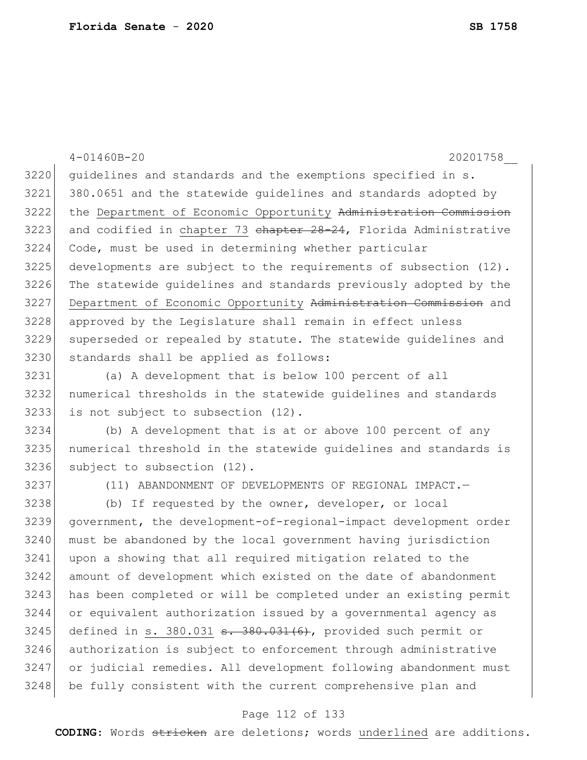|      | $4 - 01460B - 20$<br>20201758                                     |
|------|-------------------------------------------------------------------|
| 3220 | guidelines and standards and the exemptions specified in s.       |
| 3221 | 380.0651 and the statewide quidelines and standards adopted by    |
| 3222 | the Department of Economic Opportunity Administration Commission  |
| 3223 | and codified in chapter 73 chapter 28-24, Florida Administrative  |
| 3224 | Code, must be used in determining whether particular              |
| 3225 | developments are subject to the requirements of subsection (12).  |
| 3226 | The statewide guidelines and standards previously adopted by the  |
| 3227 | Department of Economic Opportunity Administration Commission and  |
| 3228 | approved by the Legislature shall remain in effect unless         |
| 3229 | superseded or repealed by statute. The statewide guidelines and   |
| 3230 | standards shall be applied as follows:                            |
| 3231 | (a) A development that is below 100 percent of all                |
| 3232 | numerical thresholds in the statewide guidelines and standards    |
| 3233 | is not subject to subsection (12).                                |
| 3234 | (b) A development that is at or above 100 percent of any          |
| 3235 | numerical threshold in the statewide guidelines and standards is  |
| 3236 | subject to subsection (12).                                       |
| 3237 | (11) ABANDONMENT OF DEVELOPMENTS OF REGIONAL IMPACT.-             |
| 3238 | (b) If requested by the owner, developer, or local                |
| 3239 | government, the development-of-regional-impact development order  |
| 3240 | must be abandoned by the local government having jurisdiction     |
| 3241 | upon a showing that all required mitigation related to the        |
| 3242 | amount of development which existed on the date of abandonment    |
| 3243 | has been completed or will be completed under an existing permit  |
| 3244 | or equivalent authorization issued by a governmental agency as    |
| 3245 | defined in s. 380.031 $\pm$ . 380.031(6), provided such permit or |
| 3246 | authorization is subject to enforcement through administrative    |
| 3247 | or judicial remedies. All development following abandonment must  |
| 3248 | be fully consistent with the current comprehensive plan and       |

# Page 112 of 133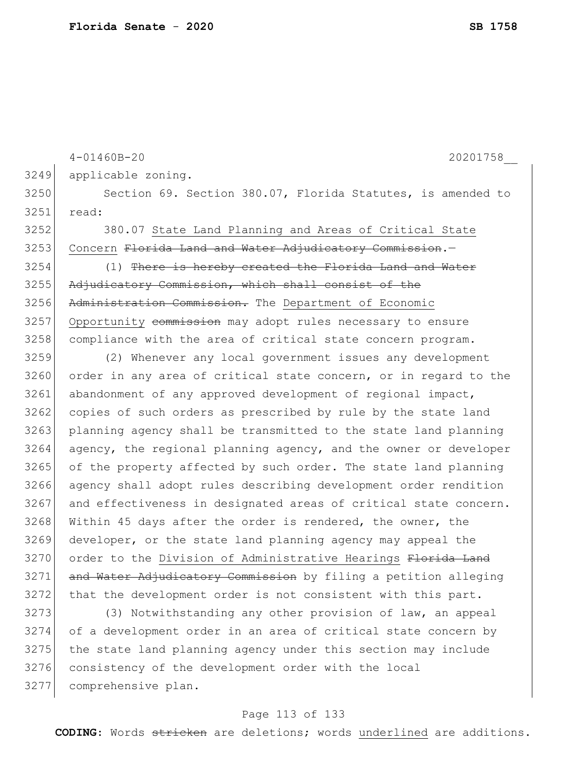```
4-01460B-20 20201758__
3249 applicable zoning.
3250 Section 69. Section 380.07, Florida Statutes, is amended to
3251 read:
3252 380.07 State Land Planning and Areas of Critical State 
3253 Concern Florida Land and Water Adjudicatory Commission.-
3254 (1) There is hereby created the Florida Land and Water
3255 Adjudicatory Commission, which shall consist of the
3256 Administration Commission. The Department of Economic
3257 Opportunity commission may adopt rules necessary to ensure
3258 compliance with the area of critical state concern program.
3259 (2) Whenever any local government issues any development 
3260 order in any area of critical state concern, or in regard to the 
3261 abandonment of any approved development of regional impact,
3262 copies of such orders as prescribed by rule by the state land
3263 planning agency shall be transmitted to the state land planning 
3264 agency, the regional planning agency, and the owner or developer
3265 of the property affected by such order. The state land planning
3266 agency shall adopt rules describing development order rendition 
3267 and effectiveness in designated areas of critical state concern.
3268 Within 45 days after the order is rendered, the owner, the
3269 developer, or the state land planning agency may appeal the 
3270 order to the Division of Administrative Hearings Florida Land
3271 and Water Adjudicatory Commission by filing a petition alleging
3272 that the development order is not consistent with this part.
3273 (3) Notwithstanding any other provision of law, an appeal
```
 of a development order in an area of critical state concern by the state land planning agency under this section may include 3276 consistency of the development order with the local comprehensive plan.

### Page 113 of 133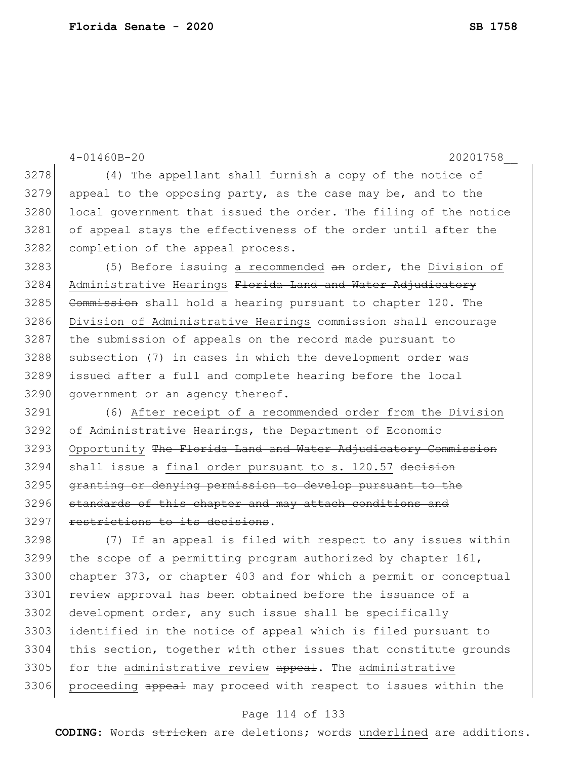```
4-01460B-20 20201758__
3278 (4) The appellant shall furnish a copy of the notice of
3279 appeal to the opposing party, as the case may be, and to the
3280 local government that issued the order. The filing of the notice
3281 of appeal stays the effectiveness of the order until after the 
3282 completion of the appeal process.
3283 (5) Before issuing a recommended an order, the Division of
3284 Administrative Hearings Florida Land and Water Adjudicatory
3285 Commission shall hold a hearing pursuant to chapter 120. The
3286 Division of Administrative Hearings commission shall encourage
3287 the submission of appeals on the record made pursuant to 
3288 subsection (7) in cases in which the development order was
3289 issued after a full and complete hearing before the local 
3290 government or an agency thereof.
3291 (6) After receipt of a recommended order from the Division 
3292 of Administrative Hearings, the Department of Economic 
3293 Opportunity The Florida Land and Water Adjudicatory Commission
3294 shall issue a final order pursuant to s. 120.57 decision
3295 granting or denying permission to develop pursuant to the
3296 standards of this chapter and may attach conditions and
3297 restrictions to its decisions.
3298 (7) If an appeal is filed with respect to any issues within 
3299 the scope of a permitting program authorized by chapter 161, 
3300 chapter 373, or chapter 403 and for which a permit or conceptual 
3301 review approval has been obtained before the issuance of a 
3302 development order, any such issue shall be specifically
3303 identified in the notice of appeal which is filed pursuant to 
3304 this section, together with other issues that constitute grounds 
3305 for the administrative review appeal. The administrative
3306 proceeding appeal may proceed with respect to issues within the
```
### Page 114 of 133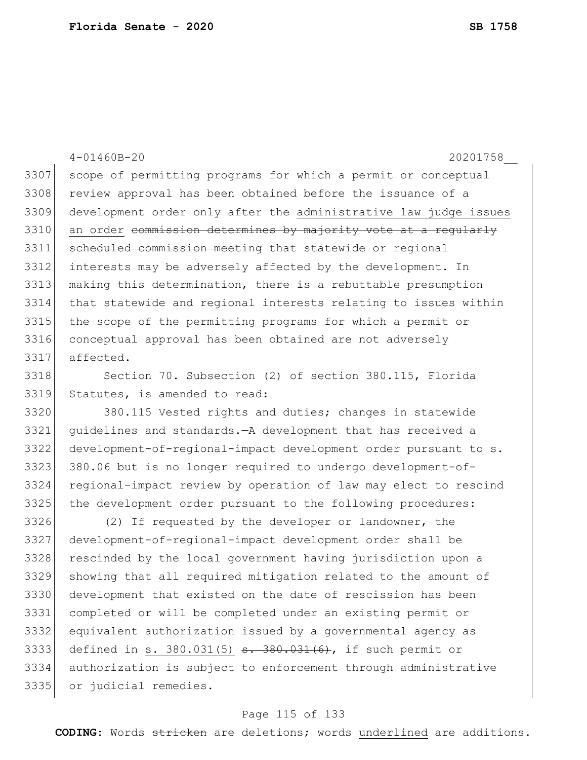4-01460B-20 20201758\_\_ 3307 scope of permitting programs for which a permit or conceptual 3308 review approval has been obtained before the issuance of a development order only after the administrative law judge issues 3310 an order <del>commission determines by majority vote at a regularly</del> 3311 scheduled commission meeting that statewide or regional interests may be adversely affected by the development. In making this determination, there is a rebuttable presumption that statewide and regional interests relating to issues within the scope of the permitting programs for which a permit or conceptual approval has been obtained are not adversely affected. 3318 Section 70. Subsection (2) of section 380.115, Florida Statutes, is amended to read: 380.115 Vested rights and duties; changes in statewide

 guidelines and standards.—A development that has received a development-of-regional-impact development order pursuant to s. 380.06 but is no longer required to undergo development-of- regional-impact review by operation of law may elect to rescind 3325 the development order pursuant to the following procedures:

 (2) If requested by the developer or landowner, the development-of-regional-impact development order shall be 3328 rescinded by the local government having jurisdiction upon a showing that all required mitigation related to the amount of development that existed on the date of rescission has been completed or will be completed under an existing permit or equivalent authorization issued by a governmental agency as 3333 defined in s. 380.031(5)  $\frac{1}{3}$   $\frac{1}{6}$ , if such permit or authorization is subject to enforcement through administrative or judicial remedies.

### Page 115 of 133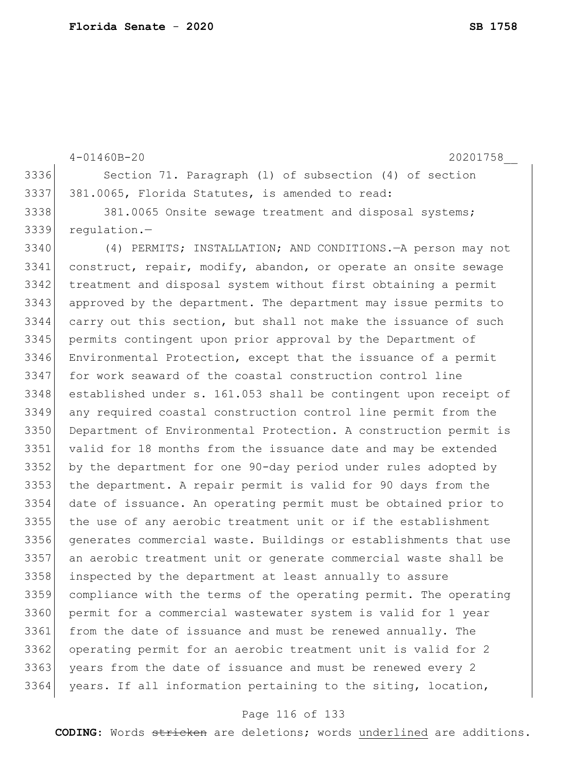4-01460B-20 20201758\_\_ 3336 Section 71. Paragraph (1) of subsection (4) of section 3337 381.0065, Florida Statutes, is amended to read: 3338 381.0065 Onsite sewage treatment and disposal systems; regulation.— (4) PERMITS; INSTALLATION; AND CONDITIONS.—A person may not construct, repair, modify, abandon, or operate an onsite sewage treatment and disposal system without first obtaining a permit approved by the department. The department may issue permits to carry out this section, but shall not make the issuance of such permits contingent upon prior approval by the Department of Environmental Protection, except that the issuance of a permit for work seaward of the coastal construction control line established under s. 161.053 shall be contingent upon receipt of any required coastal construction control line permit from the Department of Environmental Protection. A construction permit is valid for 18 months from the issuance date and may be extended by the department for one 90-day period under rules adopted by the department. A repair permit is valid for 90 days from the date of issuance. An operating permit must be obtained prior to the use of any aerobic treatment unit or if the establishment generates commercial waste. Buildings or establishments that use an aerobic treatment unit or generate commercial waste shall be 3358 inspected by the department at least annually to assure compliance with the terms of the operating permit. The operating permit for a commercial wastewater system is valid for 1 year from the date of issuance and must be renewed annually. The 3362 operating permit for an aerobic treatment unit is valid for 2 3363 years from the date of issuance and must be renewed every 2 years. If all information pertaining to the siting, location,

### Page 116 of 133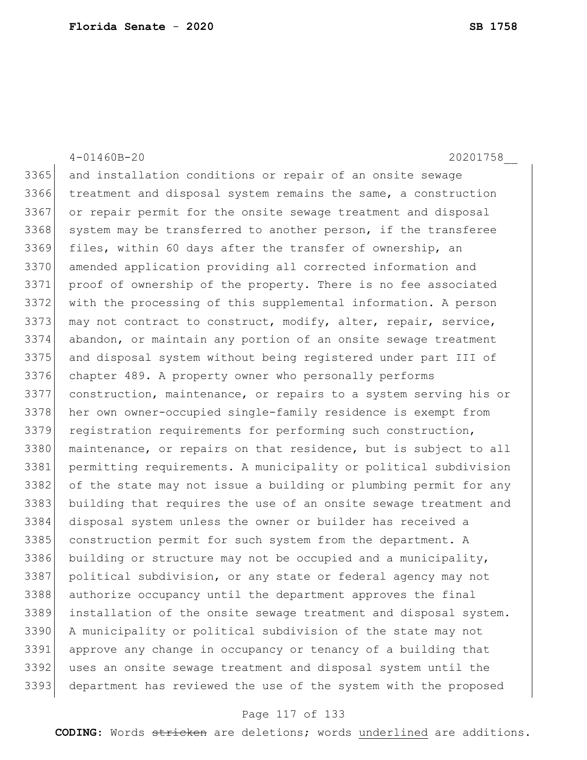4-01460B-20 20201758\_\_ and installation conditions or repair of an onsite sewage treatment and disposal system remains the same, a construction or repair permit for the onsite sewage treatment and disposal 3368 system may be transferred to another person, if the transferee 3369 files, within 60 days after the transfer of ownership, an amended application providing all corrected information and proof of ownership of the property. There is no fee associated with the processing of this supplemental information. A person 3373 may not contract to construct, modify, alter, repair, service, abandon, or maintain any portion of an onsite sewage treatment and disposal system without being registered under part III of chapter 489. A property owner who personally performs construction, maintenance, or repairs to a system serving his or her own owner-occupied single-family residence is exempt from registration requirements for performing such construction, maintenance, or repairs on that residence, but is subject to all permitting requirements. A municipality or political subdivision 3382 of the state may not issue a building or plumbing permit for any building that requires the use of an onsite sewage treatment and disposal system unless the owner or builder has received a 3385 construction permit for such system from the department. A building or structure may not be occupied and a municipality, political subdivision, or any state or federal agency may not authorize occupancy until the department approves the final installation of the onsite sewage treatment and disposal system. A municipality or political subdivision of the state may not approve any change in occupancy or tenancy of a building that uses an onsite sewage treatment and disposal system until the department has reviewed the use of the system with the proposed

#### Page 117 of 133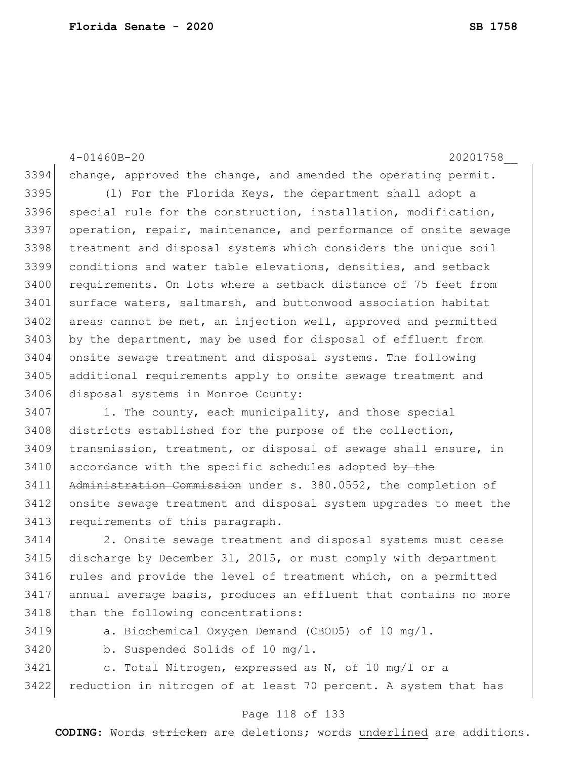4-01460B-20 20201758\_\_ 3394 change, approved the change, and amended the operating permit. 3395 (1) For the Florida Keys, the department shall adopt a 3396 special rule for the construction, installation, modification, 3397 operation, repair, maintenance, and performance of onsite sewage 3398 treatment and disposal systems which considers the unique soil 3399 conditions and water table elevations, densities, and setback 3400 requirements. On lots where a setback distance of 75 feet from 3401 surface waters, saltmarsh, and buttonwood association habitat 3402 areas cannot be met, an injection well, approved and permitted 3403 by the department, may be used for disposal of effluent from 3404 onsite sewage treatment and disposal systems. The following 3405 additional requirements apply to onsite sewage treatment and 3406 disposal systems in Monroe County: 3407 1. The county, each municipality, and those special 3408 districts established for the purpose of the collection, 3409 transmission, treatment, or disposal of sewage shall ensure, in  $3410$  accordance with the specific schedules adopted by the 3411 Administration Commission under s. 380.0552, the completion of 3412 onsite sewage treatment and disposal system upgrades to meet the 3413 requirements of this paragraph. 3414 2. Onsite sewage treatment and disposal systems must cease 3415 discharge by December 31, 2015, or must comply with department 3416 rules and provide the level of treatment which, on a permitted 3417 annual average basis, produces an effluent that contains no more 3418 than the following concentrations:

3419 a. Biochemical Oxygen Demand (CBOD5) of 10 mg/l.

3420 b. Suspended Solids of 10 mg/l.

3421 c. Total Nitrogen, expressed as N, of 10 mg/l or a 3422 reduction in nitrogen of at least 70 percent. A system that has

### Page 118 of 133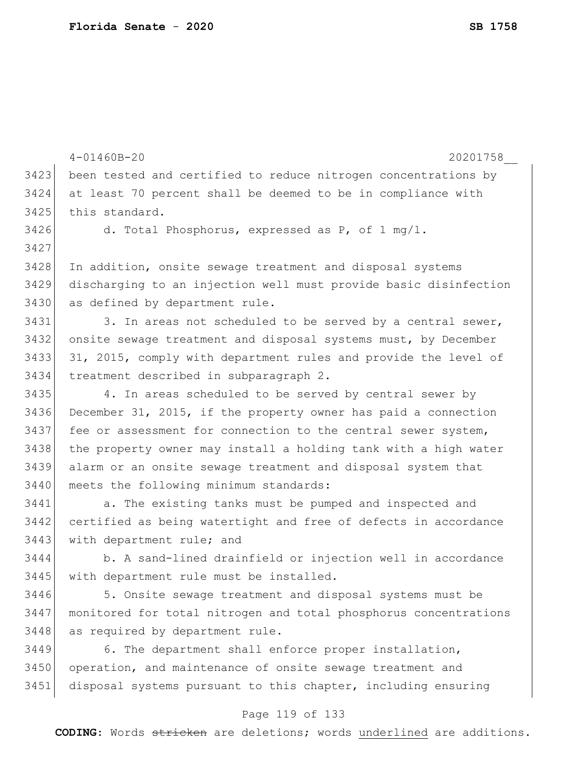|      | $4 - 01460B - 20$<br>20201758                                    |
|------|------------------------------------------------------------------|
| 3423 | been tested and certified to reduce nitrogen concentrations by   |
| 3424 | at least 70 percent shall be deemed to be in compliance with     |
| 3425 | this standard.                                                   |
| 3426 | d. Total Phosphorus, expressed as $P$ , of 1 mg/1.               |
| 3427 |                                                                  |
| 3428 | In addition, onsite sewage treatment and disposal systems        |
| 3429 | discharging to an injection well must provide basic disinfection |
| 3430 | as defined by department rule.                                   |
| 3431 | 3. In areas not scheduled to be served by a central sewer,       |
| 3432 | onsite sewage treatment and disposal systems must, by December   |
| 3433 | 31, 2015, comply with department rules and provide the level of  |
| 3434 | treatment described in subparagraph 2.                           |
| 3435 | 4. In areas scheduled to be served by central sewer by           |
| 3436 | December 31, 2015, if the property owner has paid a connection   |
| 3437 | fee or assessment for connection to the central sewer system,    |
| 3438 | the property owner may install a holding tank with a high water  |
| 3439 | alarm or an onsite sewage treatment and disposal system that     |
| 3440 | meets the following minimum standards:                           |
| 3441 | a. The existing tanks must be pumped and inspected and           |
| 3442 | certified as being watertight and free of defects in accordance  |
| 3443 | with department rule; and                                        |
| 3444 | b. A sand-lined drainfield or injection well in accordance       |
| 3445 | with department rule must be installed.                          |
| 3446 | 5. Onsite sewage treatment and disposal systems must be          |
| 3447 | monitored for total nitrogen and total phosphorus concentrations |
| 3448 | as required by department rule.                                  |
| 3449 | 6. The department shall enforce proper installation,             |
| 3450 | operation, and maintenance of onsite sewage treatment and        |
| 3451 | disposal systems pursuant to this chapter, including ensuring    |

# Page 119 of 133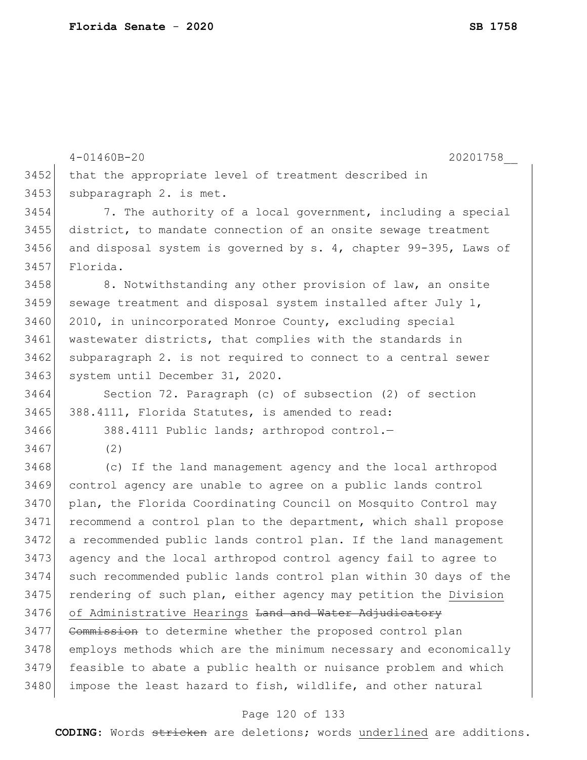4-01460B-20 20201758\_\_ 3452 that the appropriate level of treatment described in 3453 subparagraph 2. is met. 3454 7. The authority of a local government, including a special 3455 district, to mandate connection of an onsite sewage treatment 3456 and disposal system is governed by s. 4, chapter 99-395, Laws of 3457 Florida. 3458 8. Notwithstanding any other provision of law, an onsite 3459 sewage treatment and disposal system installed after July  $1$ , 3460 2010, in unincorporated Monroe County, excluding special 3461 wastewater districts, that complies with the standards in 3462 subparagraph 2. is not required to connect to a central sewer 3463 system until December 31, 2020. 3464 Section 72. Paragraph (c) of subsection (2) of section 3465 388.4111, Florida Statutes, is amended to read: 3466 388.4111 Public lands; arthropod control.— 3467 (2) 3468 (c) If the land management agency and the local arthropod 3469 control agency are unable to agree on a public lands control 3470 plan, the Florida Coordinating Council on Mosquito Control may 3471 recommend a control plan to the department, which shall propose 3472 a recommended public lands control plan. If the land management 3473 agency and the local arthropod control agency fail to agree to 3474 such recommended public lands control plan within 30 days of the 3475 rendering of such plan, either agency may petition the Division 3476 of Administrative Hearings <del>Land and Water Adjudicatory</del> 3477 Commission to determine whether the proposed control plan 3478 employs methods which are the minimum necessary and economically 3479 feasible to abate a public health or nuisance problem and which 3480 impose the least hazard to fish, wildlife, and other natural

### Page 120 of 133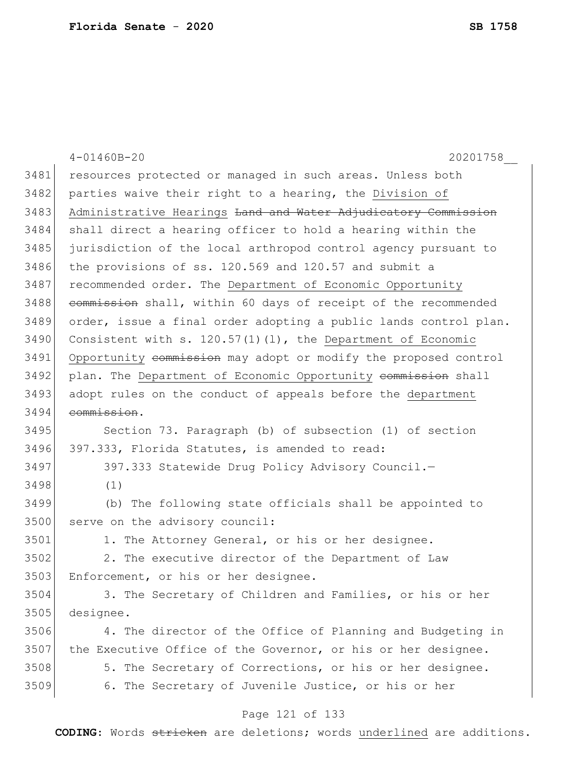|      | $4 - 01460B - 20$<br>20201758                                    |
|------|------------------------------------------------------------------|
| 3481 | resources protected or managed in such areas. Unless both        |
| 3482 | parties waive their right to a hearing, the Division of          |
| 3483 | Administrative Hearings Land and Water Adjudicatory Commission   |
| 3484 | shall direct a hearing officer to hold a hearing within the      |
| 3485 | jurisdiction of the local arthropod control agency pursuant to   |
| 3486 | the provisions of ss. 120.569 and 120.57 and submit a            |
| 3487 | recommended order. The Department of Economic Opportunity        |
| 3488 | commission shall, within 60 days of receipt of the recommended   |
| 3489 | order, issue a final order adopting a public lands control plan. |
| 3490 | Consistent with s. $120.57(1)(1)$ , the Department of Economic   |
| 3491 | Opportunity commission may adopt or modify the proposed control  |
| 3492 | plan. The Department of Economic Opportunity commission shall    |
| 3493 | adopt rules on the conduct of appeals before the department      |
| 3494 | commission.                                                      |
| 3495 | Section 73. Paragraph (b) of subsection (1) of section           |
| 3496 | 397.333, Florida Statutes, is amended to read:                   |
| 3497 | 397.333 Statewide Drug Policy Advisory Council.-                 |
| 3498 | (1)                                                              |
| 3499 | (b) The following state officials shall be appointed to          |
| 3500 | serve on the advisory council:                                   |
| 3501 | 1. The Attorney General, or his or her designee.                 |
| 3502 | 2. The executive director of the Department of Law               |
| 3503 | Enforcement, or his or her designee.                             |
| 3504 | 3. The Secretary of Children and Families, or his or her         |
| 3505 | designee.                                                        |
| 3506 | 4. The director of the Office of Planning and Budgeting in       |
| 3507 | the Executive Office of the Governor, or his or her designee.    |
| 3508 | 5. The Secretary of Corrections, or his or her designee.         |
| 3509 | 6. The Secretary of Juvenile Justice, or his or her              |
|      | Dana 121 of 133                                                  |

## Page 121 of 133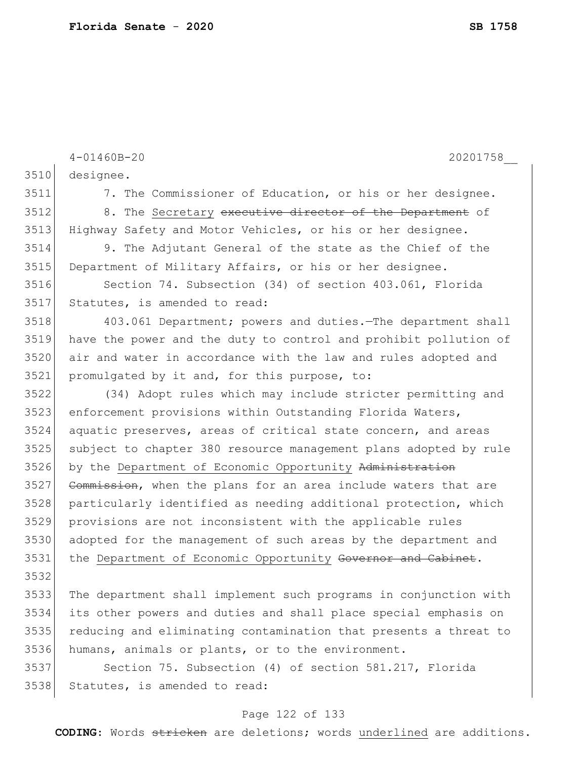|      | $4 - 01460B - 20$<br>20201758                                    |
|------|------------------------------------------------------------------|
| 3510 | designee.                                                        |
| 3511 | 7. The Commissioner of Education, or his or her designee.        |
| 3512 | 8. The Secretary executive director of the Department of         |
| 3513 | Highway Safety and Motor Vehicles, or his or her designee.       |
| 3514 | 9. The Adjutant General of the state as the Chief of the         |
| 3515 | Department of Military Affairs, or his or her designee.          |
| 3516 | Section 74. Subsection (34) of section 403.061, Florida          |
| 3517 | Statutes, is amended to read:                                    |
| 3518 | 403.061 Department; powers and duties. The department shall      |
| 3519 | have the power and the duty to control and prohibit pollution of |
| 3520 | air and water in accordance with the law and rules adopted and   |
| 3521 | promulgated by it and, for this purpose, to:                     |
| 3522 | (34) Adopt rules which may include stricter permitting and       |
| 3523 | enforcement provisions within Outstanding Florida Waters,        |
| 3524 | aquatic preserves, areas of critical state concern, and areas    |
| 3525 | subject to chapter 380 resource management plans adopted by rule |
| 3526 | by the Department of Economic Opportunity Administration         |
| 3527 | Commission, when the plans for an area include waters that are   |
| 3528 | particularly identified as needing additional protection, which  |
| 3529 | provisions are not inconsistent with the applicable rules        |
| 3530 | adopted for the management of such areas by the department and   |
| 3531 | the Department of Economic Opportunity Governor and Cabinet.     |
| 3532 |                                                                  |
| 3533 | The department shall implement such programs in conjunction with |
| 3534 | its other powers and duties and shall place special emphasis on  |
| 3535 | reducing and eliminating contamination that presents a threat to |
| 3536 | humans, animals or plants, or to the environment.                |
| 3537 | Section 75. Subsection (4) of section 581.217, Florida           |
| 3538 | Statutes, is amended to read:                                    |

# Page 122 of 133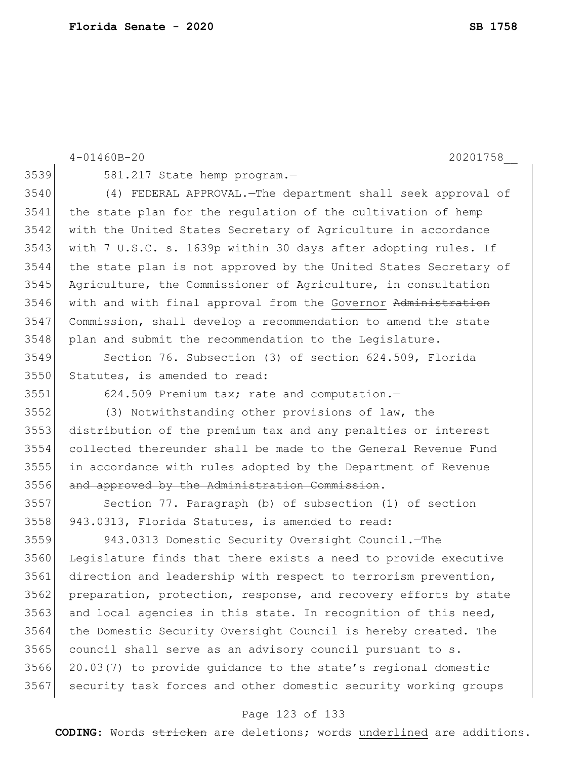|      | $4 - 01460B - 20$<br>20201758                                    |
|------|------------------------------------------------------------------|
| 3539 | 581.217 State hemp program.-                                     |
| 3540 | (4) FEDERAL APPROVAL. The department shall seek approval of      |
| 3541 | the state plan for the regulation of the cultivation of hemp     |
| 3542 | with the United States Secretary of Agriculture in accordance    |
| 3543 | with 7 U.S.C. s. 1639p within 30 days after adopting rules. If   |
| 3544 | the state plan is not approved by the United States Secretary of |
| 3545 | Agriculture, the Commissioner of Agriculture, in consultation    |
| 3546 | with and with final approval from the Governor Administration    |
| 3547 | Commission, shall develop a recommendation to amend the state    |
| 3548 | plan and submit the recommendation to the Legislature.           |
| 3549 | Section 76. Subsection (3) of section 624.509, Florida           |
| 3550 | Statutes, is amended to read:                                    |
| 3551 | 624.509 Premium tax; rate and computation.-                      |
| 3552 | (3) Notwithstanding other provisions of law, the                 |
| 3553 | distribution of the premium tax and any penalties or interest    |
| 3554 | collected thereunder shall be made to the General Revenue Fund   |
| 3555 | in accordance with rules adopted by the Department of Revenue    |
| 3556 | and approved by the Administration Commission.                   |
| 3557 | Section 77. Paragraph (b) of subsection (1) of section           |
| 3558 | 943.0313, Florida Statutes, is amended to read:                  |
| 3559 | 943.0313 Domestic Security Oversight Council. - The              |
| 3560 | Legislature finds that there exists a need to provide executive  |
| 3561 | direction and leadership with respect to terrorism prevention,   |
| 3562 | preparation, protection, response, and recovery efforts by state |
| 3563 | and local agencies in this state. In recognition of this need,   |
| 3564 | the Domestic Security Oversight Council is hereby created. The   |
| 3565 | council shall serve as an advisory council pursuant to s.        |
| 3566 | 20.03(7) to provide quidance to the state's regional domestic    |
| 3567 | security task forces and other domestic security working groups  |
|      |                                                                  |

# Page 123 of 133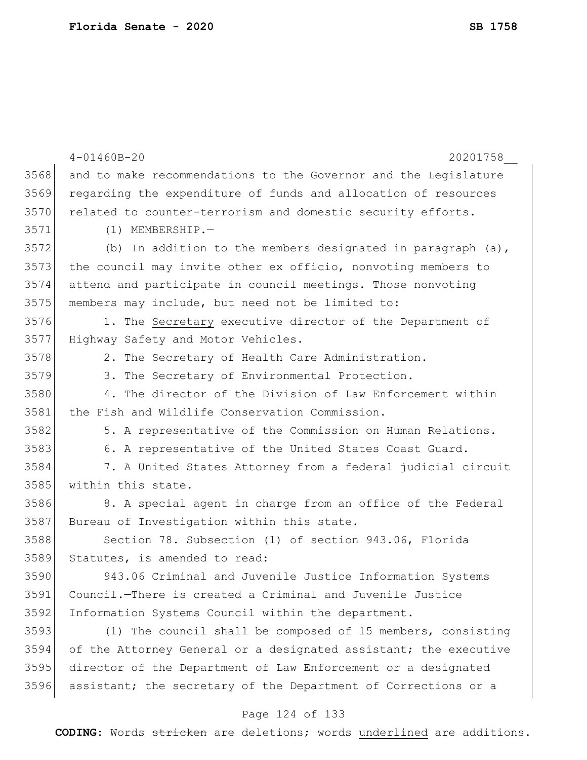|      | $4 - 01460B - 20$<br>20201758                                    |
|------|------------------------------------------------------------------|
| 3568 | and to make recommendations to the Governor and the Legislature  |
| 3569 | regarding the expenditure of funds and allocation of resources   |
| 3570 | related to counter-terrorism and domestic security efforts.      |
| 3571 | $(1)$ MEMBERSHIP.-                                               |
| 3572 | (b) In addition to the members designated in paragraph $(a)$ ,   |
| 3573 | the council may invite other ex officio, nonvoting members to    |
| 3574 | attend and participate in council meetings. Those nonvoting      |
| 3575 | members may include, but need not be limited to:                 |
| 3576 | 1. The Secretary executive director of the Department of         |
| 3577 | Highway Safety and Motor Vehicles.                               |
| 3578 | 2. The Secretary of Health Care Administration.                  |
| 3579 | 3. The Secretary of Environmental Protection.                    |
| 3580 | 4. The director of the Division of Law Enforcement within        |
| 3581 | the Fish and Wildlife Conservation Commission.                   |
| 3582 | 5. A representative of the Commission on Human Relations.        |
| 3583 | 6. A representative of the United States Coast Guard.            |
| 3584 | 7. A United States Attorney from a federal judicial circuit      |
| 3585 | within this state.                                               |
| 3586 | 8. A special agent in charge from an office of the Federal       |
| 3587 | Bureau of Investigation within this state.                       |
| 3588 | Section 78. Subsection (1) of section 943.06, Florida            |
| 3589 | Statutes, is amended to read:                                    |
| 3590 | 943.06 Criminal and Juvenile Justice Information Systems         |
| 3591 | Council.-There is created a Criminal and Juvenile Justice        |
| 3592 | Information Systems Council within the department.               |
| 3593 | (1) The council shall be composed of 15 members, consisting      |
| 3594 | of the Attorney General or a designated assistant; the executive |
| 3595 | director of the Department of Law Enforcement or a designated    |
| 3596 | assistant; the secretary of the Department of Corrections or a   |
|      |                                                                  |

# Page 124 of 133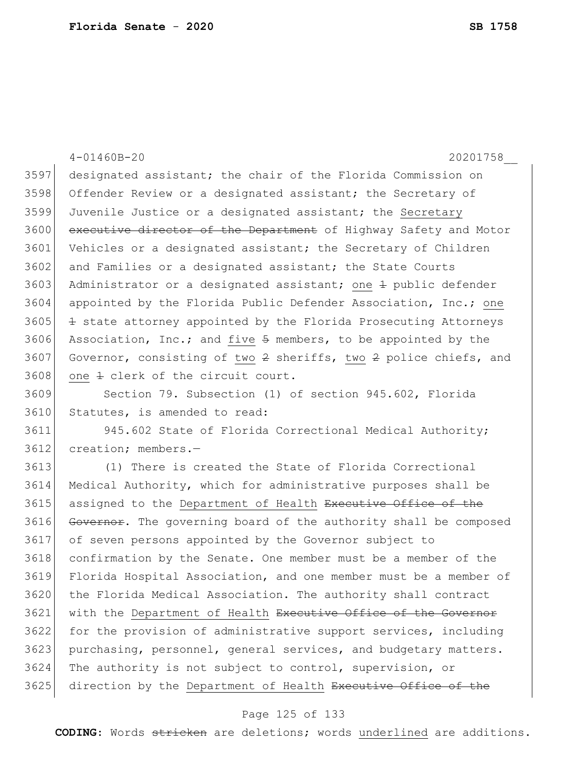|      | $4 - 01460B - 20$<br>20201758                                      |
|------|--------------------------------------------------------------------|
| 3597 | designated assistant; the chair of the Florida Commission on       |
| 3598 | Offender Review or a designated assistant; the Secretary of        |
| 3599 | Juvenile Justice or a designated assistant; the Secretary          |
| 3600 | executive director of the Department of Highway Safety and Motor   |
| 3601 | Vehicles or a designated assistant; the Secretary of Children      |
| 3602 | and Families or a designated assistant; the State Courts           |
| 3603 | Administrator or a designated assistant; one $\pm$ public defender |
| 3604 | appointed by the Florida Public Defender Association, Inc.; one    |
| 3605 | + state attorney appointed by the Florida Prosecuting Attorneys    |
| 3606 | Association, Inc.; and five 5 members, to be appointed by the      |
| 3607 | Governor, consisting of two 2 sheriffs, two 2 police chiefs, and   |
| 3608 | one $\pm$ clerk of the circuit court.                              |
| 3609 | Section 79. Subsection (1) of section 945.602, Florida             |
| 3610 | Statutes, is amended to read:                                      |
| 3611 | 945.602 State of Florida Correctional Medical Authority;           |
| 3612 | creation; members.-                                                |
| 3613 | (1) There is created the State of Florida Correctional             |
| 3614 | Medical Authority, which for administrative purposes shall be      |
| 3615 | assigned to the Department of Health Executive Office of the       |
| 3616 | Governor. The governing board of the authority shall be composed   |
| 3617 | of seven persons appointed by the Governor subject to              |
| 3618 | confirmation by the Senate. One member must be a member of the     |
| 3619 | Florida Hospital Association, and one member must be a member of   |
| 3620 | the Florida Medical Association. The authority shall contract      |
| 3621 | with the Department of Health Executive Office of the Governor     |

3622 for the provision of administrative support services, including 3623 purchasing, personnel, general services, and budgetary matters. The authority is not subject to control, supervision, or 3625 direction by the Department of Health Executive Office of the

## Page 125 of 133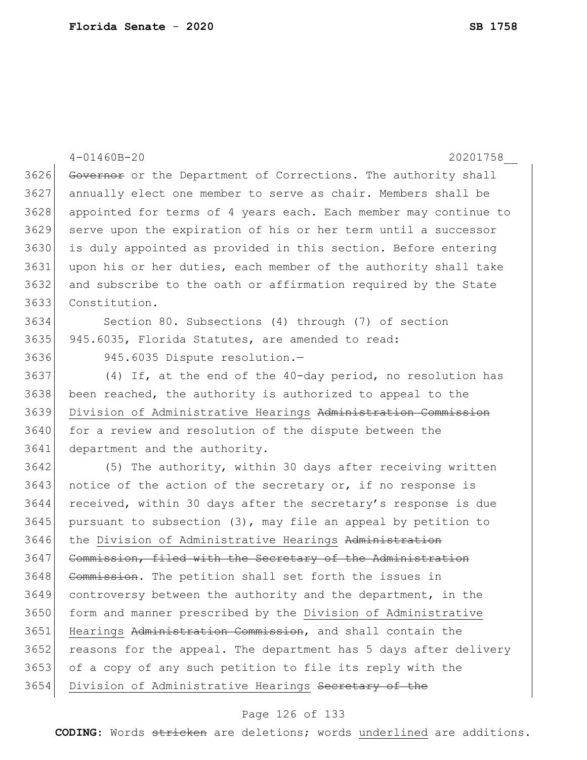|      | $4 - 01460B - 20$<br>20201758                                    |
|------|------------------------------------------------------------------|
| 3626 | Governor or the Department of Corrections. The authority shall   |
| 3627 | annually elect one member to serve as chair. Members shall be    |
| 3628 | appointed for terms of 4 years each. Each member may continue to |
| 3629 | serve upon the expiration of his or her term until a successor   |
| 3630 | is duly appointed as provided in this section. Before entering   |
| 3631 | upon his or her duties, each member of the authority shall take  |
| 3632 | and subscribe to the oath or affirmation required by the State   |
| 3633 | Constitution.                                                    |
| 3634 | Section 80. Subsections (4) through (7) of section               |
| 3635 | 945.6035, Florida Statutes, are amended to read:                 |
| 3636 | 945.6035 Dispute resolution.-                                    |
| 3637 | (4) If, at the end of the 40-day period, no resolution has       |
| 3638 | been reached, the authority is authorized to appeal to the       |
| 3639 | Division of Administrative Hearings Administration Commission    |
| 3640 | for a review and resolution of the dispute between the           |
| 3641 | department and the authority.                                    |
| 3642 | (5) The authority, within 30 days after receiving written        |
| 3643 | notice of the action of the secretary or, if no response is      |
| 3644 | received, within 30 days after the secretary's response is due   |
| 3645 | pursuant to subsection (3), may file an appeal by petition to    |
| 3646 | the Division of Administrative Hearings Administration           |
| 3647 | Commission, filed with the Secretary of the Administration       |
| 3648 | Commission. The petition shall set forth the issues in           |
| 3649 | controversy between the authority and the department, in the     |
| 3650 | form and manner prescribed by the Division of Administrative     |
| 3651 | Hearings Administration Commission, and shall contain the        |
| 3652 | reasons for the appeal. The department has 5 days after delivery |
| 3653 | of a copy of any such petition to file its reply with the        |
| 3654 | Division of Administrative Hearings Secretary of the             |

# Page 126 of 133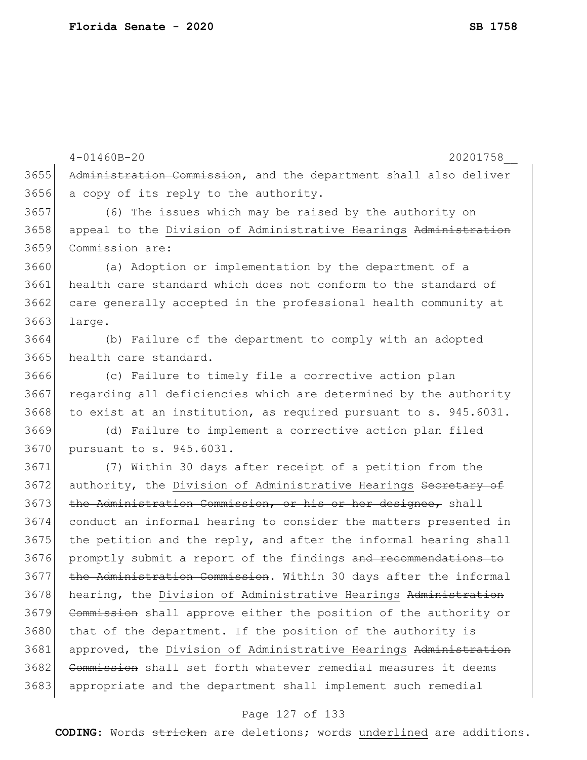3655 Administration Commission, and the department shall also deliver 3656 a copy of its reply to the authority. 3657 (6) The issues which may be raised by the authority on 3658 appeal to the Division of Administrative Hearings Administration 3659 Commission are: 3660 (a) Adoption or implementation by the department of a 3661 health care standard which does not conform to the standard of 3662 care generally accepted in the professional health community at 3663 large. 3664 (b) Failure of the department to comply with an adopted 3665 health care standard. 3666 (c) Failure to timely file a corrective action plan 3667 regarding all deficiencies which are determined by the authority 3668 to exist at an institution, as required pursuant to s. 945.6031. 3669 (d) Failure to implement a corrective action plan filed 3670 pursuant to s. 945.6031. 3671 (7) Within 30 days after receipt of a petition from the 3672 authority, the Division of Administrative Hearings Secretary of 3673 the Administration Commission, or his or her designee, shall 3674 conduct an informal hearing to consider the matters presented in  $3675$  the petition and the reply, and after the informal hearing shall 3676 promptly submit a report of the findings and recommendations to 3677 the Administration Commission. Within 30 days after the informal 3678 hearing, the Division of Administrative Hearings Administration 3679 Commission shall approve either the position of the authority or 3680 that of the department. If the position of the authority is 3681 approved, the Division of Administrative Hearings Administration 3682 Commission shall set forth whatever remedial measures it deems 3683 appropriate and the department shall implement such remedial

4-01460B-20 20201758\_\_

### Page 127 of 133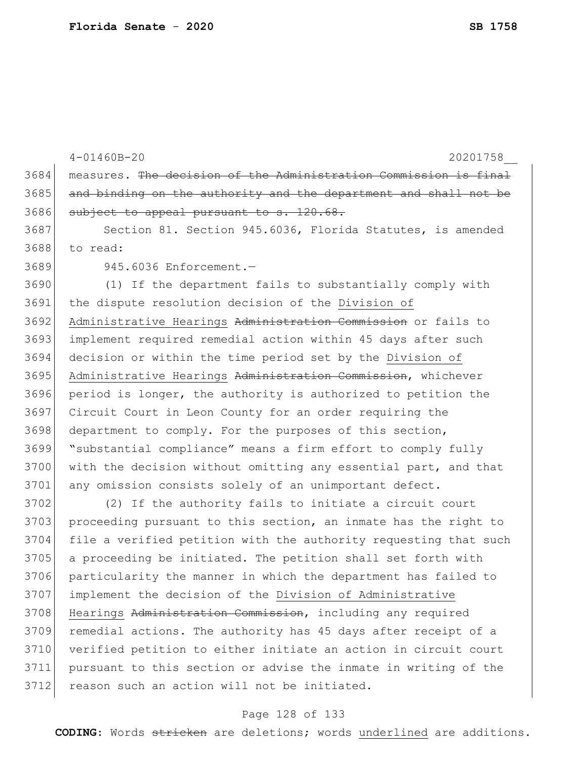4-01460B-20 20201758\_\_ 3684 measures. The decision of the Administration Commission is final 3685 and binding on the authority and the department and shall 3686 subject to appeal pursuant to s. 120.68. 3687 Section 81. Section 945.6036, Florida Statutes, is amended 3688 to read: 3689 945.6036 Enforcement.— 3690 (1) If the department fails to substantially comply with 3691 the dispute resolution decision of the Division of 3692 Administrative Hearings Administration Commission or fails to 3693 implement required remedial action within 45 days after such 3694 decision or within the time period set by the Division of 3695 Administrative Hearings Administration Commission, whichever 3696 period is longer, the authority is authorized to petition the 3697 Circuit Court in Leon County for an order requiring the 3698 department to comply. For the purposes of this section, 3699 "substantial compliance" means a firm effort to comply fully 3700 with the decision without omitting any essential part, and that 3701 any omission consists solely of an unimportant defect. 3702 (2) If the authority fails to initiate a circuit court 3703 proceeding pursuant to this section, an inmate has the right to 3704 file a verified petition with the authority requesting that such 3705 a proceeding be initiated. The petition shall set forth with 3706 particularity the manner in which the department has failed to 3707 implement the decision of the Division of Administrative 3708 Hearings Administration Commission, including any required 3709 remedial actions. The authority has 45 days after receipt of a 3710 verified petition to either initiate an action in circuit court 3711 pursuant to this section or advise the inmate in writing of the 3712 reason such an action will not be initiated.

### Page 128 of 133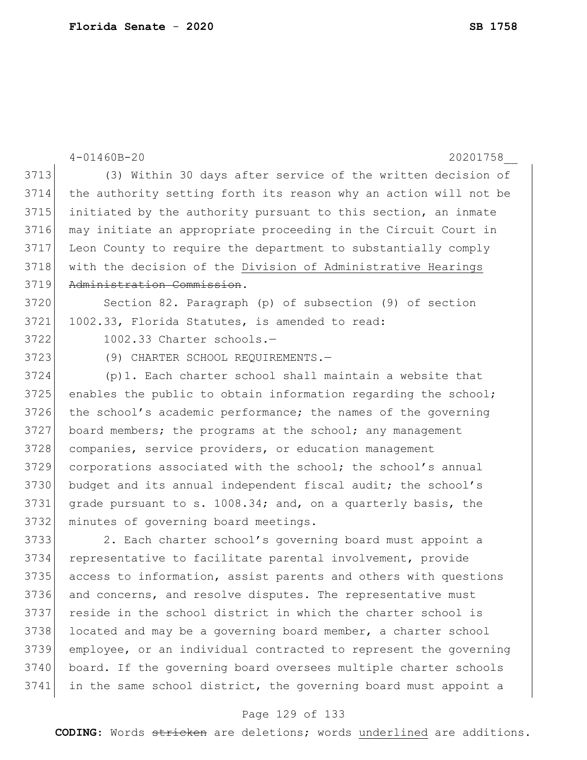|      | $4 - 01460B - 20$<br>20201758                                    |
|------|------------------------------------------------------------------|
| 3713 | (3) Within 30 days after service of the written decision of      |
| 3714 | the authority setting forth its reason why an action will not be |
| 3715 | initiated by the authority pursuant to this section, an inmate   |
| 3716 | may initiate an appropriate proceeding in the Circuit Court in   |
| 3717 | Leon County to require the department to substantially comply    |
| 3718 | with the decision of the Division of Administrative Hearings     |
| 3719 | Administration Commission.                                       |
| 3720 | Section 82. Paragraph (p) of subsection (9) of section           |
| 3721 | 1002.33, Florida Statutes, is amended to read:                   |
| 3722 | 1002.33 Charter schools.-                                        |
| 3723 | (9) CHARTER SCHOOL REQUIREMENTS.-                                |
| 3724 | (p)1. Each charter school shall maintain a website that          |
| 3725 | enables the public to obtain information regarding the school;   |
| 3726 | the school's academic performance; the names of the governing    |
| 3727 | board members; the programs at the school; any management        |
| 3728 | companies, service providers, or education management            |
| 3729 | corporations associated with the school; the school's annual     |
| 3730 | budget and its annual independent fiscal audit; the school's     |
| 3731 | grade pursuant to s. 1008.34; and, on a quarterly basis, the     |
| 3732 | minutes of governing board meetings.                             |
| 3733 | 2. Each charter school's governing board must appoint a          |
| 3734 | representative to facilitate parental involvement, provide       |
| 3735 | access to information, assist parents and others with questions  |
| 3736 | and concerns, and resolve disputes. The representative must      |
| 3737 | reside in the school district in which the charter school is     |
| 3738 | located and may be a governing board member, a charter school    |
| 3739 | employee, or an individual contracted to represent the governing |
| 3740 | board. If the governing board oversees multiple charter schools  |

 $3741$  in the same school district, the governing board must appoint a

## Page 129 of 133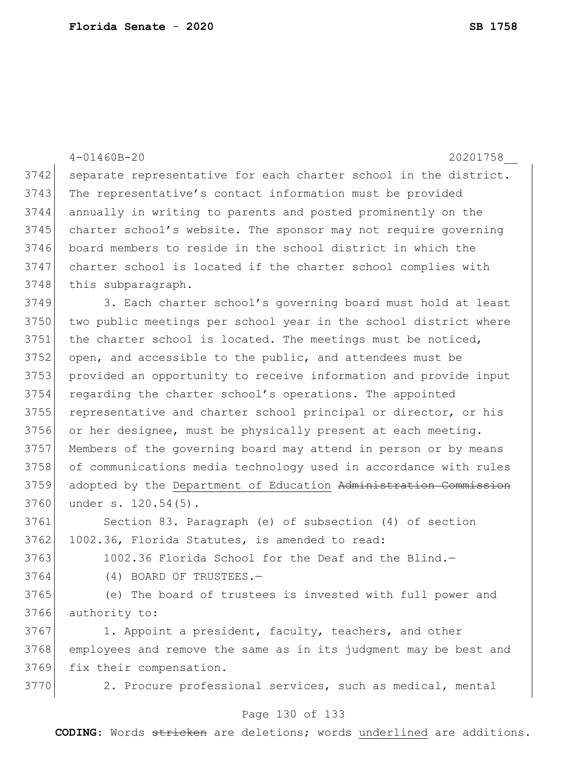|      | $4 - 01460B - 20$<br>20201758                                    |
|------|------------------------------------------------------------------|
| 3742 | separate representative for each charter school in the district. |
| 3743 | The representative's contact information must be provided        |
| 3744 | annually in writing to parents and posted prominently on the     |
| 3745 | charter school's website. The sponsor may not require governing  |
| 3746 | board members to reside in the school district in which the      |
| 3747 | charter school is located if the charter school complies with    |
| 3748 | this subparagraph.                                               |
| 3749 | 3. Each charter school's governing board must hold at least      |
| 3750 | two public meetings per school year in the school district where |
| 3751 | the charter school is located. The meetings must be noticed,     |
| 3752 | open, and accessible to the public, and attendees must be        |
| 3753 | provided an opportunity to receive information and provide input |
| 3754 | regarding the charter school's operations. The appointed         |
| 3755 | representative and charter school principal or director, or his  |
| 3756 | or her designee, must be physically present at each meeting.     |
| 3757 | Members of the governing board may attend in person or by means  |
| 3758 | of communications media technology used in accordance with rules |
| 3759 | adopted by the Department of Education Administration Commission |
| 3760 | under s. 120.54(5).                                              |
| 3761 | Section 83. Paragraph (e) of subsection (4) of section           |
| 3762 | 1002.36, Florida Statutes, is amended to read:                   |
| 3763 | 1002.36 Florida School for the Deaf and the Blind.-              |
| 3764 | (4) BOARD OF TRUSTEES.-                                          |
| 3765 | (e) The board of trustees is invested with full power and        |
| 3766 | authority to:                                                    |
| 3767 | 1. Appoint a president, faculty, teachers, and other             |
| 3768 | employees and remove the same as in its judgment may be best and |
| 3769 | fix their compensation.                                          |
| 3770 | 2. Procure professional services, such as medical, mental        |
|      | Page 130 of 133                                                  |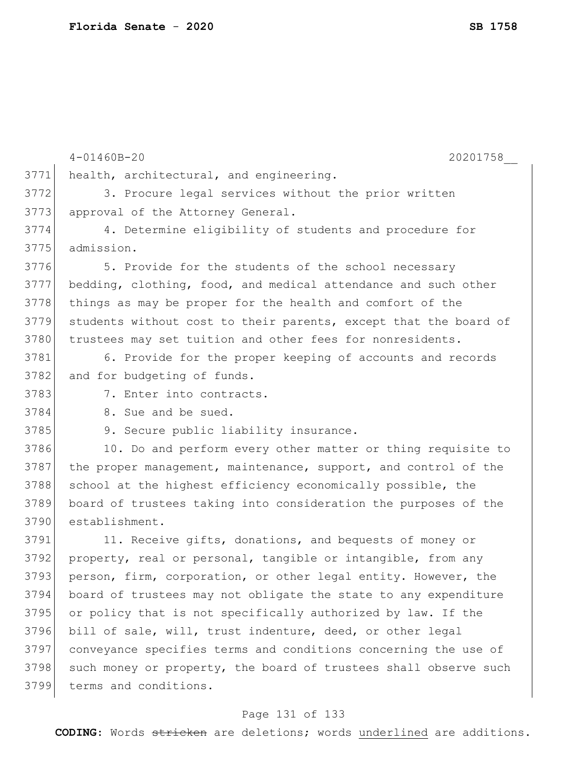4-01460B-20 20201758\_\_ 3771 health, architectural, and engineering. 3772 3. Procure legal services without the prior written 3773 approval of the Attorney General. 3774 4. Determine eligibility of students and procedure for 3775 admission. 3776 5. Provide for the students of the school necessary 3777 bedding, clothing, food, and medical attendance and such other 3778 things as may be proper for the health and comfort of the 3779 students without cost to their parents, except that the board of 3780 trustees may set tuition and other fees for nonresidents. 3781 6. Provide for the proper keeping of accounts and records 3782 and for budgeting of funds. 3783 7. Enter into contracts. 3784 8. Sue and be sued. 3785 9. Secure public liability insurance. 3786 10. Do and perform every other matter or thing requisite to 3787 the proper management, maintenance, support, and control of the 3788 school at the highest efficiency economically possible, the 3789 board of trustees taking into consideration the purposes of the 3790 establishment. 3791 11. Receive gifts, donations, and bequests of money or 3792 property, real or personal, tangible or intangible, from any 3793 person, firm, corporation, or other legal entity. However, the 3794 board of trustees may not obligate the state to any expenditure 3795 or policy that is not specifically authorized by law. If the 3796 bill of sale, will, trust indenture, deed, or other legal 3797 conveyance specifies terms and conditions concerning the use of 3798 such money or property, the board of trustees shall observe such 3799 terms and conditions.

## Page 131 of 133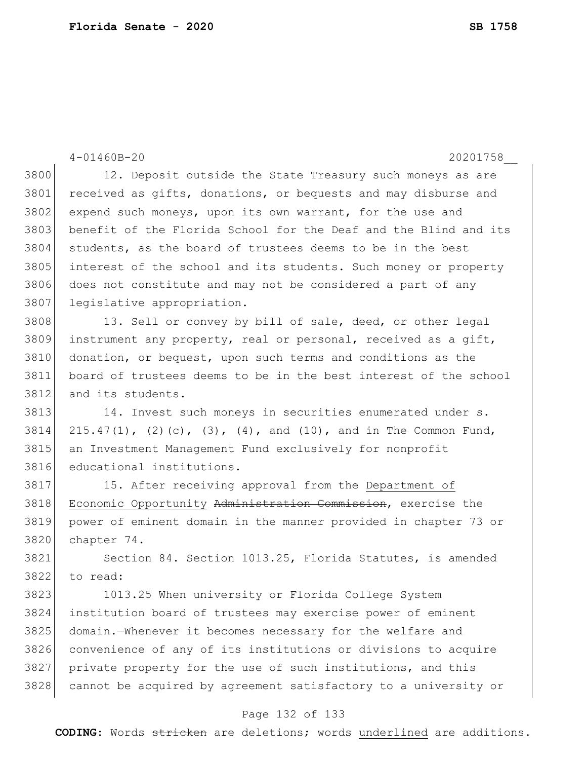4-01460B-20 20201758\_\_ 3800 12. Deposit outside the State Treasury such moneys as are 3801 received as gifts, donations, or bequests and may disburse and 3802 expend such moneys, upon its own warrant, for the use and 3803 benefit of the Florida School for the Deaf and the Blind and its 3804 students, as the board of trustees deems to be in the best 3805 interest of the school and its students. Such money or property 3806 does not constitute and may not be considered a part of any 3807 legislative appropriation. 3808 13. Sell or convey by bill of sale, deed, or other legal 3809 instrument any property, real or personal, received as a gift, 3810 donation, or bequest, upon such terms and conditions as the 3811 board of trustees deems to be in the best interest of the school 3812 and its students. 3813 14. Invest such moneys in securities enumerated under s. 3814 215.47(1), (2)(c), (3), (4), and (10), and in The Common Fund, 3815 an Investment Management Fund exclusively for nonprofit 3816 educational institutions. 3817 15. After receiving approval from the Department of 3818 Economic Opportunity Administration Commission, exercise the 3819 power of eminent domain in the manner provided in chapter 73 or 3820 chapter 74. 3821 Section 84. Section 1013.25, Florida Statutes, is amended 3822 to read: 3823 1013.25 When university or Florida College System 3824 institution board of trustees may exercise power of eminent 3825 domain.—Whenever it becomes necessary for the welfare and 3826 convenience of any of its institutions or divisions to acquire 3827 private property for the use of such institutions, and this 3828 cannot be acquired by agreement satisfactory to a university or

### Page 132 of 133